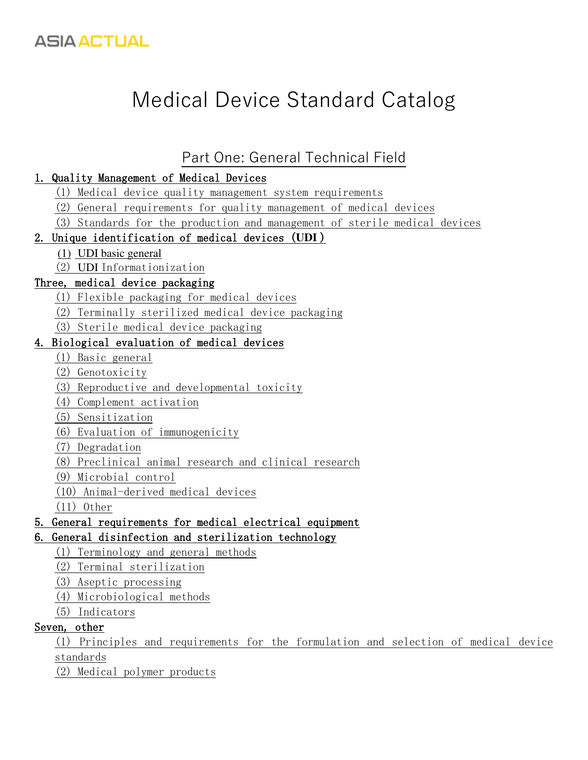

# Medical Device Standard Catalog

### [Part One: General Technical Field](https://translate.googleusercontent.com/translate_f#_Toc28694)

#### [1. Quality Management of Medical Devices](https://translate.googleusercontent.com/translate_f#_Toc7341)

- [\(1\) Medical device quality management system requirements](https://translate.googleusercontent.com/translate_f#_Toc8791)
- [\(2\) General requirements for quality management of medical devices](https://translate.googleusercontent.com/translate_f#_Toc22716)
- [\(3\) Standards for the production and management of sterile medical devices](https://translate.googleusercontent.com/translate_f#_Toc25168)

#### [2. Unique identification of medical devices \(](https://translate.googleusercontent.com/translate_f#_Toc30329)**UDI** )

- (1) UDI basic general
- (2) UDI [Informationization](https://translate.googleusercontent.com/translate_f#_Toc14661)

#### [Three, medical device packaging](https://translate.googleusercontent.com/translate_f#_Toc13449)

- [\(1\) Flexible packaging for medical devices](https://translate.googleusercontent.com/translate_f#_Toc5014)
- [\(2\) Terminally sterilized medical device packaging](https://translate.googleusercontent.com/translate_f#_Toc24916)
- [\(3\) Sterile medical device packaging](https://translate.googleusercontent.com/translate_f#_Toc24343)

#### [4. Biological evaluation of medical devices](https://translate.googleusercontent.com/translate_f#_Toc31175)

- [\(1\) Basic general](https://translate.googleusercontent.com/translate_f#_Toc21249)
- [\(2\) Genotoxicity](https://translate.googleusercontent.com/translate_f#_Toc23526)
- [\(3\) Reproductive and developmental toxicity](https://translate.googleusercontent.com/translate_f#_Toc4652)
- [\(4\) Complement activation](https://translate.googleusercontent.com/translate_f#_Toc4206)
- [\(5\) Sensitization](https://translate.googleusercontent.com/translate_f#_Toc13981)
- [\(6\) Evaluation of immunogenicity](https://translate.googleusercontent.com/translate_f#_Toc5276)
- [\(7\) Degradation](https://translate.googleusercontent.com/translate_f#_Toc11942)
- [\(8\) Preclinical animal research and clinical research](https://translate.googleusercontent.com/translate_f#_Toc4963)
- [\(9\) Microbial control](https://translate.googleusercontent.com/translate_f#_Toc8139)
- [\(10\) Animal-derived medical devices](https://translate.googleusercontent.com/translate_f#_Toc4391)
- [\(11\) Other](https://translate.googleusercontent.com/translate_f#_Toc26121)

#### [5. General requirements for medical electrical equipment](https://translate.googleusercontent.com/translate_f#_Toc26226)

#### [6. General disinfection and sterilization technology](https://translate.googleusercontent.com/translate_f#_Toc14907)

- [\(1\) Terminology and general methods](https://translate.googleusercontent.com/translate_f#_Toc2373)
- [\(2\) Terminal sterilization](https://translate.googleusercontent.com/translate_f#_Toc8360)
- [\(3\) Aseptic processing](https://translate.googleusercontent.com/translate_f#_Toc25069)
- [\(4\) Microbiological methods](https://translate.googleusercontent.com/translate_f#_Toc2306)
- [\(5\) Indicators](https://translate.googleusercontent.com/translate_f#_Toc3975)

#### [Seven, other](https://translate.googleusercontent.com/translate_f#_Toc4957)

[\(1\) Principles and requirements for the formulation and selection of medical device](https://translate.googleusercontent.com/translate_f#_Toc24982)  [standards](https://translate.googleusercontent.com/translate_f#_Toc24982)

[\(2\) Medical polymer products](https://translate.googleusercontent.com/translate_f#_Toc18924)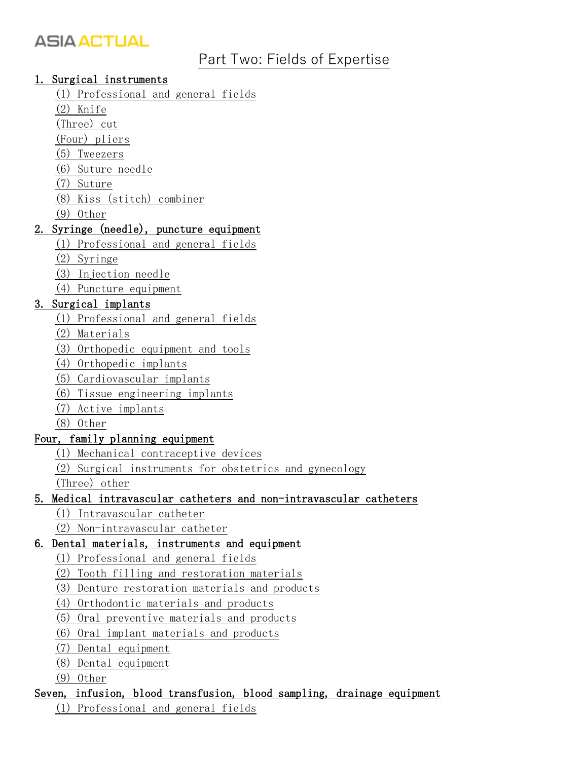### [Part Two: Fields of Expertise](https://translate.googleusercontent.com/translate_f#_Toc14168)

#### [1. Surgical instruments](https://translate.googleusercontent.com/translate_f#_Toc23933)

- [\(1\) Professional and general fields](https://translate.googleusercontent.com/translate_f#_Toc15039)
- [\(2\) Knife](https://translate.googleusercontent.com/translate_f#_Toc8979)
- [\(Three\) cut](https://translate.googleusercontent.com/translate_f#_Toc23611)
- [\(Four\) pliers](https://translate.googleusercontent.com/translate_f#_Toc17163)
- [\(5\) Tweezers](https://translate.googleusercontent.com/translate_f#_Toc23984)
- [\(6\) Suture needle](https://translate.googleusercontent.com/translate_f#_Toc20144)
- [\(7\) Suture](https://translate.googleusercontent.com/translate_f#_Toc28244)
- [\(8\) Kiss \(stitch\) combiner](https://translate.googleusercontent.com/translate_f#_Toc22316)
- [\(9\) Other](https://translate.googleusercontent.com/translate_f#_Toc9801)

#### [2. Syringe \(needle\), puncture equipment](https://translate.googleusercontent.com/translate_f#_Toc14642)

- [\(1\) Professional and general fields](https://translate.googleusercontent.com/translate_f#_Toc26666)
- [\(2\) Syringe](https://translate.googleusercontent.com/translate_f#_Toc10971)
- [\(3\) Injection needle](https://translate.googleusercontent.com/translate_f#_Toc8169)
- [\(4\) Puncture equipment](https://translate.googleusercontent.com/translate_f#_Toc17805)

#### [3. Surgical implants](https://translate.googleusercontent.com/translate_f#_Toc20907)

- [\(1\) Professional and general fields](https://translate.googleusercontent.com/translate_f#_Toc21470)
- [\(2\) Materials](https://translate.googleusercontent.com/translate_f#_Toc16526)
- [\(3\) Orthopedic equipment and tools](https://translate.googleusercontent.com/translate_f#_Toc11221)
- [\(4\) Orthopedic implants](https://translate.googleusercontent.com/translate_f#_Toc29809)
- [\(5\) Cardiovascular implants](https://translate.googleusercontent.com/translate_f#_Toc24569)
- [\(6\) Tissue engineering implants](https://translate.googleusercontent.com/translate_f#_Toc24381)
- [\(7\) Active implants](https://translate.googleusercontent.com/translate_f#_Toc9739)
- [\(8\) Other](https://translate.googleusercontent.com/translate_f#_Toc9539)

#### [Four, family planning equipment](https://translate.googleusercontent.com/translate_f#_Toc2145)

- [\(1\) Mechanical contraceptive devices](https://translate.googleusercontent.com/translate_f#_Toc27044)
- [\(2\) Surgical instruments for obstetrics and gynecology](https://translate.googleusercontent.com/translate_f#_Toc24375)

[\(Three\) other](https://translate.googleusercontent.com/translate_f#_Toc18143)

#### [5. Medical intravascular catheters and non-intravascular catheters](https://translate.googleusercontent.com/translate_f#_Toc14707)

- [\(1\) Intravascular catheter](https://translate.googleusercontent.com/translate_f#_Toc7422)
- [\(2\) Non-intravascular catheter](https://translate.googleusercontent.com/translate_f#_Toc22710)

#### [6. Dental materials, instruments and equipment](https://translate.googleusercontent.com/translate_f#_Toc27126)

- [\(1\) Professional and general fields](https://translate.googleusercontent.com/translate_f#_Toc17062)
- [\(2\) Tooth filling and restoration materials](https://translate.googleusercontent.com/translate_f#_Toc17975)
- [\(3\) Denture restoration materials and products](https://translate.googleusercontent.com/translate_f#_Toc14806)
- [\(4\) Orthodontic materials and products](https://translate.googleusercontent.com/translate_f#_Toc11897)
- [\(5\) Oral preventive materials and products](https://translate.googleusercontent.com/translate_f#_Toc17087)
- [\(6\) Oral implant materials and products](https://translate.googleusercontent.com/translate_f#_Toc19792)
- [\(7\) Dental equipment](https://translate.googleusercontent.com/translate_f#_Toc15776)
- [\(8\) Dental equipment](https://translate.googleusercontent.com/translate_f#_Toc18963)
- [\(9\) Other](https://translate.googleusercontent.com/translate_f#_Toc9284)

## [Seven, infusion, blood transfusion, blood sampling, drainage equipment](https://translate.googleusercontent.com/translate_f#_Toc4102)

[\(1\) Professional and general fields](https://translate.googleusercontent.com/translate_f#_Toc13045)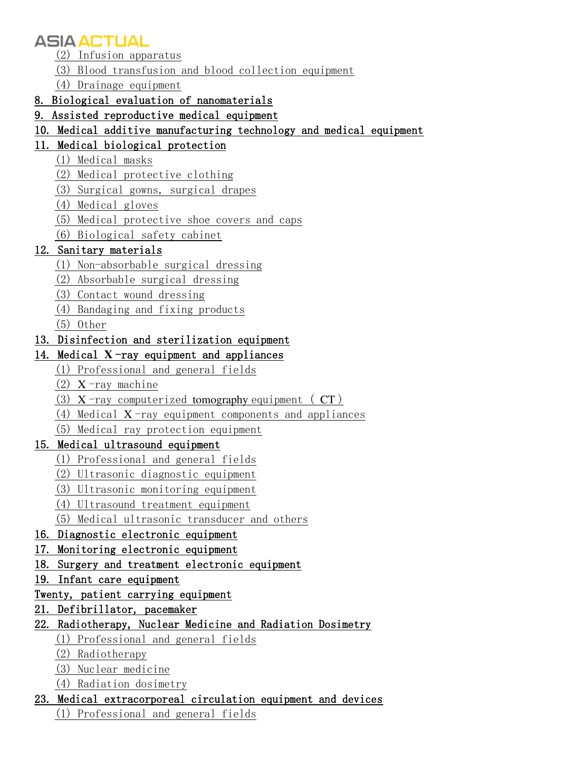- [\(2\) Infusion apparatus](https://translate.googleusercontent.com/translate_f#_Toc22519)
- [\(3\) Blood transfusion and blood collection equipment](https://translate.googleusercontent.com/translate_f#_Toc15922)
- [\(4\) Drainage equipment](https://translate.googleusercontent.com/translate_f#_Toc20398)

#### [8. Biological evaluation of nanomaterials](https://translate.googleusercontent.com/translate_f#_Toc17117)

- [9. Assisted reproductive medical equipment](https://translate.googleusercontent.com/translate_f#_Toc21979)
- [10. Medical additive manufacturing technology and medical equipment](https://translate.googleusercontent.com/translate_f#_Toc27890)

#### [11. Medical biological protection](https://translate.googleusercontent.com/translate_f#_Toc13924)

- [\(1\) Medical masks](https://translate.googleusercontent.com/translate_f#_Toc28955)
- [\(2\) Medical protective clothing](https://translate.googleusercontent.com/translate_f#_Toc29252)
- [\(3\) Surgical gowns, surgical drapes](https://translate.googleusercontent.com/translate_f#_Toc14218)
- [\(4\) Medical gloves](https://translate.googleusercontent.com/translate_f#_Toc14180)
- [\(5\) Medical protective shoe covers and caps](https://translate.googleusercontent.com/translate_f#_Toc2821)
- [\(6\) Biological safety cabinet](https://translate.googleusercontent.com/translate_f#_Toc4101)

#### [12. Sanitary materials](https://translate.googleusercontent.com/translate_f#_Toc21777)

- [\(1\) Non-absorbable surgical dressing](https://translate.googleusercontent.com/translate_f#_Toc20152)
- [\(2\) Absorbable surgical dressing](https://translate.googleusercontent.com/translate_f#_Toc30866)
- [\(3\) Contact wound dressing](https://translate.googleusercontent.com/translate_f#_Toc8962)
- [\(4\) Bandaging and fixing products](https://translate.googleusercontent.com/translate_f#_Toc9829)
- [\(5\) Other](https://translate.googleusercontent.com/translate_f#_Toc25620)

#### [13. Disinfection and sterilization equipment](https://translate.googleusercontent.com/translate_f#_Toc9141)

#### 14. Medical  $X$ [-ray equipment and appliances](https://translate.googleusercontent.com/translate_f#_Toc19002)

- [\(1\) Professional and general fields](https://translate.googleusercontent.com/translate_f#_Toc30752)
- (2)  $X$ [-ray machine](https://translate.googleusercontent.com/translate_f#_Toc21758)
- (3)  $X$ [-ray computerized](https://translate.googleusercontent.com/translate_f#_Toc27113) tomography equipment (  $CT$  )
- (4) Medical  $X$ [-ray equipment components and appliances](https://translate.googleusercontent.com/translate_f#_Toc19205)
- [\(5\) Medical ray protection equipment](https://translate.googleusercontent.com/translate_f#_Toc8391)

#### [15. Medical ultrasound equipment](https://translate.googleusercontent.com/translate_f#_Toc27185)

- [\(1\) Professional and general fields](https://translate.googleusercontent.com/translate_f#_Toc19469)
- [\(2\) Ultrasonic diagnostic equipment](https://translate.googleusercontent.com/translate_f#_Toc20889)
- [\(3\) Ultrasonic monitoring equipment](https://translate.googleusercontent.com/translate_f#_Toc20293)
- [\(4\) Ultrasound treatment equipment](https://translate.googleusercontent.com/translate_f#_Toc15428)
- [\(5\) Medical ultrasonic transducer and others](https://translate.googleusercontent.com/translate_f#_Toc20595)

#### [16. Diagnostic electronic equipment](https://translate.googleusercontent.com/translate_f#_Toc6867)

- [17. Monitoring electronic equipment](https://translate.googleusercontent.com/translate_f#_Toc7576)
- [18. Surgery and treatment electronic equipment](https://translate.googleusercontent.com/translate_f#_Toc19335)
- [19. Infant care equipment](https://translate.googleusercontent.com/translate_f#_Toc19252)

#### [Twenty, patient carrying equipment](https://translate.googleusercontent.com/translate_f#_Toc27445)

#### [21. Defibrillator, pacemaker](https://translate.googleusercontent.com/translate_f#_Toc15307)

#### [22. Radiotherapy, Nuclear Medicine and Radiation Dosimetry](https://translate.googleusercontent.com/translate_f#_Toc20270)

- [\(1\) Professional and general fields](https://translate.googleusercontent.com/translate_f#_Toc198)
- [\(2\) Radiotherapy](https://translate.googleusercontent.com/translate_f#_Toc30507)
- [\(3\) Nuclear medicine](https://translate.googleusercontent.com/translate_f#_Toc18212)
- [\(4\) Radiation dosimetry](https://translate.googleusercontent.com/translate_f#_Toc32689)
- [23. Medical extracorporeal circulation equipment and devices](https://translate.googleusercontent.com/translate_f#_Toc22224)
	- [\(1\) Professional and general fields](https://translate.googleusercontent.com/translate_f#_Toc8338)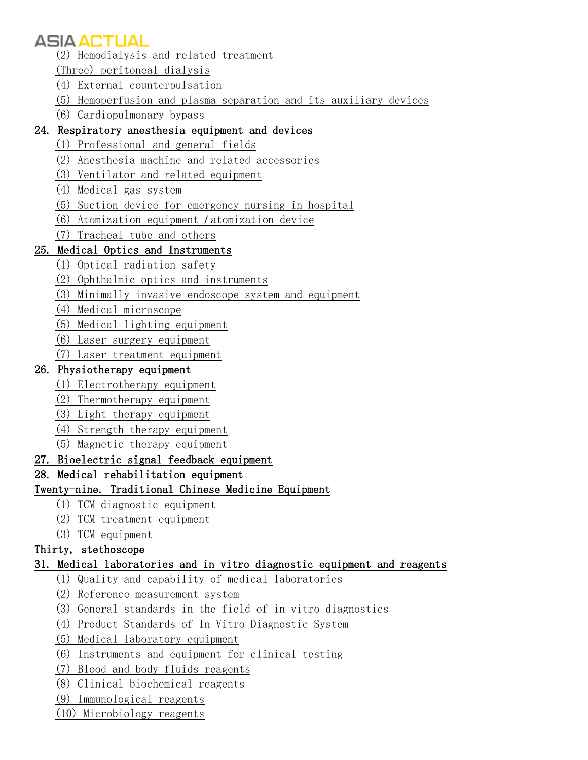- [\(2\) Hemodialysis and related treatment](https://translate.googleusercontent.com/translate_f#_Toc8606)
- [\(Three\) peritoneal dialysis](https://translate.googleusercontent.com/translate_f#_Toc24690)
- [\(4\) External counterpulsation](https://translate.googleusercontent.com/translate_f#_Toc1852)
- [\(5\) Hemoperfusion and plasma separation and its auxiliary devices](https://translate.googleusercontent.com/translate_f#_Toc11642)
- [\(6\) Cardiopulmonary bypass](https://translate.googleusercontent.com/translate_f#_Toc23961)

#### [24. Respiratory anesthesia equipment and devices](https://translate.googleusercontent.com/translate_f#_Toc19617)

- [\(1\) Professional and general fields](https://translate.googleusercontent.com/translate_f#_Toc2446)
- [\(2\) Anesthesia machine and related accessories](https://translate.googleusercontent.com/translate_f#_Toc23595)
- [\(3\) Ventilator and related equipment](https://translate.googleusercontent.com/translate_f#_Toc4561)
- [\(4\) Medical gas system](https://translate.googleusercontent.com/translate_f#_Toc19292)
- [\(5\) Suction device for emergency nursing in hospital](https://translate.googleusercontent.com/translate_f#_Toc9845)
- [\(6\) Atomization equipment](https://translate.googleusercontent.com/translate_f#_Toc30823) / atomization device
- [\(7\) Tracheal tube and others](https://translate.googleusercontent.com/translate_f#_Toc10637)

#### [25. Medical Optics and Instruments](https://translate.googleusercontent.com/translate_f#_Toc28443)

- [\(1\) Optical radiation safety](https://translate.googleusercontent.com/translate_f#_Toc27040)
- [\(2\) Ophthalmic optics and instruments](https://translate.googleusercontent.com/translate_f#_Toc21999)
- [\(3\) Minimally invasive endoscope system and equipment](https://translate.googleusercontent.com/translate_f#_Toc1305)
- [\(4\) Medical microscope](https://translate.googleusercontent.com/translate_f#_Toc26067)
- [\(5\) Medical lighting equipment](https://translate.googleusercontent.com/translate_f#_Toc21577)
- [\(6\) Laser surgery equipment](https://translate.googleusercontent.com/translate_f#_Toc32373)
- [\(7\) Laser treatment equipment](https://translate.googleusercontent.com/translate_f#_Toc4922)

#### [26. Physiotherapy equipment](https://translate.googleusercontent.com/translate_f#_Toc32570)

- [\(1\) Electrotherapy equipment](https://translate.googleusercontent.com/translate_f#_Toc20415)
- [\(2\) Thermotherapy equipment](https://translate.googleusercontent.com/translate_f#_Toc9807)
- [\(3\) Light therapy equipment](https://translate.googleusercontent.com/translate_f#_Toc31027)
- [\(4\) Strength therapy equipment](https://translate.googleusercontent.com/translate_f#_Toc12285)
- [\(5\) Magnetic therapy equipment](https://translate.googleusercontent.com/translate_f#_Toc9131)
- [27. Bioelectric signal feedback equipment](https://translate.googleusercontent.com/translate_f#_Toc19759)
- [28. Medical rehabilitation equipment](https://translate.googleusercontent.com/translate_f#_Toc7402)

#### [Twenty-nine. Traditional Chinese Medicine Equipment](https://translate.googleusercontent.com/translate_f#_Toc31508)

- [\(1\) TCM diagnostic equipment](https://translate.googleusercontent.com/translate_f#_Toc8690)
- [\(2\) TCM treatment equipment](https://translate.googleusercontent.com/translate_f#_Toc11506)
- [\(3\) TCM equipment](https://translate.googleusercontent.com/translate_f#_Toc538)

#### [Thirty, stethoscope](https://translate.googleusercontent.com/translate_f#_Toc349)

#### [31. Medical laboratories and in vitro diagnostic equipment and reagents](https://translate.googleusercontent.com/translate_f#_Toc9167)

- [\(1\) Quality and capability of medical laboratories](https://translate.googleusercontent.com/translate_f#_Toc18041)
- [\(2\) Reference measurement system](https://translate.googleusercontent.com/translate_f#_Toc16492)
- [\(3\) General standards in the field of in vitro diagnostics](https://translate.googleusercontent.com/translate_f#_Toc27884)
- [\(4\) Product Standards of In Vitro Diagnostic System](https://translate.googleusercontent.com/translate_f#_Toc6098)
- [\(5\) Medical laboratory equipment](https://translate.googleusercontent.com/translate_f#_Toc18338)
- [\(6\) Instruments and equipment for clinical testing](https://translate.googleusercontent.com/translate_f#_Toc8603)
- [\(7\) Blood and body fluids reagents](https://translate.googleusercontent.com/translate_f#_Toc9890)
- [\(8\) Clinical biochemical reagents](https://translate.googleusercontent.com/translate_f#_Toc12584)
- [\(9\) Immunological reagents](https://translate.googleusercontent.com/translate_f#_Toc3447)
- [\(10\) Microbiology reagents](https://translate.googleusercontent.com/translate_f#_Toc27350)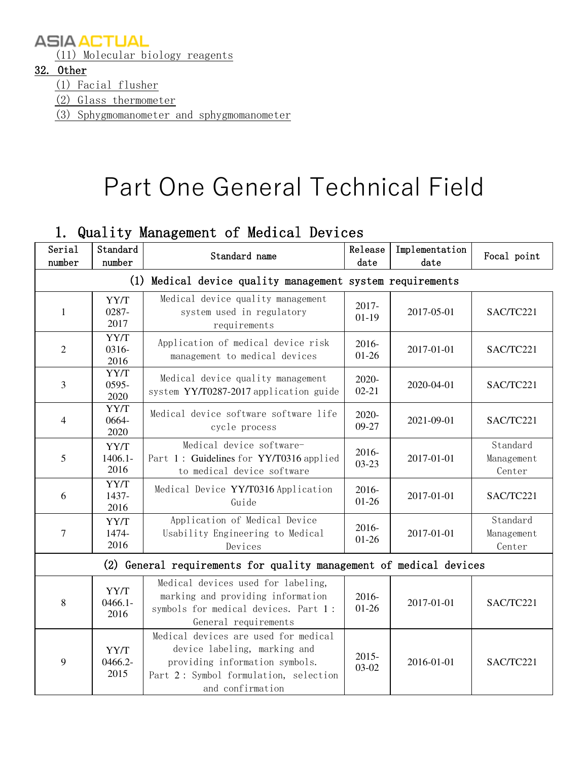[\(11\) Molecular biology reagents](https://translate.googleusercontent.com/translate_f#_Toc2561)

#### [32. Other](https://translate.googleusercontent.com/translate_f#_Toc7196)

[\(1\) Facial flusher](https://translate.googleusercontent.com/translate_f#_Toc5798)

[\(2\) Glass thermometer](https://translate.googleusercontent.com/translate_f#_Toc21862)

[\(3\) Sphygmomanometer and sphygmomanometer](https://translate.googleusercontent.com/translate_f#_Toc2878)

# Part One General Technical Field

### 1. Quality Management of Medical Devices

| Serial<br>number | Standard<br>number         | Standard name                                                                                                                                                       | Release<br>date       | Implementation<br>date | Focal point                      |
|------------------|----------------------------|---------------------------------------------------------------------------------------------------------------------------------------------------------------------|-----------------------|------------------------|----------------------------------|
|                  |                            | (1) Medical device quality management system requirements                                                                                                           |                       |                        |                                  |
| $\mathbf{1}$     | YY/T<br>0287-<br>2017      | Medical device quality management<br>system used in regulatory<br>requirements                                                                                      | 2017-<br>$01-19$      | 2017-05-01             | SAC/TC221                        |
| 2                | YY/T<br>0316-<br>2016      | Application of medical device risk<br>management to medical devices                                                                                                 | 2016-<br>$01 - 26$    | 2017-01-01             | SAC/TC221                        |
| 3                | YY/T<br>0595-<br>2020      | Medical device quality management<br>system YY/T0287-2017 application guide                                                                                         | 2020-<br>$02 - 21$    | 2020-04-01             | SAC/TC221                        |
| 4                | YY/T<br>0664-<br>2020      | Medical device software software life<br>cycle process                                                                                                              | 2020-<br>09-27        | 2021-09-01             | SAC/TC221                        |
| 5                | YY/T<br>$1406.1 -$<br>2016 | Medical device software-<br>Part 1: Guidelines for YY/T0316 applied<br>to medical device software                                                                   | 2016-<br>$03 - 23$    | 2017-01-01             | Standard<br>Management<br>Center |
| 6                | YY/T<br>1437-<br>2016      | Medical Device YY/T0316 Application<br>Guide                                                                                                                        | 2016-<br>$01 - 26$    | 2017-01-01             | SAC/TC221                        |
| 7                | YY/T<br>1474-<br>2016      | Application of Medical Device<br>Usability Engineering to Medical<br>Devices                                                                                        | 2016-<br>$01 - 26$    | 2017-01-01             | Standard<br>Management<br>Center |
|                  |                            | (2) General requirements for quality management of medical devices                                                                                                  |                       |                        |                                  |
| 8                | YY/T<br>$0466.1 -$<br>2016 | Medical devices used for labeling,<br>marking and providing information<br>symbols for medical devices. Part 1:<br>General requirements                             | 2016-<br>$01-26$      | 2017-01-01             | SAC/TC221                        |
| 9                | YY/T<br>0466.2-<br>2015    | Medical devices are used for medical<br>device labeling, marking and<br>providing information symbols.<br>Part 2: Symbol formulation, selection<br>and confirmation | $2015 -$<br>$03 - 02$ | 2016-01-01             | SAC/TC221                        |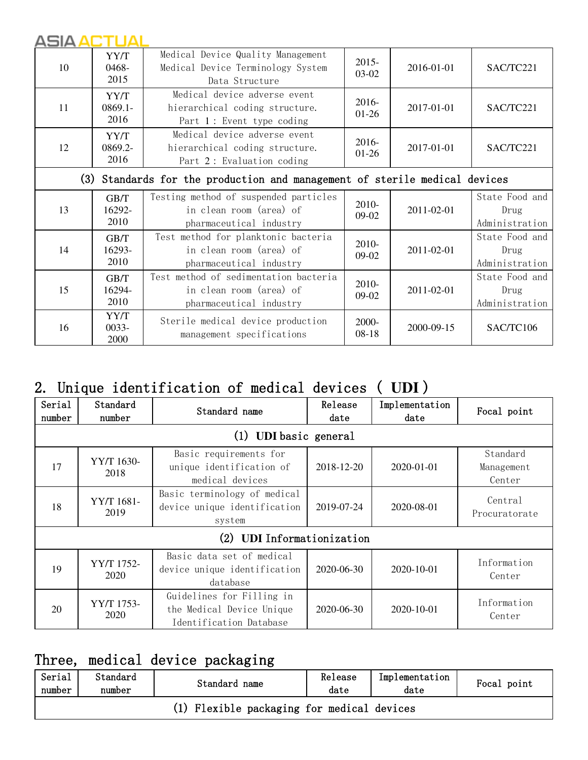| 10 | YY/T<br>0468-<br>2015                                                      | Medical Device Quality Management<br>Medical Device Terminology System<br>Data Structure    | $2015 -$<br>$03-02$ | 2016-01-01 | SAC/TC221                                |  |  |
|----|----------------------------------------------------------------------------|---------------------------------------------------------------------------------------------|---------------------|------------|------------------------------------------|--|--|
| 11 | YY/T<br>$0869.1 -$<br>2016                                                 | Medical device adverse event<br>hierarchical coding structure.<br>Part 1: Event type coding | 2016-<br>$01-26$    | 2017-01-01 | SAC/TC221                                |  |  |
| 12 | YY/T<br>0869.2-<br>2016                                                    | Medical device adverse event<br>hierarchical coding structure.<br>Part 2: Evaluation coding | 2016-<br>$01-26$    | 2017-01-01 | SAC/TC221                                |  |  |
|    | (3) Standards for the production and management of sterile medical devices |                                                                                             |                     |            |                                          |  |  |
| 13 | GB/T<br>16292-<br>2010                                                     | Testing method of suspended particles<br>in clean room (area) of<br>pharmaceutical industry | 2010-<br>$09-02$    | 2011-02-01 | State Food and<br>Drug<br>Administration |  |  |
| 14 | GB/T<br>16293-<br>2010                                                     | Test method for planktonic bacteria<br>in clean room (area) of<br>pharmaceutical industry   | 2010-<br>$09-02$    | 2011-02-01 | State Food and<br>Drug<br>Administration |  |  |
| 15 | GB/T<br>16294-<br>2010                                                     | Test method of sedimentation bacteria<br>in clean room (area) of<br>pharmaceutical industry | 2010-<br>$09-02$    | 2011-02-01 | State Food and<br>Drug<br>Administration |  |  |
| 16 | YY/T<br>$0033 -$<br>2000                                                   | Sterile medical device production<br>management specifications                              | 2000-<br>$08-18$    | 2000-09-15 | SAC/TC106                                |  |  |

## 2. Unique identification of medical devices ( **UDI** )

| Serial<br>number | Standard<br>number | Standard name                                                                     | Release<br>date | Implementation<br>date | Focal point                      |
|------------------|--------------------|-----------------------------------------------------------------------------------|-----------------|------------------------|----------------------------------|
|                  |                    | <b>UDI</b> basic general<br>(1)                                                   |                 |                        |                                  |
| 17               | YY/T 1630-<br>2018 | Basic requirements for<br>unique identification of<br>medical devices             | 2018-12-20      | 2020-01-01             | Standard<br>Management<br>Center |
| 18               | YY/T 1681-<br>2019 | Basic terminology of medical<br>device unique identification<br>system            | 2019-07-24      | 2020-08-01             | Central<br>Procuratorate         |
|                  |                    | (2)<br><b>UDI</b> Informationization                                              |                 |                        |                                  |
| 19               | YY/T 1752-<br>2020 | Basic data set of medical<br>device unique identification<br>database             | 2020-06-30      | 2020-10-01             | Information<br>Center            |
| 20               | YY/T 1753-<br>2020 | Guidelines for Filling in<br>the Medical Device Unique<br>Identification Database | 2020-06-30      | 2020-10-01             | Information<br>Center            |

## Three, medical device packaging

| Serial<br>number                           | Standard<br>number | Standard name | Release<br>date | Implementation<br>date | Focal point |  |  |
|--------------------------------------------|--------------------|---------------|-----------------|------------------------|-------------|--|--|
| (1) Flexible packaging for medical devices |                    |               |                 |                        |             |  |  |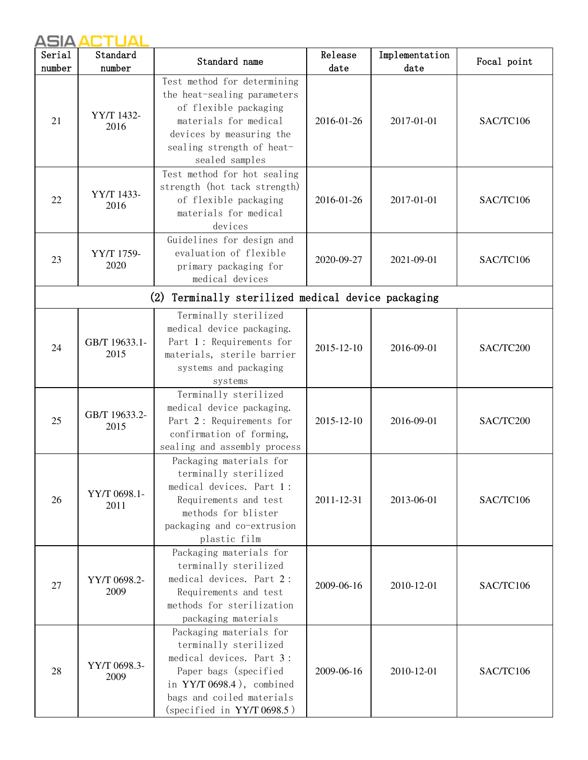| Serial | Standard              | Standard name                                                                                                                                                                                    | Release    | Implementation | Focal point |
|--------|-----------------------|--------------------------------------------------------------------------------------------------------------------------------------------------------------------------------------------------|------------|----------------|-------------|
| number | number                |                                                                                                                                                                                                  | date       | date           |             |
| 21     | YY/T 1432-<br>2016    | Test method for determining<br>the heat-sealing parameters<br>of flexible packaging<br>materials for medical<br>devices by measuring the<br>sealing strength of heat-<br>sealed samples          | 2016-01-26 | 2017-01-01     | SAC/TC106   |
| 22     | YY/T 1433-<br>2016    | Test method for hot sealing<br>strength (hot tack strength)<br>of flexible packaging<br>materials for medical<br>devices                                                                         | 2016-01-26 | 2017-01-01     | SAC/TC106   |
| 23     | YY/T 1759-<br>2020    | Guidelines for design and<br>evaluation of flexible<br>primary packaging for<br>medical devices                                                                                                  | 2020-09-27 | 2021-09-01     | SAC/TC106   |
|        |                       | (2) Terminally sterilized medical device packaging                                                                                                                                               |            |                |             |
| 24     | GB/T 19633.1-<br>2015 | Terminally sterilized<br>medical device packaging.<br>Part 1: Requirements for<br>materials, sterile barrier<br>systems and packaging<br>systems                                                 | 2015-12-10 | 2016-09-01     | SAC/TC200   |
| 25     | GB/T 19633.2-<br>2015 | Terminally sterilized<br>medical device packaging.<br>Part 2: Requirements for<br>confirmation of forming,<br>sealing and assembly process                                                       | 2015-12-10 | 2016-09-01     | SAC/TC200   |
| 26     | YY/T 0698.1-<br>2011  | Packaging materials for<br>terminally sterilized<br>medical devices. Part 1:<br>Requirements and test<br>methods for blister<br>packaging and co-extrusion<br>plastic film                       | 2011-12-31 | 2013-06-01     | SAC/TC106   |
| 27     | YY/T 0698.2-<br>2009  | Packaging materials for<br>terminally sterilized<br>medical devices. Part 2:<br>Requirements and test<br>methods for sterilization<br>packaging materials                                        | 2009-06-16 | 2010-12-01     | SAC/TC106   |
| 28     | YY/T 0698.3-<br>2009  | Packaging materials for<br>terminally sterilized<br>medical devices. Part 3:<br>Paper bags (specified<br>in $YY/T 0698.4$ ), combined<br>bags and coiled materials<br>(specified in YY/T 0698.5) | 2009-06-16 | 2010-12-01     | SAC/TC106   |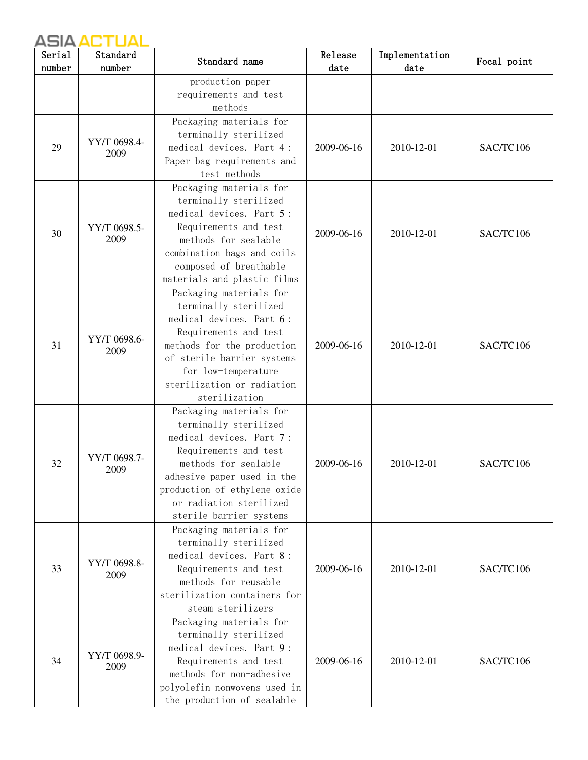| Serial<br>number | Standard<br>number   | Standard name                                                                                                                                                                                                                                     | Release<br>date | Implementation<br>date | Focal point |
|------------------|----------------------|---------------------------------------------------------------------------------------------------------------------------------------------------------------------------------------------------------------------------------------------------|-----------------|------------------------|-------------|
|                  |                      | production paper<br>requirements and test<br>methods                                                                                                                                                                                              |                 |                        |             |
| 29               | YY/T 0698.4-<br>2009 | Packaging materials for<br>terminally sterilized<br>medical devices. Part 4:<br>Paper bag requirements and<br>test methods                                                                                                                        | 2009-06-16      | 2010-12-01             | SAC/TC106   |
| 30               | YY/T 0698.5-<br>2009 | Packaging materials for<br>terminally sterilized<br>medical devices. Part 5:<br>Requirements and test<br>methods for sealable<br>combination bags and coils<br>composed of breathable<br>materials and plastic films                              | 2009-06-16      | 2010-12-01             | SAC/TC106   |
| 31               | YY/T 0698.6-<br>2009 | Packaging materials for<br>terminally sterilized<br>medical devices. Part 6:<br>Requirements and test<br>methods for the production<br>of sterile barrier systems<br>for low-temperature<br>sterilization or radiation<br>sterilization           | 2009-06-16      | 2010-12-01             | SAC/TC106   |
| 32               | YY/T 0698.7-<br>2009 | Packaging materials for<br>terminally sterilized<br>medical devices. Part 7:<br>Requirements and test<br>methods for sealable<br>adhesive paper used in the<br>production of ethylene oxide<br>or radiation sterilized<br>sterile barrier systems | 2009-06-16      | 2010-12-01             | SAC/TC106   |
| 33               | YY/T 0698.8-<br>2009 | Packaging materials for<br>terminally sterilized<br>medical devices. Part 8:<br>Requirements and test<br>methods for reusable<br>sterilization containers for<br>steam sterilizers                                                                | 2009-06-16      | 2010-12-01             | SAC/TC106   |
| 34               | YY/T 0698.9-<br>2009 | Packaging materials for<br>terminally sterilized<br>medical devices. Part 9:<br>Requirements and test<br>methods for non-adhesive<br>polyolefin nonwovens used in<br>the production of sealable                                                   | 2009-06-16      | 2010-12-01             | SAC/TC106   |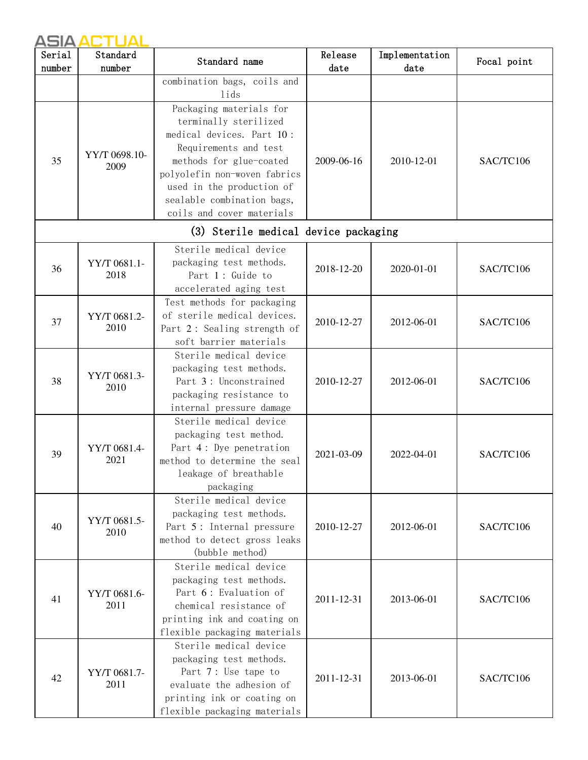| Serial | Standard              | Standard name                                                                                                                                                                                                                                             | Release    | Implementation | Focal point |
|--------|-----------------------|-----------------------------------------------------------------------------------------------------------------------------------------------------------------------------------------------------------------------------------------------------------|------------|----------------|-------------|
| number | number                |                                                                                                                                                                                                                                                           | date       | date           |             |
|        |                       | combination bags, coils and<br>lids                                                                                                                                                                                                                       |            |                |             |
| 35     | YY/T 0698.10-<br>2009 | Packaging materials for<br>terminally sterilized<br>medical devices. Part 10:<br>Requirements and test<br>methods for glue-coated<br>polyolefin non-woven fabrics<br>used in the production of<br>sealable combination bags,<br>coils and cover materials | 2009-06-16 | 2010-12-01     | SAC/TC106   |
|        |                       | (3) Sterile medical device packaging                                                                                                                                                                                                                      |            |                |             |
| 36     | YY/T 0681.1-<br>2018  | Sterile medical device<br>packaging test methods.<br>Part 1: Guide to<br>accelerated aging test                                                                                                                                                           | 2018-12-20 | 2020-01-01     | SAC/TC106   |
| 37     | YY/T 0681.2-<br>2010  | Test methods for packaging<br>of sterile medical devices.<br>Part 2: Sealing strength of<br>soft barrier materials                                                                                                                                        | 2010-12-27 | 2012-06-01     | SAC/TC106   |
| 38     | YY/T 0681.3-<br>2010  | Sterile medical device<br>packaging test methods.<br>Part 3: Unconstrained<br>packaging resistance to<br>internal pressure damage                                                                                                                         | 2010-12-27 | 2012-06-01     | SAC/TC106   |
| 39     | YY/T 0681.4-<br>2021  | Sterile medical device<br>packaging test method.<br>Part 4: Dye penetration<br>method to determine the seal<br>leakage of breathable<br>packaging                                                                                                         | 2021-03-09 | 2022-04-01     | SAC/TC106   |
| 40     | YY/T 0681.5-<br>2010  | Sterile medical device<br>packaging test methods.<br>Part 5: Internal pressure<br>method to detect gross leaks<br>(bubble method)                                                                                                                         | 2010-12-27 | 2012-06-01     | SAC/TC106   |
| 41     | YY/T 0681.6-<br>2011  | Sterile medical device<br>packaging test methods.<br>Part 6: Evaluation of<br>chemical resistance of<br>printing ink and coating on<br>flexible packaging materials                                                                                       | 2011-12-31 | 2013-06-01     | SAC/TC106   |
| 42     | YY/T 0681.7-<br>2011  | Sterile medical device<br>packaging test methods.<br>Part 7: Use tape to<br>evaluate the adhesion of<br>printing ink or coating on<br>flexible packaging materials                                                                                        | 2011-12-31 | 2013-06-01     | SAC/TC106   |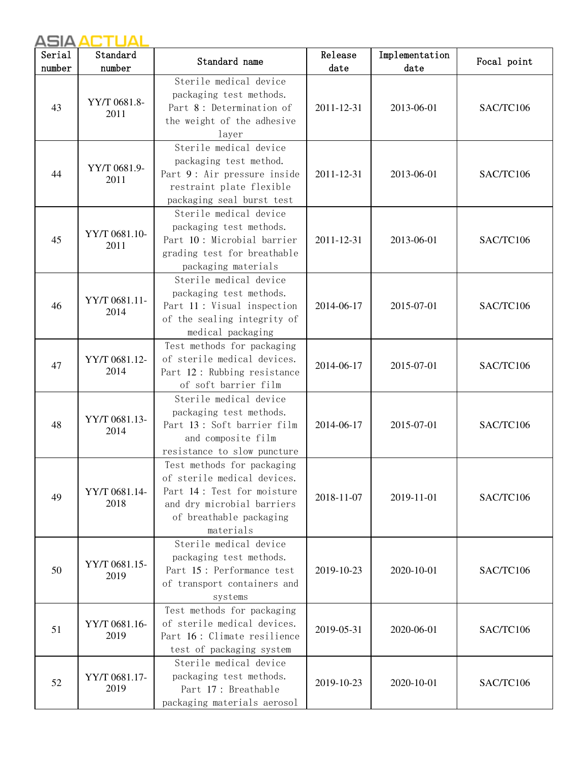| Serial<br>number | Standard<br>number    | Standard name                                                                                                                                                 | Release<br>date | Implementation<br>date | Focal point |
|------------------|-----------------------|---------------------------------------------------------------------------------------------------------------------------------------------------------------|-----------------|------------------------|-------------|
| 43               | YY/T 0681.8-<br>2011  | Sterile medical device<br>packaging test methods.<br>Part 8: Determination of<br>the weight of the adhesive<br>layer                                          | 2011-12-31      | 2013-06-01             | SAC/TC106   |
| 44               | YY/T 0681.9-<br>2011  | Sterile medical device<br>packaging test method.<br>Part 9: Air pressure inside<br>restraint plate flexible<br>packaging seal burst test                      | 2011-12-31      | 2013-06-01             | SAC/TC106   |
| 45               | YY/T 0681.10-<br>2011 | Sterile medical device<br>packaging test methods.<br>Part 10: Microbial barrier<br>grading test for breathable<br>packaging materials                         | 2011-12-31      | 2013-06-01             | SAC/TC106   |
| 46               | YY/T 0681.11-<br>2014 | Sterile medical device<br>packaging test methods.<br>Part 11: Visual inspection<br>of the sealing integrity of<br>medical packaging                           | 2014-06-17      | 2015-07-01             | SAC/TC106   |
| 47               | YY/T 0681.12-<br>2014 | Test methods for packaging<br>of sterile medical devices.<br>Part 12: Rubbing resistance<br>of soft barrier film                                              | 2014-06-17      | 2015-07-01             | SAC/TC106   |
| 48               | YY/T 0681.13-<br>2014 | Sterile medical device<br>packaging test methods.<br>Part 13: Soft barrier film<br>and composite film<br>resistance to slow puncture                          | 2014-06-17      | 2015-07-01             | SAC/TC106   |
| 49               | YY/T 0681.14-<br>2018 | Test methods for packaging<br>of sterile medical devices.<br>Part 14: Test for moisture<br>and dry microbial barriers<br>of breathable packaging<br>materials | 2018-11-07      | 2019-11-01             | SAC/TC106   |
| 50               | YY/T 0681.15-<br>2019 | Sterile medical device<br>packaging test methods.<br>Part 15: Performance test<br>of transport containers and<br>systems                                      | 2019-10-23      | 2020-10-01             | SAC/TC106   |
| 51               | YY/T 0681.16-<br>2019 | Test methods for packaging<br>of sterile medical devices.<br>Part 16: Climate resilience<br>test of packaging system                                          | 2019-05-31      | 2020-06-01             | SAC/TC106   |
| 52               | YY/T 0681.17-<br>2019 | Sterile medical device<br>packaging test methods.<br>Part 17: Breathable<br>packaging materials aerosol                                                       | 2019-10-23      | 2020-10-01             | SAC/TC106   |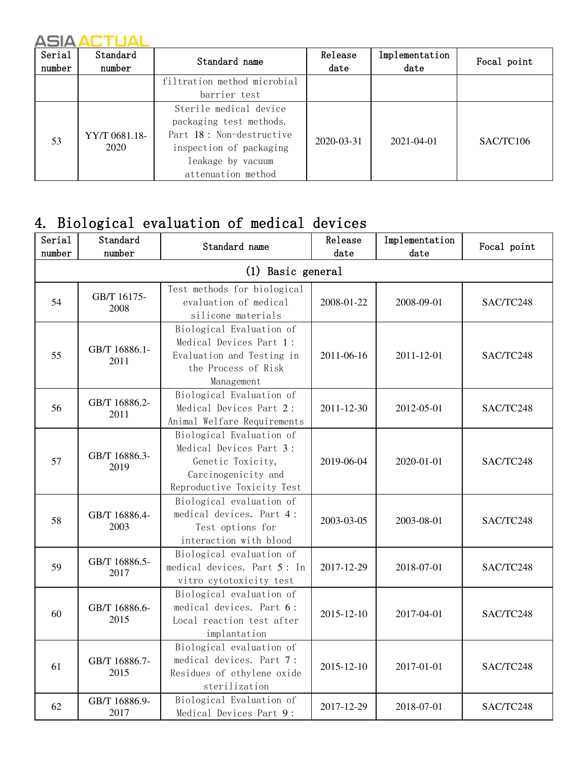| Serial<br>number | Standard<br>number    | Standard name                                                                                                                                       | Release<br>$_{\text{date}}$ | Implementation<br>$_{\text{date}}$ | Focal point |
|------------------|-----------------------|-----------------------------------------------------------------------------------------------------------------------------------------------------|-----------------------------|------------------------------------|-------------|
|                  |                       | filtration method microbial<br>barrier test                                                                                                         |                             |                                    |             |
| 53               | YY/T 0681.18-<br>2020 | Sterile medical device<br>packaging test methods.<br>Part 18: Non-destructive<br>inspection of packaging<br>leakage by vacuum<br>attenuation method | 2020-03-31                  | 2021-04-01                         | SAC/TC106   |

## 4. Biological evaluation of medical devices

| Serial<br>number | Standard<br>number    | Standard name                                                                                                                 | Release<br>date | Implementation<br>date | Focal point |  |  |
|------------------|-----------------------|-------------------------------------------------------------------------------------------------------------------------------|-----------------|------------------------|-------------|--|--|
|                  | (1) Basic general     |                                                                                                                               |                 |                        |             |  |  |
| 54               | GB/T 16175-<br>2008   | Test methods for biological<br>evaluation of medical<br>silicone materials                                                    | 2008-01-22      | 2008-09-01             | SAC/TC248   |  |  |
| 55               | GB/T 16886.1-<br>2011 | Biological Evaluation of<br>Medical Devices Part 1:<br>Evaluation and Testing in<br>the Process of Risk<br>Management         | 2011-06-16      | 2011-12-01             | SAC/TC248   |  |  |
| 56               | GB/T 16886.2-<br>2011 | Biological Evaluation of<br>Medical Devices Part 2:<br>Animal Welfare Requirements                                            | 2011-12-30      | 2012-05-01             | SAC/TC248   |  |  |
| 57               | GB/T 16886.3-<br>2019 | Biological Evaluation of<br>Medical Devices Part 3:<br>Genetic Toxicity,<br>Carcinogenicity and<br>Reproductive Toxicity Test | 2019-06-04      | 2020-01-01             | SAC/TC248   |  |  |
| 58               | GB/T 16886.4-<br>2003 | Biological evaluation of<br>medical devices. Part 4:<br>Test options for<br>interaction with blood                            | 2003-03-05      | 2003-08-01             | SAC/TC248   |  |  |
| 59               | GB/T 16886.5-<br>2017 | Biological evaluation of<br>medical devices. Part 5: In<br>vitro cytotoxicity test                                            | 2017-12-29      | 2018-07-01             | SAC/TC248   |  |  |
| 60               | GB/T 16886.6-<br>2015 | Biological evaluation of<br>medical devices. Part 6:<br>Local reaction test after<br>implantation                             | 2015-12-10      | 2017-04-01             | SAC/TC248   |  |  |
| 61               | GB/T 16886.7-<br>2015 | Biological evaluation of<br>medical devices. Part 7:<br>Residues of ethylene oxide<br>sterilization                           | 2015-12-10      | 2017-01-01             | SAC/TC248   |  |  |
| 62               | GB/T 16886.9-<br>2017 | Biological Evaluation of<br>Medical Devices Part 9:                                                                           | 2017-12-29      | 2018-07-01             | SAC/TC248   |  |  |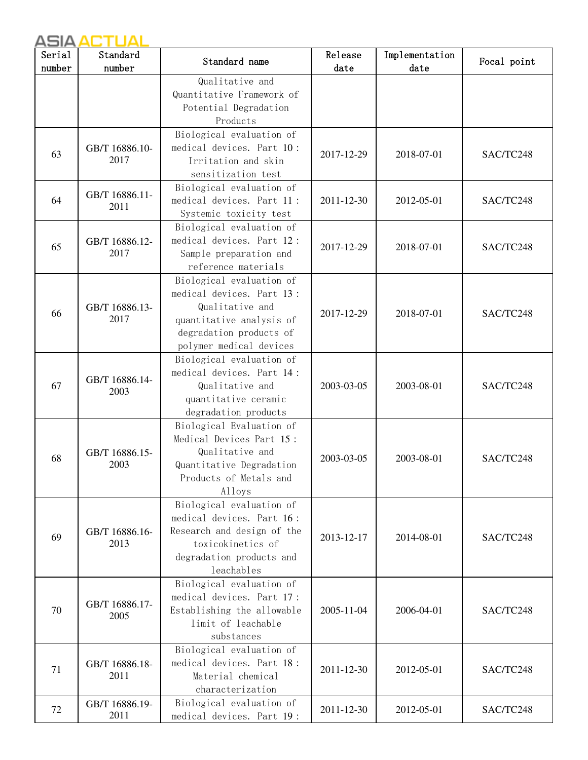| Serial<br>number | Standard<br>number | Standard name                                        | Release<br>date | Implementation<br>date | Focal point |
|------------------|--------------------|------------------------------------------------------|-----------------|------------------------|-------------|
|                  |                    | Qualitative and                                      |                 |                        |             |
|                  |                    | Quantitative Framework of                            |                 |                        |             |
|                  |                    | Potential Degradation                                |                 |                        |             |
|                  |                    | Products                                             |                 |                        |             |
|                  |                    | Biological evaluation of                             |                 |                        |             |
|                  | GB/T 16886.10-     | medical devices. Part 10:                            |                 |                        |             |
| 63               | 2017               | Irritation and skin                                  | 2017-12-29      | 2018-07-01             | SAC/TC248   |
|                  |                    | sensitization test                                   |                 |                        |             |
|                  |                    | Biological evaluation of                             |                 |                        |             |
| 64               | GB/T 16886.11-     | medical devices. Part 11:                            | 2011-12-30      | 2012-05-01             | SAC/TC248   |
|                  | 2011               | Systemic toxicity test                               |                 |                        |             |
|                  |                    | Biological evaluation of                             |                 |                        |             |
|                  | GB/T 16886.12-     | medical devices. Part 12:                            |                 |                        |             |
| 65               | 2017               | Sample preparation and                               | 2017-12-29      | 2018-07-01             | SAC/TC248   |
|                  |                    | reference materials                                  |                 |                        |             |
|                  |                    | Biological evaluation of                             |                 |                        |             |
|                  |                    | medical devices. Part 13:                            |                 |                        |             |
| 66               | GB/T 16886.13-     | Qualitative and                                      | 2017-12-29      | 2018-07-01             | SAC/TC248   |
|                  | 2017               | quantitative analysis of                             |                 |                        |             |
|                  |                    | degradation products of                              |                 |                        |             |
|                  |                    | polymer medical devices                              |                 |                        |             |
|                  |                    | Biological evaluation of                             |                 |                        |             |
|                  | GB/T 16886.14-     | medical devices. Part 14:                            |                 |                        |             |
| 67               | 2003               | Qualitative and                                      | 2003-03-05      | 2003-08-01             | SAC/TC248   |
|                  |                    | quantitative ceramic                                 |                 |                        |             |
|                  |                    | degradation products                                 |                 |                        |             |
|                  |                    | Biological Evaluation of<br>Medical Devices Part 15: |                 |                        |             |
|                  | GB/T 16886.15-     | Qualitative and                                      |                 |                        |             |
| 68               | 2003               | Quantitative Degradation                             | 2003-03-05      | 2003-08-01             | SAC/TC248   |
|                  |                    | Products of Metals and                               |                 |                        |             |
|                  |                    | Alloys                                               |                 |                        |             |
|                  |                    | Biological evaluation of                             |                 |                        |             |
|                  |                    | medical devices. Part 16:                            |                 |                        |             |
|                  | GB/T 16886.16-     | Research and design of the                           |                 |                        |             |
| 69               | 2013               | toxicokinetics of                                    | 2013-12-17      | 2014-08-01             | SAC/TC248   |
|                  |                    | degradation products and                             |                 |                        |             |
|                  |                    | leachables                                           |                 |                        |             |
|                  |                    | Biological evaluation of                             |                 |                        |             |
|                  | GB/T 16886.17-     | medical devices. Part 17:                            |                 |                        |             |
| 70               | 2005               | Establishing the allowable                           | 2005-11-04      | 2006-04-01             | SAC/TC248   |
|                  |                    | limit of leachable                                   |                 |                        |             |
|                  |                    | substances                                           |                 |                        |             |
|                  |                    | Biological evaluation of                             |                 |                        |             |
| 71               | GB/T 16886.18-     | medical devices. Part 18:                            | 2011-12-30      | 2012-05-01             | SAC/TC248   |
|                  | 2011               | Material chemical                                    |                 |                        |             |
|                  |                    | characterization                                     |                 |                        |             |
| 72               | GB/T 16886.19-     | Biological evaluation of                             | 2011-12-30      | 2012-05-01             | SAC/TC248   |
|                  | 2011               | medical devices. Part 19:                            |                 |                        |             |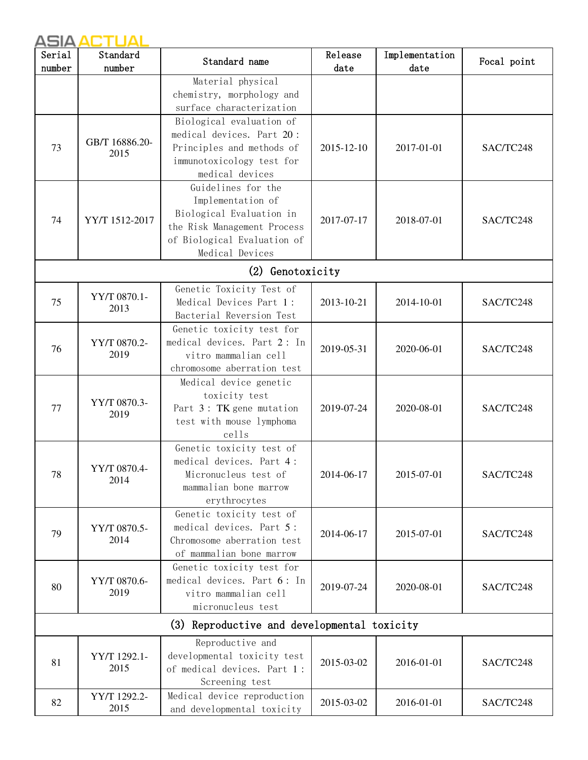| Serial<br>number | Standard<br>number     | Standard name                                                                                                                                        | Release<br>date | Implementation<br>date | Focal point |
|------------------|------------------------|------------------------------------------------------------------------------------------------------------------------------------------------------|-----------------|------------------------|-------------|
|                  |                        | Material physical<br>chemistry, morphology and<br>surface characterization                                                                           |                 |                        |             |
| 73               | GB/T 16886.20-<br>2015 | Biological evaluation of<br>medical devices. Part 20:<br>Principles and methods of<br>immunotoxicology test for<br>medical devices                   | 2015-12-10      | 2017-01-01             | SAC/TC248   |
| 74               | YY/T 1512-2017         | Guidelines for the<br>Implementation of<br>Biological Evaluation in<br>the Risk Management Process<br>of Biological Evaluation of<br>Medical Devices | 2017-07-17      | 2018-07-01             | SAC/TC248   |
|                  |                        | (2) Genotoxicity                                                                                                                                     |                 |                        |             |
| 75               | YY/T 0870.1-<br>2013   | Genetic Toxicity Test of<br>Medical Devices Part 1:<br>Bacterial Reversion Test                                                                      | 2013-10-21      | 2014-10-01             | SAC/TC248   |
| 76               | YY/T 0870.2-<br>2019   | Genetic toxicity test for<br>medical devices. Part 2: In<br>vitro mammalian cell<br>chromosome aberration test                                       | 2019-05-31      | 2020-06-01             | SAC/TC248   |
| 77               | YY/T 0870.3-<br>2019   | Medical device genetic<br>toxicity test<br>Part 3: TK gene mutation<br>test with mouse lymphoma<br>cells                                             | 2019-07-24      | 2020-08-01             | SAC/TC248   |
| 78               | YY/T 0870.4-<br>2014   | Genetic toxicity test of<br>medical devices. Part 4:<br>Micronucleus test of<br>mammalian bone marrow<br>erythrocytes                                | 2014-06-17      | 2015-07-01             | SAC/TC248   |
| 79               | YY/T 0870.5-<br>2014   | Genetic toxicity test of<br>medical devices. Part 5:<br>Chromosome aberration test<br>of mammalian bone marrow                                       | 2014-06-17      | 2015-07-01             | SAC/TC248   |
| 80               | YY/T 0870.6-<br>2019   | Genetic toxicity test for<br>medical devices. Part 6: In<br>vitro mammalian cell<br>micronucleus test                                                | 2019-07-24      | 2020-08-01             | SAC/TC248   |
|                  |                        | Reproductive and developmental toxicity<br>(3)                                                                                                       |                 |                        |             |
| 81               | YY/T 1292.1-<br>2015   | Reproductive and<br>developmental toxicity test<br>of medical devices. Part 1:<br>Screening test                                                     | 2015-03-02      | 2016-01-01             | SAC/TC248   |
| 82               | YY/T 1292.2-<br>2015   | Medical device reproduction<br>and developmental toxicity                                                                                            | 2015-03-02      | 2016-01-01             | SAC/TC248   |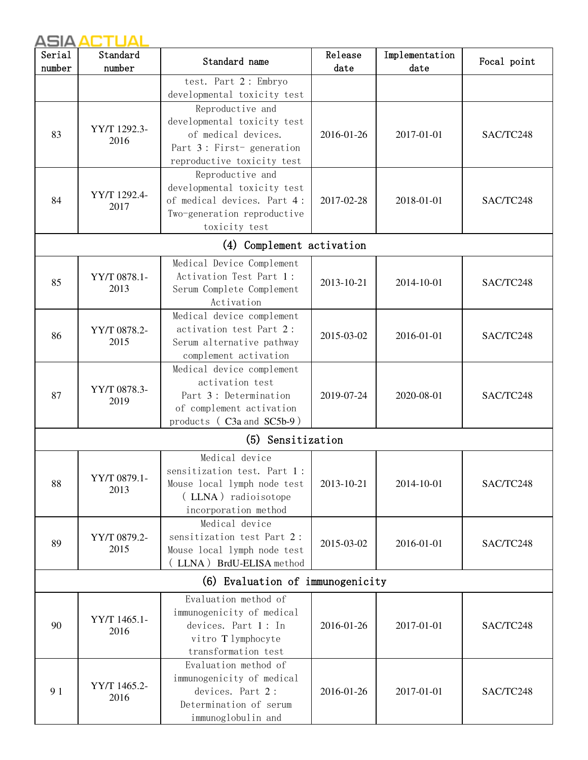| Serial | Standard             | Standard name                                             | Release    | Implementation | Focal point |
|--------|----------------------|-----------------------------------------------------------|------------|----------------|-------------|
| number | number               |                                                           | date       | date           |             |
|        |                      | test. Part 2: Embryo                                      |            |                |             |
|        |                      | developmental toxicity test                               |            |                |             |
|        |                      | Reproductive and                                          |            |                |             |
|        | YY/T 1292.3-         | developmental toxicity test                               |            |                |             |
| 83     | 2016                 | of medical devices.                                       | 2016-01-26 | 2017-01-01     | SAC/TC248   |
|        |                      | Part 3: First-generation                                  |            |                |             |
|        |                      | reproductive toxicity test                                |            |                |             |
|        |                      | Reproductive and                                          |            |                |             |
|        | YY/T 1292.4-         | developmental toxicity test                               |            |                |             |
| 84     | 2017                 | of medical devices. Part 4:                               | 2017-02-28 | 2018-01-01     | SAC/TC248   |
|        |                      | Two-generation reproductive                               |            |                |             |
|        |                      | toxicity test                                             |            |                |             |
|        |                      | (4) Complement activation                                 |            |                |             |
|        |                      | Medical Device Complement                                 |            |                |             |
| 85     | YY/T 0878.1-         | Activation Test Part 1:                                   | 2013-10-21 | 2014-10-01     | SAC/TC248   |
|        | 2013                 | Serum Complete Complement                                 |            |                |             |
|        |                      | Activation                                                |            |                |             |
|        |                      | Medical device complement                                 |            |                |             |
| 86     | YY/T 0878.2-         | activation test Part 2:                                   | 2015-03-02 | 2016-01-01     | SAC/TC248   |
|        | 2015                 | Serum alternative pathway                                 |            |                |             |
|        |                      | complement activation                                     |            |                |             |
|        | YY/T 0878.3-<br>2019 | Medical device complement                                 |            |                |             |
|        |                      | activation test                                           |            |                |             |
| 87     |                      | Part 3: Determination                                     | 2019-07-24 | 2020-08-01     | SAC/TC248   |
|        |                      | of complement activation<br>products (C3a and SC5b-9)     |            |                |             |
|        |                      |                                                           |            |                |             |
|        |                      | (5) Sensitization                                         |            |                |             |
|        |                      | Medical device                                            |            |                |             |
|        | YY/T 0879.1-         | sensitization test. Part 1:                               |            | 2014-10-01     |             |
| 88     | 2013                 | Mouse local lymph node test                               | 2013-10-21 |                | SAC/TC248   |
|        |                      | (LLNA) radioisotope                                       |            |                |             |
|        |                      | incorporation method                                      |            |                |             |
|        |                      | Medical device                                            |            |                |             |
| 89     | YY/T 0879.2-<br>2015 | sensitization test Part 2:<br>Mouse local lymph node test | 2015-03-02 | 2016-01-01     | SAC/TC248   |
|        |                      | (LLNA) BrdU-ELISA method                                  |            |                |             |
|        |                      |                                                           |            |                |             |
|        |                      | (6) Evaluation of immunogenicity                          |            |                |             |
|        |                      | Evaluation method of                                      |            |                |             |
| 90     | YY/T 1465.1-         | immunogenicity of medical                                 |            |                |             |
|        | 2016                 | devices. Part 1: In                                       | 2016-01-26 | 2017-01-01     | SAC/TC248   |
|        |                      | vitro T lymphocyte<br>transformation test                 |            |                |             |
|        |                      | Evaluation method of                                      |            |                |             |
|        |                      | immunogenicity of medical                                 |            |                |             |
| 91     | YY/T 1465.2-         | devices. Part 2:                                          | 2016-01-26 | 2017-01-01     | SAC/TC248   |
|        | 2016                 | Determination of serum                                    |            |                |             |
|        |                      | immunoglobulin and                                        |            |                |             |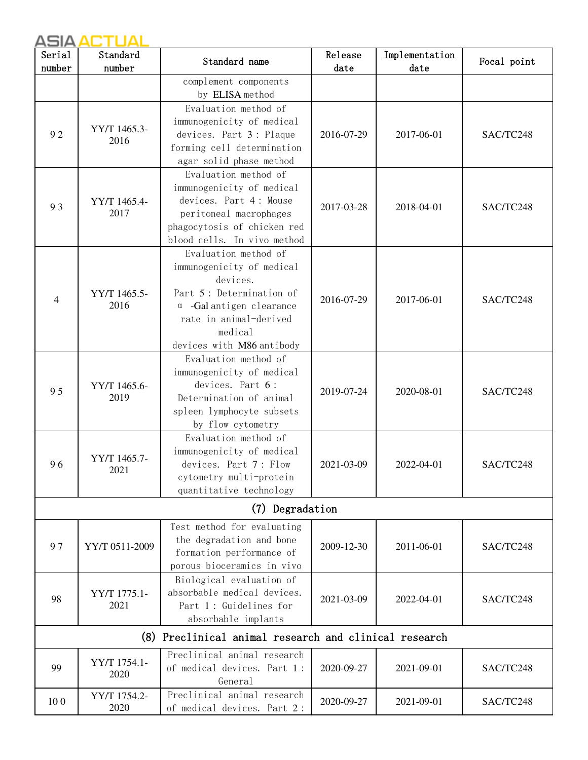| Serial | Standard             | Standard name                                              | Release    | Implementation | Focal point |
|--------|----------------------|------------------------------------------------------------|------------|----------------|-------------|
| number | number               |                                                            | date       | date           |             |
|        |                      | complement components                                      |            |                |             |
|        |                      | by ELISA method                                            |            |                |             |
|        |                      | Evaluation method of                                       |            |                |             |
|        | YY/T 1465.3-         | immunogenicity of medical                                  |            |                |             |
| 92     | 2016                 | devices. Part 3: Plaque                                    | 2016-07-29 | 2017-06-01     | SAC/TC248   |
|        |                      | forming cell determination                                 |            |                |             |
|        |                      | agar solid phase method                                    |            |                |             |
|        |                      | Evaluation method of                                       |            |                |             |
|        |                      | immunogenicity of medical                                  |            |                |             |
| 93     | YY/T 1465.4-<br>2017 | devices. Part 4: Mouse                                     | 2017-03-28 | 2018-04-01     | SAC/TC248   |
|        |                      | peritoneal macrophages                                     |            |                |             |
|        |                      | phagocytosis of chicken red<br>blood cells. In vivo method |            |                |             |
|        |                      | Evaluation method of                                       |            |                |             |
|        |                      | immunogenicity of medical                                  |            |                |             |
|        |                      | devices.                                                   |            |                |             |
|        | YY/T 1465.5-         | Part 5: Determination of                                   |            |                |             |
| 4      | 2016                 | $\alpha$ -Gal antigen clearance                            | 2016-07-29 | 2017-06-01     | SAC/TC248   |
|        |                      | rate in animal-derived                                     |            |                |             |
|        |                      | medical                                                    |            |                |             |
|        |                      | devices with M86 antibody                                  |            |                |             |
|        |                      | Evaluation method of                                       |            |                |             |
|        |                      | immunogenicity of medical                                  |            |                |             |
| 95     | YY/T 1465.6-         | devices. Part 6:                                           | 2019-07-24 |                |             |
|        | 2019                 | Determination of animal                                    |            | 2020-08-01     | SAC/TC248   |
|        |                      | spleen lymphocyte subsets                                  |            |                |             |
|        |                      | by flow cytometry                                          |            |                |             |
|        |                      | Evaluation method of                                       |            |                |             |
|        | YY/T 1465.7-         | immunogenicity of medical                                  |            | 2022-04-01     |             |
| 96     | 2021                 | devices. Part 7: Flow                                      | 2021-03-09 |                | SAC/TC248   |
|        |                      | cytometry multi-protein                                    |            |                |             |
|        |                      | quantitative technology                                    |            |                |             |
|        |                      | (7) Degradation                                            |            |                |             |
|        |                      | Test method for evaluating                                 |            |                |             |
| 97     | YY/T 0511-2009       | the degradation and bone                                   | 2009-12-30 | 2011-06-01     | SAC/TC248   |
|        |                      | formation performance of                                   |            |                |             |
|        |                      | porous bioceramics in vivo                                 |            |                |             |
|        |                      | Biological evaluation of                                   |            |                |             |
| 98     | YY/T 1775.1-         | absorbable medical devices.                                | 2021-03-09 | 2022-04-01     | SAC/TC248   |
|        | 2021                 | Part 1: Guidelines for                                     |            |                |             |
|        |                      | absorbable implants                                        |            |                |             |
|        |                      | (8) Preclinical animal research and clinical research      |            |                |             |
|        | YY/T 1754.1-         | Preclinical animal research                                |            |                |             |
| 99     | 2020                 | of medical devices. Part 1:                                | 2020-09-27 | 2021-09-01     | SAC/TC248   |
|        |                      | General                                                    |            |                |             |
| 100    | YY/T 1754.2-         | Preclinical animal research                                | 2020-09-27 | 2021-09-01     | SAC/TC248   |
|        | 2020                 | of medical devices. Part 2:                                |            |                |             |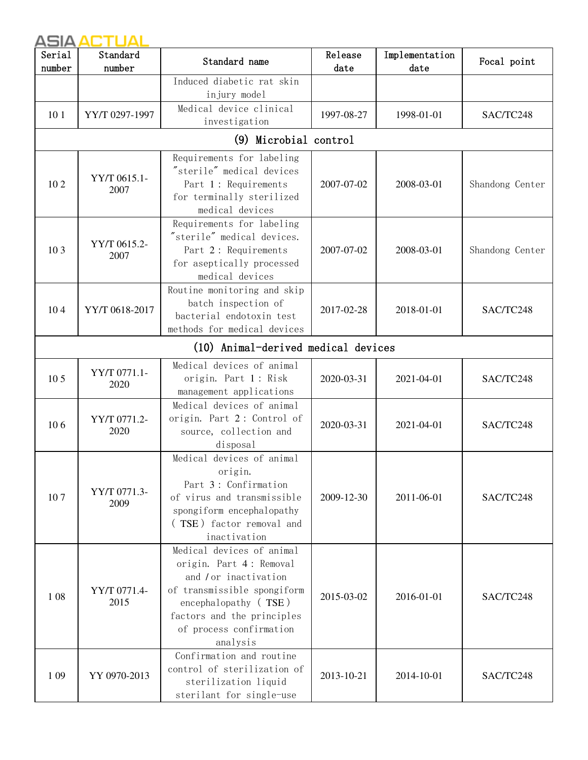| Serial<br>number | Standard<br>number   | Standard name                                                                                                                                                                                             | Release<br>date | Implementation<br>date | Focal point     |
|------------------|----------------------|-----------------------------------------------------------------------------------------------------------------------------------------------------------------------------------------------------------|-----------------|------------------------|-----------------|
|                  |                      | Induced diabetic rat skin<br>injury model                                                                                                                                                                 |                 |                        |                 |
| 10 <sub>1</sub>  | YY/T 0297-1997       | Medical device clinical<br>investigation                                                                                                                                                                  | 1997-08-27      | 1998-01-01             | SAC/TC248       |
|                  |                      | (9) Microbial control                                                                                                                                                                                     |                 |                        |                 |
| 102              | YY/T 0615.1-<br>2007 | Requirements for labeling<br>"sterile" medical devices<br>Part 1: Requirements<br>for terminally sterilized<br>medical devices                                                                            | 2007-07-02      | 2008-03-01             | Shandong Center |
| 10 <sub>3</sub>  | YY/T 0615.2-<br>2007 | Requirements for labeling<br>"sterile" medical devices.<br>Part 2: Requirements<br>for aseptically processed<br>medical devices                                                                           | 2007-07-02      | 2008-03-01             | Shandong Center |
| 104              | YY/T 0618-2017       | Routine monitoring and skip<br>batch inspection of<br>bacterial endotoxin test<br>methods for medical devices                                                                                             | 2017-02-28      | 2018-01-01             | SAC/TC248       |
|                  |                      | (10) Animal-derived medical devices                                                                                                                                                                       |                 |                        |                 |
| 10 <sub>5</sub>  | YY/T 0771.1-<br>2020 | Medical devices of animal<br>origin. Part 1: Risk<br>management applications                                                                                                                              | 2020-03-31      | 2021-04-01             | SAC/TC248       |
| 106              | YY/T 0771.2-<br>2020 | Medical devices of animal<br>origin. Part 2: Control of<br>source, collection and<br>disposal                                                                                                             | 2020-03-31      | 2021-04-01             | SAC/TC248       |
| 107              | YY/T 0771.3-<br>2009 | Medical devices of animal<br>origin.<br>Part 3: Confirmation<br>of virus and transmissible<br>spongiform encephalopathy<br>(TSE) factor removal and<br>inactivation                                       | 2009-12-30      | 2011-06-01             | SAC/TC248       |
| 108              | YY/T 0771.4-<br>2015 | Medical devices of animal<br>origin. Part 4: Removal<br>and / or inactivation<br>of transmissible spongiform<br>encephalopathy (TSE)<br>factors and the principles<br>of process confirmation<br>analysis | 2015-03-02      | 2016-01-01             | SAC/TC248       |
| 109              | YY 0970-2013         | Confirmation and routine<br>control of sterilization of<br>sterilization liquid<br>sterilant for single-use                                                                                               | 2013-10-21      | 2014-10-01             | SAC/TC248       |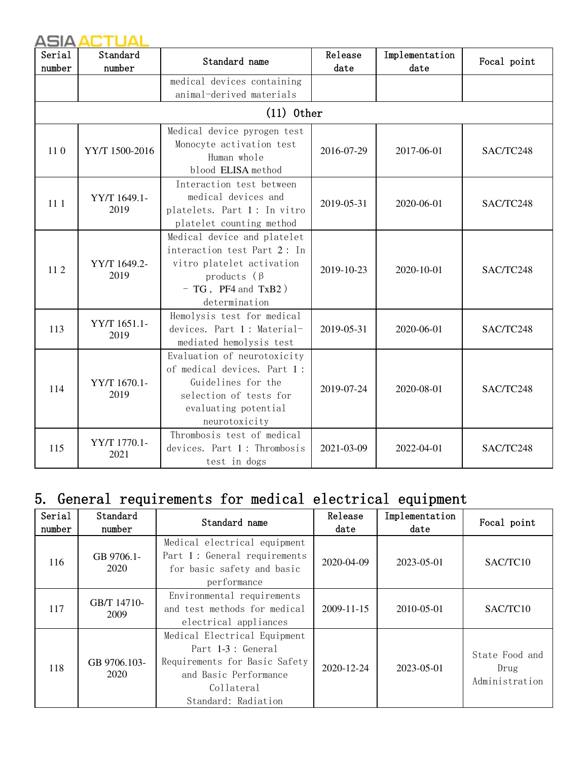| Serial<br>number | Standard<br>number   | Standard name                                                                                                                                       | Release<br>date | Implementation<br>date | Focal point |
|------------------|----------------------|-----------------------------------------------------------------------------------------------------------------------------------------------------|-----------------|------------------------|-------------|
|                  |                      | medical devices containing                                                                                                                          |                 |                        |             |
|                  |                      | animal-derived materials                                                                                                                            |                 |                        |             |
|                  |                      | $(11)$ 0ther                                                                                                                                        |                 |                        |             |
|                  |                      | Medical device pyrogen test                                                                                                                         |                 |                        |             |
| 110              | YY/T 1500-2016       | Monocyte activation test<br>Human whole                                                                                                             | 2016-07-29      | 2017-06-01             | SAC/TC248   |
|                  |                      | blood ELISA method                                                                                                                                  |                 |                        |             |
| 11 1             | YY/T 1649.1-<br>2019 | Interaction test between<br>medical devices and<br>platelets. Part 1: In vitro<br>platelet counting method                                          | 2019-05-31      | 2020-06-01             | SAC/TC248   |
|                  |                      | Medical device and platelet<br>interaction test Part 2: In                                                                                          |                 |                        |             |
| 112              | YY/T 1649.2-<br>2019 | vitro platelet activation<br>products $(\beta$<br>$- TG$ , PF4 and TxB2)                                                                            | 2019-10-23      | 2020-10-01             | SAC/TC248   |
|                  |                      | determination                                                                                                                                       |                 |                        |             |
| 113              | YY/T 1651.1-<br>2019 | Hemolysis test for medical<br>devices. Part 1: Material-<br>mediated hemolysis test                                                                 | 2019-05-31      | 2020-06-01             | SAC/TC248   |
| 114              | YY/T 1670.1-<br>2019 | Evaluation of neurotoxicity<br>of medical devices. Part 1:<br>Guidelines for the<br>selection of tests for<br>evaluating potential<br>neurotoxicity | 2019-07-24      | 2020-08-01             | SAC/TC248   |
| 115              | YY/T 1770.1-<br>2021 | Thrombosis test of medical<br>devices. Part 1: Thrombosis<br>test in dogs                                                                           | 2021-03-09      | 2022-04-01             | SAC/TC248   |

## 5. General requirements for medical electrical equipment

| Serial<br>number | Standard<br>number   | Standard name                                                                                                                                     | Release<br>date | Implementation<br>date | Focal point                              |
|------------------|----------------------|---------------------------------------------------------------------------------------------------------------------------------------------------|-----------------|------------------------|------------------------------------------|
| 116              | GB 9706.1-<br>2020   | Medical electrical equipment<br>Part 1: General requirements<br>for basic safety and basic<br>performance                                         | 2020-04-09      | 2023-05-01             | SAC/TC10                                 |
| 117              | GB/T 14710-<br>2009  | Environmental requirements<br>and test methods for medical<br>electrical appliances                                                               | 2009-11-15      | 2010-05-01             | SAC/TC10                                 |
| 118              | GB 9706.103-<br>2020 | Medical Electrical Equipment<br>Part 1-3 : General<br>Requirements for Basic Safety<br>and Basic Performance<br>Collateral<br>Standard: Radiation | 2020-12-24      | 2023-05-01             | State Food and<br>Drug<br>Administration |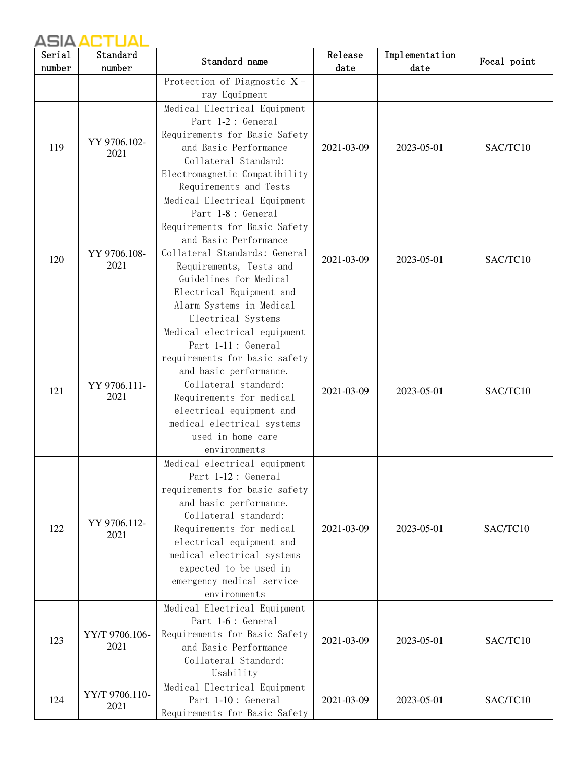| Serial<br>number | Standard<br>number     | Standard name                                                                                                                                                                                                                                                                                       | Release<br>date | Implementation<br>date | Focal point |
|------------------|------------------------|-----------------------------------------------------------------------------------------------------------------------------------------------------------------------------------------------------------------------------------------------------------------------------------------------------|-----------------|------------------------|-------------|
|                  |                        | Protection of Diagnostic X-                                                                                                                                                                                                                                                                         |                 |                        |             |
|                  |                        | ray Equipment                                                                                                                                                                                                                                                                                       |                 |                        |             |
| 119              | YY 9706.102-<br>2021   | Medical Electrical Equipment<br>Part 1-2: General<br>Requirements for Basic Safety<br>and Basic Performance<br>Collateral Standard:<br>Electromagnetic Compatibility<br>Requirements and Tests                                                                                                      | 2021-03-09      | 2023-05-01             | SAC/TC10    |
| 120              | YY 9706.108-<br>2021   | Medical Electrical Equipment<br>Part 1-8 : General<br>Requirements for Basic Safety<br>and Basic Performance<br>Collateral Standards: General<br>Requirements, Tests and<br>Guidelines for Medical<br>Electrical Equipment and<br>Alarm Systems in Medical<br>Electrical Systems                    | 2021-03-09      | 2023-05-01             | SAC/TC10    |
| 121              | YY 9706.111-<br>2021   | Medical electrical equipment<br>Part 1-11 : General<br>requirements for basic safety<br>and basic performance.<br>Collateral standard:<br>Requirements for medical<br>electrical equipment and<br>medical electrical systems<br>used in home care<br>environments                                   | 2021-03-09      | 2023-05-01             | SAC/TC10    |
| 122              | YY 9706.112-<br>2021   | Medical electrical equipment<br>Part 1-12 : General<br>requirements for basic safety<br>and basic performance.<br>Collateral standard:<br>Requirements for medical<br>electrical equipment and<br>medical electrical systems<br>expected to be used in<br>emergency medical service<br>environments | 2021-03-09      | 2023-05-01             | SAC/TC10    |
| 123              | YY/T 9706.106-<br>2021 | Medical Electrical Equipment<br>Part 1-6 : General<br>Requirements for Basic Safety<br>and Basic Performance<br>Collateral Standard:<br>Usability                                                                                                                                                   | 2021-03-09      | 2023-05-01             | SAC/TC10    |
| 124              | YY/T 9706.110-<br>2021 | Medical Electrical Equipment<br>Part 1-10: General<br>Requirements for Basic Safety                                                                                                                                                                                                                 | 2021-03-09      | 2023-05-01             | SAC/TC10    |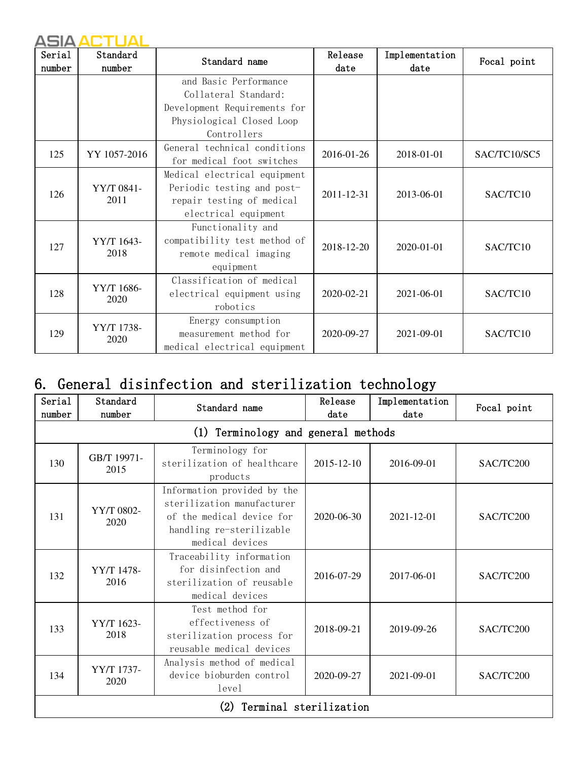| Serial | Standard           | Standard name                | Release          | Implementation | Focal point  |
|--------|--------------------|------------------------------|------------------|----------------|--------------|
| number | number             |                              | date             | date           |              |
|        |                    | and Basic Performance        |                  |                |              |
|        |                    | Collateral Standard:         |                  |                |              |
|        |                    | Development Requirements for |                  |                |              |
|        |                    | Physiological Closed Loop    |                  |                |              |
|        |                    | Controllers                  |                  |                |              |
| 125    | YY 1057-2016       | General technical conditions | 2016-01-26       | 2018-01-01     | SAC/TC10/SC5 |
|        |                    | for medical foot switches    |                  |                |              |
|        |                    | Medical electrical equipment |                  |                |              |
| 126    | YY/T 0841-<br>2011 | Periodic testing and post-   | 2011-12-31       | 2013-06-01     | SAC/TC10     |
|        |                    | repair testing of medical    |                  |                |              |
|        |                    | electrical equipment         |                  |                |              |
|        |                    | Functionality and            |                  |                |              |
| 127    | YY/T 1643-         | compatibility test method of | 2018-12-20       | 2020-01-01     | SAC/TC10     |
|        | 2018               | remote medical imaging       |                  |                |              |
|        |                    | equipment                    |                  |                |              |
|        |                    | Classification of medical    |                  |                |              |
| 128    | YY/T 1686-<br>2020 | electrical equipment using   | $2020 - 02 - 21$ | 2021-06-01     | SAC/TC10     |
|        |                    | robotics                     |                  |                |              |
|        |                    | Energy consumption           |                  |                |              |
| 129    | YY/T 1738-         | measurement method for       | 2020-09-27       | 2021-09-01     | SAC/TC10     |
|        | 2020               | medical electrical equipment |                  |                |              |

## 6. General disinfection and sterilization technology

| Serial<br>number | Standard<br>number  | Standard name                                                                                                                         | Release<br>date        | Implementation<br>date | Focal point |
|------------------|---------------------|---------------------------------------------------------------------------------------------------------------------------------------|------------------------|------------------------|-------------|
|                  |                     | (1) Terminology and general methods                                                                                                   |                        |                        |             |
| 130              | GB/T 19971-<br>2015 | Terminology for<br>sterilization of healthcare<br>products                                                                            | 2015-12-10             | 2016-09-01             | SAC/TC200   |
| 131              | YY/T 0802-<br>2020  | Information provided by the<br>sterilization manufacturer<br>of the medical device for<br>handling re-sterilizable<br>medical devices | 2020-06-30             | $2021 - 12 - 01$       | SAC/TC200   |
| 132              | YY/T 1478-<br>2016  | Traceability information<br>for disinfection and<br>sterilization of reusable<br>medical devices                                      | 2016-07-29             | 2017-06-01             | SAC/TC200   |
| 133              | YY/T 1623-<br>2018  | Test method for<br>effectiveness of<br>sterilization process for<br>reusable medical devices                                          | 2018-09-21             | 2019-09-26             | SAC/TC200   |
| 134              | YY/T 1737-<br>2020  | Analysis method of medical<br>device bioburden control<br>level                                                                       | 2020-09-27             | 2021-09-01             | SAC/TC200   |
|                  |                     |                                                                                                                                       | Terminal sterilization |                        |             |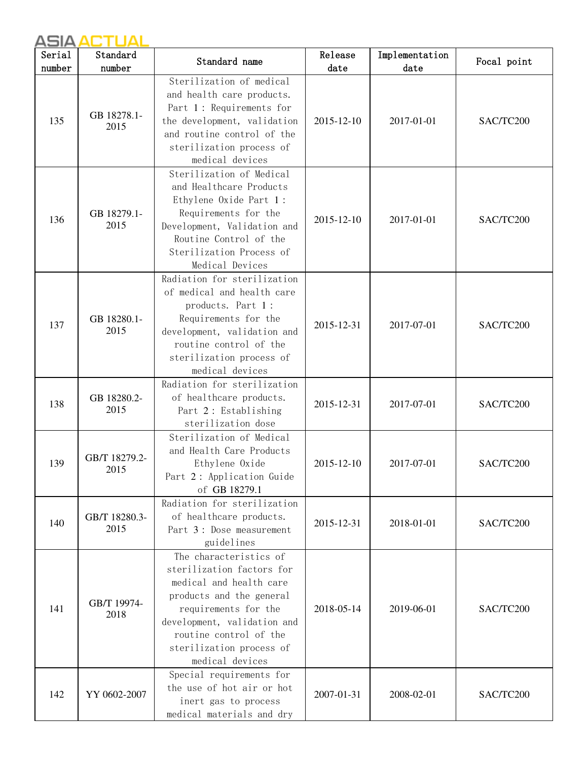| Serial | Standard              | Standard name                                                                                                                                                                                                                              | Release    | Implementation | Focal point |
|--------|-----------------------|--------------------------------------------------------------------------------------------------------------------------------------------------------------------------------------------------------------------------------------------|------------|----------------|-------------|
| number | number                |                                                                                                                                                                                                                                            | date       | date           |             |
| 135    | GB 18278.1-<br>2015   | Sterilization of medical<br>and health care products.<br>Part 1: Requirements for<br>the development, validation<br>and routine control of the<br>sterilization process of<br>medical devices                                              | 2015-12-10 | 2017-01-01     | SAC/TC200   |
| 136    | GB 18279.1-<br>2015   | Sterilization of Medical<br>and Healthcare Products<br>Ethylene Oxide Part 1:<br>Requirements for the<br>Development, Validation and<br>Routine Control of the<br>Sterilization Process of<br>Medical Devices                              | 2015-12-10 | 2017-01-01     | SAC/TC200   |
| 137    | GB 18280.1-<br>2015   | Radiation for sterilization<br>of medical and health care<br>products. Part 1:<br>Requirements for the<br>development, validation and<br>routine control of the<br>sterilization process of<br>medical devices                             | 2015-12-31 | 2017-07-01     | SAC/TC200   |
| 138    | GB 18280.2-<br>2015   | Radiation for sterilization<br>of healthcare products.<br>Part 2: Establishing<br>sterilization dose                                                                                                                                       | 2015-12-31 | 2017-07-01     | SAC/TC200   |
| 139    | GB/T 18279.2-<br>2015 | Sterilization of Medical<br>and Health Care Products<br>Ethylene Oxide<br>Part 2: Application Guide<br>of GB 18279.1                                                                                                                       | 2015-12-10 | 2017-07-01     | SAC/TC200   |
| 140    | GB/T 18280.3-<br>2015 | Radiation for sterilization<br>of healthcare products.<br>Part 3: Dose measurement<br>guidelines                                                                                                                                           | 2015-12-31 | 2018-01-01     | SAC/TC200   |
| 141    | GB/T 19974-<br>2018   | The characteristics of<br>sterilization factors for<br>medical and health care<br>products and the general<br>requirements for the<br>development, validation and<br>routine control of the<br>sterilization process of<br>medical devices | 2018-05-14 | 2019-06-01     | SAC/TC200   |
| 142    | YY 0602-2007          | Special requirements for<br>the use of hot air or hot<br>inert gas to process<br>medical materials and dry                                                                                                                                 | 2007-01-31 | 2008-02-01     | SAC/TC200   |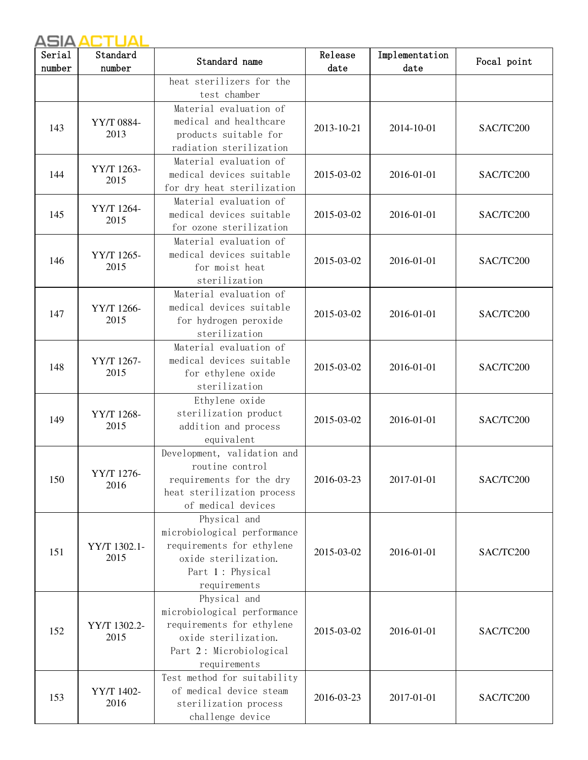| Serial<br>number | Standard<br>number   | Standard name                                                                                                                               | Release<br>date | Implementation<br>date | Focal point |
|------------------|----------------------|---------------------------------------------------------------------------------------------------------------------------------------------|-----------------|------------------------|-------------|
|                  |                      | heat sterilizers for the<br>test chamber                                                                                                    |                 |                        |             |
| 143              | YY/T 0884-<br>2013   | Material evaluation of<br>medical and healthcare<br>products suitable for<br>radiation sterilization                                        | 2013-10-21      | 2014-10-01             | SAC/TC200   |
| 144              | YY/T 1263-<br>2015   | Material evaluation of<br>medical devices suitable<br>for dry heat sterilization                                                            | 2015-03-02      | 2016-01-01             | SAC/TC200   |
| 145              | YY/T 1264-<br>2015   | Material evaluation of<br>medical devices suitable<br>for ozone sterilization                                                               | 2015-03-02      | 2016-01-01             | SAC/TC200   |
| 146              | YY/T 1265-<br>2015   | Material evaluation of<br>medical devices suitable<br>for moist heat<br>sterilization                                                       | 2015-03-02      | 2016-01-01             | SAC/TC200   |
| 147              | YY/T 1266-<br>2015   | Material evaluation of<br>medical devices suitable<br>for hydrogen peroxide<br>sterilization                                                | 2015-03-02      | 2016-01-01             | SAC/TC200   |
| 148              | YY/T 1267-<br>2015   | Material evaluation of<br>medical devices suitable<br>for ethylene oxide<br>sterilization                                                   | 2015-03-02      | 2016-01-01             | SAC/TC200   |
| 149              | YY/T 1268-<br>2015   | Ethylene oxide<br>sterilization product<br>addition and process<br>equivalent                                                               | 2015-03-02      | 2016-01-01             | SAC/TC200   |
| 150              | YY/T 1276-<br>2016   | Development, validation and<br>routine control<br>requirements for the dry<br>heat sterilization process<br>of medical devices              | 2016-03-23      | 2017-01-01             | SAC/TC200   |
| 151              | YY/T 1302.1-<br>2015 | Physical and<br>microbiological performance<br>requirements for ethylene<br>oxide sterilization.<br>Part 1: Physical<br>requirements        | 2015-03-02      | 2016-01-01             | SAC/TC200   |
| 152              | YY/T 1302.2-<br>2015 | Physical and<br>microbiological performance<br>requirements for ethylene<br>oxide sterilization.<br>Part 2: Microbiological<br>requirements | 2015-03-02      | 2016-01-01             | SAC/TC200   |
| 153              | YY/T 1402-<br>2016   | Test method for suitability<br>of medical device steam<br>sterilization process<br>challenge device                                         | 2016-03-23      | 2017-01-01             | SAC/TC200   |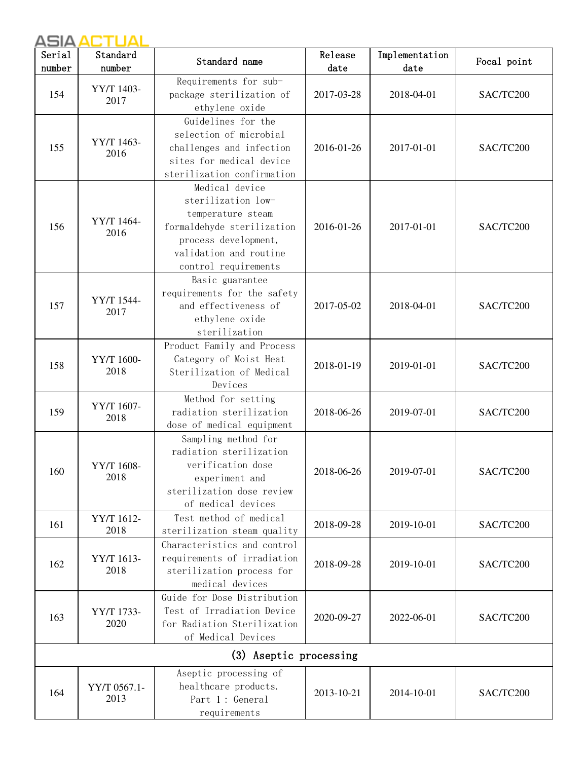| Serial | Standard             | Standard name                                                                                                                                                     | Release    | Implementation | Focal point |
|--------|----------------------|-------------------------------------------------------------------------------------------------------------------------------------------------------------------|------------|----------------|-------------|
| number | number               |                                                                                                                                                                   | date       | date           |             |
| 154    | YY/T 1403-<br>2017   | Requirements for sub-<br>package sterilization of<br>ethylene oxide                                                                                               | 2017-03-28 | 2018-04-01     | SAC/TC200   |
| 155    | YY/T 1463-<br>2016   | Guidelines for the<br>selection of microbial<br>challenges and infection<br>sites for medical device<br>sterilization confirmation                                | 2016-01-26 | 2017-01-01     | SAC/TC200   |
| 156    | YY/T 1464-<br>2016   | Medical device<br>sterilization low-<br>temperature steam<br>formaldehyde sterilization<br>process development,<br>validation and routine<br>control requirements | 2016-01-26 | 2017-01-01     | SAC/TC200   |
| 157    | YY/T 1544-<br>2017   | Basic guarantee<br>requirements for the safety<br>and effectiveness of<br>ethylene oxide<br>sterilization                                                         | 2017-05-02 | 2018-04-01     | SAC/TC200   |
| 158    | YY/T 1600-<br>2018   | Product Family and Process<br>Category of Moist Heat<br>Sterilization of Medical<br>Devices                                                                       | 2018-01-19 | 2019-01-01     | SAC/TC200   |
| 159    | YY/T 1607-<br>2018   | Method for setting<br>radiation sterilization<br>dose of medical equipment                                                                                        | 2018-06-26 | 2019-07-01     | SAC/TC200   |
| 160    | YY/T 1608-<br>2018   | Sampling method for<br>radiation sterilization<br>verification dose<br>experiment and<br>sterilization dose review<br>of medical devices                          | 2018-06-26 | 2019-07-01     | SAC/TC200   |
| 161    | YY/T 1612-<br>2018   | Test method of medical<br>sterilization steam quality                                                                                                             | 2018-09-28 | 2019-10-01     | SAC/TC200   |
| 162    | YY/T 1613-<br>2018   | Characteristics and control<br>requirements of irradiation<br>sterilization process for<br>medical devices                                                        | 2018-09-28 | 2019-10-01     | SAC/TC200   |
| 163    | YY/T 1733-<br>2020   | Guide for Dose Distribution<br>Test of Irradiation Device<br>for Radiation Sterilization<br>of Medical Devices                                                    | 2020-09-27 | 2022-06-01     | SAC/TC200   |
|        |                      | (3) Aseptic processing                                                                                                                                            |            |                |             |
| 164    | YY/T 0567.1-<br>2013 | Aseptic processing of<br>healthcare products.<br>Part 1: General<br>requirements                                                                                  | 2013-10-21 | 2014-10-01     | SAC/TC200   |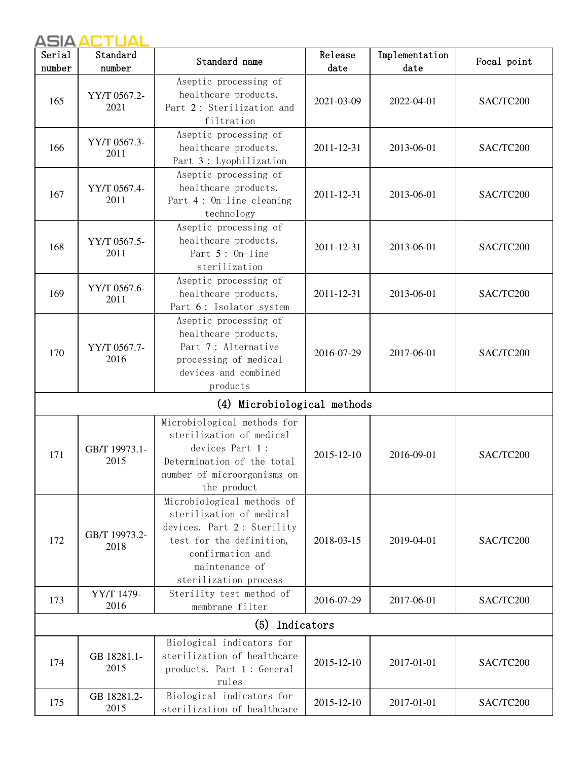| Serial<br>number | Standard<br>number    | Standard name                                                                                                                                                                   | Release<br>date | Implementation<br>date | Focal point |
|------------------|-----------------------|---------------------------------------------------------------------------------------------------------------------------------------------------------------------------------|-----------------|------------------------|-------------|
| 165              | YY/T 0567.2-<br>2021  | Aseptic processing of<br>healthcare products.<br>Part 2: Sterilization and<br>filtration                                                                                        | 2021-03-09      | 2022-04-01             | SAC/TC200   |
| 166              | YY/T 0567.3-<br>2011  | Aseptic processing of<br>healthcare products.<br>Part 3: Lyophilization                                                                                                         | 2011-12-31      | 2013-06-01             | SAC/TC200   |
| 167              | YY/T 0567.4-<br>2011  | Aseptic processing of<br>healthcare products.<br>Part 4: On-line cleaning<br>technology                                                                                         | 2011-12-31      | 2013-06-01             | SAC/TC200   |
| 168              | YY/T 0567.5-<br>2011  | Aseptic processing of<br>healthcare products.<br>Part 5: On-line<br>sterilization                                                                                               | 2011-12-31      | 2013-06-01             | SAC/TC200   |
| 169              | YY/T 0567.6-<br>2011  | Aseptic processing of<br>healthcare products.<br>Part 6: Isolator system                                                                                                        | 2011-12-31      | 2013-06-01             | SAC/TC200   |
| 170              | YY/T 0567.7-<br>2016  | Aseptic processing of<br>healthcare products.<br>Part 7: Alternative<br>processing of medical<br>devices and combined<br>products                                               | 2016-07-29      | 2017-06-01             | SAC/TC200   |
|                  |                       | (4) Microbiological methods                                                                                                                                                     |                 |                        |             |
| 171              | GB/T 19973.1-<br>2015 | Microbiological methods for<br>sterilization of medical<br>devices Part 1:<br>Determination of the total<br>number of microorganisms on<br>the product                          | 2015-12-10      | 2016-09-01             | SAC/TC200   |
| 172              | GB/T 19973.2-<br>2018 | Microbiological methods of<br>sterilization of medical<br>devices. Part 2: Sterility<br>test for the definition,<br>confirmation and<br>maintenance of<br>sterilization process | 2018-03-15      | 2019-04-01             | SAC/TC200   |
| 173              | YY/T 1479-<br>2016    | Sterility test method of<br>membrane filter                                                                                                                                     | 2016-07-29      | 2017-06-01             | SAC/TC200   |
|                  |                       | Indicators<br>(5)                                                                                                                                                               |                 |                        |             |
| 174              | GB 18281.1-<br>2015   | Biological indicators for<br>sterilization of healthcare<br>products. Part 1: General<br>rules                                                                                  | 2015-12-10      | 2017-01-01             | SAC/TC200   |
| 175              | GB 18281.2-<br>2015   | Biological indicators for<br>sterilization of healthcare                                                                                                                        | 2015-12-10      | 2017-01-01             | SAC/TC200   |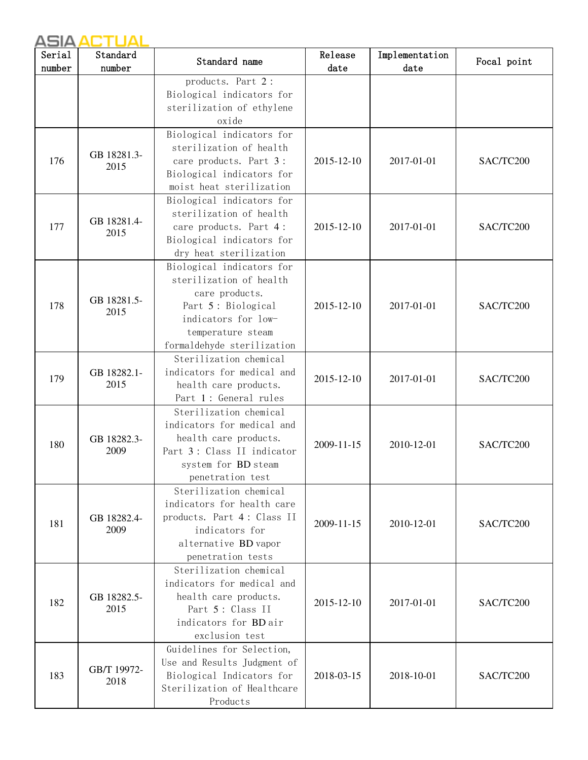| Serial<br>number | Standard<br>number  | Standard name                                                                                                                                                          | Release<br>date | Implementation<br>date | Focal point |  |
|------------------|---------------------|------------------------------------------------------------------------------------------------------------------------------------------------------------------------|-----------------|------------------------|-------------|--|
|                  |                     | products. Part 2:<br>Biological indicators for<br>sterilization of ethylene<br>oxide                                                                                   |                 |                        |             |  |
| 176              | GB 18281.3-<br>2015 | Biological indicators for<br>sterilization of health<br>care products. Part 3:<br>Biological indicators for<br>moist heat sterilization                                | 2015-12-10      | 2017-01-01             | SAC/TC200   |  |
| 177              | GB 18281.4-<br>2015 | Biological indicators for<br>sterilization of health<br>care products. Part 4:<br>Biological indicators for<br>dry heat sterilization                                  | 2015-12-10      | 2017-01-01             | SAC/TC200   |  |
| 178              | GB 18281.5-<br>2015 | Biological indicators for<br>sterilization of health<br>care products.<br>Part 5: Biological<br>indicators for low-<br>temperature steam<br>formaldehyde sterilization | 2015-12-10      | 2017-01-01             | SAC/TC200   |  |
| 179              | GB 18282.1-<br>2015 | Sterilization chemical<br>indicators for medical and<br>health care products.<br>Part 1: General rules                                                                 | 2015-12-10      | 2017-01-01             | SAC/TC200   |  |
| 180              | GB 18282.3-<br>2009 | Sterilization chemical<br>indicators for medical and<br>health care products.<br>Part 3: Class II indicator<br>system for BD steam<br>penetration test                 | 2009-11-15      | 2010-12-01             | SAC/TC200   |  |
| 181              | GB 18282.4-<br>2009 | Sterilization chemical<br>indicators for health care<br>products. Part 4: Class II<br>indicators for<br>alternative BD vapor<br>penetration tests                      | 2009-11-15      | 2010-12-01             | SAC/TC200   |  |
| 182              | GB 18282.5-<br>2015 | Sterilization chemical<br>indicators for medical and<br>health care products.<br>Part 5: Class II<br>indicators for BD air<br>exclusion test                           | 2015-12-10      | 2017-01-01             | SAC/TC200   |  |
| 183              | GB/T 19972-<br>2018 | Guidelines for Selection,<br>Use and Results Judgment of<br>Biological Indicators for<br>Sterilization of Healthcare<br>Products                                       | 2018-03-15      | 2018-10-01             | SAC/TC200   |  |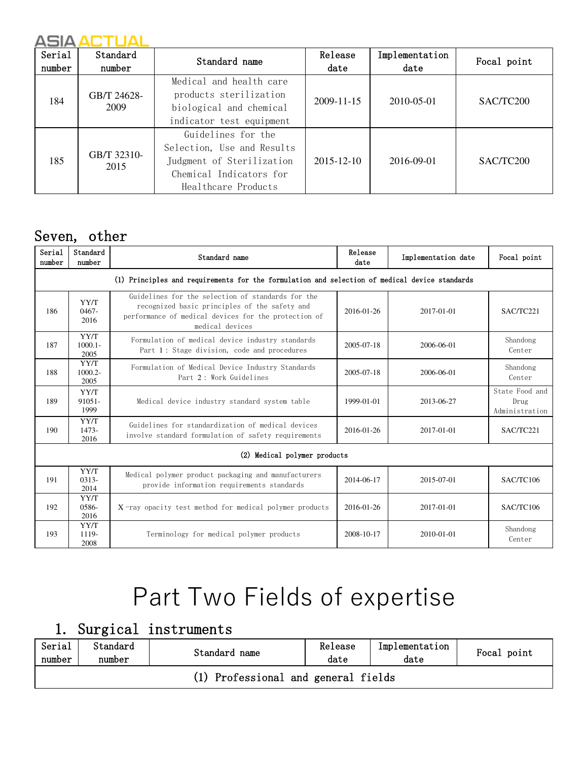| Serial<br>number | Standard<br>number  | Standard name                                                                                                                   | Release<br>date  | Implementation<br>date | Focal point |  |
|------------------|---------------------|---------------------------------------------------------------------------------------------------------------------------------|------------------|------------------------|-------------|--|
| 184              | GB/T 24628-<br>2009 | Medical and health care<br>products sterilization<br>biological and chemical<br>indicator test equipment                        | $2009 - 11 - 15$ | 2010-05-01             | SAC/TC200   |  |
| 185              | GB/T 32310-<br>2015 | Guidelines for the<br>Selection, Use and Results<br>Judgment of Sterilization<br>Chemical Indicators for<br>Healthcare Products | $2015 - 12 - 10$ | 2016-09-01             | SAC/TC200   |  |

## Seven, other

| Serial<br>number | Standard<br>number                                                                            | Standard name                                                                                                                                                                 | Release<br>date | Implementation date | Focal point                              |  |  |  |  |  |
|------------------|-----------------------------------------------------------------------------------------------|-------------------------------------------------------------------------------------------------------------------------------------------------------------------------------|-----------------|---------------------|------------------------------------------|--|--|--|--|--|
|                  | (1) Principles and requirements for the formulation and selection of medical device standards |                                                                                                                                                                               |                 |                     |                                          |  |  |  |  |  |
| 186              | YY/T<br>$0467 -$<br>2016                                                                      | Guidelines for the selection of standards for the<br>recognized basic principles of the safety and<br>performance of medical devices for the protection of<br>medical devices | 2016-01-26      | 2017-01-01          | SAC/TC221                                |  |  |  |  |  |
| 187              | YY/T<br>$1000.1 -$<br>2005                                                                    | Formulation of medical device industry standards<br>Part 1: Stage division, code and procedures                                                                               | 2005-07-18      | 2006-06-01          | Shandong<br>Center                       |  |  |  |  |  |
| 188              | YY/T<br>$1000.2 -$<br>2005                                                                    | Formulation of Medical Device Industry Standards<br>Part 2: Work Guidelines                                                                                                   | 2005-07-18      | 2006-06-01          | Shandong<br>Center                       |  |  |  |  |  |
| 189              | YY/T<br>$91051 -$<br>1999                                                                     | Medical device industry standard system table                                                                                                                                 | 1999-01-01      | 2013-06-27          | State Food and<br>Drug<br>Administration |  |  |  |  |  |
| 190              | YY/T<br>1473-<br>2016                                                                         | Guidelines for standardization of medical devices<br>involve standard formulation of safety requirements                                                                      | 2016-01-26      | 2017-01-01          | SAC/TC221                                |  |  |  |  |  |
|                  | (2) Medical polymer products                                                                  |                                                                                                                                                                               |                 |                     |                                          |  |  |  |  |  |
| 191              | YY/T<br>$0313-$<br>2014                                                                       | Medical polymer product packaging and manufacturers<br>provide information requirements standards                                                                             | 2014-06-17      | 2015-07-01          | SAC/TC106                                |  |  |  |  |  |
| 192              | YY/T<br>0586-<br>2016                                                                         | $X$ -ray opacity test method for medical polymer products                                                                                                                     | 2016-01-26      | 2017-01-01          | SAC/TC106                                |  |  |  |  |  |
| 193              | YY/T<br>1119-<br>2008                                                                         | Terminology for medical polymer products                                                                                                                                      | 2008-10-17      | 2010-01-01          | Shandong<br>Center                       |  |  |  |  |  |

# Part Two Fields of expertise

## 1. Surgical instruments

| Serial<br>number                    | Standard<br>number | Standard name | Release<br>date | Implementation<br>date | Focal point |  |  |
|-------------------------------------|--------------------|---------------|-----------------|------------------------|-------------|--|--|
| (1) Professional and general fields |                    |               |                 |                        |             |  |  |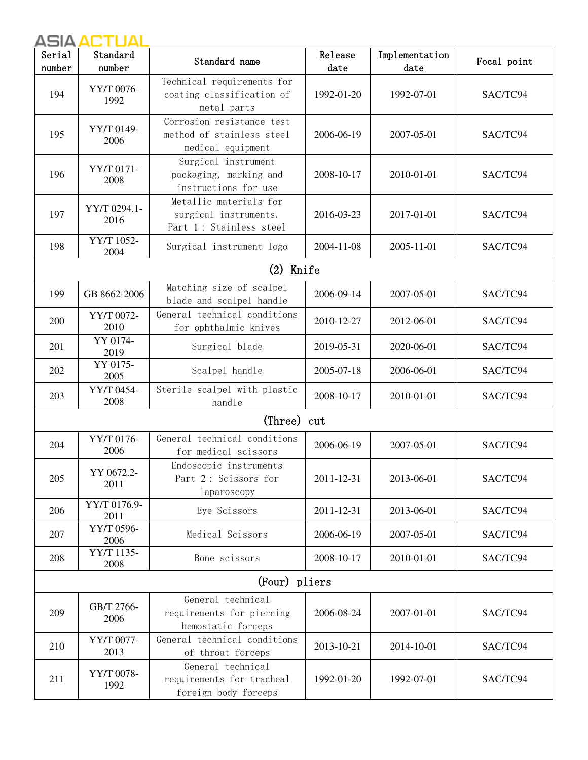| Serial<br>number | Standard<br>number   | Standard name                                                               | Release<br>date | Implementation<br>date | Focal point |
|------------------|----------------------|-----------------------------------------------------------------------------|-----------------|------------------------|-------------|
| 194              | YY/T 0076-<br>1992   | Technical requirements for<br>coating classification of<br>metal parts      | 1992-01-20      | 1992-07-01             | SAC/TC94    |
| 195              | YY/T 0149-<br>2006   | Corrosion resistance test<br>method of stainless steel<br>medical equipment | 2006-06-19      | 2007-05-01             | SAC/TC94    |
| 196              | YY/T 0171-<br>2008   | Surgical instrument<br>packaging, marking and<br>instructions for use       | 2008-10-17      | 2010-01-01             | SAC/TC94    |
| 197              | YY/T 0294.1-<br>2016 | Metallic materials for<br>surgical instruments.<br>Part 1: Stainless steel  | 2016-03-23      | 2017-01-01             | SAC/TC94    |
| 198              | YY/T 1052-<br>2004   | Surgical instrument logo                                                    | 2004-11-08      | 2005-11-01             | SAC/TC94    |
|                  |                      | Knife<br>(2)                                                                |                 |                        |             |
| 199              | GB 8662-2006         | Matching size of scalpel<br>blade and scalpel handle                        | 2006-09-14      | 2007-05-01             | SAC/TC94    |
| 200              | YY/T 0072-<br>2010   | General technical conditions<br>for ophthalmic knives                       | 2010-12-27      | 2012-06-01             | SAC/TC94    |
| 201              | YY 0174-<br>2019     | Surgical blade                                                              | 2019-05-31      | 2020-06-01             | SAC/TC94    |
| 202              | YY 0175-<br>2005     | Scalpel handle                                                              | 2005-07-18      | 2006-06-01             | SAC/TC94    |
| 203              | YY/T 0454-<br>2008   | Sterile scalpel with plastic<br>handle                                      | 2008-10-17      | 2010-01-01             | SAC/TC94    |
|                  |                      | (Three) cut                                                                 |                 |                        |             |
| 204              | YY/T 0176-<br>2006   | General technical conditions<br>for medical scissors                        | 2006-06-19      | 2007-05-01             | SAC/TC94    |
| 205              | YY 0672.2-<br>2011   | Endoscopic instruments<br>Part 2: Scissors for<br>laparoscopy               | 2011-12-31      | 2013-06-01             | SAC/TC94    |
| 206              | YY/T 0176.9-<br>2011 | Eye Scissors                                                                | 2011-12-31      | 2013-06-01             | SAC/TC94    |
| 207              | YY/T 0596-<br>2006   | Medical Scissors                                                            | 2006-06-19      | 2007-05-01             | SAC/TC94    |
| 208              | YY/T 1135-<br>2008   | Bone scissors                                                               | 2008-10-17      | 2010-01-01             | SAC/TC94    |
|                  |                      | (Four) pliers                                                               |                 |                        |             |
| 209              | GB/T 2766-<br>2006   | General technical<br>requirements for piercing<br>hemostatic forceps        | 2006-08-24      | 2007-01-01             | SAC/TC94    |
| 210              | YY/T 0077-<br>2013   | General technical conditions<br>of throat forceps                           | 2013-10-21      | 2014-10-01             | SAC/TC94    |
| 211              | YY/T 0078-<br>1992   | General technical<br>requirements for tracheal<br>foreign body forceps      | 1992-01-20      | 1992-07-01             | SAC/TC94    |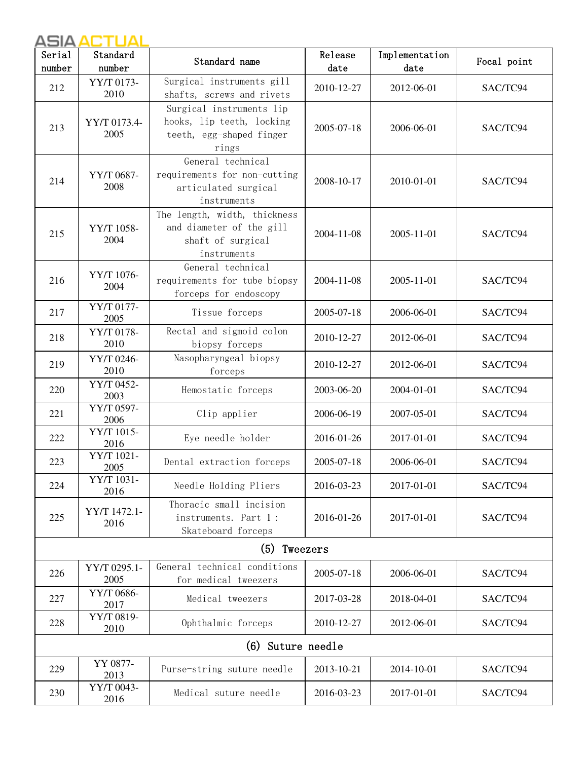| Serial | Standard<br>number              | Standard name                                                                                | Release<br>date | Implementation<br>date | Focal point |  |
|--------|---------------------------------|----------------------------------------------------------------------------------------------|-----------------|------------------------|-------------|--|
| number |                                 |                                                                                              |                 |                        |             |  |
| 212    | YY/T 0173-<br>2010              | Surgical instruments gill<br>shafts, screws and rivets                                       | 2010-12-27      | 2012-06-01             | SAC/TC94    |  |
| 213    | YY/T 0173.4-<br>2005            | Surgical instruments lip<br>hooks, lip teeth, locking<br>teeth, egg-shaped finger<br>rings   | 2005-07-18      | 2006-06-01             | SAC/TC94    |  |
| 214    | YY/T 0687-<br>2008              | General technical<br>requirements for non-cutting<br>articulated surgical<br>instruments     | 2008-10-17      | 2010-01-01             | SAC/TC94    |  |
| 215    | YY/T 1058-<br>2004              | The length, width, thickness<br>and diameter of the gill<br>shaft of surgical<br>instruments | 2004-11-08      | 2005-11-01             | SAC/TC94    |  |
| 216    | YY/T 1076-<br>2004              | General technical<br>requirements for tube biopsy<br>forceps for endoscopy                   | 2004-11-08      | 2005-11-01             | SAC/TC94    |  |
| 217    | YY/T 0177-<br>2005              | Tissue forceps                                                                               | 2005-07-18      | 2006-06-01             | SAC/TC94    |  |
| 218    | YY/T 0178-<br>2010              | Rectal and sigmoid colon<br>biopsy forceps                                                   | 2010-12-27      | 2012-06-01             | SAC/TC94    |  |
| 219    | YY/T 0246-<br>2010              | Nasopharyngeal biopsy<br>forceps                                                             | 2010-12-27      | 2012-06-01             | SAC/TC94    |  |
| 220    | YY/T 0452-<br>2003              | Hemostatic forceps                                                                           | 2003-06-20      | 2004-01-01             | SAC/TC94    |  |
| 221    | $\overline{YY/T}$ 0597-<br>2006 | Clip applier                                                                                 | 2006-06-19      | 2007-05-01             | SAC/TC94    |  |
| 222    | YY/T 1015-<br>2016              | Eye needle holder                                                                            | 2016-01-26      | 2017-01-01             | SAC/TC94    |  |
| 223    | YY/T 1021-<br>2005              | Dental extraction forceps                                                                    | 2005-07-18      | 2006-06-01             | SAC/TC94    |  |
| 224    | YY/T 1031-<br>2016              | Needle Holding Pliers                                                                        | 2016-03-23      | 2017-01-01             | SAC/TC94    |  |
| 225    | YY/T 1472.1-<br>2016            | Thoracic small incision<br>instruments. Part 1:<br>Skateboard forceps                        | 2016-01-26      | 2017-01-01             | SAC/TC94    |  |
|        |                                 | (5)<br>Tweezers                                                                              |                 |                        |             |  |
| 226    | YY/T 0295.1-<br>2005            | General technical conditions<br>for medical tweezers                                         | 2005-07-18      | 2006-06-01             | SAC/TC94    |  |
| 227    | YY/T 0686-<br>2017              | Medical tweezers                                                                             | 2017-03-28      | 2018-04-01             | SAC/TC94    |  |
| 228    | YY/T 0819-<br>2010              | Ophthalmic forceps                                                                           | 2010-12-27      | 2012-06-01             | SAC/TC94    |  |
|        |                                 | (6) Suture needle                                                                            |                 |                        |             |  |
| 229    | YY 0877-<br>2013                | Purse-string suture needle                                                                   | 2013-10-21      | 2014-10-01             | SAC/TC94    |  |
| 230    | YY/T 0043-<br>2016              | Medical suture needle                                                                        | 2016-03-23      | 2017-01-01             | SAC/TC94    |  |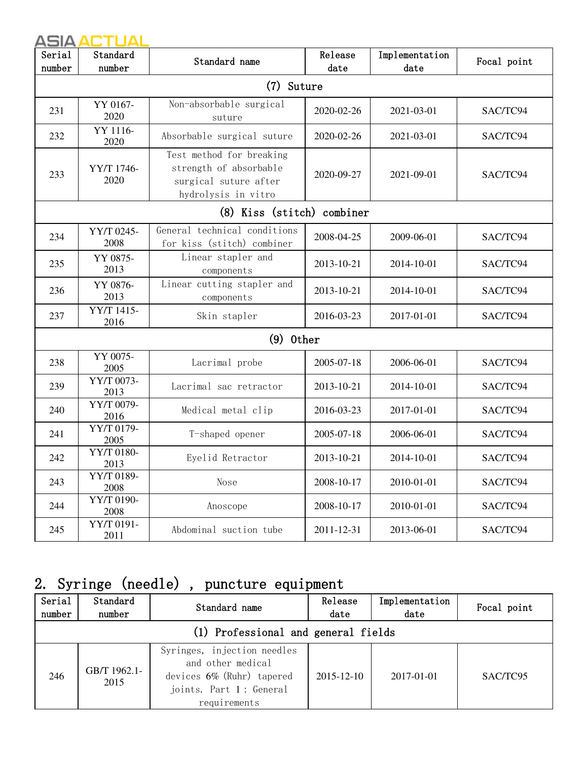| Serial<br>number | Standard<br>number | Standard name                                                                                      | Release<br>date | Implementation<br>date | Focal point |  |  |  |
|------------------|--------------------|----------------------------------------------------------------------------------------------------|-----------------|------------------------|-------------|--|--|--|
|                  | (7) Suture         |                                                                                                    |                 |                        |             |  |  |  |
| 231              | YY 0167-<br>2020   | Non-absorbable surgical<br>suture                                                                  | 2020-02-26      | 2021-03-01             | SAC/TC94    |  |  |  |
| 232              | YY 1116-<br>2020   | Absorbable surgical suture                                                                         | 2020-02-26      | 2021-03-01             | SAC/TC94    |  |  |  |
| 233              | YY/T 1746-<br>2020 | Test method for breaking<br>strength of absorbable<br>surgical suture after<br>hydrolysis in vitro | 2020-09-27      | 2021-09-01             | SAC/TC94    |  |  |  |
|                  |                    | (8) Kiss (stitch) combiner                                                                         |                 |                        |             |  |  |  |
| 234              | YY/T 0245-<br>2008 | General technical conditions<br>for kiss (stitch) combiner                                         | 2008-04-25      | 2009-06-01             | SAC/TC94    |  |  |  |
| 235              | YY 0875-<br>2013   | Linear stapler and<br>components                                                                   | 2013-10-21      | 2014-10-01             | SAC/TC94    |  |  |  |
| 236              | YY 0876-<br>2013   | Linear cutting stapler and<br>components                                                           | 2013-10-21      | 2014-10-01             | SAC/TC94    |  |  |  |
| 237              | YY/T 1415-<br>2016 | Skin stapler                                                                                       | 2016-03-23      | 2017-01-01             | SAC/TC94    |  |  |  |
|                  |                    | $(9)$ 0ther                                                                                        |                 |                        |             |  |  |  |
| 238              | YY 0075-<br>2005   | Lacrimal probe                                                                                     | 2005-07-18      | 2006-06-01             | SAC/TC94    |  |  |  |
| 239              | YY/T 0073-<br>2013 | Lacrimal sac retractor                                                                             | 2013-10-21      | 2014-10-01             | SAC/TC94    |  |  |  |
| 240              | YY/T 0079-<br>2016 | Medical metal clip                                                                                 | 2016-03-23      | 2017-01-01             | SAC/TC94    |  |  |  |
| 241              | YY/T 0179-<br>2005 | T-shaped opener                                                                                    | 2005-07-18      | 2006-06-01             | SAC/TC94    |  |  |  |
| 242              | YY/T 0180-<br>2013 | Eyelid Retractor                                                                                   | 2013-10-21      | 2014-10-01             | SAC/TC94    |  |  |  |
| 243              | YY/T 0189-<br>2008 | Nose                                                                                               | 2008-10-17      | 2010-01-01             | SAC/TC94    |  |  |  |
| 244              | YY/T 0190-<br>2008 | Anoscope                                                                                           | 2008-10-17      | 2010-01-01             | SAC/TC94    |  |  |  |
| 245              | YY/T 0191-<br>2011 | Abdominal suction tube                                                                             | 2011-12-31      | 2013-06-01             | SAC/TC94    |  |  |  |

## 2. Syringe (needle) , puncture equipment

| Serial<br>number | Standard<br>number                  | Standard name                                                                                                            | Release<br>date | Implementation<br>date | Focal point |  |  |  |  |  |
|------------------|-------------------------------------|--------------------------------------------------------------------------------------------------------------------------|-----------------|------------------------|-------------|--|--|--|--|--|
|                  | (1) Professional and general fields |                                                                                                                          |                 |                        |             |  |  |  |  |  |
| 246              | GB/T 1962.1-<br>2015                | Syringes, injection needles<br>and other medical<br>devices 6% (Ruhr) tapered<br>joints. Part 1: General<br>requirements | 2015-12-10      | 2017-01-01             | SAC/TC95    |  |  |  |  |  |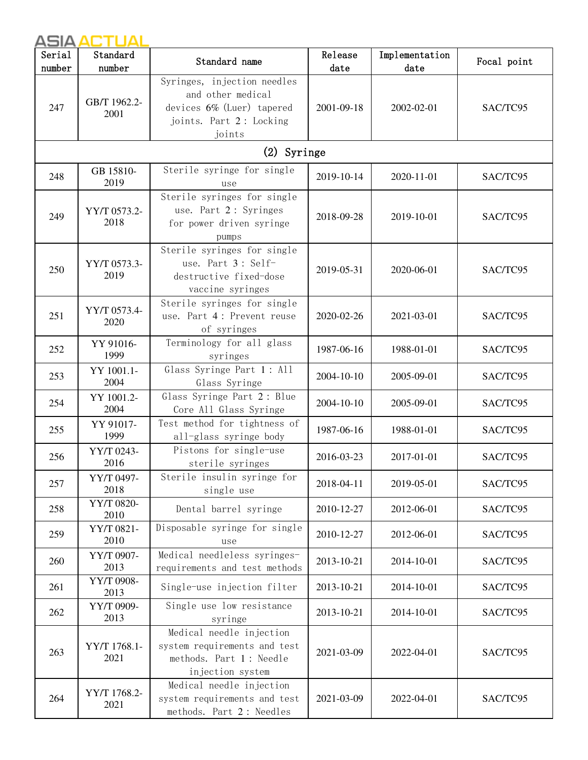| Serial | Standard             | Standard name                                                                                                      | Release    | Implementation | Focal point |  |
|--------|----------------------|--------------------------------------------------------------------------------------------------------------------|------------|----------------|-------------|--|
| number | number               |                                                                                                                    | date       | date           |             |  |
| 247    | GB/T 1962.2-<br>2001 | Syringes, injection needles<br>and other medical<br>devices 6% (Luer) tapered<br>joints. Part 2: Locking<br>joints | 2001-09-18 | 2002-02-01     | SAC/TC95    |  |
|        |                      | (2) Syringe                                                                                                        |            |                |             |  |
| 248    | GB 15810-<br>2019    | Sterile syringe for single<br>use                                                                                  | 2019-10-14 | 2020-11-01     | SAC/TC95    |  |
| 249    | YY/T 0573.2-<br>2018 | Sterile syringes for single<br>use. Part 2: Syringes<br>for power driven syringe<br>pumps                          | 2018-09-28 | 2019-10-01     | SAC/TC95    |  |
| 250    | YY/T 0573.3-<br>2019 | Sterile syringes for single<br>use. Part 3: Self-<br>destructive fixed-dose<br>vaccine syringes                    | 2019-05-31 | 2020-06-01     | SAC/TC95    |  |
| 251    | YY/T 0573.4-<br>2020 | Sterile syringes for single<br>use. Part 4: Prevent reuse<br>of syringes                                           | 2020-02-26 | 2021-03-01     | SAC/TC95    |  |
| 252    | YY 91016-<br>1999    | Terminology for all glass<br>syringes                                                                              | 1987-06-16 | 1988-01-01     | SAC/TC95    |  |
| 253    | YY 1001.1-<br>2004   | Glass Syringe Part 1: All<br>Glass Syringe                                                                         | 2004-10-10 | 2005-09-01     | SAC/TC95    |  |
| 254    | YY 1001.2-<br>2004   | Glass Syringe Part 2: Blue<br>Core All Glass Syringe                                                               | 2004-10-10 | 2005-09-01     | SAC/TC95    |  |
| 255    | YY 91017-<br>1999    | Test method for tightness of<br>all-glass syringe body                                                             | 1987-06-16 | 1988-01-01     | SAC/TC95    |  |
| 256    | YY/T 0243-<br>2016   | Pistons for single-use<br>sterile syringes                                                                         | 2016-03-23 | 2017-01-01     | SAC/TC95    |  |
| 257    | YY/T 0497-<br>2018   | Sterile insulin syringe for<br>single use                                                                          | 2018-04-11 | 2019-05-01     | SAC/TC95    |  |
| 258    | YY/T 0820-<br>2010   | Dental barrel syringe                                                                                              | 2010-12-27 | 2012-06-01     | SAC/TC95    |  |
| 259    | YY/T 0821-<br>2010   | Disposable syringe for single<br>use                                                                               | 2010-12-27 | 2012-06-01     | SAC/TC95    |  |
| 260    | YY/T 0907-<br>2013   | Medical needleless syringes-<br>requirements and test methods                                                      | 2013-10-21 | 2014-10-01     | SAC/TC95    |  |
| 261    | YY/T 0908-<br>2013   | Single-use injection filter                                                                                        | 2013-10-21 | 2014-10-01     | SAC/TC95    |  |
| 262    | YY/T 0909-<br>2013   | Single use low resistance<br>syringe                                                                               | 2013-10-21 | 2014-10-01     | SAC/TC95    |  |
| 263    | YY/T 1768.1-<br>2021 | Medical needle injection<br>system requirements and test<br>methods. Part 1 : Needle<br>injection system           | 2021-03-09 | 2022-04-01     | SAC/TC95    |  |
| 264    | YY/T 1768.2-<br>2021 | Medical needle injection<br>system requirements and test<br>methods. Part 2: Needles                               | 2021-03-09 | 2022-04-01     | SAC/TC95    |  |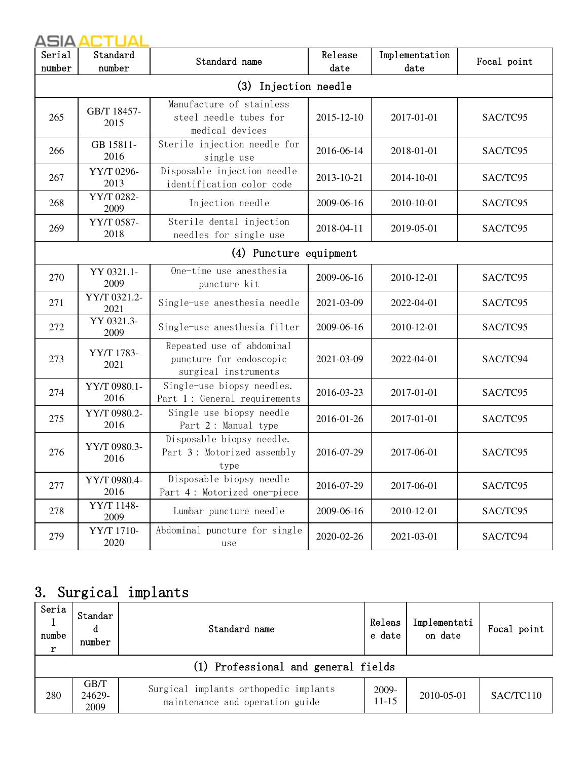| Serial<br>number | Standard<br>number   | Standard name                                                                | Release<br>date | Implementation<br>date | Focal point |  |  |  |
|------------------|----------------------|------------------------------------------------------------------------------|-----------------|------------------------|-------------|--|--|--|
|                  | (3) Injection needle |                                                                              |                 |                        |             |  |  |  |
| 265              | GB/T 18457-<br>2015  | Manufacture of stainless<br>steel needle tubes for<br>medical devices        | 2015-12-10      | 2017-01-01             | SAC/TC95    |  |  |  |
| 266              | GB 15811-<br>2016    | Sterile injection needle for<br>single use                                   | 2016-06-14      | 2018-01-01             | SAC/TC95    |  |  |  |
| 267              | YY/T 0296-<br>2013   | Disposable injection needle<br>identification color code                     | 2013-10-21      | 2014-10-01             | SAC/TC95    |  |  |  |
| 268              | YY/T 0282-<br>2009   | Injection needle                                                             | 2009-06-16      | 2010-10-01             | SAC/TC95    |  |  |  |
| 269              | YY/T 0587-<br>2018   | Sterile dental injection<br>needles for single use                           | 2018-04-11      | 2019-05-01             | SAC/TC95    |  |  |  |
|                  |                      | (4) Puncture equipment                                                       |                 |                        |             |  |  |  |
| 270              | YY 0321.1-<br>2009   | One-time use anesthesia<br>puncture kit                                      | 2009-06-16      | 2010-12-01             | SAC/TC95    |  |  |  |
| 271              | YY/T 0321.2-<br>2021 | Single-use anesthesia needle                                                 | 2021-03-09      | 2022-04-01             | SAC/TC95    |  |  |  |
| 272              | YY 0321.3-<br>2009   | Single-use anesthesia filter                                                 | 2009-06-16      | 2010-12-01             | SAC/TC95    |  |  |  |
| 273              | YY/T 1783-<br>2021   | Repeated use of abdominal<br>puncture for endoscopic<br>surgical instruments | 2021-03-09      | 2022-04-01             | SAC/TC94    |  |  |  |
| 274              | YY/T 0980.1-<br>2016 | Single-use biopsy needles.<br>Part 1: General requirements                   | 2016-03-23      | 2017-01-01             | SAC/TC95    |  |  |  |
| 275              | YY/T 0980.2-<br>2016 | Single use biopsy needle<br>Part 2: Manual type                              | 2016-01-26      | 2017-01-01             | SAC/TC95    |  |  |  |
| 276              | YY/T 0980.3-<br>2016 | Disposable biopsy needle.<br>Part 3: Motorized assembly<br>type              | 2016-07-29      | 2017-06-01             | SAC/TC95    |  |  |  |
| 277              | YY/T 0980.4-<br>2016 | Disposable biopsy needle<br>Part 4: Motorized one-piece                      | 2016-07-29      | 2017-06-01             | SAC/TC95    |  |  |  |
| 278              | YY/T 1148-<br>2009   | Lumbar puncture needle                                                       | 2009-06-16      | 2010-12-01             | SAC/TC95    |  |  |  |
| 279              | YY/T 1710-<br>2020   | Abdominal puncture for single<br>use                                         | 2020-02-26      | 2021-03-01             | SAC/TC94    |  |  |  |

## 3. Surgical implants

| Seria<br>numbe<br>r | Standar<br>d<br>number              | Standard name                                                            | Releas<br>e date   | Implementati<br>on date | Focal point |  |  |  |  |  |
|---------------------|-------------------------------------|--------------------------------------------------------------------------|--------------------|-------------------------|-------------|--|--|--|--|--|
|                     | (1) Professional and general fields |                                                                          |                    |                         |             |  |  |  |  |  |
| 280                 | GB/T<br>24629-<br>2009              | Surgical implants orthopedic implants<br>maintenance and operation guide | 2009-<br>$11 - 15$ | 2010-05-01              | SAC/TC110   |  |  |  |  |  |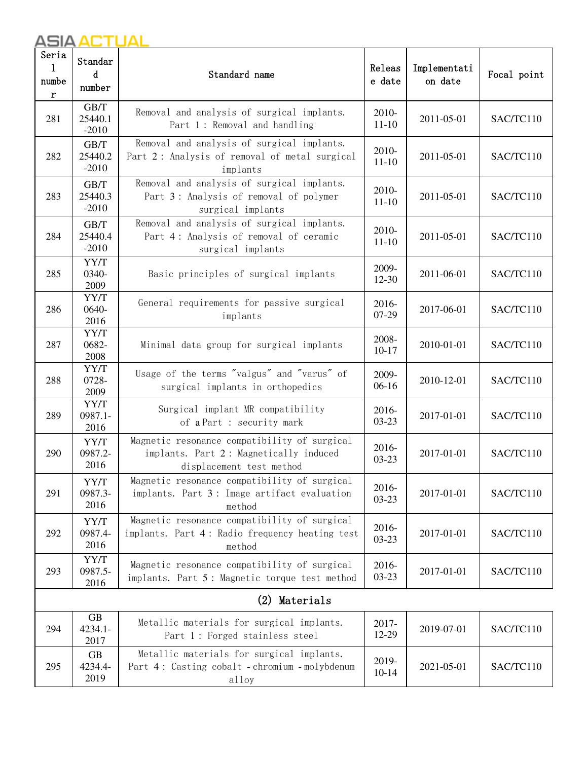| Seria<br>1<br>numbe<br>r | Standar<br>d<br>number       | Standard name                                                                                                      | Releas<br>e date   | Implementati<br>on date | Focal point |  |
|--------------------------|------------------------------|--------------------------------------------------------------------------------------------------------------------|--------------------|-------------------------|-------------|--|
| 281                      | GB/T<br>25440.1<br>$-2010$   | Removal and analysis of surgical implants.<br>Part 1: Removal and handling                                         | 2010-<br>$11 - 10$ | 2011-05-01              | SAC/TC110   |  |
| 282                      | GB/T<br>25440.2<br>$-2010$   | Removal and analysis of surgical implants.<br>Part 2: Analysis of removal of metal surgical<br>implants            | 2010-<br>$11 - 10$ | 2011-05-01              | SAC/TC110   |  |
| 283                      | GB/T<br>25440.3<br>$-2010$   | Removal and analysis of surgical implants.<br>Part 3: Analysis of removal of polymer<br>surgical implants          | 2010-<br>$11 - 10$ | 2011-05-01              | SAC/TC110   |  |
| 284                      | GB/T<br>25440.4<br>$-2010$   | Removal and analysis of surgical implants.<br>Part 4: Analysis of removal of ceramic<br>surgical implants          | 2010-<br>$11 - 10$ | 2011-05-01              | SAC/TC110   |  |
| 285                      | YY/T<br>0340-<br>2009        | Basic principles of surgical implants                                                                              | 2009-<br>12-30     | 2011-06-01              | SAC/TC110   |  |
| 286                      | YY/T<br>0640-<br>2016        | General requirements for passive surgical<br>implants                                                              | 2016-<br>07-29     | 2017-06-01              | SAC/TC110   |  |
| 287                      | YY/T<br>0682-<br>2008        | Minimal data group for surgical implants                                                                           | 2008-<br>$10-17$   | 2010-01-01              | SAC/TC110   |  |
| 288                      | YY/T<br>0728-<br>2009        | Usage of the terms "valgus" and "varus" of<br>surgical implants in orthopedics                                     | 2009-<br>$06-16$   | 2010-12-01              | SAC/TC110   |  |
| 289                      | YY/T<br>0987.1-<br>2016      | Surgical implant MR compatibility<br>of a Part : security mark                                                     | 2016-<br>$03 - 23$ | 2017-01-01              | SAC/TC110   |  |
| 290                      | YY/T<br>0987.2-<br>2016      | Magnetic resonance compatibility of surgical<br>implants. Part 2: Magnetically induced<br>displacement test method | 2016-<br>$03 - 23$ | 2017-01-01              | SAC/TC110   |  |
| 291                      | YY/T<br>0987.3-<br>2016      | Magnetic resonance compatibility of surgical<br>implants. Part 3: Image artifact evaluation<br>method              | 2016-<br>$03 - 23$ | 2017-01-01              | SAC/TC110   |  |
| 292                      | YY/T<br>0987.4-<br>2016      | Magnetic resonance compatibility of surgical<br>implants. Part 4: Radio frequency heating test<br>method           | 2016-<br>$03 - 23$ | 2017-01-01              | SAC/TC110   |  |
| 293                      | YY/T<br>0987.5-<br>2016      | Magnetic resonance compatibility of surgical<br>implants. Part 5: Magnetic torque test method                      | 2016-<br>$03 - 23$ | 2017-01-01              | SAC/TC110   |  |
| Materials<br>(2)         |                              |                                                                                                                    |                    |                         |             |  |
| 294                      | <b>GB</b><br>4234.1-<br>2017 | Metallic materials for surgical implants.<br>Part 1: Forged stainless steel                                        | 2017-<br>12-29     | 2019-07-01              | SAC/TC110   |  |
| 295                      | <b>GB</b><br>4234.4-<br>2019 | Metallic materials for surgical implants.<br>Part 4: Casting cobalt - chromium - molybdenum<br>alloy               | 2019-<br>$10 - 14$ | 2021-05-01              | SAC/TC110   |  |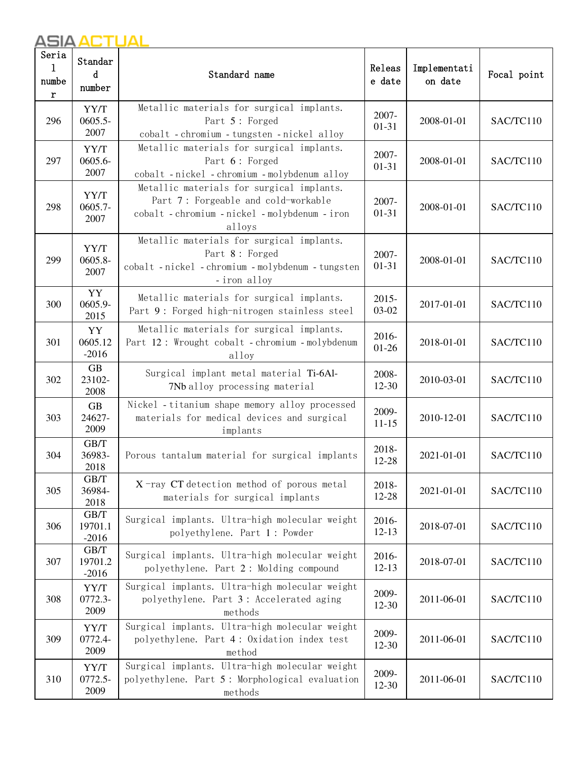| Seria<br>1<br>numbe<br>r | Standar<br>d<br>number      | Standard name                                                                                                                                | Releas<br>e date   | Implementati<br>on date | Focal point |
|--------------------------|-----------------------------|----------------------------------------------------------------------------------------------------------------------------------------------|--------------------|-------------------------|-------------|
| 296                      | YY/T<br>$0605.5 -$<br>2007  | Metallic materials for surgical implants.<br>Part 5: Forged<br>cobalt - chromium - tungsten - nickel alloy                                   | 2007-<br>$01 - 31$ | 2008-01-01              | SAC/TC110   |
| 297                      | YY/T<br>0605.6-<br>2007     | Metallic materials for surgical implants.<br>Part 6: Forged<br>cobalt - nickel - chromium - molybdenum alloy                                 | 2007-<br>$01 - 31$ | 2008-01-01              | SAC/TC110   |
| 298                      | YY/T<br>$0605.7 -$<br>2007  | Metallic materials for surgical implants.<br>Part 7: Forgeable and cold-workable<br>cobalt - chromium - nickel - molybdenum - iron<br>alloys | 2007-<br>$01 - 31$ | 2008-01-01              | SAC/TC110   |
| 299                      | YY/T<br>$0605.8 -$<br>2007  | Metallic materials for surgical implants.<br>Part 8: Forged<br>cobalt - nickel - chromium - molybdenum - tungsten<br>-iron alloy             | 2007-<br>$01 - 31$ | 2008-01-01              | SAC/TC110   |
| 300                      | YY<br>0605.9-<br>2015       | Metallic materials for surgical implants.<br>Part 9: Forged high-nitrogen stainless steel                                                    | $2015 -$<br>03-02  | 2017-01-01              | SAC/TC110   |
| 301                      | YY<br>0605.12<br>$-2016$    | Metallic materials for surgical implants.<br>Part 12: Wrought cobalt - chromium - molybdenum<br>alloy                                        | 2016-<br>$01 - 26$ | 2018-01-01              | SAC/TC110   |
| 302                      | <b>GB</b><br>23102-<br>2008 | Surgical implant metal material Ti-6Al-<br>7Nb alloy processing material                                                                     | 2008-<br>$12 - 30$ | 2010-03-01              | SAC/TC110   |
| 303                      | <b>GB</b><br>24627-<br>2009 | Nickel - titanium shape memory alloy processed<br>materials for medical devices and surgical<br>implants                                     | 2009-<br>$11 - 15$ | 2010-12-01              | SAC/TC110   |
| 304                      | GB/T<br>36983-<br>2018      | Porous tantalum material for surgical implants                                                                                               | 2018-<br>12-28     | 2021-01-01              | SAC/TC110   |
| 305                      | GB/T<br>36984-<br>2018      | $X$ -ray CT detection method of porous metal<br>materials for surgical implants                                                              | 2018-<br>12-28     | 2021-01-01              | SAC/TC110   |
| 306                      | GB/T<br>19701.1<br>$-2016$  | Surgical implants. Ultra-high molecular weight<br>polyethylene. Part 1: Powder                                                               | 2016-<br>$12 - 13$ | 2018-07-01              | SAC/TC110   |
| 307                      | GB/T<br>19701.2<br>$-2016$  | Surgical implants. Ultra-high molecular weight<br>polyethylene. Part 2: Molding compound                                                     | 2016-<br>$12-13$   | 2018-07-01              | SAC/TC110   |
| 308                      | YY/T<br>0772.3-<br>2009     | Surgical implants. Ultra-high molecular weight<br>polyethylene. Part 3: Accelerated aging<br>methods                                         | 2009-<br>$12 - 30$ | 2011-06-01              | SAC/TC110   |
| 309                      | YY/T<br>0772.4-<br>2009     | Surgical implants. Ultra-high molecular weight<br>polyethylene. Part 4: Oxidation index test<br>method                                       | 2009-<br>$12 - 30$ | 2011-06-01              | SAC/TC110   |
| 310                      | YY/T<br>0772.5-<br>2009     | Surgical implants. Ultra-high molecular weight<br>polyethylene. Part 5: Morphological evaluation<br>methods                                  | 2009-<br>12-30     | 2011-06-01              | SAC/TC110   |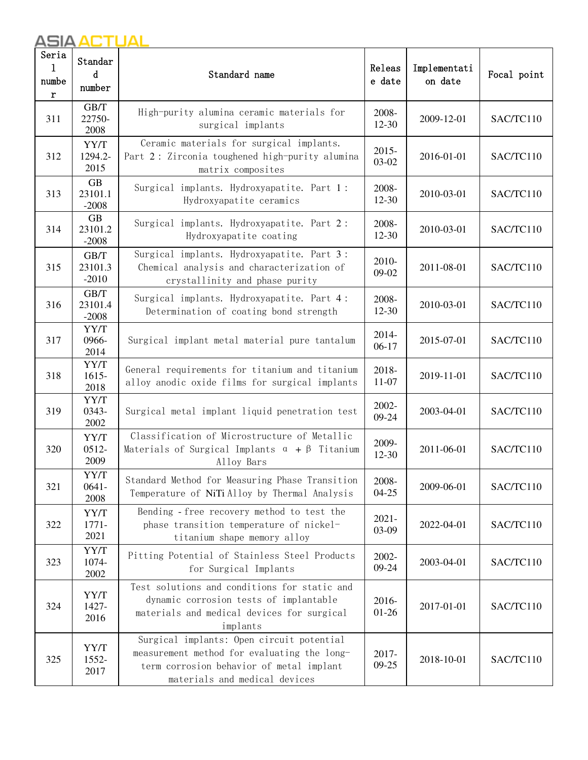| Seria<br>1<br>numbe<br>r | Standar<br>d<br>number          | Standard name                                                                                                                                                         | Releas<br>e date   | Implementati<br>on date | Focal point |
|--------------------------|---------------------------------|-----------------------------------------------------------------------------------------------------------------------------------------------------------------------|--------------------|-------------------------|-------------|
| 311                      | GB/T<br>22750-<br>2008          | High-purity alumina ceramic materials for<br>surgical implants                                                                                                        | 2008-<br>$12 - 30$ | 2009-12-01              | SAC/TC110   |
| 312                      | YY/T<br>1294.2-<br>2015         | Ceramic materials for surgical implants.<br>Part 2: Zirconia toughened high-purity alumina<br>matrix composites                                                       | $2015 -$<br>03-02  | 2016-01-01              | SAC/TC110   |
| 313                      | <b>GB</b><br>23101.1<br>$-2008$ | Surgical implants. Hydroxyapatite. Part 1:<br>Hydroxyapatite ceramics                                                                                                 | 2008-<br>$12 - 30$ | 2010-03-01              | SAC/TC110   |
| 314                      | <b>GB</b><br>23101.2<br>$-2008$ | Surgical implants. Hydroxyapatite. Part 2:<br>Hydroxyapatite coating                                                                                                  | 2008-<br>$12 - 30$ | 2010-03-01              | SAC/TC110   |
| 315                      | GB/T<br>23101.3<br>$-2010$      | Surgical implants. Hydroxyapatite. Part 3:<br>Chemical analysis and characterization of<br>crystallinity and phase purity                                             | 2010-<br>09-02     | 2011-08-01              | SAC/TC110   |
| 316                      | GB/T<br>23101.4<br>$-2008$      | Surgical implants. Hydroxyapatite. Part 4:<br>Determination of coating bond strength                                                                                  | 2008-<br>$12 - 30$ | 2010-03-01              | SAC/TC110   |
| 317                      | YY/T<br>0966-<br>2014           | Surgical implant metal material pure tantalum                                                                                                                         | 2014-<br>$06-17$   | 2015-07-01              | SAC/TC110   |
| 318                      | YY/T<br>$1615 -$<br>2018        | General requirements for titanium and titanium<br>alloy anodic oxide films for surgical implants                                                                      | 2018-<br>$11-07$   | 2019-11-01              | SAC/TC110   |
| 319                      | YY/T<br>0343-<br>2002           | Surgical metal implant liquid penetration test                                                                                                                        | 2002-<br>09-24     | 2003-04-01              | SAC/TC110   |
| 320                      | YY/T<br>$0512 -$<br>2009        | Classification of Microstructure of Metallic<br>Materials of Surgical Implants $\alpha + \beta$ Titanium<br>Alloy Bars                                                | 2009-<br>$12-30$   | 2011-06-01              | SAC/TC110   |
| 321                      | YY/T<br>$0641 -$<br>2008        | Standard Method for Measuring Phase Transition<br>Temperature of NiTi Alloy by Thermal Analysis                                                                       | 2008-<br>$04 - 25$ | 2009-06-01              | SAC/TC110   |
| 322                      | YY/T<br>$1771 -$<br>2021        | Bending - free recovery method to test the<br>phase transition temperature of nickel-<br>titanium shape memory alloy                                                  | $2021 -$<br>03-09  | 2022-04-01              | SAC/TC110   |
| 323                      | YY/T<br>1074-<br>2002           | Pitting Potential of Stainless Steel Products<br>for Surgical Implants                                                                                                | 2002-<br>$09 - 24$ | 2003-04-01              | SAC/TC110   |
| 324                      | YY/T<br>1427-<br>2016           | Test solutions and conditions for static and<br>dynamic corrosion tests of implantable<br>materials and medical devices for surgical<br>implants                      | 2016-<br>$01-26$   | 2017-01-01              | SAC/TC110   |
| 325                      | YY/T<br>1552-<br>2017           | Surgical implants: Open circuit potential<br>measurement method for evaluating the long-<br>term corrosion behavior of metal implant<br>materials and medical devices | 2017-<br>$09-25$   | 2018-10-01              | SAC/TC110   |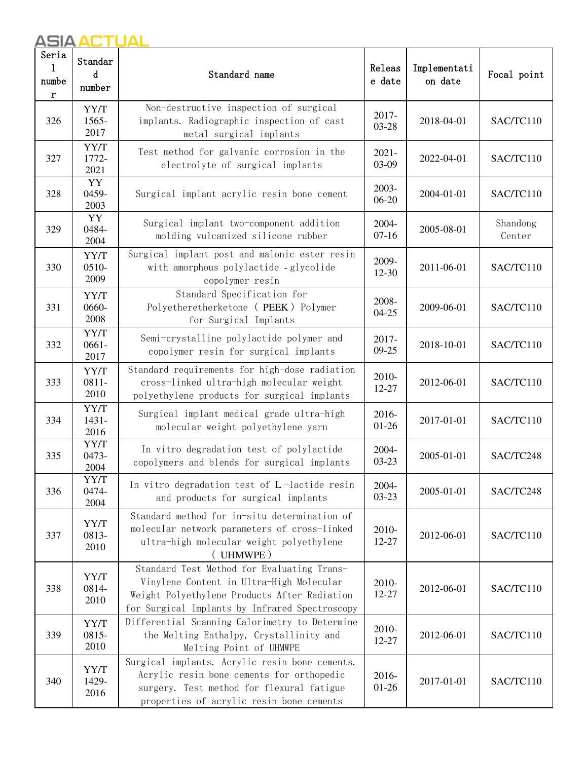| Seria<br>1<br>numbe<br>$\mathbf r$ | Standar<br>d<br>number   | Standard name                                                                                                                                                                            | Releas<br>e date   | Implementati<br>on date | Focal point        |
|------------------------------------|--------------------------|------------------------------------------------------------------------------------------------------------------------------------------------------------------------------------------|--------------------|-------------------------|--------------------|
| 326                                | YY/T<br>1565-<br>2017    | Non-destructive inspection of surgical<br>implants. Radiographic inspection of cast<br>metal surgical implants                                                                           | 2017-<br>03-28     | 2018-04-01              | SAC/TC110          |
| 327                                | YY/T<br>1772-<br>2021    | Test method for galvanic corrosion in the<br>electrolyte of surgical implants                                                                                                            | $2021 -$<br>03-09  | 2022-04-01              | SAC/TC110          |
| 328                                | YY<br>0459-<br>2003      | Surgical implant acrylic resin bone cement                                                                                                                                               | 2003-<br>$06 - 20$ | 2004-01-01              | SAC/TC110          |
| 329                                | YY<br>0484-<br>2004      | Surgical implant two-component addition<br>molding vulcanized silicone rubber                                                                                                            | 2004-<br>$07-16$   | 2005-08-01              | Shandong<br>Center |
| 330                                | YY/T<br>0510-<br>2009    | Surgical implant post and malonic ester resin<br>with amorphous polylactide - glycolide<br>copolymer resin                                                                               | 2009-<br>12-30     | 2011-06-01              | SAC/TC110          |
| 331                                | YY/T<br>0660-<br>2008    | Standard Specification for<br>Polyetheretherketone (PEEK) Polymer<br>for Surgical Implants                                                                                               | 2008-<br>$04 - 25$ | 2009-06-01              | SAC/TC110          |
| 332                                | YY/T<br>$0661 -$<br>2017 | Semi-crystalline polylactide polymer and<br>copolymer resin for surgical implants                                                                                                        | 2017-<br>$09 - 25$ | 2018-10-01              | SAC/TC110          |
| 333                                | YY/T<br>$0811 -$<br>2010 | Standard requirements for high-dose radiation<br>cross-linked ultra-high molecular weight<br>polyethylene products for surgical implants                                                 | 2010-<br>12-27     | 2012-06-01              | SAC/TC110          |
| 334                                | YY/T<br>$1431 -$<br>2016 | Surgical implant medical grade ultra-high<br>molecular weight polyethylene yarn                                                                                                          | 2016-<br>$01-26$   | 2017-01-01              | SAC/TC110          |
| 335                                | YY/T<br>0473-<br>2004    | In vitro degradation test of polylactide<br>copolymers and blends for surgical implants                                                                                                  | 2004-<br>$03 - 23$ | 2005-01-01              | SAC/TC248          |
| 336                                | YY/T<br>0474-<br>2004    | In vitro degradation test of L-lactide resin<br>and products for surgical implants                                                                                                       | 2004-<br>$03 - 23$ | 2005-01-01              | SAC/TC248          |
| 337                                | YY/T<br>0813-<br>2010    | Standard method for in-situ determination of<br>molecular network parameters of cross-linked<br>ultra-high molecular weight polyethylene<br>UHMWPE)                                      | 2010-<br>12-27     | 2012-06-01              | SAC/TC110          |
| 338                                | YY/T<br>0814-<br>2010    | Standard Test Method for Evaluating Trans-<br>Vinylene Content in Ultra-High Molecular<br>Weight Polyethylene Products After Radiation<br>for Surgical Implants by Infrared Spectroscopy | 2010-<br>12-27     | 2012-06-01              | SAC/TC110          |
| 339                                | YY/T<br>0815-<br>2010    | Differential Scanning Calorimetry to Determine<br>the Melting Enthalpy, Crystallinity and<br>Melting Point of UHMWPE                                                                     | 2010-<br>12-27     | 2012-06-01              | SAC/TC110          |
| 340                                | YY/T<br>1429-<br>2016    | Surgical implants. Acrylic resin bone cements.<br>Acrylic resin bone cements for orthopedic<br>surgery. Test method for flexural fatigue<br>properties of acrylic resin bone cements     | 2016-<br>$01-26$   | 2017-01-01              | SAC/TC110          |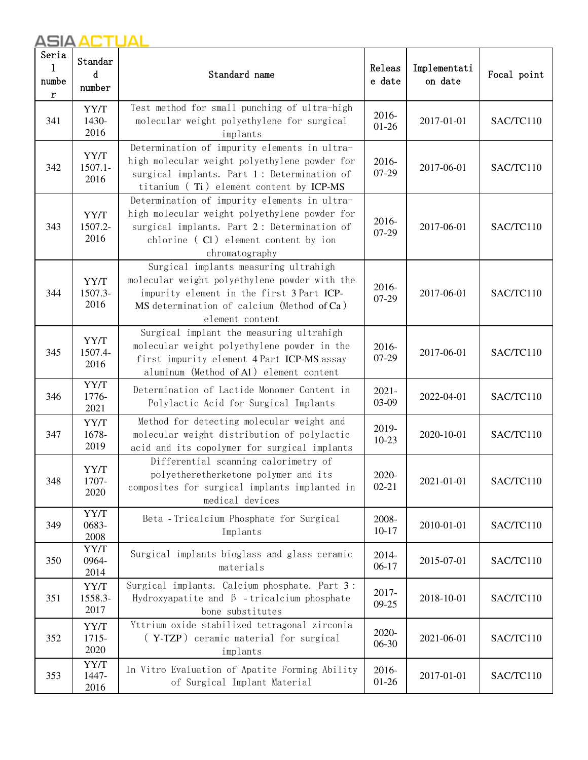| Seria<br>1<br>numbe<br>r | Standar<br>d<br>number     | Standard name                                                                                                                                                                                          | Releas<br>e date   | Implementati<br>on date | Focal point |
|--------------------------|----------------------------|--------------------------------------------------------------------------------------------------------------------------------------------------------------------------------------------------------|--------------------|-------------------------|-------------|
| 341                      | YY/T<br>1430-<br>2016      | Test method for small punching of ultra-high<br>molecular weight polyethylene for surgical<br>implants                                                                                                 | 2016-<br>$01 - 26$ | 2017-01-01              | SAC/TC110   |
| 342                      | YY/T<br>$1507.1 -$<br>2016 | Determination of impurity elements in ultra-<br>high molecular weight polyethylene powder for<br>surgical implants. Part 1: Determination of<br>titanium (Ti) element content by ICP-MS                | 2016-<br>07-29     | 2017-06-01              | SAC/TC110   |
| 343                      | YY/T<br>1507.2-<br>2016    | Determination of impurity elements in ultra-<br>high molecular weight polyethylene powder for<br>surgical implants. Part 2: Determination of<br>chlorine (Cl) element content by ion<br>chromatography | 2016-<br>07-29     | 2017-06-01              | SAC/TC110   |
| 344                      | YY/T<br>1507.3-<br>2016    | Surgical implants measuring ultrahigh<br>molecular weight polyethylene powder with the<br>impurity element in the first 3 Part ICP-<br>MS determination of calcium (Method of Ca)<br>element content   | 2016-<br>07-29     | 2017-06-01              | SAC/TC110   |
| 345                      | YY/T<br>1507.4-<br>2016    | Surgical implant the measuring ultrahigh<br>molecular weight polyethylene powder in the<br>first impurity element 4 Part ICP-MS assay<br>aluminum (Method of Al) element content                       | 2016-<br>07-29     | 2017-06-01              | SAC/TC110   |
| 346                      | YY/T<br>1776-<br>2021      | Determination of Lactide Monomer Content in<br>Polylactic Acid for Surgical Implants                                                                                                                   | $2021 -$<br>03-09  | 2022-04-01              | SAC/TC110   |
| 347                      | YY/T<br>1678-<br>2019      | Method for detecting molecular weight and<br>molecular weight distribution of polylactic<br>acid and its copolymer for surgical implants                                                               | 2019-<br>$10-23$   | 2020-10-01              | SAC/TC110   |
| 348                      | YY/T<br>1707-<br>2020      | Differential scanning calorimetry of<br>polyetheretherketone polymer and its<br>composites for surgical implants implanted in<br>medical devices                                                       | 2020-<br>$02 - 21$ | 2021-01-01              | SAC/TC110   |
| 349                      | YY/T<br>0683-<br>2008      | Beta - Tricalcium Phosphate for Surgical<br>Implants                                                                                                                                                   | 2008-<br>$10 - 17$ | 2010-01-01              | SAC/TC110   |
| 350                      | YY/T<br>0964-<br>2014      | Surgical implants bioglass and glass ceramic<br>materials                                                                                                                                              | 2014-<br>$06-17$   | 2015-07-01              | SAC/TC110   |
| 351                      | YY/T<br>1558.3-<br>2017    | Surgical implants. Calcium phosphate. Part 3:<br>Hydroxyapatite and $\beta$ -tricalcium phosphate<br>bone substitutes                                                                                  | 2017-<br>$09 - 25$ | 2018-10-01              | SAC/TC110   |
| 352                      | YY/T<br>1715-<br>2020      | Yttrium oxide stabilized tetragonal zirconia<br>(Y-TZP) ceramic material for surgical<br>implants                                                                                                      | 2020-<br>06-30     | 2021-06-01              | SAC/TC110   |
| 353                      | YY/T<br>1447-<br>2016      | In Vitro Evaluation of Apatite Forming Ability<br>of Surgical Implant Material                                                                                                                         | 2016-<br>$01-26$   | 2017-01-01              | SAC/TC110   |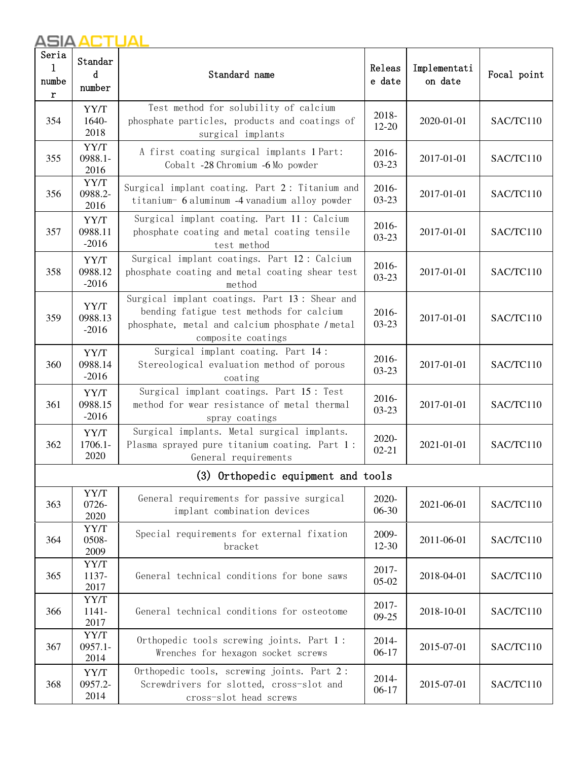| Seria<br>1<br>numbe<br>r | Standar<br>d<br>number     | Standard name                                                                                                                                                     | Releas<br>e date   | Implementati<br>on date | Focal point |
|--------------------------|----------------------------|-------------------------------------------------------------------------------------------------------------------------------------------------------------------|--------------------|-------------------------|-------------|
| 354                      | YY/T<br>1640-<br>2018      | Test method for solubility of calcium<br>phosphate particles, products and coatings of<br>surgical implants                                                       | 2018-<br>$12 - 20$ | 2020-01-01              | SAC/TC110   |
| 355                      | YY/T<br>0988.1-<br>2016    | A first coating surgical implants 1 Part:<br>Cobalt -28 Chromium -6 Mo powder                                                                                     | 2016-<br>$03-23$   | 2017-01-01              | SAC/TC110   |
| 356                      | YY/T<br>0988.2-<br>2016    | Surgical implant coating. Part 2: Titanium and<br>titanium- 6 aluminum -4 vanadium alloy powder                                                                   | 2016-<br>$03-23$   | 2017-01-01              | SAC/TC110   |
| 357                      | YY/T<br>0988.11<br>$-2016$ | Surgical implant coating. Part 11: Calcium<br>phosphate coating and metal coating tensile<br>test method                                                          | 2016-<br>$03 - 23$ | 2017-01-01              | SAC/TC110   |
| 358                      | YY/T<br>0988.12<br>$-2016$ | Surgical implant coatings. Part 12: Calcium<br>phosphate coating and metal coating shear test<br>method                                                           | 2016-<br>$03 - 23$ | 2017-01-01              | SAC/TC110   |
| 359                      | YY/T<br>0988.13<br>$-2016$ | Surgical implant coatings. Part 13: Shear and<br>bending fatigue test methods for calcium<br>phosphate, metal and calcium phosphate / metal<br>composite coatings | 2016-<br>$03-23$   | 2017-01-01              | SAC/TC110   |
| 360                      | YY/T<br>0988.14<br>$-2016$ | Surgical implant coating. Part 14:<br>Stereological evaluation method of porous<br>coating                                                                        | 2016-<br>$03 - 23$ | 2017-01-01              | SAC/TC110   |
| 361                      | YY/T<br>0988.15<br>$-2016$ | Surgical implant coatings. Part 15: Test<br>method for wear resistance of metal thermal<br>spray coatings                                                         | 2016-<br>$03-23$   | 2017-01-01              | SAC/TC110   |
| 362                      | YY/T<br>1706.1-<br>2020    | Surgical implants. Metal surgical implants.<br>Plasma sprayed pure titanium coating. Part 1:<br>General requirements                                              | 2020-<br>$02 - 21$ | 2021-01-01              | SAC/TC110   |
|                          |                            | (3) Orthopedic equipment and tools                                                                                                                                |                    |                         |             |
| 363                      | YY/T<br>0726-<br>2020      | General requirements for passive surgical<br>implant combination devices                                                                                          | 2020-<br>06-30     | 2021-06-01              | SAC/TC110   |
| 364                      | YY/T<br>0508-<br>2009      | Special requirements for external fixation<br>bracket                                                                                                             | 2009-<br>$12-30$   | 2011-06-01              | SAC/TC110   |
| 365                      | YY/T<br>1137-<br>2017      | General technical conditions for bone saws                                                                                                                        | 2017-<br>$05-02$   | 2018-04-01              | SAC/TC110   |
| 366                      | YY/T<br>1141-<br>2017      | General technical conditions for osteotome                                                                                                                        | 2017-<br>$09-25$   | 2018-10-01              | SAC/TC110   |
| 367                      | YY/T<br>$0957.1 -$<br>2014 | Orthopedic tools screwing joints. Part 1:<br>Wrenches for hexagon socket screws                                                                                   | 2014-<br>$06-17$   | 2015-07-01              | SAC/TC110   |
| 368                      | YY/T<br>0957.2-<br>2014    | Orthopedic tools, screwing joints. Part 2:<br>Screwdrivers for slotted, cross-slot and<br>cross-slot head screws                                                  | 2014-<br>$06-17$   | 2015-07-01              | SAC/TC110   |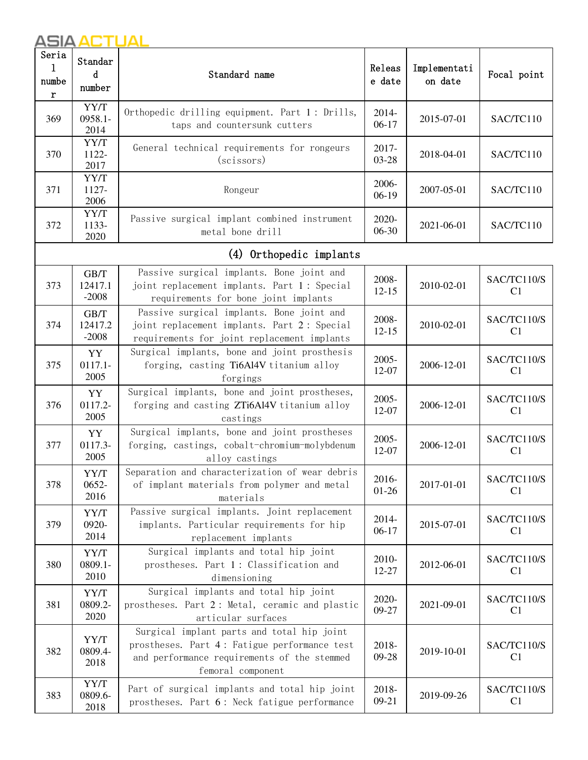| Seria<br>1<br>numbe<br>r | Standar<br>d<br>number     | Releas<br>Standard name<br>e date                                                                                                                              |                              | Implementati<br>on date | Focal point                   |
|--------------------------|----------------------------|----------------------------------------------------------------------------------------------------------------------------------------------------------------|------------------------------|-------------------------|-------------------------------|
| 369                      | YY/T<br>0958.1-<br>2014    | Orthopedic drilling equipment. Part 1: Drills,<br>taps and countersunk cutters                                                                                 | 2014-<br>$06-17$             | 2015-07-01              | SAC/TC110                     |
| 370                      | YY/T<br>1122-<br>2017      | General technical requirements for rongeurs<br>(scissors)                                                                                                      | 2017-<br>03-28               | 2018-04-01              | SAC/TC110                     |
| 371                      | YY/T<br>1127-<br>2006      | Rongeur                                                                                                                                                        | 2006-<br>$06-19$             | 2007-05-01              | SAC/TC110                     |
| 372                      | YY/T<br>1133-<br>2020      | Passive surgical implant combined instrument<br>metal bone drill                                                                                               | 2020-<br>06-30               | 2021-06-01              | SAC/TC110                     |
|                          |                            | (4) Orthopedic implants                                                                                                                                        |                              |                         |                               |
| 373                      | GB/T<br>12417.1<br>$-2008$ | Passive surgical implants. Bone joint and<br>joint replacement implants. Part 1: Special<br>requirements for bone joint implants                               | 2008-<br>$12 - 15$           | 2010-02-01              | SAC/TC110/S<br>C <sub>1</sub> |
| 374                      | GB/T<br>12417.2<br>$-2008$ | Passive surgical implants. Bone joint and<br>joint replacement implants. Part 2: Special<br>requirements for joint replacement implants                        | 2008-<br>$12 - 15$           | 2010-02-01              | SAC/TC110/S<br>C1             |
| 375                      | YY<br>$0117.1 -$<br>2005   | Surgical implants, bone and joint prosthesis<br>forging, casting Ti6Al4V titanium alloy<br>forgings                                                            | 2005-<br>12-07               | 2006-12-01              | SAC/TC110/S<br>C1             |
| 376                      | YY<br>0117.2-<br>2005      | Surgical implants, bone and joint prostheses,<br>forging and casting ZTi6Al4V titanium alloy<br>castings                                                       | 2005-<br>12-07               | 2006-12-01              | SAC/TC110/S<br>C1             |
| 377                      | YY<br>0117.3-<br>2005      | Surgical implants, bone and joint prostheses<br>forging, castings, cobalt-chromium-molybdenum<br>alloy castings                                                | 2005-<br>12-07               | 2006-12-01              | SAC/TC110/S<br>C1             |
| 378                      | YY/T<br>$0652 -$<br>2016   | Separation and characterization of wear debris<br>of implant materials from polymer and metal<br>materials                                                     | 2016-<br>$01-26$             | 2017-01-01              | SAC/TC110/S<br>C <sub>1</sub> |
| 379                      | YY/T<br>0920-<br>2014      | Passive surgical implants. Joint replacement<br>implants. Particular requirements for hip<br>replacement implants                                              | 2014-<br>$06-17$             | 2015-07-01              | SAC/TC110/S<br>C <sub>1</sub> |
| 380                      | YY/T<br>0809.1-<br>2010    | Surgical implants and total hip joint<br>prostheses. Part 1: Classification and<br>dimensioning                                                                | 2010-<br>12-27               | 2012-06-01              | SAC/TC110/S<br>C1             |
| 381                      | YY/T<br>0809.2-<br>2020    | Surgical implants and total hip joint<br>prostheses. Part 2: Metal, ceramic and plastic<br>articular surfaces                                                  | 2020-<br>2021-09-01<br>09-27 |                         | SAC/TC110/S<br>C <sub>1</sub> |
| 382                      | YY/T<br>0809.4-<br>2018    | Surgical implant parts and total hip joint<br>prostheses. Part 4: Fatigue performance test<br>and performance requirements of the stemmed<br>femoral component | 2018-<br>09-28               | 2019-10-01              | SAC/TC110/S<br>C <sub>1</sub> |
| 383                      | YY/T<br>0809.6-<br>2018    | Part of surgical implants and total hip joint<br>prostheses. Part 6: Neck fatigue performance                                                                  | 2018-<br>$09-21$             | 2019-09-26              | SAC/TC110/S<br>C <sub>1</sub> |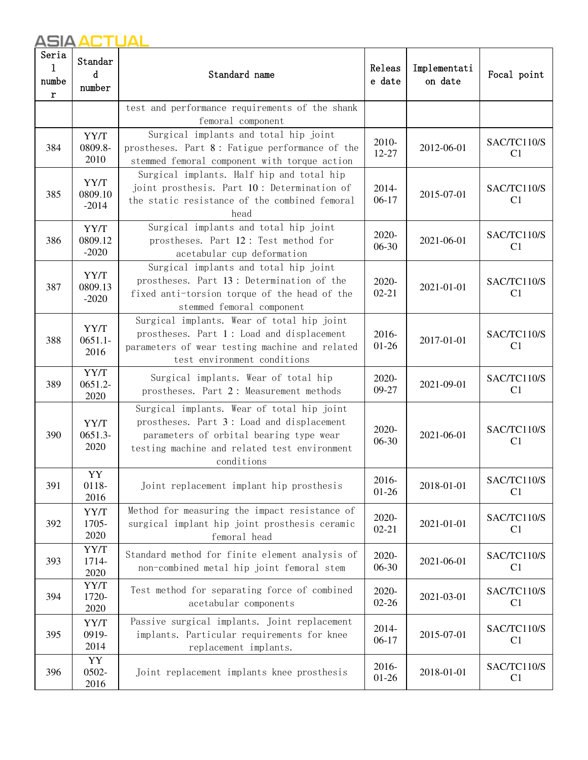| Seria<br>1<br>numbe<br>r | Standar<br>d<br>number                                                                                                                                                                   | Standard name                                                                                                                                                                                    |                                  | Implementati<br>on date | Focal point                   |
|--------------------------|------------------------------------------------------------------------------------------------------------------------------------------------------------------------------------------|--------------------------------------------------------------------------------------------------------------------------------------------------------------------------------------------------|----------------------------------|-------------------------|-------------------------------|
|                          |                                                                                                                                                                                          | test and performance requirements of the shank<br>femoral component                                                                                                                              |                                  |                         |                               |
| 384                      | Surgical implants and total hip joint<br>YY/T<br>2010-<br>0809.8-<br>prostheses. Part 8: Fatigue performance of the<br>$12 - 27$<br>2010<br>stemmed femoral component with torque action |                                                                                                                                                                                                  |                                  | 2012-06-01              | SAC/TC110/S<br>C <sub>1</sub> |
| 385                      | YY/T<br>0809.10<br>$-2014$                                                                                                                                                               | Surgical implants. Half hip and total hip<br>joint prosthesis. Part 10: Determination of<br>2014-<br>$06-17$<br>the static resistance of the combined femoral<br>head                            |                                  | 2015-07-01              | SAC/TC110/S<br>C1             |
| 386                      | YY/T<br>0809.12<br>$-2020$                                                                                                                                                               | Surgical implants and total hip joint<br>prostheses. Part 12: Test method for<br>acetabular cup deformation                                                                                      | 2020-<br>$06-30$                 | 2021-06-01              | SAC/TC110/S<br>C <sub>1</sub> |
| 387                      | YY/T<br>0809.13<br>$-2020$                                                                                                                                                               | Surgical implants and total hip joint<br>prostheses. Part 13: Determination of the<br>fixed anti-torsion torque of the head of the<br>stemmed femoral component                                  | 2020-<br>2021-01-01<br>$02 - 21$ |                         | SAC/TC110/S<br>C <sub>1</sub> |
| 388                      | YY/T<br>$0651.1 -$<br>2016                                                                                                                                                               | Surgical implants. Wear of total hip joint<br>prostheses. Part 1: Load and displacement<br>parameters of wear testing machine and related<br>test environment conditions                         | 2016-<br>$01-26$                 | 2017-01-01              | SAC/TC110/S<br>C <sub>1</sub> |
| 389                      | YY/T<br>0651.2-<br>2020                                                                                                                                                                  | Surgical implants. Wear of total hip<br>prostheses. Part 2: Measurement methods                                                                                                                  | 2020-<br>09-27                   | 2021-09-01              | SAC/TC110/S<br>C1             |
| 390                      | YY/T<br>$0651.3-$<br>2020                                                                                                                                                                | Surgical implants. Wear of total hip joint<br>prostheses. Part 3: Load and displacement<br>parameters of orbital bearing type wear<br>testing machine and related test environment<br>conditions | 2020-<br>06-30                   | 2021-06-01              | SAC/TC110/S<br>C1             |
| 391                      | YY<br>0118-<br>2016                                                                                                                                                                      | Joint replacement implant hip prosthesis                                                                                                                                                         | 2016-<br>$01-26$                 | 2018-01-01              | SAC/TC110/S<br>C <sub>1</sub> |
| 392                      | YY/T<br>1705-<br>2020                                                                                                                                                                    | Method for measuring the impact resistance of<br>surgical implant hip joint prosthesis ceramic<br>femoral head                                                                                   | 2020-<br>$02 - 21$               | 2021-01-01              | SAC/TC110/S<br>C <sub>1</sub> |
| 393                      | YY/T<br>1714-<br>2020                                                                                                                                                                    | Standard method for finite element analysis of<br>non-combined metal hip joint femoral stem                                                                                                      | 2020-<br>06-30                   | 2021-06-01              | SAC/TC110/S<br>C1             |
| 394                      | YY/T<br>1720-<br>2020                                                                                                                                                                    | Test method for separating force of combined<br>acetabular components                                                                                                                            | 2020-<br>$02 - 26$               | 2021-03-01              | SAC/TC110/S<br>C1             |
| 395                      | YY/T<br>0919-<br>2014                                                                                                                                                                    | Passive surgical implants. Joint replacement<br>implants. Particular requirements for knee<br>replacement implants.                                                                              | 2014-<br>$06-17$                 | 2015-07-01              | SAC/TC110/S<br>C1             |
| 396                      | YY<br>0502-<br>2016                                                                                                                                                                      | Joint replacement implants knee prosthesis                                                                                                                                                       | 2016-<br>$01-26$                 | 2018-01-01              | SAC/TC110/S<br>C <sub>1</sub> |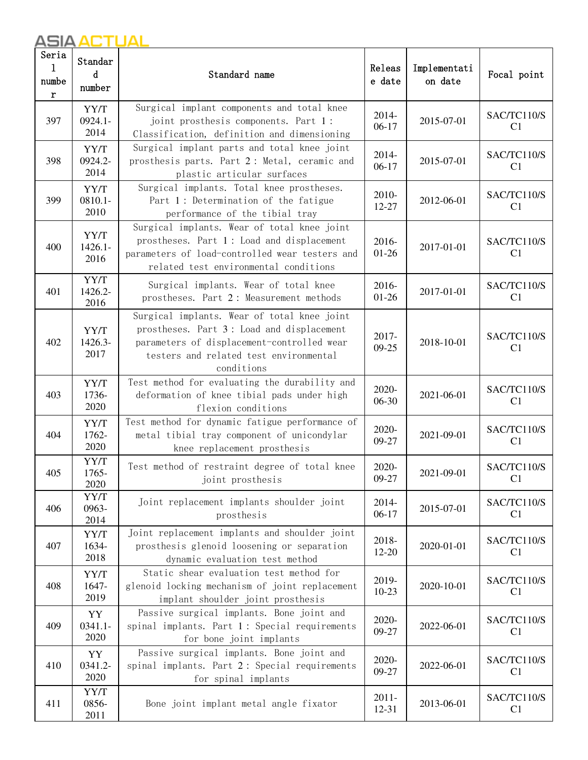| Seria<br>1<br>numbe<br>r | Standar<br>d<br>number     | Standard name                                                                                                                                                                                  |                                  | Implementati<br>on date | Focal point                   |
|--------------------------|----------------------------|------------------------------------------------------------------------------------------------------------------------------------------------------------------------------------------------|----------------------------------|-------------------------|-------------------------------|
| 397                      | YY/T<br>0924.1-<br>2014    | Surgical implant components and total knee<br>joint prosthesis components. Part 1:<br>Classification, definition and dimensioning                                                              | 2014-<br>$06-17$                 | 2015-07-01              | SAC/TC110/S<br>C1             |
| 398                      | YY/T<br>0924.2-<br>2014    | Surgical implant parts and total knee joint<br>prosthesis parts. Part 2: Metal, ceramic and<br>plastic articular surfaces                                                                      | 2014-<br>$06-17$                 | 2015-07-01              | SAC/TC110/S<br>C <sub>1</sub> |
| 399                      | YY/T<br>$0810.1 -$<br>2010 | Surgical implants. Total knee prostheses.<br>Part 1: Determination of the fatigue<br>performance of the tibial tray                                                                            | 2010-<br>12-27                   | 2012-06-01              | SAC/TC110/S<br>C1             |
| 400                      | YY/T<br>$1426.1 -$<br>2016 | Surgical implants. Wear of total knee joint<br>prostheses. Part 1: Load and displacement<br>parameters of load-controlled wear testers and<br>related test environmental conditions            | 2016-<br>$01 - 26$               | 2017-01-01              | SAC/TC110/S<br>C <sub>1</sub> |
| 401                      | YY/T<br>1426.2-<br>2016    | Surgical implants. Wear of total knee<br>prostheses. Part 2: Measurement methods                                                                                                               | 2016-<br>$01 - 26$               | 2017-01-01              | SAC/TC110/S<br>C1             |
| 402                      | YY/T<br>1426.3-<br>2017    | Surgical implants. Wear of total knee joint<br>prostheses. Part 3: Load and displacement<br>parameters of displacement-controlled wear<br>testers and related test environmental<br>conditions | 2017-<br>2018-10-01<br>$09 - 25$ |                         | SAC/TC110/S<br>C <sub>1</sub> |
| 403                      | YY/T<br>1736-<br>2020      | Test method for evaluating the durability and<br>deformation of knee tibial pads under high<br>flexion conditions                                                                              | 2020-<br>2021-06-01<br>06-30     |                         | SAC/TC110/S<br>C <sub>1</sub> |
| 404                      | YY/T<br>1762-<br>2020      | Test method for dynamic fatigue performance of<br>metal tibial tray component of unicondylar<br>knee replacement prosthesis                                                                    | 2020-<br>09-27                   | 2021-09-01              | SAC/TC110/S<br>C1             |
| 405                      | YY/T<br>1765-<br>2020      | Test method of restraint degree of total knee<br>joint prosthesis                                                                                                                              | 2020-<br>09-27                   | 2021-09-01              | SAC/TC110/S<br>C <sub>1</sub> |
| 406                      | YY/T<br>0963-<br>2014      | Joint replacement implants shoulder joint<br>prosthesis                                                                                                                                        | 2014-<br>$06-17$                 | 2015-07-01              | SAC/TC110/S<br>C1             |
| 407                      | YY/T<br>1634-<br>2018      | Joint replacement implants and shoulder joint<br>prosthesis glenoid loosening or separation<br>dynamic evaluation test method                                                                  | 2018-<br>12-20                   | 2020-01-01              | SAC/TC110/S<br>C <sub>1</sub> |
| 408                      | YY/T<br>1647-<br>2019      | Static shear evaluation test method for<br>glenoid locking mechanism of joint replacement<br>implant shoulder joint prosthesis                                                                 | 2019-<br>2020-10-01<br>$10-23$   |                         | SAC/TC110/S<br>C <sub>1</sub> |
| 409                      | YY<br>$0341.1 -$<br>2020   | Passive surgical implants. Bone joint and<br>spinal implants. Part 1: Special requirements<br>for bone joint implants                                                                          | 2020-<br>09-27                   | 2022-06-01              | SAC/TC110/S<br>C <sub>1</sub> |
| 410                      | YY<br>0341.2-<br>2020      | Passive surgical implants. Bone joint and<br>spinal implants. Part 2: Special requirements<br>for spinal implants                                                                              | 2020-<br>09-27                   | 2022-06-01              | SAC/TC110/S<br>C <sub>1</sub> |
| 411                      | YY/T<br>0856-<br>2011      | Bone joint implant metal angle fixator                                                                                                                                                         | $2011 -$<br>12-31                | 2013-06-01              | SAC/TC110/S<br>C1             |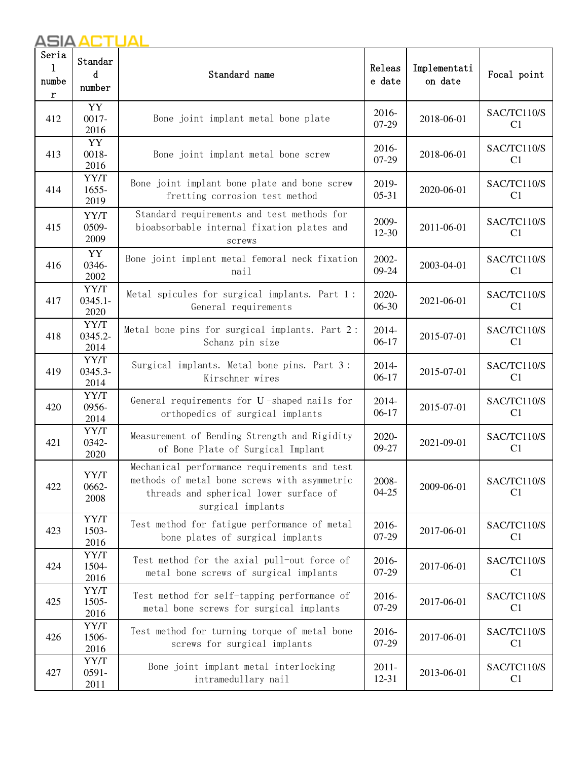| Seria<br>1<br>numbe<br>r | Standar<br>d<br>number                                        | Releas<br>Standard name<br>e date                                                                                                                           |                       | Implementati<br>on date | Focal point                   |
|--------------------------|---------------------------------------------------------------|-------------------------------------------------------------------------------------------------------------------------------------------------------------|-----------------------|-------------------------|-------------------------------|
| 412                      | YY<br>$0017 -$<br>Bone joint implant metal bone plate<br>2016 |                                                                                                                                                             | 2016-<br>07-29        | 2018-06-01              | SAC/TC110/S<br>C <sub>1</sub> |
| 413                      | YY<br>0018-<br>2016                                           | Bone joint implant metal bone screw                                                                                                                         | 2016-<br>07-29        | 2018-06-01              | SAC/TC110/S<br>C <sub>1</sub> |
| 414                      | YY/T<br>1655-<br>2019                                         | Bone joint implant bone plate and bone screw<br>fretting corrosion test method                                                                              | 2019-<br>$05-31$      | 2020-06-01              | SAC/TC110/S<br>C1             |
| 415                      | YY/T<br>0509-<br>2009                                         | Standard requirements and test methods for<br>bioabsorbable internal fixation plates and<br>screws                                                          | 2009-<br>12-30        | 2011-06-01              | SAC/TC110/S<br>C1             |
| 416                      | YY<br>0346-<br>2002                                           | Bone joint implant metal femoral neck fixation<br>nail                                                                                                      | 2002-<br>09-24        | 2003-04-01              | SAC/TC110/S<br>C <sub>1</sub> |
| 417                      | YY/T<br>$0345.1 -$<br>2020                                    | Metal spicules for surgical implants. Part 1:<br>General requirements                                                                                       | 2020-<br>06-30        | 2021-06-01              | SAC/TC110/S<br>C <sub>1</sub> |
| 418                      | YY/T<br>0345.2-<br>2014                                       | Metal bone pins for surgical implants. Part 2:<br>Schanz pin size                                                                                           | 2014-<br>$06-17$      | 2015-07-01              | SAC/TC110/S<br>C <sub>1</sub> |
| 419                      | YY/T<br>0345.3-<br>2014                                       | Surgical implants. Metal bone pins. Part 3:<br>Kirschner wires                                                                                              | 2014-<br>$06-17$      | 2015-07-01              | SAC/TC110/S<br>C <sub>1</sub> |
| 420                      | YY/T<br>0956-<br>2014                                         | General requirements for U-shaped nails for<br>orthopedics of surgical implants                                                                             | 2014-<br>$06-17$      | 2015-07-01              | SAC/TC110/S<br>C <sub>1</sub> |
| 421                      | YY/T<br>0342-<br>2020                                         | Measurement of Bending Strength and Rigidity<br>of Bone Plate of Surgical Implant                                                                           | 2020-<br>09-27        | 2021-09-01              | SAC/TC110/S<br>C <sub>1</sub> |
| 422                      | YY/T<br>0662-<br>2008                                         | Mechanical performance requirements and test<br>methods of metal bone screws with asymmetric<br>threads and spherical lower surface of<br>surgical implants | 2008-<br>$04 - 25$    | 2009-06-01              | SAC/TC110/S<br>C <sub>1</sub> |
| 423                      | YY/T<br>1503-<br>2016                                         | Test method for fatigue performance of metal<br>bone plates of surgical implants                                                                            | 2016-<br>07-29        | 2017-06-01              | SAC/TC110/S<br>C1             |
| 424                      | YY/T<br>1504-<br>2016                                         | Test method for the axial pull-out force of<br>metal bone screws of surgical implants                                                                       | 2016-<br>$07-29$      | 2017-06-01              | SAC/TC110/S<br>C1             |
| 425                      | YY/T<br>1505-<br>2016                                         | Test method for self-tapping performance of<br>metal bone screws for surgical implants                                                                      | 2016-<br>07-29        | 2017-06-01              | SAC/TC110/S<br>C <sub>1</sub> |
| 426                      | YY/T<br>1506-<br>2016                                         | Test method for turning torque of metal bone<br>screws for surgical implants                                                                                | 2016-<br>07-29        | 2017-06-01              | SAC/TC110/S<br>C <sub>1</sub> |
| 427                      | YY/T<br>$0591 -$<br>2011                                      | Bone joint implant metal interlocking<br>intramedullary nail                                                                                                | $2011 -$<br>$12 - 31$ | 2013-06-01              | SAC/TC110/S<br>C <sub>1</sub> |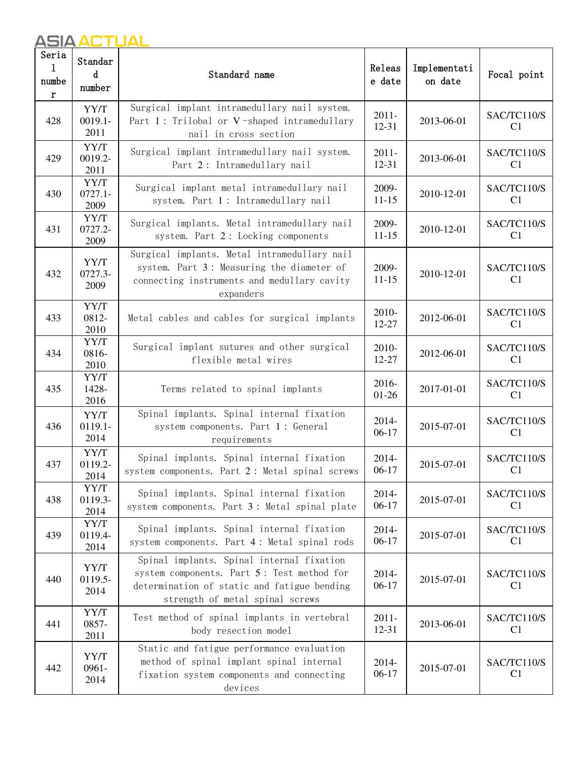| Seria<br>1<br>numbe<br>r | Standar<br>d<br>number                                                                                                                                                           | Releas<br>Standard name<br>e date                                                                                                                                         |                                | Implementati<br>on date | Focal point                   |
|--------------------------|----------------------------------------------------------------------------------------------------------------------------------------------------------------------------------|---------------------------------------------------------------------------------------------------------------------------------------------------------------------------|--------------------------------|-------------------------|-------------------------------|
| 428                      | YY/T<br>$0019.1 -$<br>2011                                                                                                                                                       | Surgical implant intramedullary nail system.<br>$2011 -$<br>Part 1: Trilobal or V-shaped intramedullary<br>12-31<br>nail in cross section                                 |                                | 2013-06-01              | SAC/TC110/S<br>C <sub>1</sub> |
| 429                      | 0019.2-<br>2011                                                                                                                                                                  | YY/T<br>Surgical implant intramedullary nail system.<br>$2011 -$<br>12-31<br>Part 2: Intramedullary nail                                                                  |                                | 2013-06-01              | SAC/TC110/S<br>C1             |
| 430                      | YY/T<br>$0727.1 -$<br>2009                                                                                                                                                       | Surgical implant metal intramedullary nail<br>system. Part 1: Intramedullary nail                                                                                         | 2009-<br>$11 - 15$             | 2010-12-01              | SAC/TC110/S<br>C <sub>1</sub> |
| 431                      | YY/T<br>0727.2-<br>2009                                                                                                                                                          | Surgical implants. Metal intramedullary nail<br>system. Part 2: Locking components                                                                                        | 2009-<br>$11 - 15$             | 2010-12-01              | SAC/TC110/S<br>C <sub>1</sub> |
| 432                      | Surgical implants. Metal intramedullary nail<br>YY/T<br>system. Part 3: Measuring the diameter of<br>0727.3-<br>connecting instruments and medullary cavity<br>2009<br>expanders |                                                                                                                                                                           | 2009-<br>$11 - 15$             | 2010-12-01              | SAC/TC110/S<br>C1             |
| 433                      | YY/T<br>0812-<br>2010                                                                                                                                                            | Metal cables and cables for surgical implants                                                                                                                             | 2010-<br>12-27                 | 2012-06-01              | SAC/TC110/S<br>C1             |
| 434                      | YY/T<br>0816-<br>2010                                                                                                                                                            | Surgical implant sutures and other surgical<br>flexible metal wires                                                                                                       | 2010-<br>12-27                 | 2012-06-01              | SAC/TC110/S<br>C1             |
| 435                      | YY/T<br>1428-<br>2016                                                                                                                                                            | Terms related to spinal implants                                                                                                                                          | 2016-<br>2017-01-01<br>$01-26$ |                         | SAC/TC110/S<br>C1             |
| 436                      | YY/T<br>$0119.1 -$<br>2014                                                                                                                                                       | Spinal implants. Spinal internal fixation<br>system components. Part 1: General<br>requirements                                                                           | 2014-<br>$06-17$               | 2015-07-01              | SAC/TC110/S<br>C <sub>1</sub> |
| 437                      | YY/T<br>0119.2-<br>2014                                                                                                                                                          | Spinal implants. Spinal internal fixation<br>system components. Part 2: Metal spinal screws                                                                               | 2014-<br>$06-17$               | 2015-07-01              | SAC/TC110/S<br>C1             |
| 438                      | YY/T<br>0119.3-<br>2014                                                                                                                                                          | Spinal implants. Spinal internal fixation<br>system components. Part 3: Metal spinal plate                                                                                | 2014-<br>$06-17$               | 2015-07-01              | SAC/TC110/S<br>C <sub>1</sub> |
| 439                      | YY/T<br>0119.4-<br>2014                                                                                                                                                          | Spinal implants. Spinal internal fixation<br>system components. Part 4: Metal spinal rods                                                                                 | 2014-<br>$06-17$               | 2015-07-01              | SAC/TC110/S<br>C <sub>1</sub> |
| 440                      | YY/T<br>0119.5-<br>2014                                                                                                                                                          | Spinal implants. Spinal internal fixation<br>system components. Part 5: Test method for<br>determination of static and fatigue bending<br>strength of metal spinal screws | 2014-<br>$06-17$               | 2015-07-01              | SAC/TC110/S<br>C1             |
| 441                      | YY/T<br>0857-<br>2011                                                                                                                                                            | Test method of spinal implants in vertebral<br>body resection model                                                                                                       | $2011 -$<br>12-31              | 2013-06-01              | SAC/TC110/S<br>C <sub>1</sub> |
| 442                      | YY/T<br>$0961 -$<br>2014                                                                                                                                                         | Static and fatigue performance evaluation<br>method of spinal implant spinal internal<br>fixation system components and connecting<br>devices                             | 2014-<br>$06-17$               | 2015-07-01              | SAC/TC110/S<br>C <sub>1</sub> |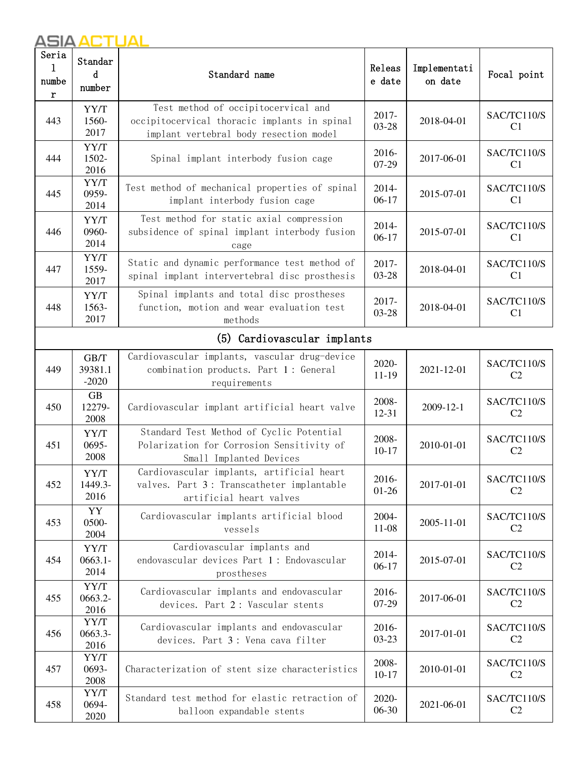| Seria<br>1<br>numbe<br>r | Standar<br>d<br>number                                                                                                                                     | Releas<br>Standard name<br>e date                                                                                 |                    | Implementati<br>on date | Focal point                   |  |
|--------------------------|------------------------------------------------------------------------------------------------------------------------------------------------------------|-------------------------------------------------------------------------------------------------------------------|--------------------|-------------------------|-------------------------------|--|
| 443                      | Test method of occipitocervical and<br>YY/T<br>1560-<br>occipitocervical thoracic implants in spinal<br>2017<br>implant vertebral body resection model     |                                                                                                                   | 2017-<br>03-28     | 2018-04-01              | SAC/TC110/S<br>C <sub>1</sub> |  |
| 444                      | YY/T<br>1502-<br>2016                                                                                                                                      | Spinal implant interbody fusion cage                                                                              | 2016-<br>07-29     | 2017-06-01              | SAC/TC110/S<br>C1             |  |
| 445                      | YY/T<br>0959-<br>2014                                                                                                                                      | Test method of mechanical properties of spinal<br>implant interbody fusion cage                                   | 2014-<br>$06-17$   | 2015-07-01              | SAC/TC110/S<br>C <sub>1</sub> |  |
| 446                      | YY/T<br>0960-<br>2014                                                                                                                                      | Test method for static axial compression<br>subsidence of spinal implant interbody fusion<br>cage                 | 2014-<br>$06-17$   | 2015-07-01              | SAC/TC110/S<br>C <sub>1</sub> |  |
| 447                      | YY/T<br>1559-<br>2017                                                                                                                                      | Static and dynamic performance test method of<br>spinal implant intervertebral disc prosthesis                    | 2017-<br>03-28     | 2018-04-01              | SAC/TC110/S<br>C <sub>1</sub> |  |
| 448                      | Spinal implants and total disc prostheses<br>YY/T<br>2017-<br>function, motion and wear evaluation test<br>2018-04-01<br>1563-<br>03-28<br>2017<br>methods |                                                                                                                   |                    | SAC/TC110/S<br>C1       |                               |  |
|                          |                                                                                                                                                            | (5) Cardiovascular implants                                                                                       |                    |                         |                               |  |
| 449                      | GB/T<br>39381.1<br>$-2020$                                                                                                                                 | Cardiovascular implants, vascular drug-device<br>combination products. Part 1: General<br>requirements            | 2020-<br>$11-19$   | 2021-12-01              | SAC/TC110/S<br>C <sub>2</sub> |  |
| 450                      | GB<br>12279-<br>2008                                                                                                                                       | Cardiovascular implant artificial heart valve                                                                     | 2008-<br>12-31     | 2009-12-1               | SAC/TC110/S<br>C <sub>2</sub> |  |
| 451                      | YY/T<br>0695-<br>2008                                                                                                                                      | Standard Test Method of Cyclic Potential<br>Polarization for Corrosion Sensitivity of<br>Small Implanted Devices  | 2008-<br>$10 - 17$ | 2010-01-01              | SAC/TC110/S<br>C <sub>2</sub> |  |
| 452                      | YY/T<br>1449.3-<br>2016                                                                                                                                    | Cardiovascular implants, artificial heart<br>valves. Part 3: Transcatheter implantable<br>artificial heart valves | 2016-<br>$01 - 26$ | 2017-01-01              | SAC/TC110/S<br>C <sub>2</sub> |  |
| 453                      | YY<br>0500-<br>2004                                                                                                                                        | Cardiovascular implants artificial blood<br>vessels                                                               | 2004-<br>11-08     | 2005-11-01              | SAC/TC110/S<br>C <sub>2</sub> |  |
| 454                      | YY/T<br>$0663.1 -$<br>2014                                                                                                                                 | Cardiovascular implants and<br>endovascular devices Part 1: Endovascular<br>prostheses                            | 2014-<br>$06-17$   | 2015-07-01              | SAC/TC110/S<br>C <sub>2</sub> |  |
| 455                      | YY/T<br>0663.2-<br>2016                                                                                                                                    | Cardiovascular implants and endovascular<br>devices. Part 2: Vascular stents                                      | 2016-<br>07-29     | 2017-06-01              | SAC/TC110/S<br>C <sub>2</sub> |  |
| 456                      | YY/T<br>0663.3-<br>2016                                                                                                                                    | Cardiovascular implants and endovascular<br>devices. Part 3: Vena cava filter                                     | 2016-<br>$03 - 23$ | 2017-01-01              | SAC/TC110/S<br>C <sub>2</sub> |  |
| 457                      | YY/T<br>0693-<br>2008                                                                                                                                      | Characterization of stent size characteristics                                                                    | 2008-<br>$10 - 17$ | 2010-01-01              | SAC/TC110/S<br>C2             |  |
| 458                      | YY/T<br>0694-<br>2020                                                                                                                                      | Standard test method for elastic retraction of<br>balloon expandable stents                                       | 2020-<br>06-30     | 2021-06-01              | SAC/TC110/S<br>C2             |  |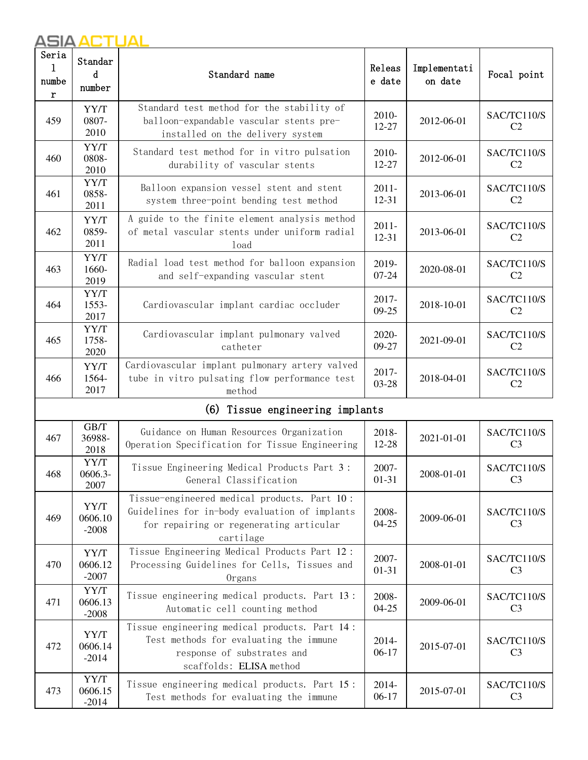| Seria<br>1<br>numbe<br>r | Standar<br>d<br>number                                                                                                                            | Releas<br>Standard name<br>e date                                                                                                                     |                    | Implementati<br>on date | Focal point                   |
|--------------------------|---------------------------------------------------------------------------------------------------------------------------------------------------|-------------------------------------------------------------------------------------------------------------------------------------------------------|--------------------|-------------------------|-------------------------------|
| 459                      | Standard test method for the stability of<br>YY/T<br>0807-<br>balloon-expandable vascular stents pre-<br>2010<br>installed on the delivery system |                                                                                                                                                       | 2010-<br>$12 - 27$ | 2012-06-01              | SAC/TC110/S<br>C <sub>2</sub> |
| 460                      | YY/T<br>0808-<br>2010                                                                                                                             | Standard test method for in vitro pulsation<br>durability of vascular stents                                                                          | 2010-<br>12-27     | 2012-06-01              | SAC/TC110/S<br>C <sub>2</sub> |
| 461                      | YY/T<br>0858-<br>2011                                                                                                                             | Balloon expansion vessel stent and stent<br>system three-point bending test method                                                                    | $2011 -$<br>12-31  | 2013-06-01              | SAC/TC110/S<br>C <sub>2</sub> |
| 462                      | YY/T<br>0859-<br>2011                                                                                                                             | A guide to the finite element analysis method<br>of metal vascular stents under uniform radial<br>load                                                | $2011 -$<br>12-31  | 2013-06-01              | SAC/TC110/S<br>C <sub>2</sub> |
| 463                      | YY/T<br>1660-<br>2019                                                                                                                             | Radial load test method for balloon expansion<br>and self-expanding vascular stent                                                                    | 2019-<br>$07 - 24$ | 2020-08-01              | SAC/TC110/S<br>C <sub>2</sub> |
| 464                      | YY/T<br>1553-<br>2017                                                                                                                             | Cardiovascular implant cardiac occluder                                                                                                               | 2017-<br>09-25     | 2018-10-01              | SAC/TC110/S<br>C <sub>2</sub> |
| 465                      | YY/T<br>Cardiovascular implant pulmonary valved<br>1758-<br>catheter<br>2020                                                                      |                                                                                                                                                       | 2020-<br>09-27     | 2021-09-01              | SAC/TC110/S<br>C <sub>2</sub> |
| 466                      | YY/T<br>1564-<br>2017                                                                                                                             | Cardiovascular implant pulmonary artery valved<br>tube in vitro pulsating flow performance test<br>method                                             | 2017-<br>$03 - 28$ | 2018-04-01              | SAC/TC110/S<br>C <sub>2</sub> |
|                          |                                                                                                                                                   | (6) Tissue engineering implants                                                                                                                       |                    |                         |                               |
| 467                      | GB/T<br>36988-<br>2018                                                                                                                            | Guidance on Human Resources Organization<br>Operation Specification for Tissue Engineering                                                            | 2018-<br>12-28     | 2021-01-01              | SAC/TC110/S<br>C <sub>3</sub> |
| 468                      | YY/T<br>0606.3-<br>2007                                                                                                                           | Tissue Engineering Medical Products Part 3:<br>General Classification                                                                                 | 2007-<br>$01 - 31$ | 2008-01-01              | SAC/TC110/S<br>C <sub>3</sub> |
| 469                      | YY/T<br>0606.10<br>$-2008$                                                                                                                        | Tissue-engineered medical products. Part 10:<br>Guidelines for in-body evaluation of implants<br>for repairing or regenerating articular<br>cartilage | 2008-<br>$04 - 25$ | 2009-06-01              | SAC/TC110/S<br>C <sub>3</sub> |
| 470                      | YY/T<br>0606.12<br>$-2007$                                                                                                                        | Tissue Engineering Medical Products Part 12:<br>Processing Guidelines for Cells, Tissues and<br>Organs                                                | 2007-<br>$01 - 31$ | 2008-01-01              | SAC/TC110/S<br>C <sub>3</sub> |
| 471                      | YY/T<br>0606.13<br>$-2008$                                                                                                                        | Tissue engineering medical products. Part 13:<br>Automatic cell counting method                                                                       | 2008-<br>$04 - 25$ | 2009-06-01              | SAC/TC110/S<br>C <sub>3</sub> |
| 472                      | YY/T<br>0606.14<br>$-2014$                                                                                                                        | Tissue engineering medical products. Part 14:<br>Test methods for evaluating the immune<br>response of substrates and<br>scaffolds: ELISA method      | 2014-<br>$06-17$   | 2015-07-01              | SAC/TC110/S<br>C <sub>3</sub> |
| 473                      | YY/T<br>0606.15<br>$-2014$                                                                                                                        | Tissue engineering medical products. Part 15:<br>Test methods for evaluating the immune                                                               | 2014-<br>$06-17$   | 2015-07-01              | SAC/TC110/S<br>C <sub>3</sub> |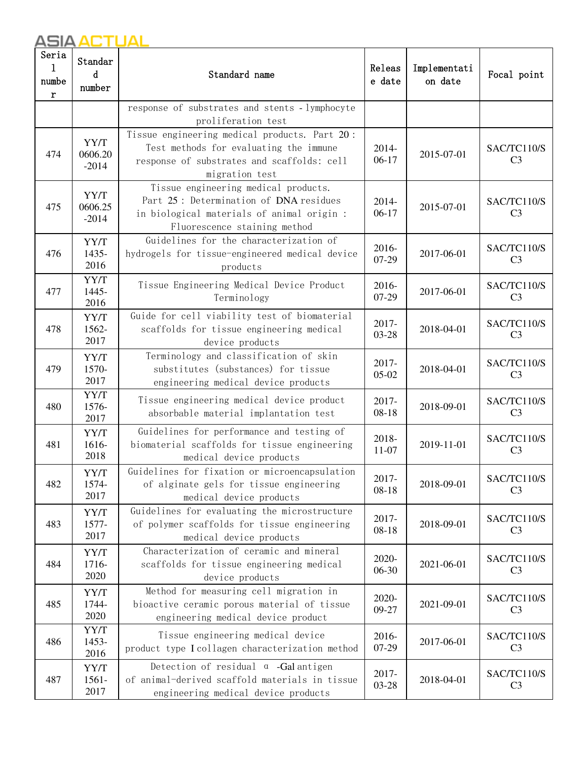| Seria<br>1<br>numbe<br>r | Standar<br>d<br>number     | Standard name                                                                                                                                                |                       | Implementati<br>on date | Focal point                   |
|--------------------------|----------------------------|--------------------------------------------------------------------------------------------------------------------------------------------------------------|-----------------------|-------------------------|-------------------------------|
|                          |                            | response of substrates and stents - lymphocyte<br>proliferation test                                                                                         |                       |                         |                               |
| 474                      | YY/T<br>0606.20<br>$-2014$ | Tissue engineering medical products. Part 20:<br>Test methods for evaluating the immune<br>response of substrates and scaffolds: cell<br>migration test      | 2014-<br>$06-17$      | 2015-07-01              | SAC/TC110/S<br>C <sub>3</sub> |
| 475                      | YY/T<br>0606.25<br>$-2014$ | Tissue engineering medical products.<br>Part 25: Determination of DNA residues<br>in biological materials of animal origin :<br>Fluorescence staining method | 2014-<br>$06-17$      | 2015-07-01              | SAC/TC110/S<br>C <sub>3</sub> |
| 476                      | YY/T<br>1435-<br>2016      | Guidelines for the characterization of<br>hydrogels for tissue-engineered medical device<br>products                                                         | 2016-<br>07-29        | 2017-06-01              | SAC/TC110/S<br>C <sub>3</sub> |
| 477                      | YY/T<br>1445-<br>2016      | Tissue Engineering Medical Device Product<br>Terminology                                                                                                     | 2016-<br>07-29        | 2017-06-01              | SAC/TC110/S<br>C <sub>3</sub> |
| 478                      | YY/T<br>1562-<br>2017      | Guide for cell viability test of biomaterial<br>scaffolds for tissue engineering medical<br>device products                                                  | 2017-<br>03-28        | 2018-04-01              | SAC/TC110/S<br>C <sub>3</sub> |
| 479                      | YY/T<br>1570-<br>2017      | Terminology and classification of skin<br>substitutes (substances) for tissue<br>engineering medical device products                                         | 2017-<br>$05-02$      | 2018-04-01              | SAC/TC110/S<br>C <sub>3</sub> |
| 480                      | YY/T<br>1576-<br>2017      | Tissue engineering medical device product<br>absorbable material implantation test                                                                           | 2017-<br>$08 - 18$    | 2018-09-01              | SAC/TC110/S<br>C <sub>3</sub> |
| 481                      | YY/T<br>1616-<br>2018      | Guidelines for performance and testing of<br>biomaterial scaffolds for tissue engineering<br>medical device products                                         | 2018-<br>$11-07$      | 2019-11-01              | SAC/TC110/S<br>C <sub>3</sub> |
| 482                      | YY/T<br>1574-<br>2017      | Guidelines for fixation or microencapsulation<br>of alginate gels for tissue engineering<br>medical device products                                          | 2017-<br>$08 - 18$    | 2018-09-01              | SAC/TC110/S<br>C <sub>3</sub> |
| 483                      | YY/T<br>1577-<br>2017      | Guidelines for evaluating the microstructure<br>of polymer scaffolds for tissue engineering<br>medical device products                                       | $2017 -$<br>$08 - 18$ | 2018-09-01              | SAC/TC110/S<br>C <sub>3</sub> |
| 484                      | YY/T<br>1716-<br>2020      | Characterization of ceramic and mineral<br>scaffolds for tissue engineering medical<br>device products                                                       | 2020-<br>06-30        | 2021-06-01              | SAC/TC110/S<br>C <sub>3</sub> |
| 485                      | YY/T<br>1744-<br>2020      | Method for measuring cell migration in<br>bioactive ceramic porous material of tissue<br>engineering medical device product                                  | 2020-<br>09-27        | 2021-09-01              | SAC/TC110/S<br>C <sub>3</sub> |
| 486                      | YY/T<br>1453-<br>2016      | Tissue engineering medical device<br>product type I collagen characterization method                                                                         | 2016-<br>$07-29$      | 2017-06-01              | SAC/TC110/S<br>C <sub>3</sub> |
| 487                      | YY/T<br>$1561 -$<br>2017   | Detection of residual $\alpha$ -Galantigen<br>of animal-derived scaffold materials in tissue<br>engineering medical device products                          | 2017-<br>03-28        | 2018-04-01              | SAC/TC110/S<br>C <sub>3</sub> |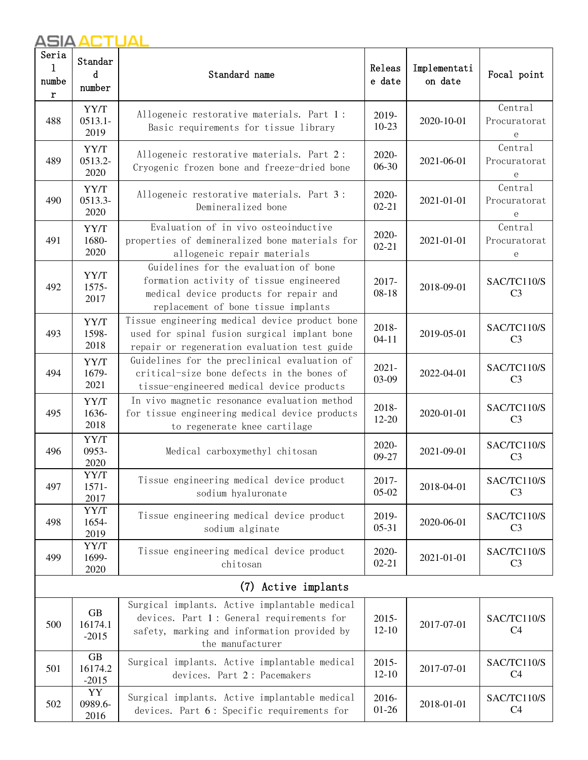2016

| Seria<br>1<br>numbe<br>r | Standar<br>d<br>number                                                                                                                                                                     | Releas<br>Standard name<br>e date                                                                                                                             |                       | Implementati<br>on date | Focal point                   |
|--------------------------|--------------------------------------------------------------------------------------------------------------------------------------------------------------------------------------------|---------------------------------------------------------------------------------------------------------------------------------------------------------------|-----------------------|-------------------------|-------------------------------|
| 488                      | YY/T<br>$0513.1 -$<br>2019                                                                                                                                                                 | Allogeneic restorative materials. Part 1:<br>Basic requirements for tissue library                                                                            | 2019-<br>$10-23$      | 2020-10-01              | Central<br>Procuratorat<br>е  |
| 489                      | YY/T<br>0513.2-<br>2020                                                                                                                                                                    | Allogeneic restorative materials. Part 2:<br>2020-<br>$06-30$<br>Cryogenic frozen bone and freeze-dried bone                                                  |                       | 2021-06-01              | Central<br>Procuratorat<br>e  |
| 490                      | YY/T<br>0513.3-<br>2020                                                                                                                                                                    | Allogeneic restorative materials. Part 3:<br>Demineralized bone                                                                                               | 2020-<br>$02 - 21$    | 2021-01-01              | Central<br>Procuratorat<br>е  |
| 491                      | Evaluation of in vivo osteoinductive<br>YY/T<br>1680-<br>properties of demineralized bone materials for<br>2020<br>allogeneic repair materials                                             |                                                                                                                                                               | 2020-<br>$02 - 21$    | 2021-01-01              | Central<br>Procuratorat<br>е  |
| 492                      | Guidelines for the evaluation of bone<br>YY/T<br>formation activity of tissue engineered<br>1575-<br>medical device products for repair and<br>2017<br>replacement of bone tissue implants |                                                                                                                                                               | 2017-<br>$08 - 18$    | 2018-09-01              | SAC/TC110/S<br>C <sub>3</sub> |
| 493                      | Tissue engineering medical device product bone<br>YY/T<br>1598-<br>used for spinal fusion surgical implant bone<br>2018<br>repair or regeneration evaluation test guide                    |                                                                                                                                                               | 2018-<br>$04 - 11$    | 2019-05-01              | SAC/TC110/S<br>C <sub>3</sub> |
| 494                      | YY/T<br>1679-<br>2021                                                                                                                                                                      | Guidelines for the preclinical evaluation of<br>critical-size bone defects in the bones of<br>tissue-engineered medical device products                       | $2021 -$<br>03-09     | 2022-04-01              | SAC/TC110/S<br>C <sub>3</sub> |
| 495                      | YY/T<br>1636-<br>2018                                                                                                                                                                      | In vivo magnetic resonance evaluation method<br>for tissue engineering medical device products<br>to regenerate knee cartilage                                | 2018-<br>$12 - 20$    | 2020-01-01              | SAC/TC110/S<br>C <sub>3</sub> |
| 496                      | YY/T<br>0953-<br>2020                                                                                                                                                                      | Medical carboxymethyl chitosan                                                                                                                                | 2020-<br>09-27        | 2021-09-01              | SAC/TC110/S<br>C <sub>3</sub> |
| 497                      | YY/T<br>1571-<br>2017                                                                                                                                                                      | Tissue engineering medical device product<br>sodium hyaluronate                                                                                               | 2017-<br>$05-02$      | 2018-04-01              | SAC/TC110/S<br>C <sub>3</sub> |
| 498                      | YY/T<br>1654-<br>2019                                                                                                                                                                      | Tissue engineering medical device product<br>sodium alginate                                                                                                  | 2019-<br>$05 - 31$    | 2020-06-01              | SAC/TC110/S<br>C <sub>3</sub> |
| 499                      | YY/T<br>1699-<br>2020                                                                                                                                                                      | Tissue engineering medical device product<br>chitosan                                                                                                         | 2020-<br>$02 - 21$    | 2021-01-01              | SAC/TC110/S<br>C <sub>3</sub> |
|                          |                                                                                                                                                                                            | (7)<br>Active implants                                                                                                                                        |                       |                         |                               |
| 500                      | <b>GB</b><br>16174.1<br>$-2015$                                                                                                                                                            | Surgical implants. Active implantable medical<br>devices. Part 1: General requirements for<br>safety, marking and information provided by<br>the manufacturer | $2015 -$<br>$12 - 10$ | 2017-07-01              | SAC/TC110/S<br>C <sub>4</sub> |
| 501                      | GB<br>16174.2<br>$-2015$                                                                                                                                                                   | Surgical implants. Active implantable medical<br>devices. Part 2 : Pacemakers                                                                                 | $2015 -$<br>$12 - 10$ | 2017-07-01              | SAC/TC110/S<br>C <sub>4</sub> |
| 502                      | YY<br>0989.6-<br>2016                                                                                                                                                                      | Surgical implants. Active implantable medical<br>devices. Part 6: Specific requirements for                                                                   | 2016-<br>$01 - 26$    | 2018-01-01              | SAC/TC110/S<br>C <sub>4</sub> |

devices. Part 6 : Specific requirements for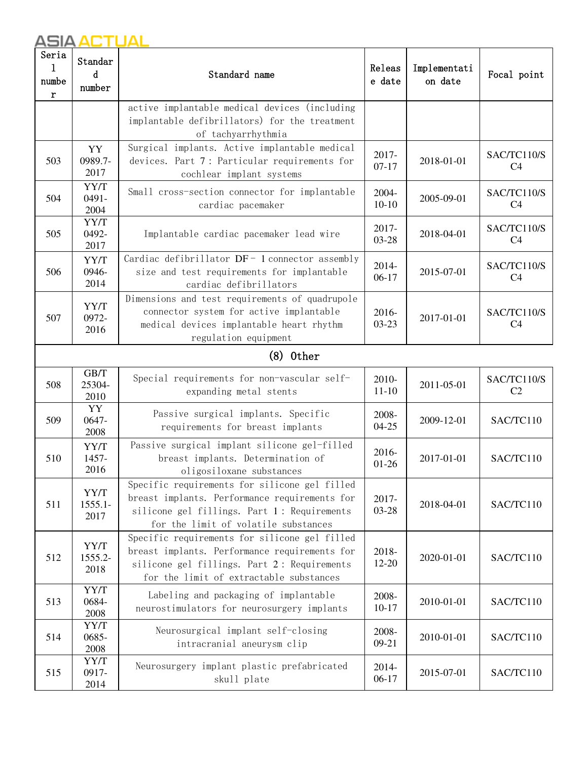| Seria<br>numbe<br>r | Standar<br>d<br>number                                                                                                                                                                 | Releas<br>Standard name<br>e date                                                                                                                                                        |                    | Implementati<br>on date | Focal point                   |
|---------------------|----------------------------------------------------------------------------------------------------------------------------------------------------------------------------------------|------------------------------------------------------------------------------------------------------------------------------------------------------------------------------------------|--------------------|-------------------------|-------------------------------|
|                     |                                                                                                                                                                                        | active implantable medical devices (including<br>implantable defibrillators) for the treatment<br>of tachyarrhythmia                                                                     |                    |                         |                               |
| 503                 | YY<br>0989.7-<br>2017                                                                                                                                                                  | Surgical implants. Active implantable medical<br>devices. Part 7: Particular requirements for<br>cochlear implant systems                                                                | 2017-<br>$07 - 17$ | 2018-01-01              | SAC/TC110/S<br>C <sub>4</sub> |
| 504                 | YY/T<br>0491-<br>2004                                                                                                                                                                  | Small cross-section connector for implantable<br>cardiac pacemaker                                                                                                                       | 2004-<br>$10-10$   | 2005-09-01              | SAC/TC110/S<br>C <sub>4</sub> |
| 505                 | YY/T<br>0492-<br>2017                                                                                                                                                                  | Implantable cardiac pacemaker lead wire                                                                                                                                                  | 2017-<br>03-28     | 2018-04-01              | SAC/TC110/S<br>C <sub>4</sub> |
| 506                 | YY/T<br>0946-<br>2014                                                                                                                                                                  | Cardiac defibrillator DF- 1 connector assembly<br>size and test requirements for implantable<br>cardiac defibrillators                                                                   | 2014-<br>$06-17$   | 2015-07-01              | SAC/TC110/S<br>C <sub>4</sub> |
| 507                 | Dimensions and test requirements of quadrupole<br>YY/T<br>connector system for active implantable<br>0972-<br>medical devices implantable heart rhythm<br>2016<br>regulation equipment |                                                                                                                                                                                          | 2016-<br>$03-23$   | 2017-01-01              | SAC/TC110/S<br>C <sub>4</sub> |
|                     |                                                                                                                                                                                        | $(8)$ 0ther                                                                                                                                                                              |                    |                         |                               |
| 508                 | GB/T<br>25304-<br>2010                                                                                                                                                                 | Special requirements for non-vascular self-<br>expanding metal stents                                                                                                                    | 2010-<br>$11 - 10$ | 2011-05-01              | SAC/TC110/S<br>C <sub>2</sub> |
| 509                 | YY<br>0647-<br>2008                                                                                                                                                                    | Passive surgical implants. Specific<br>requirements for breast implants                                                                                                                  | 2008-<br>$04 - 25$ | 2009-12-01              | SAC/TC110                     |
| 510                 | YY/T<br>1457-<br>2016                                                                                                                                                                  | Passive surgical implant silicone gel-filled<br>breast implants. Determination of<br>oligosiloxane substances                                                                            | 2016-<br>$01-26$   | 2017-01-01              | SAC/TC110                     |
| 511                 | YY/T<br>1555.1-<br>2017                                                                                                                                                                | Specific requirements for silicone gel filled<br>breast implants. Performance requirements for<br>silicone gel fillings. Part 1: Requirements<br>for the limit of volatile substances    | 2017-<br>03-28     | 2018-04-01              | SAC/TC110                     |
| 512                 | YY/T<br>1555.2-<br>2018                                                                                                                                                                | Specific requirements for silicone gel filled<br>breast implants. Performance requirements for<br>silicone gel fillings. Part 2: Requirements<br>for the limit of extractable substances | 2018-<br>$12 - 20$ | 2020-01-01              | SAC/TC110                     |
| 513                 | YY/T<br>0684-<br>2008                                                                                                                                                                  | Labeling and packaging of implantable<br>neurostimulators for neurosurgery implants                                                                                                      | 2008-<br>$10 - 17$ | 2010-01-01              | SAC/TC110                     |
| 514                 | YY/T<br>0685-<br>2008                                                                                                                                                                  | Neurosurgical implant self-closing<br>intracranial aneurysm clip                                                                                                                         | 2008-<br>$09-21$   | 2010-01-01              | SAC/TC110                     |
| 515                 | YY/T<br>0917-<br>2014                                                                                                                                                                  | Neurosurgery implant plastic prefabricated<br>skull plate                                                                                                                                | 2014-<br>$06-17$   | 2015-07-01              | SAC/TC110                     |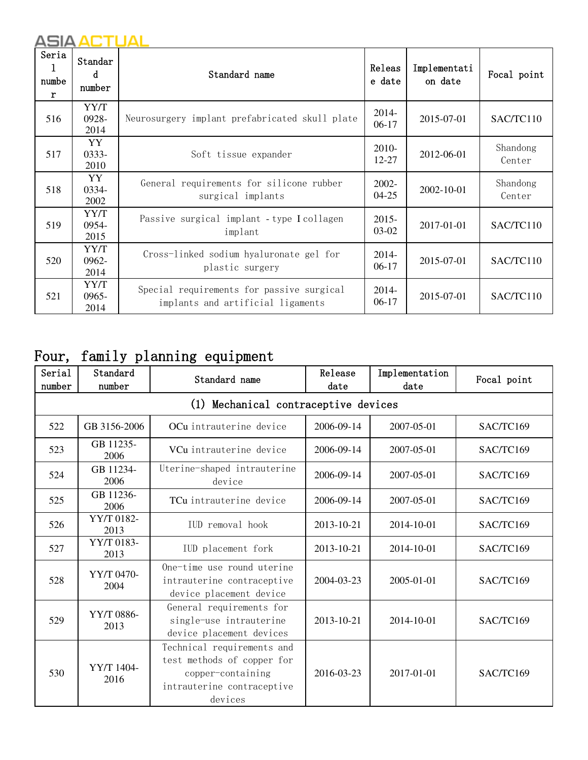| Seria<br>1<br>numbe<br>$\mathbf{r}$ | Standar<br>d<br>number   | Standard name                                                                  | Releas<br>e date      | Implementati<br>on date | Focal point        |
|-------------------------------------|--------------------------|--------------------------------------------------------------------------------|-----------------------|-------------------------|--------------------|
| 516                                 | YY/T<br>0928-<br>2014    | Neurosurgery implant prefabricated skull plate                                 | 2014-<br>$06-17$      | 2015-07-01              | SAC/TC110          |
| 517                                 | YY<br>$0333 -$<br>2010   | Soft tissue expander                                                           | 2010-<br>12-27        | 2012-06-01              | Shandong<br>Center |
| 518                                 | YY<br>0334-<br>2002      | General requirements for silicone rubber<br>surgical implants                  | $2002 -$<br>$04 - 25$ | 2002-10-01              | Shandong<br>Center |
| 519                                 | YY/T<br>0954-<br>2015    | Passive surgical implant - type I collagen<br>implant                          | $2015 -$<br>03-02     | 2017-01-01              | SAC/TC110          |
| 520                                 | YY/T<br>0962-<br>2014    | Cross-linked sodium hyaluronate gel for<br>plastic surgery                     | 2014-<br>$06-17$      | 2015-07-01              | SAC/TC110          |
| 521                                 | YY/T<br>$0965 -$<br>2014 | Special requirements for passive surgical<br>implants and artificial ligaments | 2014-<br>$06-17$      | 2015-07-01              | SAC/TC110          |

# Four, family planning equipment

| Serial<br>number | Standard<br>number                   | Standard name                                                                                                          | Release<br>date | Implementation<br>date | Focal point |  |  |  |  |  |
|------------------|--------------------------------------|------------------------------------------------------------------------------------------------------------------------|-----------------|------------------------|-------------|--|--|--|--|--|
|                  | (1) Mechanical contraceptive devices |                                                                                                                        |                 |                        |             |  |  |  |  |  |
| 522              | GB 3156-2006                         | OCu intrauterine device                                                                                                | 2006-09-14      | 2007-05-01             | SAC/TC169   |  |  |  |  |  |
| 523              | GB 11235-<br>2006                    | VCu intrauterine device                                                                                                | 2006-09-14      | 2007-05-01             | SAC/TC169   |  |  |  |  |  |
| 524              | GB 11234-<br>2006                    | Uterine-shaped intrauterine<br>device                                                                                  | 2006-09-14      | 2007-05-01             | SAC/TC169   |  |  |  |  |  |
| 525              | GB 11236-<br>2006                    | TCu intrauterine device                                                                                                | 2006-09-14      | 2007-05-01             | SAC/TC169   |  |  |  |  |  |
| 526              | YY/T 0182-<br>2013                   | IUD removal hook                                                                                                       | 2013-10-21      | 2014-10-01             | SAC/TC169   |  |  |  |  |  |
| 527              | YY/T 0183-<br>2013                   | IUD placement fork                                                                                                     | 2013-10-21      | 2014-10-01             | SAC/TC169   |  |  |  |  |  |
| 528              | YY/T 0470-<br>2004                   | One-time use round uterine<br>intrauterine contraceptive<br>device placement device                                    | 2004-03-23      | $2005 - 01 - 01$       | SAC/TC169   |  |  |  |  |  |
| 529              | YY/T 0886-<br>2013                   | General requirements for<br>single-use intrauterine<br>device placement devices                                        | 2013-10-21      | 2014-10-01             | SAC/TC169   |  |  |  |  |  |
| 530              | YY/T 1404-<br>2016                   | Technical requirements and<br>test methods of copper for<br>copper-containing<br>intrauterine contraceptive<br>devices | 2016-03-23      | 2017-01-01             | SAC/TC169   |  |  |  |  |  |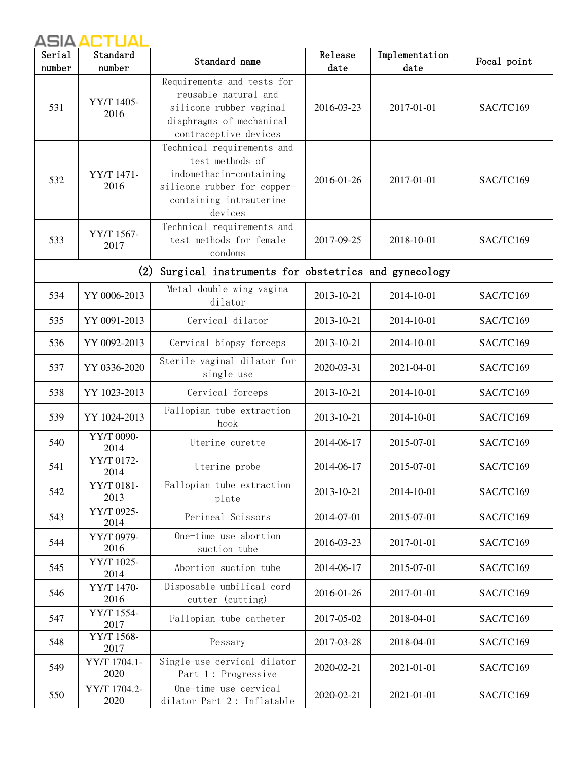| Serial<br>number | Standard<br>number   | Standard name                                                                                                                                 | Release<br>date | Implementation<br>date | Focal point |
|------------------|----------------------|-----------------------------------------------------------------------------------------------------------------------------------------------|-----------------|------------------------|-------------|
| 531              | YY/T 1405-<br>2016   | Requirements and tests for<br>reusable natural and<br>silicone rubber vaginal<br>diaphragms of mechanical<br>contraceptive devices            | 2016-03-23      | 2017-01-01             | SAC/TC169   |
| 532              | YY/T 1471-<br>2016   | Technical requirements and<br>test methods of<br>indomethacin-containing<br>silicone rubber for copper-<br>containing intrauterine<br>devices | 2016-01-26      | 2017-01-01             | SAC/TC169   |
| 533              | YY/T 1567-<br>2017   | Technical requirements and<br>test methods for female<br>condoms                                                                              | 2017-09-25      | 2018-10-01             | SAC/TC169   |
|                  | (2)                  | Surgical instruments for obstetrics and gynecology                                                                                            |                 |                        |             |
| 534              | YY 0006-2013         | Metal double wing vagina<br>dilator                                                                                                           | 2013-10-21      | 2014-10-01             | SAC/TC169   |
| 535              | YY 0091-2013         | Cervical dilator                                                                                                                              | 2013-10-21      | 2014-10-01             | SAC/TC169   |
| 536              | YY 0092-2013         | Cervical biopsy forceps                                                                                                                       | 2013-10-21      | 2014-10-01             | SAC/TC169   |
| 537              | YY 0336-2020         | Sterile vaginal dilator for<br>single use                                                                                                     | 2020-03-31      | 2021-04-01             | SAC/TC169   |
| 538              | YY 1023-2013         | Cervical forceps                                                                                                                              | 2013-10-21      | 2014-10-01             | SAC/TC169   |
| 539              | YY 1024-2013         | Fallopian tube extraction<br>hook                                                                                                             | 2013-10-21      | 2014-10-01             | SAC/TC169   |
| 540              | YY/T 0090-<br>2014   | Uterine curette                                                                                                                               | 2014-06-17      | 2015-07-01             | SAC/TC169   |
| 541              | YY/T 0172-<br>2014   | Uterine probe                                                                                                                                 | 2014-06-17      | 2015-07-01             | SAC/TC169   |
| 542              | YY/T 0181-<br>2013   | Fallopian tube extraction<br>plate                                                                                                            | 2013-10-21      | 2014-10-01             | SAC/TC169   |
| 543              | YY/T 0925-<br>2014   | Perineal Scissors                                                                                                                             | 2014-07-01      | 2015-07-01             | SAC/TC169   |
| 544              | YY/T 0979-<br>2016   | One-time use abortion<br>suction tube                                                                                                         | 2016-03-23      | 2017-01-01             | SAC/TC169   |
| 545              | YY/T 1025-<br>2014   | Abortion suction tube                                                                                                                         | 2014-06-17      | 2015-07-01             | SAC/TC169   |
| 546              | YY/T 1470-<br>2016   | Disposable umbilical cord<br>cutter (cutting)                                                                                                 | 2016-01-26      | 2017-01-01             | SAC/TC169   |
| 547              | YY/T 1554-<br>2017   | Fallopian tube catheter                                                                                                                       | 2017-05-02      | 2018-04-01             | SAC/TC169   |
| 548              | YY/T 1568-<br>2017   | Pessary                                                                                                                                       | 2017-03-28      | 2018-04-01             | SAC/TC169   |
| 549              | YY/T 1704.1-<br>2020 | Single-use cervical dilator<br>Part 1: Progressive                                                                                            | 2020-02-21      | 2021-01-01             | SAC/TC169   |
| 550              | YY/T 1704.2-<br>2020 | One-time use cervical<br>dilator Part 2: Inflatable                                                                                           | 2020-02-21      | 2021-01-01             | SAC/TC169   |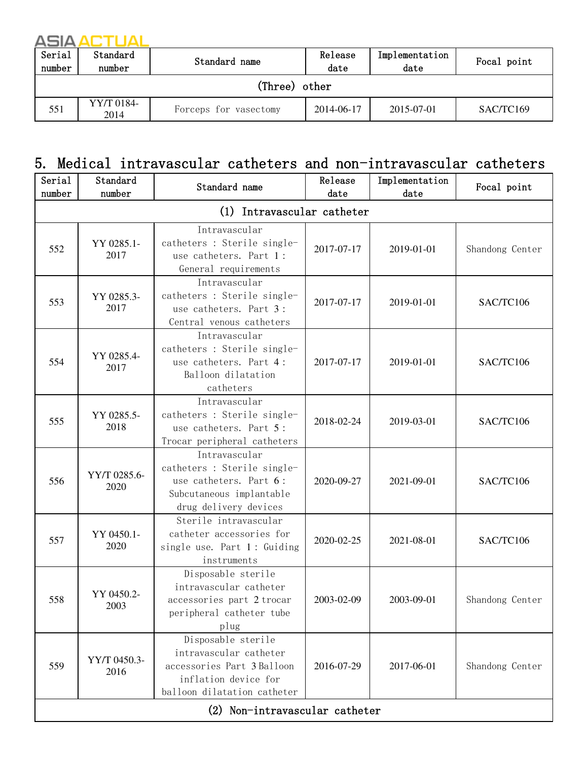| Serial<br>number | Standard<br>number | Standard name         | Release<br>date | Implementation<br>date | Focal point |  |  |  |  |
|------------------|--------------------|-----------------------|-----------------|------------------------|-------------|--|--|--|--|
|                  | (Three) other      |                       |                 |                        |             |  |  |  |  |
| 551              | YY/T 0184-<br>2014 | Forceps for vasectomy | 2014-06-17      | 2015-07-01             | SAC/TC169   |  |  |  |  |

### 5. Medical intravascular catheters and non-intravascular catheters

| Serial<br>number | Standard<br>number         | Standard name                                                                                                                     | Release<br>date | Implementation<br>date | Focal point     |  |  |
|------------------|----------------------------|-----------------------------------------------------------------------------------------------------------------------------------|-----------------|------------------------|-----------------|--|--|
|                  | (1) Intravascular catheter |                                                                                                                                   |                 |                        |                 |  |  |
| 552              | YY 0285.1-<br>2017         | Intravascular<br>catheters : Sterile single-<br>use catheters. Part 1:<br>General requirements                                    | 2017-07-17      | 2019-01-01             | Shandong Center |  |  |
| 553              | YY 0285.3-<br>2017         | Intravascular<br>catheters : Sterile single-<br>use catheters. Part 3:<br>Central venous catheters                                | 2017-07-17      | 2019-01-01             | SAC/TC106       |  |  |
| 554              | YY 0285.4-<br>2017         | Intravascular<br>catheters : Sterile single-<br>use catheters. Part 4:<br>Balloon dilatation<br>catheters                         | 2017-07-17      | 2019-01-01             | SAC/TC106       |  |  |
| 555              | YY 0285.5-<br>2018         | Intravascular<br>catheters : Sterile single-<br>use catheters. Part 5:<br>Trocar peripheral catheters                             | 2018-02-24      | 2019-03-01             | SAC/TC106       |  |  |
| 556              | YY/T 0285.6-<br>2020       | Intravascular<br>catheters : Sterile single-<br>use catheters. Part 6:<br>Subcutaneous implantable<br>drug delivery devices       | 2020-09-27      | 2021-09-01             | SAC/TC106       |  |  |
| 557              | YY 0450.1-<br>2020         | Sterile intravascular<br>catheter accessories for<br>single use. Part 1: Guiding<br>instruments                                   | 2020-02-25      | 2021-08-01             | SAC/TC106       |  |  |
| 558              | YY 0450.2-<br>2003         | Disposable sterile<br>intravascular catheter<br>accessories part 2 trocar<br>peripheral catheter tube<br>plug                     | 2003-02-09      | 2003-09-01             | Shandong Center |  |  |
| 559              | YY/T 0450.3-<br>2016       | Disposable sterile<br>intravascular catheter<br>accessories Part 3 Balloon<br>inflation device for<br>balloon dilatation catheter | 2016-07-29      | 2017-06-01             | Shandong Center |  |  |
|                  |                            | (2) Non-intravascular catheter                                                                                                    |                 |                        |                 |  |  |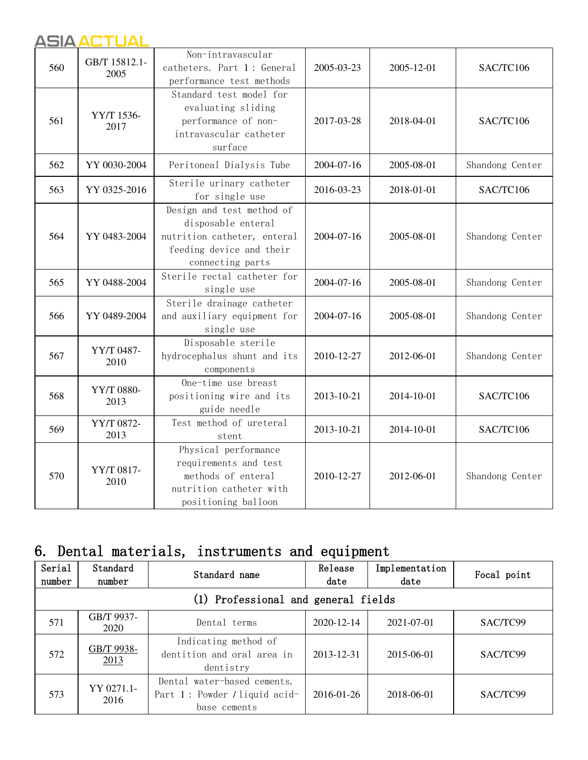#### ASIA ACTUAL ASIA ACTUAL

| 560 | GB/T 15812.1-<br>2005 | Non-intravascular<br>catheters. Part 1: General<br>performance test methods                                                    | 2005-03-23 | 2005-12-01 | SAC/TC106       |
|-----|-----------------------|--------------------------------------------------------------------------------------------------------------------------------|------------|------------|-----------------|
| 561 | YY/T 1536-<br>2017    | Standard test model for<br>evaluating sliding<br>performance of non-<br>intravascular catheter<br>surface                      | 2017-03-28 | 2018-04-01 | SAC/TC106       |
| 562 | YY 0030-2004          | Peritoneal Dialysis Tube                                                                                                       | 2004-07-16 | 2005-08-01 | Shandong Center |
| 563 | YY 0325-2016          | Sterile urinary catheter<br>for single use                                                                                     | 2016-03-23 | 2018-01-01 | SAC/TC106       |
| 564 | YY 0483-2004          | Design and test method of<br>disposable enteral<br>nutrition catheter, enteral<br>feeding device and their<br>connecting parts | 2004-07-16 | 2005-08-01 | Shandong Center |
| 565 | YY 0488-2004          | Sterile rectal catheter for<br>single use                                                                                      | 2004-07-16 | 2005-08-01 | Shandong Center |
| 566 | YY 0489-2004          | Sterile drainage catheter<br>and auxiliary equipment for<br>single use                                                         | 2004-07-16 | 2005-08-01 | Shandong Center |
| 567 | YY/T 0487-<br>2010    | Disposable sterile<br>hydrocephalus shunt and its<br>components                                                                | 2010-12-27 | 2012-06-01 | Shandong Center |
| 568 | YY/T 0880-<br>2013    | One-time use breast<br>positioning wire and its<br>guide needle                                                                | 2013-10-21 | 2014-10-01 | SAC/TC106       |
| 569 | YY/T 0872-<br>2013    | Test method of ureteral<br>stent                                                                                               | 2013-10-21 | 2014-10-01 | SAC/TC106       |
| 570 | YY/T 0817-<br>2010    | Physical performance<br>requirements and test<br>methods of enteral<br>nutrition catheter with<br>positioning balloon          | 2010-12-27 | 2012-06-01 | Shandong Center |

# 6. Dental materials, instruments and equipment

| Serial<br>number                    | Standard<br>number | Standard name                                                                | Release<br>date | Implementation<br>date | Focal point |  |  |
|-------------------------------------|--------------------|------------------------------------------------------------------------------|-----------------|------------------------|-------------|--|--|
| (1) Professional and general fields |                    |                                                                              |                 |                        |             |  |  |
| 571                                 | GB/T 9937-<br>2020 | Dental terms                                                                 | 2020-12-14      | 2021-07-01             | SAC/TC99    |  |  |
| 572                                 | GB/T 9938-<br>2013 | Indicating method of<br>dentition and oral area in<br>dentistry              | 2013-12-31      | 2015-06-01             | SAC/TC99    |  |  |
| 573                                 | YY 0271.1-<br>2016 | Dental water-based cements.<br>Part 1: Powder / liquid acid-<br>base cements | 2016-01-26      | 2018-06-01             | SAC/TC99    |  |  |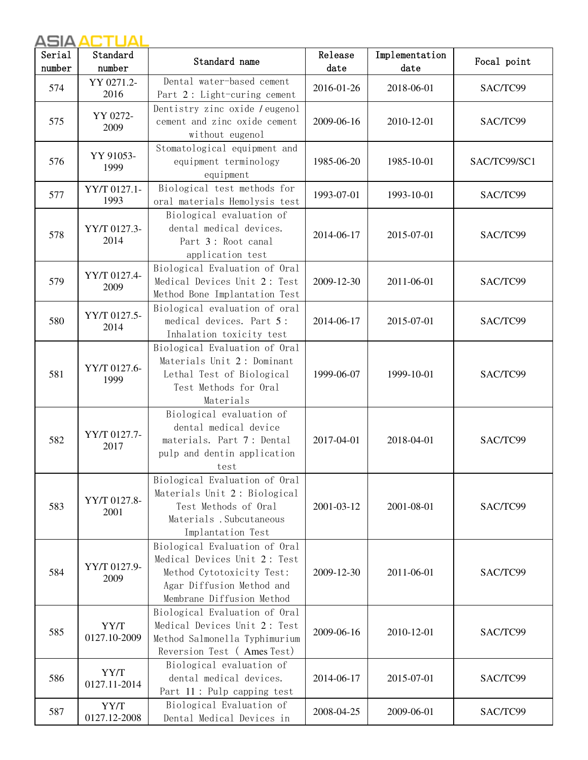| Serial | Standard             | Standard name                                                                                                                                        | Release    | Implementation | Focal point  |
|--------|----------------------|------------------------------------------------------------------------------------------------------------------------------------------------------|------------|----------------|--------------|
| number | number               |                                                                                                                                                      | date       | date           |              |
| 574    | YY 0271.2-<br>2016   | Dental water-based cement<br>Part 2: Light-curing cement                                                                                             | 2016-01-26 | 2018-06-01     | SAC/TC99     |
| 575    | YY 0272-<br>2009     | Dentistry zinc oxide / eugenol<br>cement and zinc oxide cement<br>without eugenol                                                                    | 2009-06-16 | 2010-12-01     | SAC/TC99     |
| 576    | YY 91053-<br>1999    | Stomatological equipment and<br>equipment terminology<br>equipment                                                                                   | 1985-06-20 | 1985-10-01     | SAC/TC99/SC1 |
| 577    | YY/T 0127.1-<br>1993 | Biological test methods for<br>oral materials Hemolysis test                                                                                         | 1993-07-01 | 1993-10-01     | SAC/TC99     |
| 578    | YY/T 0127.3-<br>2014 | Biological evaluation of<br>dental medical devices.<br>Part 3: Root canal<br>application test                                                        | 2014-06-17 | 2015-07-01     | SAC/TC99     |
| 579    | YY/T 0127.4-<br>2009 | Biological Evaluation of Oral<br>Medical Devices Unit 2: Test<br>Method Bone Implantation Test                                                       | 2009-12-30 | 2011-06-01     | SAC/TC99     |
| 580    | YY/T 0127.5-<br>2014 | Biological evaluation of oral<br>medical devices. Part 5:<br>Inhalation toxicity test                                                                | 2014-06-17 | 2015-07-01     | SAC/TC99     |
| 581    | YY/T 0127.6-<br>1999 | Biological Evaluation of Oral<br>Materials Unit 2: Dominant<br>Lethal Test of Biological<br>Test Methods for Oral<br>Materials                       | 1999-06-07 | 1999-10-01     | SAC/TC99     |
| 582    | YY/T 0127.7-<br>2017 | Biological evaluation of<br>dental medical device<br>materials. Part 7: Dental<br>pulp and dentin application<br>test                                | 2017-04-01 | 2018-04-01     | SAC/TC99     |
| 583    | YY/T 0127.8-<br>2001 | Biological Evaluation of Oral<br>Materials Unit 2: Biological<br>Test Methods of Oral<br>Materials . Subcutaneous<br>Implantation Test               | 2001-03-12 | 2001-08-01     | SAC/TC99     |
| 584    | YY/T 0127.9-<br>2009 | Biological Evaluation of Oral<br>Medical Devices Unit 2: Test<br>Method Cytotoxicity Test:<br>Agar Diffusion Method and<br>Membrane Diffusion Method | 2009-12-30 | 2011-06-01     | SAC/TC99     |
| 585    | YY/T<br>0127.10-2009 | Biological Evaluation of Oral<br>Medical Devices Unit 2: Test<br>Method Salmonella Typhimurium<br>Reversion Test (Ames Test)                         | 2009-06-16 | 2010-12-01     | SAC/TC99     |
| 586    | YY/T<br>0127.11-2014 | Biological evaluation of<br>dental medical devices.<br>Part 11: Pulp capping test                                                                    | 2014-06-17 | 2015-07-01     | SAC/TC99     |
| 587    | YY/T<br>0127.12-2008 | Biological Evaluation of<br>Dental Medical Devices in                                                                                                | 2008-04-25 | 2009-06-01     | SAC/TC99     |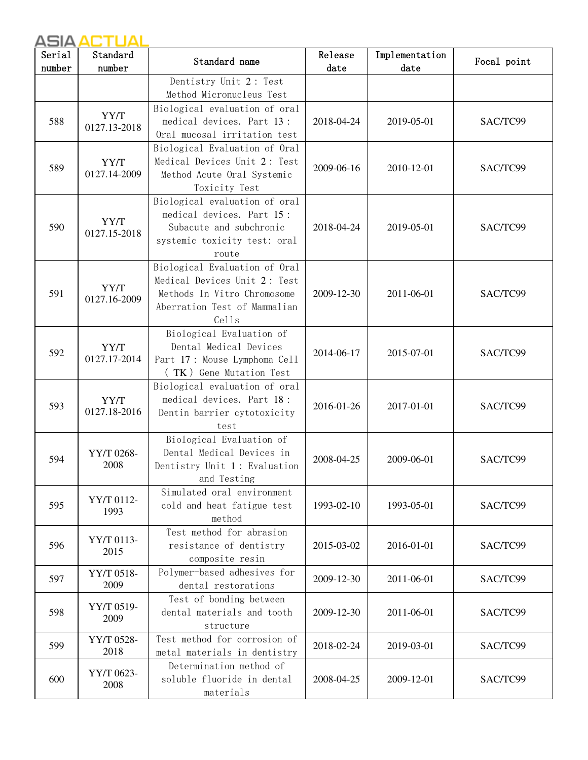| Serial<br>number | Standard<br>number   | Standard name                                                                                                                         | Release<br>date | Implementation<br>date | Focal point |
|------------------|----------------------|---------------------------------------------------------------------------------------------------------------------------------------|-----------------|------------------------|-------------|
|                  |                      | Dentistry Unit 2: Test<br>Method Micronucleus Test                                                                                    |                 |                        |             |
| 588              | YY/T<br>0127.13-2018 | Biological evaluation of oral<br>medical devices. Part 13:<br>Oral mucosal irritation test                                            | 2018-04-24      | 2019-05-01             | SAC/TC99    |
| 589              | YY/T<br>0127.14-2009 | Biological Evaluation of Oral<br>Medical Devices Unit 2: Test<br>Method Acute Oral Systemic<br>Toxicity Test                          | 2009-06-16      | 2010-12-01             | SAC/TC99    |
| 590              | YY/T<br>0127.15-2018 | Biological evaluation of oral<br>medical devices. Part 15:<br>Subacute and subchronic<br>systemic toxicity test: oral<br>route        | 2018-04-24      | 2019-05-01             | SAC/TC99    |
| 591              | YY/T<br>0127.16-2009 | Biological Evaluation of Oral<br>Medical Devices Unit 2: Test<br>Methods In Vitro Chromosome<br>Aberration Test of Mammalian<br>Cells | 2009-12-30      | 2011-06-01             | SAC/TC99    |
| 592              | YY/T<br>0127.17-2014 | Biological Evaluation of<br>Dental Medical Devices<br>Part 17: Mouse Lymphoma Cell<br>(TK) Gene Mutation Test                         | 2014-06-17      | 2015-07-01             | SAC/TC99    |
| 593              | YY/T<br>0127.18-2016 | Biological evaluation of oral<br>medical devices. Part 18:<br>Dentin barrier cytotoxicity<br>test                                     | 2016-01-26      | 2017-01-01             | SAC/TC99    |
| 594              | YY/T 0268-<br>2008   | Biological Evaluation of<br>Dental Medical Devices in<br>Dentistry Unit 1: Evaluation<br>and Testing                                  | 2008-04-25      | 2009-06-01             | SAC/TC99    |
| 595              | YY/T 0112-<br>1993   | Simulated oral environment<br>cold and heat fatigue test<br>method                                                                    | 1993-02-10      | 1993-05-01             | SAC/TC99    |
| 596              | YY/T 0113-<br>2015   | Test method for abrasion<br>resistance of dentistry<br>composite resin                                                                | 2015-03-02      | 2016-01-01             | SAC/TC99    |
| 597              | YY/T 0518-<br>2009   | Polymer-based adhesives for<br>dental restorations                                                                                    | 2009-12-30      | 2011-06-01             | SAC/TC99    |
| 598              | YY/T 0519-<br>2009   | Test of bonding between<br>dental materials and tooth<br>structure                                                                    | 2009-12-30      | 2011-06-01             | SAC/TC99    |
| 599              | YY/T 0528-<br>2018   | Test method for corrosion of<br>metal materials in dentistry                                                                          | 2018-02-24      | 2019-03-01             | SAC/TC99    |
| 600              | YY/T 0623-<br>2008   | Determination method of<br>soluble fluoride in dental<br>materials                                                                    | 2008-04-25      | 2009-12-01             | SAC/TC99    |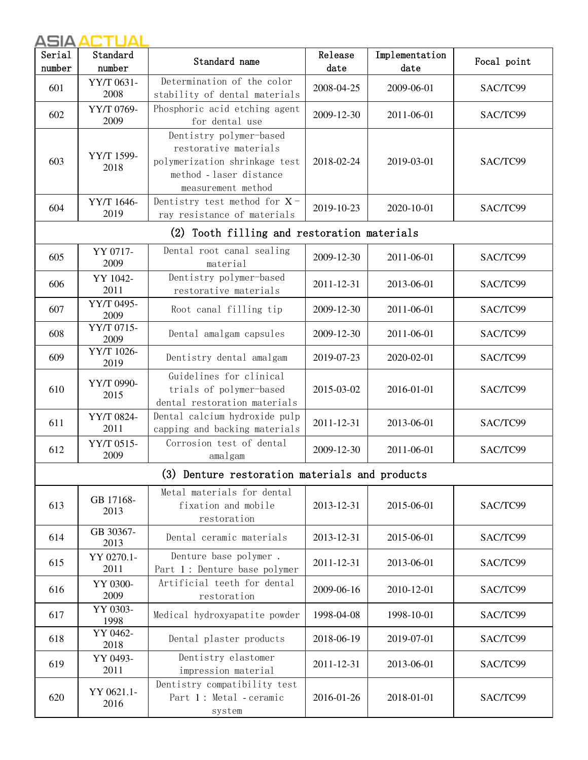| Serial<br>number | Standard<br>number | Standard name                                                                                                                      | Release<br>date | Implementation<br>date | Focal point |
|------------------|--------------------|------------------------------------------------------------------------------------------------------------------------------------|-----------------|------------------------|-------------|
| 601              | YY/T 0631-<br>2008 | Determination of the color<br>stability of dental materials                                                                        | 2008-04-25      | 2009-06-01             | SAC/TC99    |
| 602              | YY/T 0769-<br>2009 | Phosphoric acid etching agent<br>for dental use                                                                                    | 2009-12-30      | 2011-06-01             | SAC/TC99    |
| 603              | YY/T 1599-<br>2018 | Dentistry polymer-based<br>restorative materials<br>polymerization shrinkage test<br>method - laser distance<br>measurement method | 2018-02-24      | 2019-03-01             | SAC/TC99    |
| 604              | YY/T 1646-<br>2019 | Dentistry test method for $X$ -<br>ray resistance of materials                                                                     | 2019-10-23      | 2020-10-01             | SAC/TC99    |
|                  |                    | (2) Tooth filling and restoration materials                                                                                        |                 |                        |             |
| 605              | YY 0717-<br>2009   | Dental root canal sealing<br>material                                                                                              | 2009-12-30      | 2011-06-01             | SAC/TC99    |
| 606              | YY 1042-<br>2011   | Dentistry polymer-based<br>restorative materials                                                                                   | 2011-12-31      | 2013-06-01             | SAC/TC99    |
| 607              | YY/T 0495-<br>2009 | Root canal filling tip                                                                                                             | 2009-12-30      | 2011-06-01             | SAC/TC99    |
| 608              | YY/T 0715-<br>2009 | Dental amalgam capsules                                                                                                            | 2009-12-30      | 2011-06-01             | SAC/TC99    |
| 609              | YY/T 1026-<br>2019 | Dentistry dental amalgam                                                                                                           | 2019-07-23      | 2020-02-01             | SAC/TC99    |
| 610              | YY/T 0990-<br>2015 | Guidelines for clinical<br>trials of polymer-based<br>dental restoration materials                                                 | 2015-03-02      | 2016-01-01             | SAC/TC99    |
| 611              | YY/T 0824-<br>2011 | Dental calcium hydroxide pulp<br>capping and backing materials                                                                     | 2011-12-31      | 2013-06-01             | SAC/TC99    |
| 612              | YY/T 0515-<br>2009 | Corrosion test of dental<br>amalgam                                                                                                | 2009-12-30      | 2011-06-01             | SAC/TC99    |
|                  |                    | (3) Denture restoration materials and products                                                                                     |                 |                        |             |
| 613              | GB 17168-<br>2013  | Metal materials for dental<br>fixation and mobile<br>restoration                                                                   | 2013-12-31      | 2015-06-01             | SAC/TC99    |
| 614              | GB 30367-<br>2013  | Dental ceramic materials                                                                                                           | 2013-12-31      | 2015-06-01             | SAC/TC99    |
| 615              | YY 0270.1-<br>2011 | Denture base polymer.<br>Part 1: Denture base polymer                                                                              | 2011-12-31      | 2013-06-01             | SAC/TC99    |
| 616              | YY 0300-<br>2009   | Artificial teeth for dental<br>restoration                                                                                         | 2009-06-16      | 2010-12-01             | SAC/TC99    |
| 617              | YY 0303-<br>1998   | Medical hydroxyapatite powder                                                                                                      | 1998-04-08      | 1998-10-01             | SAC/TC99    |
| 618              | YY 0462-<br>2018   | Dental plaster products                                                                                                            | 2018-06-19      | 2019-07-01             | SAC/TC99    |
| 619              | YY 0493-<br>2011   | Dentistry elastomer<br>impression material                                                                                         | 2011-12-31      | 2013-06-01             | SAC/TC99    |
| 620              | YY 0621.1-<br>2016 | Dentistry compatibility test<br>Part 1: Metal - ceramic<br>system                                                                  | 2016-01-26      | 2018-01-01             | SAC/TC99    |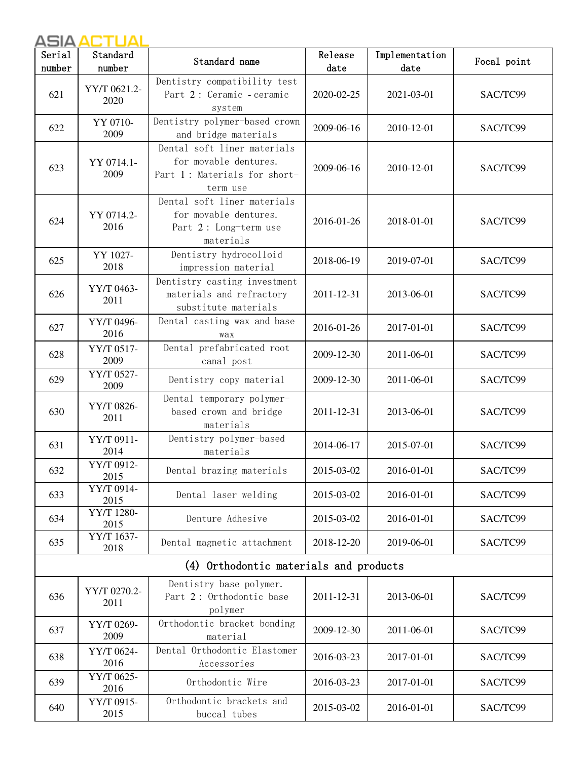| Serial | Standard             | Standard name                                                                                    | Release    | Implementation | Focal point |
|--------|----------------------|--------------------------------------------------------------------------------------------------|------------|----------------|-------------|
| number | number               |                                                                                                  | date       | date           |             |
| 621    | YY/T 0621.2-<br>2020 | Dentistry compatibility test<br>Part 2: Ceramic - ceramic<br>system                              | 2020-02-25 | 2021-03-01     | SAC/TC99    |
| 622    | YY 0710-<br>2009     | Dentistry polymer-based crown<br>and bridge materials                                            | 2009-06-16 | 2010-12-01     | SAC/TC99    |
| 623    | YY 0714.1-<br>2009   | Dental soft liner materials<br>for movable dentures.<br>Part 1: Materials for short-<br>term use | 2009-06-16 | 2010-12-01     | SAC/TC99    |
| 624    | YY 0714.2-<br>2016   | Dental soft liner materials<br>for movable dentures.<br>Part 2: Long-term use<br>materials       | 2016-01-26 | 2018-01-01     | SAC/TC99    |
| 625    | YY 1027-<br>2018     | Dentistry hydrocolloid<br>impression material                                                    | 2018-06-19 | 2019-07-01     | SAC/TC99    |
| 626    | YY/T 0463-<br>2011   | Dentistry casting investment<br>materials and refractory<br>substitute materials                 | 2011-12-31 | 2013-06-01     | SAC/TC99    |
| 627    | YY/T 0496-<br>2016   | Dental casting wax and base<br>wax                                                               | 2016-01-26 | 2017-01-01     | SAC/TC99    |
| 628    | YY/T 0517-<br>2009   | Dental prefabricated root<br>canal post                                                          | 2009-12-30 | 2011-06-01     | SAC/TC99    |
| 629    | YY/T 0527-<br>2009   | Dentistry copy material                                                                          | 2009-12-30 | 2011-06-01     | SAC/TC99    |
| 630    | YY/T 0826-<br>2011   | Dental temporary polymer-<br>based crown and bridge<br>materials                                 | 2011-12-31 | 2013-06-01     | SAC/TC99    |
| 631    | YY/T 0911-<br>2014   | Dentistry polymer-based<br>materials                                                             | 2014-06-17 | 2015-07-01     | SAC/TC99    |
| 632    | YY/T 0912-<br>2015   | Dental brazing materials                                                                         | 2015-03-02 | 2016-01-01     | SAC/TC99    |
| 633    | YY/T 0914-<br>2015   | Dental laser welding                                                                             | 2015-03-02 | 2016-01-01     | SAC/TC99    |
| 634    | YY/T 1280-<br>2015   | Denture Adhesive                                                                                 | 2015-03-02 | 2016-01-01     | SAC/TC99    |
| 635    | YY/T 1637-<br>2018   | Dental magnetic attachment                                                                       | 2018-12-20 | 2019-06-01     | SAC/TC99    |
|        |                      | (4) Orthodontic materials and products                                                           |            |                |             |
| 636    | YY/T 0270.2-<br>2011 | Dentistry base polymer.<br>Part 2: Orthodontic base<br>polymer                                   | 2011-12-31 | 2013-06-01     | SAC/TC99    |
| 637    | YY/T 0269-<br>2009   | Orthodontic bracket bonding<br>material                                                          | 2009-12-30 | 2011-06-01     | SAC/TC99    |
| 638    | YY/T 0624-<br>2016   | Dental Orthodontic Elastomer<br>Accessories                                                      | 2016-03-23 | 2017-01-01     | SAC/TC99    |
| 639    | YY/T 0625-<br>2016   | Orthodontic Wire                                                                                 | 2016-03-23 | 2017-01-01     | SAC/TC99    |
| 640    | YY/T 0915-<br>2015   | Orthodontic brackets and<br>buccal tubes                                                         | 2015-03-02 | 2016-01-01     | SAC/TC99    |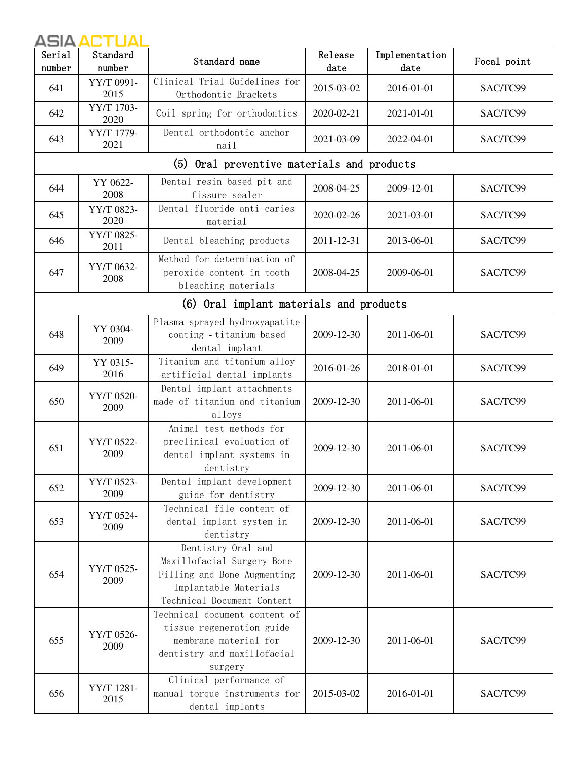| Serial<br>number | Standard<br>number | Standard name                                                                                                                          | Release<br>date | Implementation<br>date | Focal point |
|------------------|--------------------|----------------------------------------------------------------------------------------------------------------------------------------|-----------------|------------------------|-------------|
| 641              | YY/T 0991-<br>2015 | Clinical Trial Guidelines for<br>Orthodontic Brackets                                                                                  | 2015-03-02      | 2016-01-01             | SAC/TC99    |
| 642              | YY/T 1703-<br>2020 | Coil spring for orthodontics                                                                                                           | 2020-02-21      | 2021-01-01             | SAC/TC99    |
| 643              | YY/T 1779-<br>2021 | Dental orthodontic anchor<br>nail                                                                                                      | 2021-03-09      | 2022-04-01             | SAC/TC99    |
|                  |                    | (5) Oral preventive materials and products                                                                                             |                 |                        |             |
| 644              | YY 0622-<br>2008   | Dental resin based pit and<br>fissure sealer                                                                                           | 2008-04-25      | 2009-12-01             | SAC/TC99    |
| 645              | YY/T 0823-<br>2020 | Dental fluoride anti-caries<br>material                                                                                                | 2020-02-26      | 2021-03-01             | SAC/TC99    |
| 646              | YY/T 0825-<br>2011 | Dental bleaching products                                                                                                              | 2011-12-31      | 2013-06-01             | SAC/TC99    |
| 647              | YY/T 0632-<br>2008 | Method for determination of<br>peroxide content in tooth<br>bleaching materials                                                        | 2008-04-25      | 2009-06-01             | SAC/TC99    |
|                  |                    | (6) Oral implant materials and products                                                                                                |                 |                        |             |
| 648              | YY 0304-<br>2009   | Plasma sprayed hydroxyapatite<br>coating - titanium-based<br>dental implant                                                            | 2009-12-30      | 2011-06-01             | SAC/TC99    |
| 649              | YY 0315-<br>2016   | Titanium and titanium alloy<br>artificial dental implants                                                                              | 2016-01-26      | 2018-01-01             | SAC/TC99    |
| 650              | YY/T 0520-<br>2009 | Dental implant attachments<br>made of titanium and titanium<br>alloys                                                                  | 2009-12-30      | 2011-06-01             | SAC/TC99    |
| 651              | YY/T 0522-<br>2009 | Animal test methods for<br>preclinical evaluation of<br>dental implant systems in<br>dentistry                                         | 2009-12-30      | 2011-06-01             | SAC/TC99    |
| 652              | YY/T 0523-<br>2009 | Dental implant development<br>guide for dentistry                                                                                      | 2009-12-30      | 2011-06-01             | SAC/TC99    |
| 653              | YY/T 0524-<br>2009 | Technical file content of<br>dental implant system in<br>dentistry                                                                     | 2009-12-30      | 2011-06-01             | SAC/TC99    |
| 654              | YY/T 0525-<br>2009 | Dentistry Oral and<br>Maxillofacial Surgery Bone<br>Filling and Bone Augmenting<br>Implantable Materials<br>Technical Document Content | 2009-12-30      | 2011-06-01             | SAC/TC99    |
| 655              | YY/T 0526-<br>2009 | Technical document content of<br>tissue regeneration guide<br>membrane material for<br>dentistry and maxillofacial<br>surgery          | 2009-12-30      | 2011-06-01             | SAC/TC99    |
| 656              | YY/T 1281-<br>2015 | Clinical performance of<br>manual torque instruments for<br>dental implants                                                            | 2015-03-02      | 2016-01-01             | SAC/TC99    |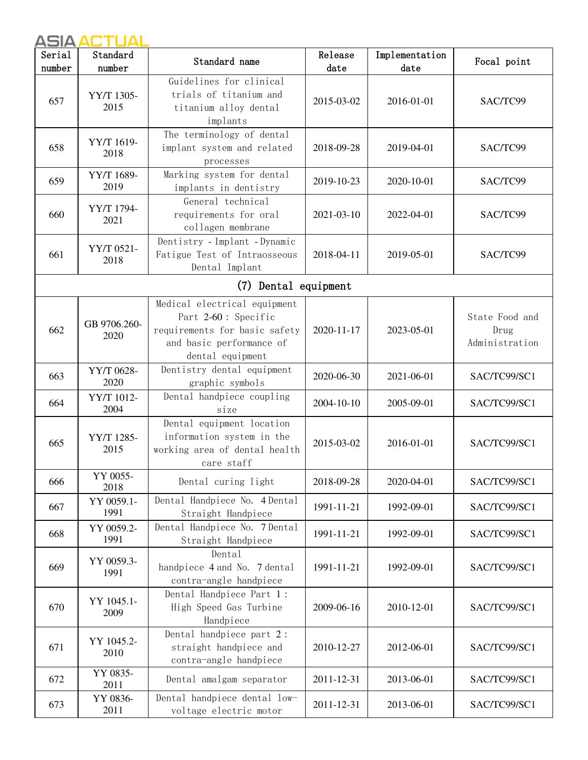| Serial<br>number | Standard<br>number   | Standard name                                                                                                                        | Release<br>date | Implementation<br>date | Focal point                              |
|------------------|----------------------|--------------------------------------------------------------------------------------------------------------------------------------|-----------------|------------------------|------------------------------------------|
| 657              | YY/T 1305-<br>2015   | Guidelines for clinical<br>trials of titanium and<br>titanium alloy dental<br>implants                                               | 2015-03-02      | 2016-01-01             | SAC/TC99                                 |
| 658              | YY/T 1619-<br>2018   | The terminology of dental<br>implant system and related<br>processes                                                                 | 2018-09-28      | 2019-04-01             | SAC/TC99                                 |
| 659              | YY/T 1689-<br>2019   | Marking system for dental<br>implants in dentistry                                                                                   | 2019-10-23      | 2020-10-01             | SAC/TC99                                 |
| 660              | YY/T 1794-<br>2021   | General technical<br>requirements for oral<br>collagen membrane                                                                      | 2021-03-10      | 2022-04-01             | SAC/TC99                                 |
| 661              | YY/T 0521-<br>2018   | Dentistry - Implant - Dynamic<br>Fatigue Test of Intraosseous<br>Dental Implant                                                      | 2018-04-11      | 2019-05-01             | SAC/TC99                                 |
|                  |                      | (7) Dental equipment                                                                                                                 |                 |                        |                                          |
| 662              | GB 9706.260-<br>2020 | Medical electrical equipment<br>Part 2-60: Specific<br>requirements for basic safety<br>and basic performance of<br>dental equipment | 2020-11-17      | 2023-05-01             | State Food and<br>Drug<br>Administration |
| 663              | YY/T 0628-<br>2020   | Dentistry dental equipment<br>graphic symbols                                                                                        | 2020-06-30      | 2021-06-01             | SAC/TC99/SC1                             |
| 664              | YY/T 1012-<br>2004   | Dental handpiece coupling<br>size                                                                                                    | 2004-10-10      | 2005-09-01             | SAC/TC99/SC1                             |
| 665              | YY/T 1285-<br>2015   | Dental equipment location<br>information system in the<br>working area of dental health<br>care staff                                | 2015-03-02      | 2016-01-01             | SAC/TC99/SC1                             |
| 666              | YY 0055-<br>2018     | Dental curing light                                                                                                                  | 2018-09-28      | 2020-04-01             | SAC/TC99/SC1                             |
| 667              | YY 0059.1-<br>1991   | Dental Handpiece No. 4 Dental<br>Straight Handpiece                                                                                  | 1991-11-21      | 1992-09-01             | SAC/TC99/SC1                             |
| 668              | YY 0059.2-<br>1991   | Dental Handpiece No. 7 Dental<br>Straight Handpiece                                                                                  | 1991-11-21      | 1992-09-01             | SAC/TC99/SC1                             |
| 669              | YY 0059.3-<br>1991   | Dental<br>handpiece 4 and No. 7 dental<br>contra-angle handpiece                                                                     | 1991-11-21      | 1992-09-01             | SAC/TC99/SC1                             |
| 670              | YY 1045.1-<br>2009   | Dental Handpiece Part 1:<br>High Speed Gas Turbine<br>Handpiece                                                                      | 2009-06-16      | 2010-12-01             | SAC/TC99/SC1                             |
| 671              | YY 1045.2-<br>2010   | Dental handpiece part 2:<br>straight handpiece and<br>contra-angle handpiece                                                         | 2010-12-27      | 2012-06-01             | SAC/TC99/SC1                             |
| 672              | YY 0835-<br>2011     | Dental amalgam separator                                                                                                             | 2011-12-31      | 2013-06-01             | SAC/TC99/SC1                             |
| 673              | YY 0836-<br>2011     | Dental handpiece dental low-<br>voltage electric motor                                                                               | 2011-12-31      | 2013-06-01             | SAC/TC99/SC1                             |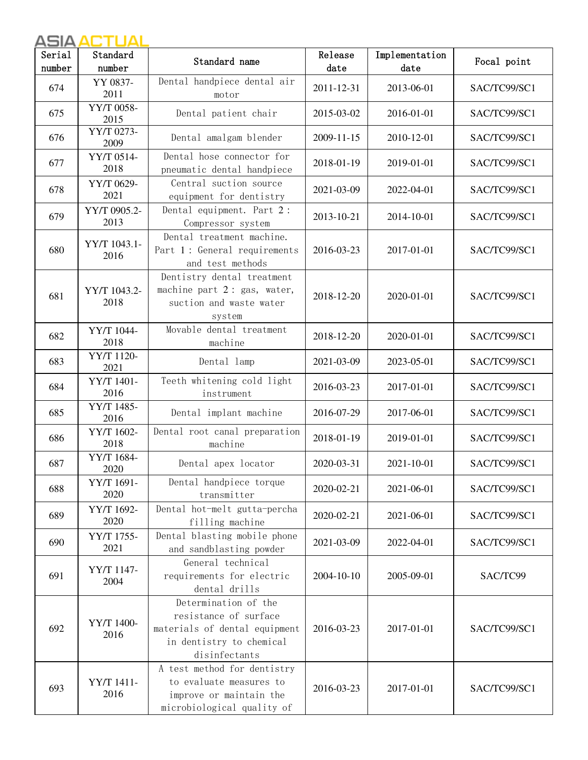| Serial | Standard             | Standard name                                                                                                               | Release    | Implementation | Focal point  |
|--------|----------------------|-----------------------------------------------------------------------------------------------------------------------------|------------|----------------|--------------|
| number | number               |                                                                                                                             | date       | date           |              |
| 674    | YY 0837-<br>2011     | Dental handpiece dental air<br>motor                                                                                        | 2011-12-31 | 2013-06-01     | SAC/TC99/SC1 |
| 675    | YY/T 0058-<br>2015   | Dental patient chair                                                                                                        | 2015-03-02 | 2016-01-01     | SAC/TC99/SC1 |
| 676    | YY/T 0273-<br>2009   | Dental amalgam blender                                                                                                      | 2009-11-15 | 2010-12-01     | SAC/TC99/SC1 |
| 677    | YY/T 0514-<br>2018   | Dental hose connector for<br>pneumatic dental handpiece                                                                     | 2018-01-19 | 2019-01-01     | SAC/TC99/SC1 |
| 678    | YY/T 0629-<br>2021   | Central suction source<br>equipment for dentistry                                                                           | 2021-03-09 | 2022-04-01     | SAC/TC99/SC1 |
| 679    | YY/T 0905.2-<br>2013 | Dental equipment. Part 2:<br>Compressor system                                                                              | 2013-10-21 | 2014-10-01     | SAC/TC99/SC1 |
| 680    | YY/T 1043.1-<br>2016 | Dental treatment machine.<br>Part 1: General requirements<br>and test methods                                               | 2016-03-23 | 2017-01-01     | SAC/TC99/SC1 |
| 681    | YY/T 1043.2-<br>2018 | Dentistry dental treatment<br>machine part 2: gas, water,<br>suction and waste water<br>system                              | 2018-12-20 | 2020-01-01     | SAC/TC99/SC1 |
| 682    | YY/T 1044-<br>2018   | Movable dental treatment<br>machine                                                                                         | 2018-12-20 | 2020-01-01     | SAC/TC99/SC1 |
| 683    | YY/T 1120-<br>2021   | Dental lamp                                                                                                                 | 2021-03-09 | 2023-05-01     | SAC/TC99/SC1 |
| 684    | YY/T 1401-<br>2016   | Teeth whitening cold light<br>instrument                                                                                    | 2016-03-23 | 2017-01-01     | SAC/TC99/SC1 |
| 685    | YY/T 1485-<br>2016   | Dental implant machine                                                                                                      | 2016-07-29 | 2017-06-01     | SAC/TC99/SC1 |
| 686    | YY/T 1602-<br>2018   | Dental root canal preparation<br>machine                                                                                    | 2018-01-19 | 2019-01-01     | SAC/TC99/SC1 |
| 687    | YY/T 1684-<br>2020   | Dental apex locator                                                                                                         | 2020-03-31 | 2021-10-01     | SAC/TC99/SC1 |
| 688    | YY/T 1691-<br>2020   | Dental handpiece torque<br>transmitter                                                                                      | 2020-02-21 | 2021-06-01     | SAC/TC99/SC1 |
| 689    | YY/T 1692-<br>2020   | Dental hot-melt gutta-percha<br>filling machine                                                                             | 2020-02-21 | 2021-06-01     | SAC/TC99/SC1 |
| 690    | YY/T 1755-<br>2021   | Dental blasting mobile phone<br>and sandblasting powder                                                                     | 2021-03-09 | 2022-04-01     | SAC/TC99/SC1 |
| 691    | YY/T 1147-<br>2004   | General technical<br>requirements for electric<br>dental drills                                                             | 2004-10-10 | 2005-09-01     | SAC/TC99     |
| 692    | YY/T 1400-<br>2016   | Determination of the<br>resistance of surface<br>materials of dental equipment<br>in dentistry to chemical<br>disinfectants | 2016-03-23 | 2017-01-01     | SAC/TC99/SC1 |
| 693    | YY/T 1411-<br>2016   | A test method for dentistry<br>to evaluate measures to<br>improve or maintain the<br>microbiological quality of             | 2016-03-23 | 2017-01-01     | SAC/TC99/SC1 |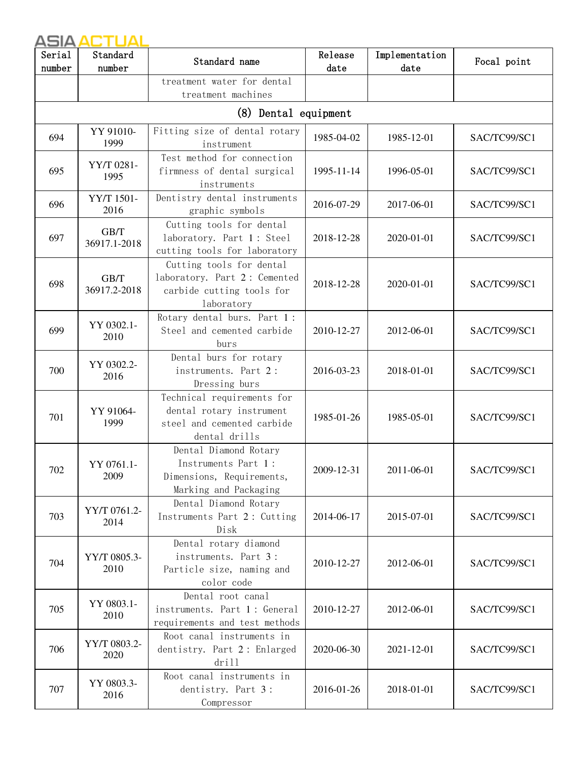| Serial<br>number | Standard<br>number   | Standard name                                                                                         | Release<br>date | Implementation<br>date | Focal point  |
|------------------|----------------------|-------------------------------------------------------------------------------------------------------|-----------------|------------------------|--------------|
|                  |                      | treatment water for dental<br>treatment machines                                                      |                 |                        |              |
|                  |                      | (8) Dental equipment                                                                                  |                 |                        |              |
| 694              | YY 91010-<br>1999    | Fitting size of dental rotary<br>instrument                                                           | 1985-04-02      | 1985-12-01             | SAC/TC99/SC1 |
| 695              | YY/T 0281-<br>1995   | Test method for connection<br>firmness of dental surgical<br>instruments                              | 1995-11-14      | 1996-05-01             | SAC/TC99/SC1 |
| 696              | YY/T 1501-<br>2016   | Dentistry dental instruments<br>graphic symbols                                                       | 2016-07-29      | 2017-06-01             | SAC/TC99/SC1 |
| 697              | GB/T<br>36917.1-2018 | Cutting tools for dental<br>laboratory. Part 1: Steel<br>cutting tools for laboratory                 | 2018-12-28      | 2020-01-01             | SAC/TC99/SC1 |
| 698              | GB/T<br>36917.2-2018 | Cutting tools for dental<br>laboratory. Part 2: Cemented<br>carbide cutting tools for<br>laboratory   | 2018-12-28      | 2020-01-01             | SAC/TC99/SC1 |
| 699              | YY 0302.1-<br>2010   | Rotary dental burs. Part 1:<br>Steel and cemented carbide<br>burs                                     | 2010-12-27      | 2012-06-01             | SAC/TC99/SC1 |
| 700              | YY 0302.2-<br>2016   | Dental burs for rotary<br>instruments. Part 2:<br>Dressing burs                                       | 2016-03-23      | 2018-01-01             | SAC/TC99/SC1 |
| 701              | YY 91064-<br>1999    | Technical requirements for<br>dental rotary instrument<br>steel and cemented carbide<br>dental drills | 1985-01-26      | 1985-05-01             | SAC/TC99/SC1 |
| 702              | YY 0761.1-<br>2009   | Dental Diamond Rotary<br>Instruments Part 1:<br>Dimensions, Requirements,<br>Marking and Packaging    | 2009-12-31      | 2011-06-01             | SAC/TC99/SC1 |
| 703              | YY/T 0761.2-<br>2014 | Dental Diamond Rotary<br>Instruments Part 2: Cutting<br>Disk                                          | 2014-06-17      | 2015-07-01             | SAC/TC99/SC1 |
| 704              | YY/T 0805.3-<br>2010 | Dental rotary diamond<br>instruments. Part 3:<br>Particle size, naming and<br>color code              | 2010-12-27      | 2012-06-01             | SAC/TC99/SC1 |
| 705              | YY 0803.1-<br>2010   | Dental root canal<br>instruments. Part 1: General<br>requirements and test methods                    | 2010-12-27      | 2012-06-01             | SAC/TC99/SC1 |
| 706              | YY/T 0803.2-<br>2020 | Root canal instruments in<br>dentistry. Part 2: Enlarged<br>drill                                     | 2020-06-30      | 2021-12-01             | SAC/TC99/SC1 |
| 707              | YY 0803.3-<br>2016   | Root canal instruments in<br>dentistry. Part 3:<br>Compressor                                         | 2016-01-26      | 2018-01-01             | SAC/TC99/SC1 |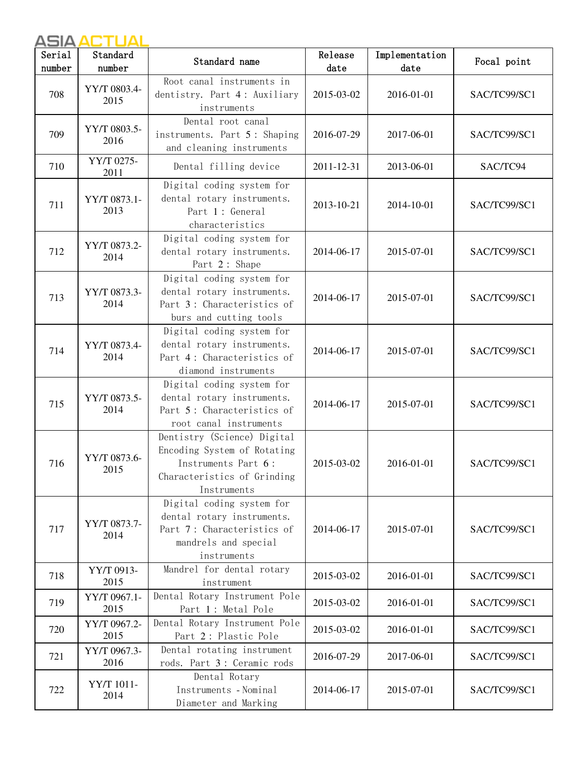| Serial | Standard             | Standard name                                                                                                                   | Release    | Implementation | Focal point  |
|--------|----------------------|---------------------------------------------------------------------------------------------------------------------------------|------------|----------------|--------------|
| number | number               |                                                                                                                                 | date       | date           |              |
| 708    | YY/T 0803.4-<br>2015 | Root canal instruments in<br>dentistry. Part 4: Auxiliary<br>instruments                                                        | 2015-03-02 | 2016-01-01     | SAC/TC99/SC1 |
| 709    | YY/T 0803.5-<br>2016 | Dental root canal<br>instruments. Part 5: Shaping<br>and cleaning instruments                                                   | 2016-07-29 | 2017-06-01     | SAC/TC99/SC1 |
| 710    | YY/T 0275-<br>2011   | Dental filling device                                                                                                           | 2011-12-31 | 2013-06-01     | SAC/TC94     |
| 711    | YY/T 0873.1-<br>2013 | Digital coding system for<br>dental rotary instruments.<br>Part 1: General<br>characteristics                                   | 2013-10-21 | 2014-10-01     | SAC/TC99/SC1 |
| 712    | YY/T 0873.2-<br>2014 | Digital coding system for<br>dental rotary instruments.<br>Part 2: Shape                                                        | 2014-06-17 | 2015-07-01     | SAC/TC99/SC1 |
| 713    | YY/T 0873.3-<br>2014 | Digital coding system for<br>dental rotary instruments.<br>Part 3: Characteristics of<br>burs and cutting tools                 | 2014-06-17 | 2015-07-01     | SAC/TC99/SC1 |
| 714    | YY/T 0873.4-<br>2014 | Digital coding system for<br>dental rotary instruments.<br>Part 4: Characteristics of<br>diamond instruments                    | 2014-06-17 | 2015-07-01     | SAC/TC99/SC1 |
| 715    | YY/T 0873.5-<br>2014 | Digital coding system for<br>dental rotary instruments.<br>Part 5: Characteristics of<br>root canal instruments                 | 2014-06-17 | 2015-07-01     | SAC/TC99/SC1 |
| 716    | YY/T 0873.6-<br>2015 | Dentistry (Science) Digital<br>Encoding System of Rotating<br>Instruments Part 6:<br>Characteristics of Grinding<br>Instruments | 2015-03-02 | 2016-01-01     | SAC/TC99/SC1 |
| 717    | YY/T 0873.7-<br>2014 | Digital coding system for<br>dental rotary instruments.<br>Part 7: Characteristics of<br>mandrels and special<br>instruments    | 2014-06-17 | 2015-07-01     | SAC/TC99/SC1 |
| 718    | YY/T 0913-<br>2015   | Mandrel for dental rotary<br>instrument                                                                                         | 2015-03-02 | 2016-01-01     | SAC/TC99/SC1 |
| 719    | YY/T 0967.1-<br>2015 | Dental Rotary Instrument Pole<br>Part 1: Metal Pole                                                                             | 2015-03-02 | 2016-01-01     | SAC/TC99/SC1 |
| 720    | YY/T 0967.2-<br>2015 | Dental Rotary Instrument Pole<br>Part 2: Plastic Pole                                                                           | 2015-03-02 | 2016-01-01     | SAC/TC99/SC1 |
| 721    | YY/T 0967.3-<br>2016 | Dental rotating instrument<br>rods. Part 3 : Ceramic rods                                                                       | 2016-07-29 | 2017-06-01     | SAC/TC99/SC1 |
| 722    | YY/T 1011-<br>2014   | Dental Rotary<br>Instruments - Nominal<br>Diameter and Marking                                                                  | 2014-06-17 | 2015-07-01     | SAC/TC99/SC1 |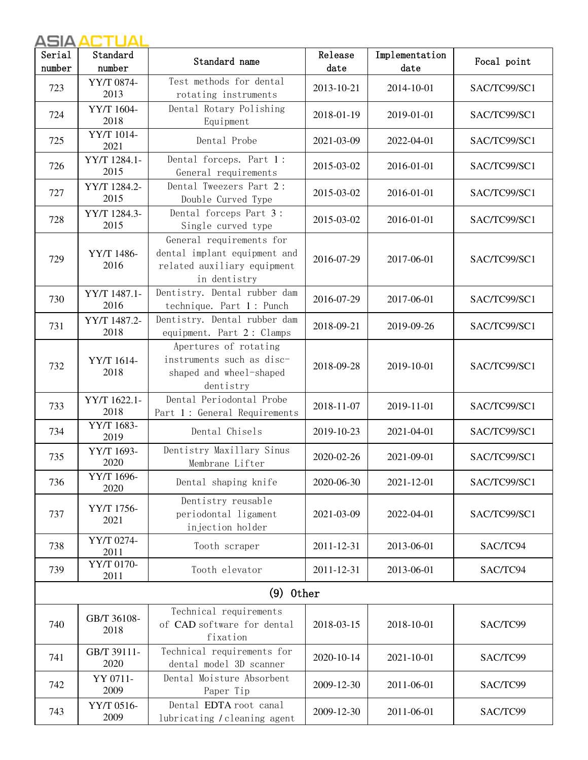| Serial | Standard             | Standard name                                                                                           | Release    | Implementation | Focal point  |
|--------|----------------------|---------------------------------------------------------------------------------------------------------|------------|----------------|--------------|
| number | number               |                                                                                                         | date       | date           |              |
| 723    | YY/T 0874-<br>2013   | Test methods for dental<br>rotating instruments                                                         | 2013-10-21 | 2014-10-01     | SAC/TC99/SC1 |
| 724    | YY/T 1604-<br>2018   | Dental Rotary Polishing<br>Equipment                                                                    | 2018-01-19 | 2019-01-01     | SAC/TC99/SC1 |
| 725    | YY/T 1014-<br>2021   | Dental Probe                                                                                            | 2021-03-09 | 2022-04-01     | SAC/TC99/SC1 |
| 726    | YY/T 1284.1-<br>2015 | Dental forceps. Part 1:<br>General requirements                                                         | 2015-03-02 | 2016-01-01     | SAC/TC99/SC1 |
| 727    | YY/T 1284.2-<br>2015 | Dental Tweezers Part 2:<br>Double Curved Type                                                           | 2015-03-02 | 2016-01-01     | SAC/TC99/SC1 |
| 728    | YY/T 1284.3-<br>2015 | Dental forceps Part 3:<br>Single curved type                                                            | 2015-03-02 | 2016-01-01     | SAC/TC99/SC1 |
| 729    | YY/T 1486-<br>2016   | General requirements for<br>dental implant equipment and<br>related auxiliary equipment<br>in dentistry | 2016-07-29 | 2017-06-01     | SAC/TC99/SC1 |
| 730    | YY/T 1487.1-<br>2016 | Dentistry. Dental rubber dam<br>technique. Part 1 : Punch                                               | 2016-07-29 | 2017-06-01     | SAC/TC99/SC1 |
| 731    | YY/T 1487.2-<br>2018 | Dentistry. Dental rubber dam<br>equipment. Part 2: Clamps                                               | 2018-09-21 | 2019-09-26     | SAC/TC99/SC1 |
| 732    | YY/T 1614-<br>2018   | Apertures of rotating<br>instruments such as disc-<br>shaped and wheel-shaped<br>dentistry              | 2018-09-28 | 2019-10-01     | SAC/TC99/SC1 |
| 733    | YY/T 1622.1-<br>2018 | Dental Periodontal Probe<br>Part 1: General Requirements                                                | 2018-11-07 | 2019-11-01     | SAC/TC99/SC1 |
| 734    | YY/T 1683-<br>2019   | Dental Chisels                                                                                          | 2019-10-23 | 2021-04-01     | SAC/TC99/SC1 |
| 735    | YY/T 1693-<br>2020   | Dentistry Maxillary Sinus<br>Membrane Lifter                                                            | 2020-02-26 | 2021-09-01     | SAC/TC99/SC1 |
| 736    | YY/T 1696-<br>2020   | Dental shaping knife                                                                                    | 2020-06-30 | 2021-12-01     | SAC/TC99/SC1 |
| 737    | YY/T 1756-<br>2021   | Dentistry reusable<br>periodontal ligament<br>injection holder                                          | 2021-03-09 | 2022-04-01     | SAC/TC99/SC1 |
| 738    | YY/T 0274-<br>2011   | Tooth scraper                                                                                           | 2011-12-31 | 2013-06-01     | SAC/TC94     |
| 739    | YY/T 0170-<br>2011   | Tooth elevator                                                                                          | 2011-12-31 | 2013-06-01     | SAC/TC94     |
|        |                      | $(9)$ 0ther                                                                                             |            |                |              |
| 740    | GB/T 36108-<br>2018  | Technical requirements<br>of CAD software for dental<br>fixation                                        | 2018-03-15 | 2018-10-01     | SAC/TC99     |
| 741    | GB/T 39111-<br>2020  | Technical requirements for<br>dental model 3D scanner                                                   | 2020-10-14 | 2021-10-01     | SAC/TC99     |
| 742    | YY 0711-<br>2009     | Dental Moisture Absorbent<br>Paper Tip                                                                  | 2009-12-30 | 2011-06-01     | SAC/TC99     |
| 743    | YY/T 0516-<br>2009   | Dental EDTA root canal<br>lubricating / cleaning agent                                                  | 2009-12-30 | 2011-06-01     | SAC/TC99     |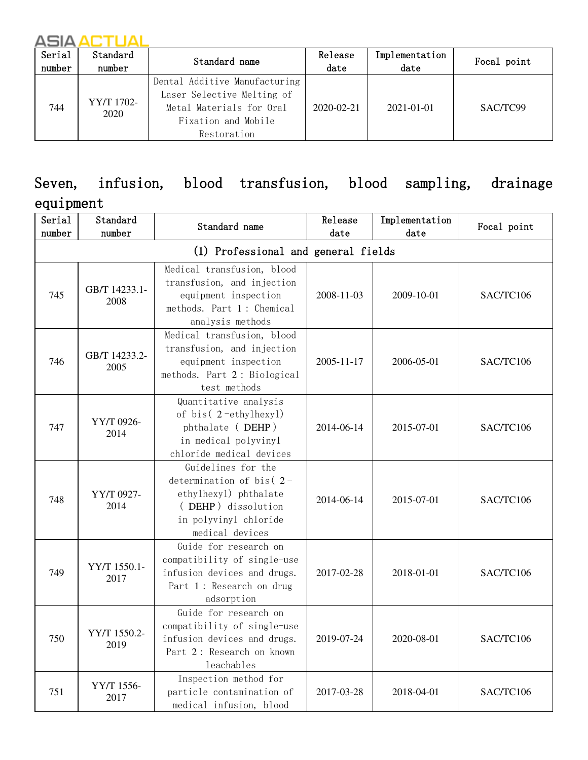| Serial<br>number | Standard<br>number | Standard name                                                                                                                 | Release<br>date  | Implementation<br>date | Focal point |
|------------------|--------------------|-------------------------------------------------------------------------------------------------------------------------------|------------------|------------------------|-------------|
| 744              | YY/T 1702-<br>2020 | Dental Additive Manufacturing<br>Laser Selective Melting of<br>Metal Materials for Oral<br>Fixation and Mobile<br>Restoration | $2020 - 02 - 21$ | $2021 - 01 - 01$       | SAC/TC99    |

# Seven, infusion, blood transfusion, blood sampling, drainage

#### equipment

| Serial<br>number                    | Standard<br>number    | Standard name                                                                                                                                | Release<br>$_{\text{date}}$ | Implementation<br>date | Focal point |  |  |
|-------------------------------------|-----------------------|----------------------------------------------------------------------------------------------------------------------------------------------|-----------------------------|------------------------|-------------|--|--|
| (1) Professional and general fields |                       |                                                                                                                                              |                             |                        |             |  |  |
| 745                                 | GB/T 14233.1-<br>2008 | Medical transfusion, blood<br>transfusion, and injection<br>equipment inspection<br>methods. Part 1: Chemical<br>analysis methods            | 2008-11-03                  | 2009-10-01             | SAC/TC106   |  |  |
| 746                                 | GB/T 14233.2-<br>2005 | Medical transfusion, blood<br>transfusion, and injection<br>equipment inspection<br>methods. Part 2: Biological<br>test methods              | 2005-11-17                  | 2006-05-01             | SAC/TC106   |  |  |
| 747                                 | YY/T 0926-<br>2014    | Quantitative analysis<br>of bis(2-ethylhexyl)<br>phthalate (DEHP)<br>in medical polyvinyl<br>chloride medical devices                        | 2014-06-14                  | 2015-07-01             | SAC/TC106   |  |  |
| 748                                 | YY/T 0927-<br>2014    | Guidelines for the<br>determination of bis( $2$ -<br>ethylhexyl) phthalate<br>(DEHP) dissolution<br>in polyvinyl chloride<br>medical devices | 2014-06-14                  | 2015-07-01             | SAC/TC106   |  |  |
| 749                                 | YY/T 1550.1-<br>2017  | Guide for research on<br>compatibility of single-use<br>infusion devices and drugs.<br>Part 1: Research on drug<br>adsorption                | 2017-02-28                  | 2018-01-01             | SAC/TC106   |  |  |
| 750                                 | YY/T 1550.2-<br>2019  | Guide for research on<br>compatibility of single-use<br>infusion devices and drugs.<br>Part 2: Research on known<br>leachables               | 2019-07-24                  | 2020-08-01             | SAC/TC106   |  |  |
| 751                                 | YY/T 1556-<br>2017    | Inspection method for<br>particle contamination of<br>medical infusion, blood                                                                | 2017-03-28                  | 2018-04-01             | SAC/TC106   |  |  |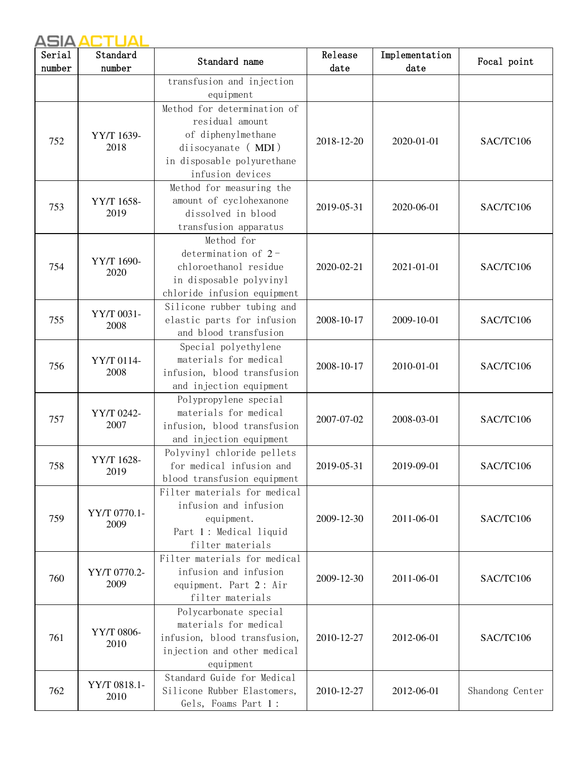| Serial | Standard             | Standard name                                                                                                                                | Release    | Implementation | Focal point     |
|--------|----------------------|----------------------------------------------------------------------------------------------------------------------------------------------|------------|----------------|-----------------|
| number | number               |                                                                                                                                              | date       | date           |                 |
|        |                      | transfusion and injection<br>equipment                                                                                                       |            |                |                 |
| 752    | YY/T 1639-<br>2018   | Method for determination of<br>residual amount<br>of diphenylmethane<br>diisocyanate (MDI)<br>in disposable polyurethane<br>infusion devices | 2018-12-20 | 2020-01-01     | SAC/TC106       |
| 753    | YY/T 1658-<br>2019   | Method for measuring the<br>amount of cyclohexanone<br>dissolved in blood<br>transfusion apparatus                                           | 2019-05-31 | 2020-06-01     | SAC/TC106       |
| 754    | YY/T 1690-<br>2020   | Method for<br>determination of $2-$<br>chloroethanol residue<br>in disposable polyvinyl<br>chloride infusion equipment                       | 2020-02-21 | 2021-01-01     | SAC/TC106       |
| 755    | YY/T 0031-<br>2008   | Silicone rubber tubing and<br>elastic parts for infusion<br>and blood transfusion                                                            | 2008-10-17 | 2009-10-01     | SAC/TC106       |
| 756    | YY/T 0114-<br>2008   | Special polyethylene<br>materials for medical<br>infusion, blood transfusion<br>and injection equipment                                      | 2008-10-17 | 2010-01-01     | SAC/TC106       |
| 757    | YY/T 0242-<br>2007   | Polypropylene special<br>materials for medical<br>infusion, blood transfusion<br>and injection equipment                                     | 2007-07-02 | 2008-03-01     | SAC/TC106       |
| 758    | YY/T 1628-<br>2019   | Polyvinyl chloride pellets<br>for medical infusion and<br>blood transfusion equipment                                                        | 2019-05-31 | 2019-09-01     | SAC/TC106       |
| 759    | YY/T 0770.1-<br>2009 | Filter materials for medical<br>infusion and infusion<br>equipment.<br>Part 1: Medical liquid<br>filter materials                            | 2009-12-30 | 2011-06-01     | SAC/TC106       |
| 760    | YY/T 0770.2-<br>2009 | Filter materials for medical<br>infusion and infusion<br>equipment. Part 2: Air<br>filter materials                                          | 2009-12-30 | 2011-06-01     | SAC/TC106       |
| 761    | YY/T 0806-<br>2010   | Polycarbonate special<br>materials for medical<br>infusion, blood transfusion,<br>injection and other medical<br>equipment                   | 2010-12-27 | 2012-06-01     | SAC/TC106       |
| 762    | YY/T 0818.1-<br>2010 | Standard Guide for Medical<br>Silicone Rubber Elastomers,<br>Gels, Foams Part 1:                                                             | 2010-12-27 | 2012-06-01     | Shandong Center |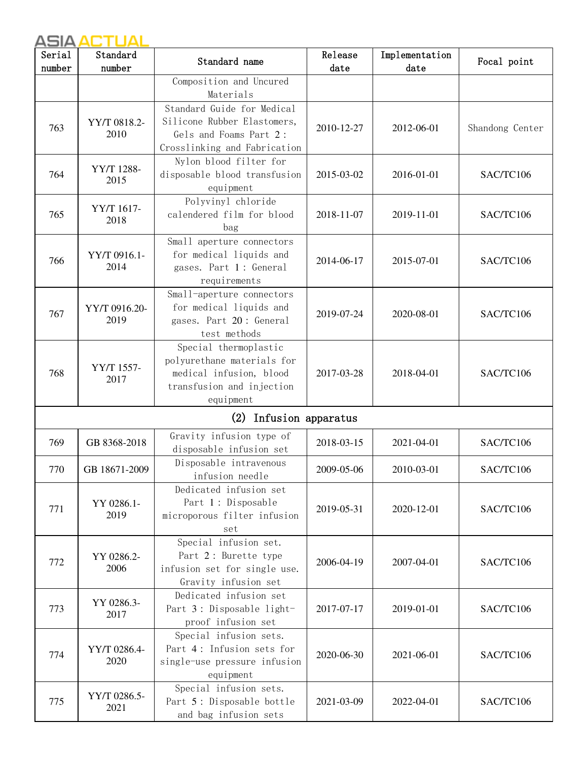| Serial<br>number | Standard<br>number    | Standard name                                                                                                            | Release<br>date | Implementation<br>date | Focal point     |
|------------------|-----------------------|--------------------------------------------------------------------------------------------------------------------------|-----------------|------------------------|-----------------|
|                  |                       | Composition and Uncured<br>Materials                                                                                     |                 |                        |                 |
| 763              | YY/T 0818.2-<br>2010  | Standard Guide for Medical<br>Silicone Rubber Elastomers,<br>Gels and Foams Part 2:<br>Crosslinking and Fabrication      | 2010-12-27      | 2012-06-01             | Shandong Center |
| 764              | YY/T 1288-<br>2015    | Nylon blood filter for<br>disposable blood transfusion<br>equipment                                                      | 2015-03-02      | 2016-01-01             | SAC/TC106       |
| 765              | YY/T 1617-<br>2018    | Polyvinyl chloride<br>calendered film for blood<br>bag                                                                   | 2018-11-07      | 2019-11-01             | SAC/TC106       |
| 766              | YY/T 0916.1-<br>2014  | Small aperture connectors<br>for medical liquids and<br>gases. Part 1: General<br>requirements                           | 2014-06-17      | 2015-07-01             | SAC/TC106       |
| 767              | YY/T 0916.20-<br>2019 | Small-aperture connectors<br>for medical liquids and<br>gases. Part 20: General<br>test methods                          | 2019-07-24      | 2020-08-01             | SAC/TC106       |
| 768              | YY/T 1557-<br>2017    | Special thermoplastic<br>polyurethane materials for<br>medical infusion, blood<br>transfusion and injection<br>equipment | 2017-03-28      | 2018-04-01             | SAC/TC106       |
|                  |                       | (2) Infusion apparatus                                                                                                   |                 |                        |                 |
| 769              | GB 8368-2018          | Gravity infusion type of<br>disposable infusion set                                                                      | 2018-03-15      | 2021-04-01             | SAC/TC106       |
| 770              | GB 18671-2009         | Disposable intravenous<br>infusion needle                                                                                | 2009-05-06      | 2010-03-01             | SAC/TC106       |
| 771              | YY 0286.1-<br>2019    | Dedicated infusion set<br>Part 1: Disposable<br>microporous filter infusion<br>set                                       | 2019-05-31      | 2020-12-01             | SAC/TC106       |
| 772              | YY 0286.2-<br>2006    | Special infusion set.<br>Part 2: Burette type<br>infusion set for single use.<br>Gravity infusion set                    | 2006-04-19      | 2007-04-01             | SAC/TC106       |
| 773              | YY 0286.3-<br>2017    | Dedicated infusion set<br>Part 3: Disposable light-<br>proof infusion set                                                | 2017-07-17      | 2019-01-01             | SAC/TC106       |
| 774              | YY/T 0286.4-<br>2020  | Special infusion sets.<br>Part 4: Infusion sets for<br>single-use pressure infusion<br>equipment                         | 2020-06-30      | 2021-06-01             | SAC/TC106       |
| 775              | YY/T 0286.5-<br>2021  | Special infusion sets.<br>Part 5: Disposable bottle<br>and bag infusion sets                                             | 2021-03-09      | 2022-04-01             | SAC/TC106       |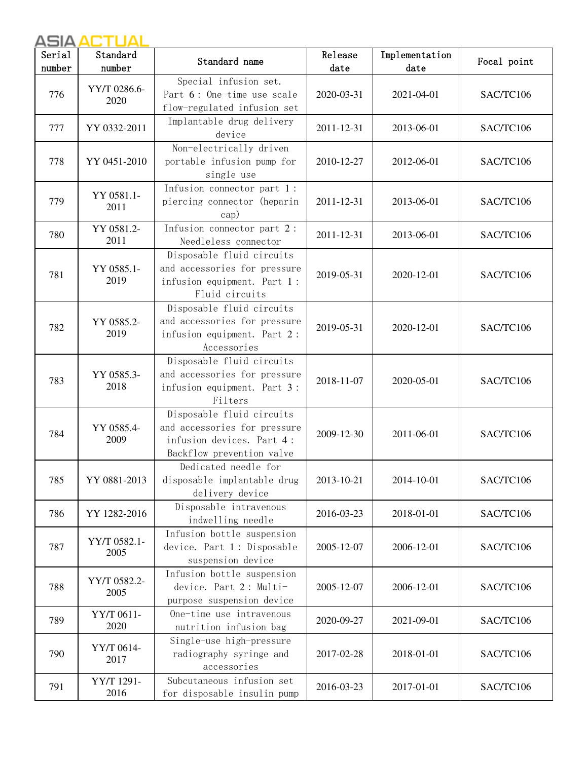| Serial<br>number | Standard<br>number   | Standard name                                                                                                       | Release<br>date | Implementation<br>date | Focal point |
|------------------|----------------------|---------------------------------------------------------------------------------------------------------------------|-----------------|------------------------|-------------|
| 776              | YY/T 0286.6-<br>2020 | Special infusion set.<br>Part 6: One-time use scale<br>flow-regulated infusion set                                  | 2020-03-31      | 2021-04-01             | SAC/TC106   |
| 777              | YY 0332-2011         | Implantable drug delivery<br>device                                                                                 | 2011-12-31      | 2013-06-01             | SAC/TC106   |
| 778              | YY 0451-2010         | Non-electrically driven<br>portable infusion pump for<br>single use                                                 | 2010-12-27      | 2012-06-01             | SAC/TC106   |
| 779              | YY 0581.1-<br>2011   | Infusion connector part 1:<br>piercing connector (heparin<br>cap)                                                   | 2011-12-31      | 2013-06-01             | SAC/TC106   |
| 780              | YY 0581.2-<br>2011   | Infusion connector part 2:<br>Needleless connector                                                                  | 2011-12-31      | 2013-06-01             | SAC/TC106   |
| 781              | YY 0585.1-<br>2019   | Disposable fluid circuits<br>and accessories for pressure<br>infusion equipment. Part 1:<br>Fluid circuits          | 2019-05-31      | 2020-12-01             | SAC/TC106   |
| 782              | YY 0585.2-<br>2019   | Disposable fluid circuits<br>and accessories for pressure<br>infusion equipment. Part 2:<br>Accessories             | 2019-05-31      | 2020-12-01             | SAC/TC106   |
| 783              | YY 0585.3-<br>2018   | Disposable fluid circuits<br>and accessories for pressure<br>infusion equipment. Part 3:<br>Filters                 | 2018-11-07      | 2020-05-01             | SAC/TC106   |
| 784              | YY 0585.4-<br>2009   | Disposable fluid circuits<br>and accessories for pressure<br>infusion devices. Part 4:<br>Backflow prevention valve | 2009-12-30      | 2011-06-01             | SAC/TC106   |
| 785              | YY 0881-2013         | Dedicated needle for<br>disposable implantable drug<br>delivery device                                              | 2013-10-21      | 2014-10-01             | SAC/TC106   |
| 786              | YY 1282-2016         | Disposable intravenous<br>indwelling needle                                                                         | 2016-03-23      | 2018-01-01             | SAC/TC106   |
| 787              | YY/T 0582.1-<br>2005 | Infusion bottle suspension<br>device. Part 1: Disposable<br>suspension device                                       | 2005-12-07      | 2006-12-01             | SAC/TC106   |
| 788              | YY/T 0582.2-<br>2005 | Infusion bottle suspension<br>device. Part 2: Multi-<br>purpose suspension device                                   | 2005-12-07      | 2006-12-01             | SAC/TC106   |
| 789              | YY/T 0611-<br>2020   | One-time use intravenous<br>nutrition infusion bag                                                                  | 2020-09-27      | 2021-09-01             | SAC/TC106   |
| 790              | YY/T 0614-<br>2017   | Single-use high-pressure<br>radiography syringe and<br>accessories                                                  | 2017-02-28      | 2018-01-01             | SAC/TC106   |
| 791              | YY/T 1291-<br>2016   | Subcutaneous infusion set<br>for disposable insulin pump                                                            | 2016-03-23      | 2017-01-01             | SAC/TC106   |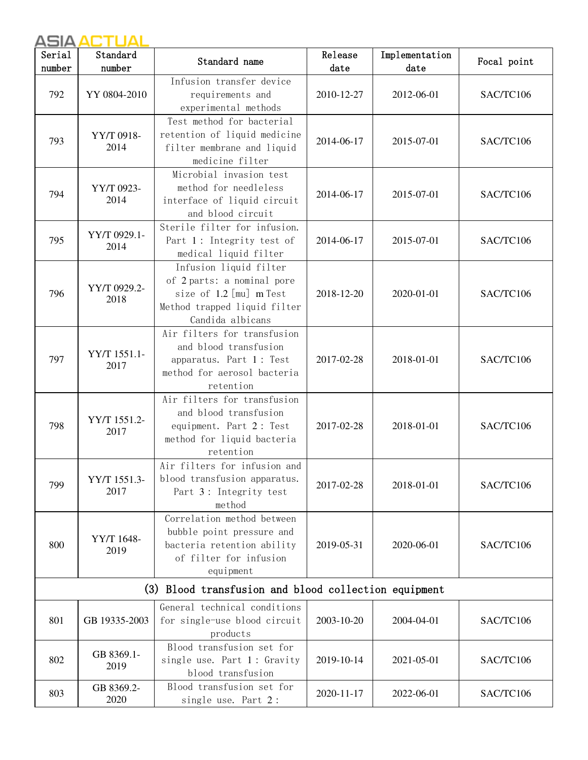| Serial | Standard             | Standard name                                                                                                                       | Release    | Implementation | Focal point |
|--------|----------------------|-------------------------------------------------------------------------------------------------------------------------------------|------------|----------------|-------------|
| number | number               |                                                                                                                                     | date       | date           |             |
| 792    | YY 0804-2010         | Infusion transfer device<br>requirements and<br>experimental methods                                                                | 2010-12-27 | 2012-06-01     | SAC/TC106   |
| 793    | YY/T 0918-<br>2014   | Test method for bacterial<br>retention of liquid medicine<br>filter membrane and liquid<br>medicine filter                          | 2014-06-17 | 2015-07-01     | SAC/TC106   |
| 794    | YY/T 0923-<br>2014   | Microbial invasion test<br>method for needleless<br>interface of liquid circuit<br>and blood circuit                                | 2014-06-17 | 2015-07-01     | SAC/TC106   |
| 795    | YY/T 0929.1-<br>2014 | Sterile filter for infusion.<br>Part 1: Integrity test of<br>medical liquid filter                                                  | 2014-06-17 | 2015-07-01     | SAC/TC106   |
| 796    | YY/T 0929.2-<br>2018 | Infusion liquid filter<br>of 2 parts: a nominal pore<br>size of 1.2 [mu] m Test<br>Method trapped liquid filter<br>Candida albicans | 2018-12-20 | 2020-01-01     | SAC/TC106   |
| 797    | YY/T 1551.1-<br>2017 | Air filters for transfusion<br>and blood transfusion<br>apparatus. Part 1: Test<br>method for aerosol bacteria<br>retention         | 2017-02-28 | 2018-01-01     | SAC/TC106   |
| 798    | YY/T 1551.2-<br>2017 | Air filters for transfusion<br>and blood transfusion<br>equipment. Part 2: Test<br>method for liquid bacteria<br>retention          | 2017-02-28 | 2018-01-01     | SAC/TC106   |
| 799    | YY/T 1551.3-<br>2017 | Air filters for infusion and<br>blood transfusion apparatus.<br>Part 3: Integrity test<br>method                                    | 2017-02-28 | 2018-01-01     | SAC/TC106   |
| 800    | YY/T 1648-<br>2019   | Correlation method between<br>bubble point pressure and<br>bacteria retention ability<br>of filter for infusion<br>equipment        | 2019-05-31 | 2020-06-01     | SAC/TC106   |
|        |                      | (3) Blood transfusion and blood collection equipment                                                                                |            |                |             |
| 801    | GB 19335-2003        | General technical conditions<br>for single-use blood circuit<br>products                                                            | 2003-10-20 | 2004-04-01     | SAC/TC106   |
| 802    | GB 8369.1-<br>2019   | Blood transfusion set for<br>single use. Part 1: Gravity<br>blood transfusion                                                       | 2019-10-14 | 2021-05-01     | SAC/TC106   |
| 803    | GB 8369.2-<br>2020   | Blood transfusion set for<br>single use. Part 2:                                                                                    | 2020-11-17 | 2022-06-01     | SAC/TC106   |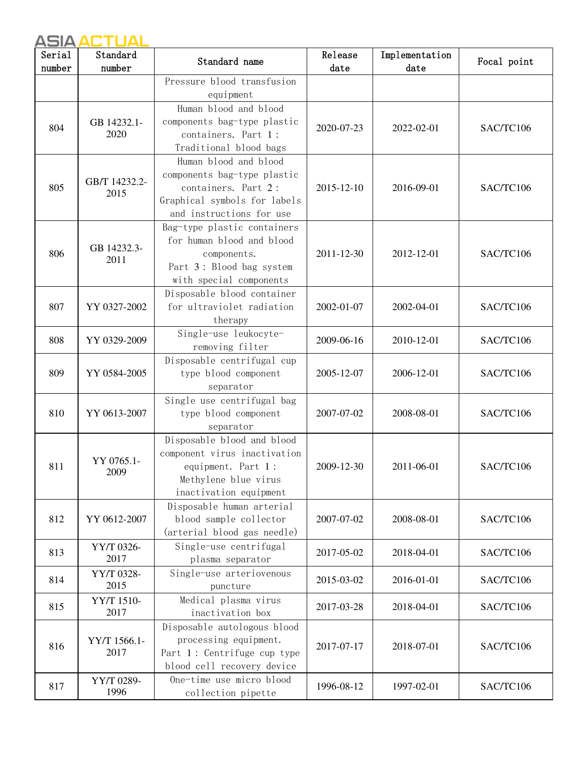| Pressure blood transfusion<br>equipment<br>Human blood and blood<br>components bag-type plastic<br>GB 14232.1-<br>804<br>2020-07-23<br>SAC/TC106<br>2022-02-01<br>2020<br>containers. Part 1:<br>Traditional blood bags<br>Human blood and blood<br>components bag-type plastic<br>GB/T 14232.2-<br>805<br>containers. Part 2:<br>2015-12-10<br>2016-09-01<br>SAC/TC106<br>2015<br>Graphical symbols for labels<br>and instructions for use<br>Bag-type plastic containers<br>for human blood and blood<br>GB 14232.3-<br>806<br>2011-12-30<br>2012-12-01<br>SAC/TC106<br>components.<br>2011<br>Part 3: Blood bag system<br>with special components<br>Disposable blood container<br>for ultraviolet radiation<br>807<br>YY 0327-2002<br>2002-01-07<br>2002-04-01<br>SAC/TC106<br>therapy<br>Single-use leukocyte-<br>2010-12-01<br>SAC/TC106<br>808<br>YY 0329-2009<br>2009-06-16<br>removing filter<br>Disposable centrifugal cup<br>type blood component<br>SAC/TC106<br>809<br>YY 0584-2005<br>2005-12-07<br>2006-12-01<br>separator<br>Single use centrifugal bag<br>810<br>YY 0613-2007<br>type blood component<br>2007-07-02<br>2008-08-01<br>SAC/TC106<br>separator<br>Disposable blood and blood<br>component virus inactivation<br>YY 0765.1-<br>equipment. Part 1:<br>811<br>2009-12-30<br>2011-06-01<br>SAC/TC106<br>2009<br>Methylene blue virus<br>inactivation equipment<br>Disposable human arterial<br>812<br>blood sample collector<br>YY 0612-2007<br>2007-07-02<br>2008-08-01<br>SAC/TC106<br>(arterial blood gas needle)<br>Single-use centrifugal<br>YY/T 0326-<br>813<br>2017-05-02<br>2018-04-01<br>SAC/TC106<br>2017<br>plasma separator<br>Single-use arteriovenous<br>YY/T 0328-<br>814<br>2016-01-01<br>2015-03-02<br>SAC/TC106<br>2015<br>puncture<br>Medical plasma virus<br>YY/T 1510-<br>815<br>2017-03-28<br>2018-04-01<br>SAC/TC106<br>2017<br>inactivation box<br>Disposable autologous blood<br>processing equipment.<br>YY/T 1566.1-<br>816<br>2017-07-17<br>2018-07-01<br>SAC/TC106<br>2017<br>Part 1: Centrifuge cup type<br>blood cell recovery device<br>One-time use micro blood<br>YY/T 0289-<br>817<br>1996-08-12<br>1997-02-01<br>SAC/TC106 | Serial | Standard | Standard name      | Release | Implementation | Focal point |
|-------------------------------------------------------------------------------------------------------------------------------------------------------------------------------------------------------------------------------------------------------------------------------------------------------------------------------------------------------------------------------------------------------------------------------------------------------------------------------------------------------------------------------------------------------------------------------------------------------------------------------------------------------------------------------------------------------------------------------------------------------------------------------------------------------------------------------------------------------------------------------------------------------------------------------------------------------------------------------------------------------------------------------------------------------------------------------------------------------------------------------------------------------------------------------------------------------------------------------------------------------------------------------------------------------------------------------------------------------------------------------------------------------------------------------------------------------------------------------------------------------------------------------------------------------------------------------------------------------------------------------------------------------------------------------------------------------------------------------------------------------------------------------------------------------------------------------------------------------------------------------------------------------------------------------------------------------------------------------------------------------------------------------------------------------------------------------------------------------------------------------------------------------------------------------------------|--------|----------|--------------------|---------|----------------|-------------|
|                                                                                                                                                                                                                                                                                                                                                                                                                                                                                                                                                                                                                                                                                                                                                                                                                                                                                                                                                                                                                                                                                                                                                                                                                                                                                                                                                                                                                                                                                                                                                                                                                                                                                                                                                                                                                                                                                                                                                                                                                                                                                                                                                                                           | number | number   |                    | date    | date           |             |
|                                                                                                                                                                                                                                                                                                                                                                                                                                                                                                                                                                                                                                                                                                                                                                                                                                                                                                                                                                                                                                                                                                                                                                                                                                                                                                                                                                                                                                                                                                                                                                                                                                                                                                                                                                                                                                                                                                                                                                                                                                                                                                                                                                                           |        |          |                    |         |                |             |
|                                                                                                                                                                                                                                                                                                                                                                                                                                                                                                                                                                                                                                                                                                                                                                                                                                                                                                                                                                                                                                                                                                                                                                                                                                                                                                                                                                                                                                                                                                                                                                                                                                                                                                                                                                                                                                                                                                                                                                                                                                                                                                                                                                                           |        |          |                    |         |                |             |
|                                                                                                                                                                                                                                                                                                                                                                                                                                                                                                                                                                                                                                                                                                                                                                                                                                                                                                                                                                                                                                                                                                                                                                                                                                                                                                                                                                                                                                                                                                                                                                                                                                                                                                                                                                                                                                                                                                                                                                                                                                                                                                                                                                                           |        |          |                    |         |                |             |
|                                                                                                                                                                                                                                                                                                                                                                                                                                                                                                                                                                                                                                                                                                                                                                                                                                                                                                                                                                                                                                                                                                                                                                                                                                                                                                                                                                                                                                                                                                                                                                                                                                                                                                                                                                                                                                                                                                                                                                                                                                                                                                                                                                                           |        |          |                    |         |                |             |
|                                                                                                                                                                                                                                                                                                                                                                                                                                                                                                                                                                                                                                                                                                                                                                                                                                                                                                                                                                                                                                                                                                                                                                                                                                                                                                                                                                                                                                                                                                                                                                                                                                                                                                                                                                                                                                                                                                                                                                                                                                                                                                                                                                                           |        |          |                    |         |                |             |
|                                                                                                                                                                                                                                                                                                                                                                                                                                                                                                                                                                                                                                                                                                                                                                                                                                                                                                                                                                                                                                                                                                                                                                                                                                                                                                                                                                                                                                                                                                                                                                                                                                                                                                                                                                                                                                                                                                                                                                                                                                                                                                                                                                                           |        |          |                    |         |                |             |
|                                                                                                                                                                                                                                                                                                                                                                                                                                                                                                                                                                                                                                                                                                                                                                                                                                                                                                                                                                                                                                                                                                                                                                                                                                                                                                                                                                                                                                                                                                                                                                                                                                                                                                                                                                                                                                                                                                                                                                                                                                                                                                                                                                                           |        |          |                    |         |                |             |
|                                                                                                                                                                                                                                                                                                                                                                                                                                                                                                                                                                                                                                                                                                                                                                                                                                                                                                                                                                                                                                                                                                                                                                                                                                                                                                                                                                                                                                                                                                                                                                                                                                                                                                                                                                                                                                                                                                                                                                                                                                                                                                                                                                                           |        |          |                    |         |                |             |
|                                                                                                                                                                                                                                                                                                                                                                                                                                                                                                                                                                                                                                                                                                                                                                                                                                                                                                                                                                                                                                                                                                                                                                                                                                                                                                                                                                                                                                                                                                                                                                                                                                                                                                                                                                                                                                                                                                                                                                                                                                                                                                                                                                                           |        |          |                    |         |                |             |
|                                                                                                                                                                                                                                                                                                                                                                                                                                                                                                                                                                                                                                                                                                                                                                                                                                                                                                                                                                                                                                                                                                                                                                                                                                                                                                                                                                                                                                                                                                                                                                                                                                                                                                                                                                                                                                                                                                                                                                                                                                                                                                                                                                                           |        |          |                    |         |                |             |
|                                                                                                                                                                                                                                                                                                                                                                                                                                                                                                                                                                                                                                                                                                                                                                                                                                                                                                                                                                                                                                                                                                                                                                                                                                                                                                                                                                                                                                                                                                                                                                                                                                                                                                                                                                                                                                                                                                                                                                                                                                                                                                                                                                                           |        |          |                    |         |                |             |
|                                                                                                                                                                                                                                                                                                                                                                                                                                                                                                                                                                                                                                                                                                                                                                                                                                                                                                                                                                                                                                                                                                                                                                                                                                                                                                                                                                                                                                                                                                                                                                                                                                                                                                                                                                                                                                                                                                                                                                                                                                                                                                                                                                                           |        |          |                    |         |                |             |
|                                                                                                                                                                                                                                                                                                                                                                                                                                                                                                                                                                                                                                                                                                                                                                                                                                                                                                                                                                                                                                                                                                                                                                                                                                                                                                                                                                                                                                                                                                                                                                                                                                                                                                                                                                                                                                                                                                                                                                                                                                                                                                                                                                                           |        |          |                    |         |                |             |
|                                                                                                                                                                                                                                                                                                                                                                                                                                                                                                                                                                                                                                                                                                                                                                                                                                                                                                                                                                                                                                                                                                                                                                                                                                                                                                                                                                                                                                                                                                                                                                                                                                                                                                                                                                                                                                                                                                                                                                                                                                                                                                                                                                                           |        |          |                    |         |                |             |
|                                                                                                                                                                                                                                                                                                                                                                                                                                                                                                                                                                                                                                                                                                                                                                                                                                                                                                                                                                                                                                                                                                                                                                                                                                                                                                                                                                                                                                                                                                                                                                                                                                                                                                                                                                                                                                                                                                                                                                                                                                                                                                                                                                                           |        |          |                    |         |                |             |
|                                                                                                                                                                                                                                                                                                                                                                                                                                                                                                                                                                                                                                                                                                                                                                                                                                                                                                                                                                                                                                                                                                                                                                                                                                                                                                                                                                                                                                                                                                                                                                                                                                                                                                                                                                                                                                                                                                                                                                                                                                                                                                                                                                                           |        |          |                    |         |                |             |
|                                                                                                                                                                                                                                                                                                                                                                                                                                                                                                                                                                                                                                                                                                                                                                                                                                                                                                                                                                                                                                                                                                                                                                                                                                                                                                                                                                                                                                                                                                                                                                                                                                                                                                                                                                                                                                                                                                                                                                                                                                                                                                                                                                                           |        |          |                    |         |                |             |
|                                                                                                                                                                                                                                                                                                                                                                                                                                                                                                                                                                                                                                                                                                                                                                                                                                                                                                                                                                                                                                                                                                                                                                                                                                                                                                                                                                                                                                                                                                                                                                                                                                                                                                                                                                                                                                                                                                                                                                                                                                                                                                                                                                                           |        |          |                    |         |                |             |
|                                                                                                                                                                                                                                                                                                                                                                                                                                                                                                                                                                                                                                                                                                                                                                                                                                                                                                                                                                                                                                                                                                                                                                                                                                                                                                                                                                                                                                                                                                                                                                                                                                                                                                                                                                                                                                                                                                                                                                                                                                                                                                                                                                                           |        |          |                    |         |                |             |
|                                                                                                                                                                                                                                                                                                                                                                                                                                                                                                                                                                                                                                                                                                                                                                                                                                                                                                                                                                                                                                                                                                                                                                                                                                                                                                                                                                                                                                                                                                                                                                                                                                                                                                                                                                                                                                                                                                                                                                                                                                                                                                                                                                                           |        |          |                    |         |                |             |
|                                                                                                                                                                                                                                                                                                                                                                                                                                                                                                                                                                                                                                                                                                                                                                                                                                                                                                                                                                                                                                                                                                                                                                                                                                                                                                                                                                                                                                                                                                                                                                                                                                                                                                                                                                                                                                                                                                                                                                                                                                                                                                                                                                                           |        |          |                    |         |                |             |
|                                                                                                                                                                                                                                                                                                                                                                                                                                                                                                                                                                                                                                                                                                                                                                                                                                                                                                                                                                                                                                                                                                                                                                                                                                                                                                                                                                                                                                                                                                                                                                                                                                                                                                                                                                                                                                                                                                                                                                                                                                                                                                                                                                                           |        |          |                    |         |                |             |
|                                                                                                                                                                                                                                                                                                                                                                                                                                                                                                                                                                                                                                                                                                                                                                                                                                                                                                                                                                                                                                                                                                                                                                                                                                                                                                                                                                                                                                                                                                                                                                                                                                                                                                                                                                                                                                                                                                                                                                                                                                                                                                                                                                                           |        |          |                    |         |                |             |
|                                                                                                                                                                                                                                                                                                                                                                                                                                                                                                                                                                                                                                                                                                                                                                                                                                                                                                                                                                                                                                                                                                                                                                                                                                                                                                                                                                                                                                                                                                                                                                                                                                                                                                                                                                                                                                                                                                                                                                                                                                                                                                                                                                                           |        |          |                    |         |                |             |
|                                                                                                                                                                                                                                                                                                                                                                                                                                                                                                                                                                                                                                                                                                                                                                                                                                                                                                                                                                                                                                                                                                                                                                                                                                                                                                                                                                                                                                                                                                                                                                                                                                                                                                                                                                                                                                                                                                                                                                                                                                                                                                                                                                                           |        |          |                    |         |                |             |
|                                                                                                                                                                                                                                                                                                                                                                                                                                                                                                                                                                                                                                                                                                                                                                                                                                                                                                                                                                                                                                                                                                                                                                                                                                                                                                                                                                                                                                                                                                                                                                                                                                                                                                                                                                                                                                                                                                                                                                                                                                                                                                                                                                                           |        |          |                    |         |                |             |
|                                                                                                                                                                                                                                                                                                                                                                                                                                                                                                                                                                                                                                                                                                                                                                                                                                                                                                                                                                                                                                                                                                                                                                                                                                                                                                                                                                                                                                                                                                                                                                                                                                                                                                                                                                                                                                                                                                                                                                                                                                                                                                                                                                                           |        |          |                    |         |                |             |
|                                                                                                                                                                                                                                                                                                                                                                                                                                                                                                                                                                                                                                                                                                                                                                                                                                                                                                                                                                                                                                                                                                                                                                                                                                                                                                                                                                                                                                                                                                                                                                                                                                                                                                                                                                                                                                                                                                                                                                                                                                                                                                                                                                                           |        |          |                    |         |                |             |
|                                                                                                                                                                                                                                                                                                                                                                                                                                                                                                                                                                                                                                                                                                                                                                                                                                                                                                                                                                                                                                                                                                                                                                                                                                                                                                                                                                                                                                                                                                                                                                                                                                                                                                                                                                                                                                                                                                                                                                                                                                                                                                                                                                                           |        |          |                    |         |                |             |
|                                                                                                                                                                                                                                                                                                                                                                                                                                                                                                                                                                                                                                                                                                                                                                                                                                                                                                                                                                                                                                                                                                                                                                                                                                                                                                                                                                                                                                                                                                                                                                                                                                                                                                                                                                                                                                                                                                                                                                                                                                                                                                                                                                                           |        |          |                    |         |                |             |
|                                                                                                                                                                                                                                                                                                                                                                                                                                                                                                                                                                                                                                                                                                                                                                                                                                                                                                                                                                                                                                                                                                                                                                                                                                                                                                                                                                                                                                                                                                                                                                                                                                                                                                                                                                                                                                                                                                                                                                                                                                                                                                                                                                                           |        |          |                    |         |                |             |
|                                                                                                                                                                                                                                                                                                                                                                                                                                                                                                                                                                                                                                                                                                                                                                                                                                                                                                                                                                                                                                                                                                                                                                                                                                                                                                                                                                                                                                                                                                                                                                                                                                                                                                                                                                                                                                                                                                                                                                                                                                                                                                                                                                                           |        |          |                    |         |                |             |
|                                                                                                                                                                                                                                                                                                                                                                                                                                                                                                                                                                                                                                                                                                                                                                                                                                                                                                                                                                                                                                                                                                                                                                                                                                                                                                                                                                                                                                                                                                                                                                                                                                                                                                                                                                                                                                                                                                                                                                                                                                                                                                                                                                                           |        |          |                    |         |                |             |
|                                                                                                                                                                                                                                                                                                                                                                                                                                                                                                                                                                                                                                                                                                                                                                                                                                                                                                                                                                                                                                                                                                                                                                                                                                                                                                                                                                                                                                                                                                                                                                                                                                                                                                                                                                                                                                                                                                                                                                                                                                                                                                                                                                                           |        |          |                    |         |                |             |
|                                                                                                                                                                                                                                                                                                                                                                                                                                                                                                                                                                                                                                                                                                                                                                                                                                                                                                                                                                                                                                                                                                                                                                                                                                                                                                                                                                                                                                                                                                                                                                                                                                                                                                                                                                                                                                                                                                                                                                                                                                                                                                                                                                                           |        |          |                    |         |                |             |
|                                                                                                                                                                                                                                                                                                                                                                                                                                                                                                                                                                                                                                                                                                                                                                                                                                                                                                                                                                                                                                                                                                                                                                                                                                                                                                                                                                                                                                                                                                                                                                                                                                                                                                                                                                                                                                                                                                                                                                                                                                                                                                                                                                                           |        |          |                    |         |                |             |
|                                                                                                                                                                                                                                                                                                                                                                                                                                                                                                                                                                                                                                                                                                                                                                                                                                                                                                                                                                                                                                                                                                                                                                                                                                                                                                                                                                                                                                                                                                                                                                                                                                                                                                                                                                                                                                                                                                                                                                                                                                                                                                                                                                                           |        |          |                    |         |                |             |
|                                                                                                                                                                                                                                                                                                                                                                                                                                                                                                                                                                                                                                                                                                                                                                                                                                                                                                                                                                                                                                                                                                                                                                                                                                                                                                                                                                                                                                                                                                                                                                                                                                                                                                                                                                                                                                                                                                                                                                                                                                                                                                                                                                                           |        |          |                    |         |                |             |
|                                                                                                                                                                                                                                                                                                                                                                                                                                                                                                                                                                                                                                                                                                                                                                                                                                                                                                                                                                                                                                                                                                                                                                                                                                                                                                                                                                                                                                                                                                                                                                                                                                                                                                                                                                                                                                                                                                                                                                                                                                                                                                                                                                                           |        |          |                    |         |                |             |
|                                                                                                                                                                                                                                                                                                                                                                                                                                                                                                                                                                                                                                                                                                                                                                                                                                                                                                                                                                                                                                                                                                                                                                                                                                                                                                                                                                                                                                                                                                                                                                                                                                                                                                                                                                                                                                                                                                                                                                                                                                                                                                                                                                                           |        |          |                    |         |                |             |
|                                                                                                                                                                                                                                                                                                                                                                                                                                                                                                                                                                                                                                                                                                                                                                                                                                                                                                                                                                                                                                                                                                                                                                                                                                                                                                                                                                                                                                                                                                                                                                                                                                                                                                                                                                                                                                                                                                                                                                                                                                                                                                                                                                                           |        |          |                    |         |                |             |
|                                                                                                                                                                                                                                                                                                                                                                                                                                                                                                                                                                                                                                                                                                                                                                                                                                                                                                                                                                                                                                                                                                                                                                                                                                                                                                                                                                                                                                                                                                                                                                                                                                                                                                                                                                                                                                                                                                                                                                                                                                                                                                                                                                                           |        |          |                    |         |                |             |
|                                                                                                                                                                                                                                                                                                                                                                                                                                                                                                                                                                                                                                                                                                                                                                                                                                                                                                                                                                                                                                                                                                                                                                                                                                                                                                                                                                                                                                                                                                                                                                                                                                                                                                                                                                                                                                                                                                                                                                                                                                                                                                                                                                                           |        |          |                    |         |                |             |
|                                                                                                                                                                                                                                                                                                                                                                                                                                                                                                                                                                                                                                                                                                                                                                                                                                                                                                                                                                                                                                                                                                                                                                                                                                                                                                                                                                                                                                                                                                                                                                                                                                                                                                                                                                                                                                                                                                                                                                                                                                                                                                                                                                                           |        |          |                    |         |                |             |
|                                                                                                                                                                                                                                                                                                                                                                                                                                                                                                                                                                                                                                                                                                                                                                                                                                                                                                                                                                                                                                                                                                                                                                                                                                                                                                                                                                                                                                                                                                                                                                                                                                                                                                                                                                                                                                                                                                                                                                                                                                                                                                                                                                                           |        | 1996     | collection pipette |         |                |             |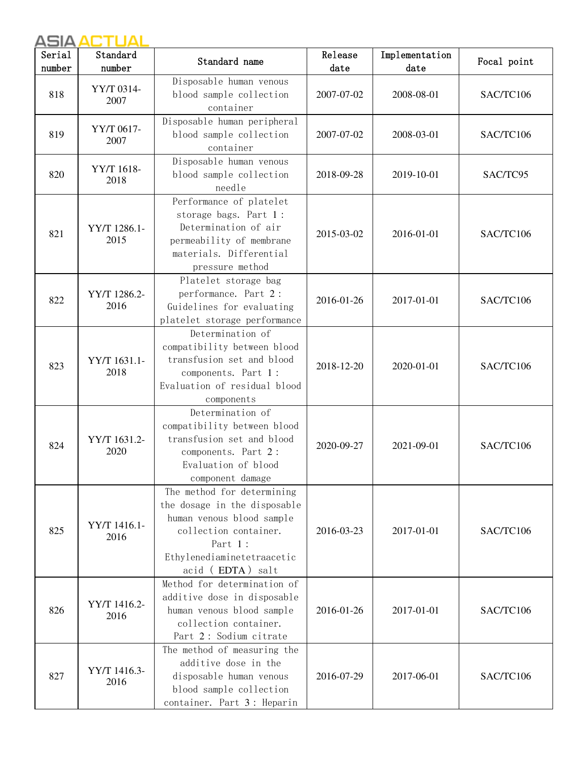| Serial<br>number | Standard<br>number   | Standard name                                                                                                                                                                                     | Release<br>date | Implementation<br>date | Focal point |
|------------------|----------------------|---------------------------------------------------------------------------------------------------------------------------------------------------------------------------------------------------|-----------------|------------------------|-------------|
| 818              | YY/T 0314-<br>2007   | Disposable human venous<br>blood sample collection<br>container                                                                                                                                   | 2007-07-02      | 2008-08-01             | SAC/TC106   |
| 819              | YY/T 0617-<br>2007   | Disposable human peripheral<br>blood sample collection<br>container                                                                                                                               | 2007-07-02      | 2008-03-01             | SAC/TC106   |
| 820              | YY/T 1618-<br>2018   | Disposable human venous<br>blood sample collection<br>needle                                                                                                                                      | 2018-09-28      | 2019-10-01             | SAC/TC95    |
| 821              | YY/T 1286.1-<br>2015 | Performance of platelet<br>storage bags. Part 1:<br>Determination of air<br>permeability of membrane<br>materials. Differential<br>pressure method                                                | 2015-03-02      | 2016-01-01             | SAC/TC106   |
| 822              | YY/T 1286.2-<br>2016 | Platelet storage bag<br>performance. Part 2:<br>Guidelines for evaluating<br>platelet storage performance                                                                                         | 2016-01-26      | 2017-01-01             | SAC/TC106   |
| 823              | YY/T 1631.1-<br>2018 | Determination of<br>compatibility between blood<br>transfusion set and blood<br>components. Part 1:<br>Evaluation of residual blood<br>components                                                 | 2018-12-20      | 2020-01-01             | SAC/TC106   |
| 824              | YY/T 1631.2-<br>2020 | Determination of<br>compatibility between blood<br>transfusion set and blood<br>components. Part 2:<br>Evaluation of blood<br>component damage                                                    | 2020-09-27      | 2021-09-01             | SAC/TC106   |
| 825              | YY/T 1416.1-<br>2016 | The method for determining<br>the dosage in the disposable<br>human venous blood sample<br>collection container.<br>Part 1:<br>${\small \texttt{Ethylenediaminetetraacetic}}$<br>acid (EDTA) salt | 2016-03-23      | 2017-01-01             | SAC/TC106   |
| 826              | YY/T 1416.2-<br>2016 | Method for determination of<br>additive dose in disposable<br>human venous blood sample<br>collection container.<br>Part 2: Sodium citrate                                                        | 2016-01-26      | 2017-01-01             | SAC/TC106   |
| 827              | YY/T 1416.3-<br>2016 | The method of measuring the<br>additive dose in the<br>disposable human venous<br>blood sample collection<br>container. Part 3: Heparin                                                           | 2016-07-29      | 2017-06-01             | SAC/TC106   |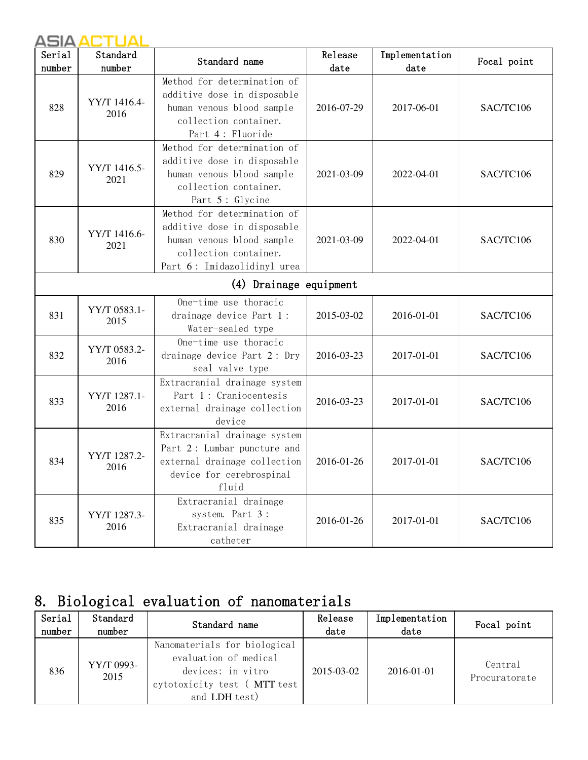| Serial<br>number | Standard<br>number     | Standard name                                                                                                                                   | Release<br>date | Implementation<br>date | Focal point |  |  |  |
|------------------|------------------------|-------------------------------------------------------------------------------------------------------------------------------------------------|-----------------|------------------------|-------------|--|--|--|
| 828              | YY/T 1416.4-<br>2016   | Method for determination of<br>additive dose in disposable<br>human venous blood sample<br>collection container.<br>Part 4: Fluoride            | 2016-07-29      | 2017-06-01             | SAC/TC106   |  |  |  |
| 829              | YY/T 1416.5-<br>2021   | Method for determination of<br>additive dose in disposable<br>human venous blood sample<br>collection container.<br>Part 5: Glycine             | 2021-03-09      | 2022-04-01             | SAC/TC106   |  |  |  |
| 830              | YY/T 1416.6-<br>2021   | Method for determination of<br>additive dose in disposable<br>human venous blood sample<br>collection container.<br>Part 6: Imidazolidinyl urea | 2021-03-09      | 2022-04-01             | SAC/TC106   |  |  |  |
|                  | (4) Drainage equipment |                                                                                                                                                 |                 |                        |             |  |  |  |
| 831              | YY/T 0583.1-<br>2015   | One-time use thoracic<br>drainage device Part 1:<br>Water-sealed type                                                                           | 2015-03-02      | 2016-01-01             | SAC/TC106   |  |  |  |
| 832              | YY/T 0583.2-<br>2016   | One-time use thoracic<br>drainage device Part 2: Dry<br>seal valve type                                                                         | 2016-03-23      | 2017-01-01             | SAC/TC106   |  |  |  |
| 833              | YY/T 1287.1-<br>2016   | Extracranial drainage system<br>Part 1: Craniocentesis<br>external drainage collection<br>device                                                | 2016-03-23      | 2017-01-01             | SAC/TC106   |  |  |  |
| 834              | YY/T 1287.2-<br>2016   | Extracranial drainage system<br>Part 2: Lumbar puncture and<br>external drainage collection<br>device for cerebrospinal<br>fluid                | 2016-01-26      | 2017-01-01             | SAC/TC106   |  |  |  |
| 835              | YY/T 1287.3-<br>2016   | Extracranial drainage<br>system. Part 3:<br>Extracranial drainage<br>catheter                                                                   | 2016-01-26      | 2017-01-01             | SAC/TC106   |  |  |  |

# 8. Biological evaluation of nanomaterials

| Serial<br>number | Standard<br>number | Standard name                                                                                                              | Release<br>date  | Implementation<br>date | Focal point              |
|------------------|--------------------|----------------------------------------------------------------------------------------------------------------------------|------------------|------------------------|--------------------------|
| 836              | YY/T 0993-<br>2015 | Nanomaterials for biological<br>evaluation of medical<br>devices: in vitro<br>cytotoxicity test (MTT test<br>and LDH test) | $2015 - 03 - 02$ | 2016-01-01             | Central<br>Procuratorate |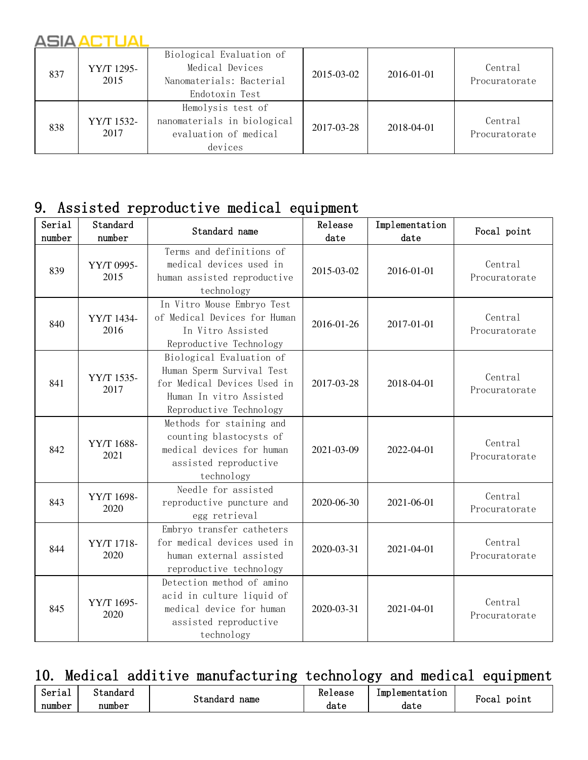| 837 | YY/T 1295-<br>2015 | Biological Evaluation of<br>Medical Devices<br>Nanomaterials: Bacterial<br>Endotoxin Test | 2015-03-02 | 2016-01-01 | Central<br>Procuratorate |
|-----|--------------------|-------------------------------------------------------------------------------------------|------------|------------|--------------------------|
| 838 | YY/T 1532-<br>2017 | Hemolysis test of<br>nanomaterials in biological<br>evaluation of medical<br>devices      | 2017-03-28 | 2018-04-01 | Central<br>Procuratorate |

#### 9. Assisted reproductive medical equipment

| Serial<br>number | Standard<br>number | Standard name                                                                                                                              | Release<br>date | Implementation<br>date | Focal point              |
|------------------|--------------------|--------------------------------------------------------------------------------------------------------------------------------------------|-----------------|------------------------|--------------------------|
| 839              | YY/T 0995-<br>2015 | Terms and definitions of<br>medical devices used in<br>human assisted reproductive<br>technology                                           | 2015-03-02      | 2016-01-01             | Central<br>Procuratorate |
| 840              | YY/T 1434-<br>2016 | In Vitro Mouse Embryo Test<br>of Medical Devices for Human<br>In Vitro Assisted<br>Reproductive Technology                                 | 2016-01-26      | 2017-01-01             | Central<br>Procuratorate |
| 841              | YY/T 1535-<br>2017 | Biological Evaluation of<br>Human Sperm Survival Test<br>for Medical Devices Used in<br>Human In vitro Assisted<br>Reproductive Technology | 2017-03-28      | 2018-04-01             | Central<br>Procuratorate |
| 842              | YY/T 1688-<br>2021 | Methods for staining and<br>counting blastocysts of<br>medical devices for human<br>assisted reproductive<br>technology                    | 2021-03-09      | 2022-04-01             | Central<br>Procuratorate |
| 843              | YY/T 1698-<br>2020 | Needle for assisted<br>reproductive puncture and<br>egg retrieval                                                                          | 2020-06-30      | 2021-06-01             | Central<br>Procuratorate |
| 844              | YY/T 1718-<br>2020 | Embryo transfer catheters<br>for medical devices used in<br>human external assisted<br>reproductive technology                             | 2020-03-31      | 2021-04-01             | Central<br>Procuratorate |
| 845              | YY/T 1695-<br>2020 | Detection method of amino<br>acid in culture liquid of<br>medical device for human<br>assisted reproductive<br>technology                  | 2020-03-31      | 2021-04-01             | Central<br>Procuratorate |

### 10. Medical additive manufacturing technology and medical equipment

| Serial | Standard |                  | Kelease | 1mp<br>lementation |                            |
|--------|----------|------------------|---------|--------------------|----------------------------|
| number | number   | name<br>Standard | date    | date               | point<br><sup>ч</sup> оса⊥ |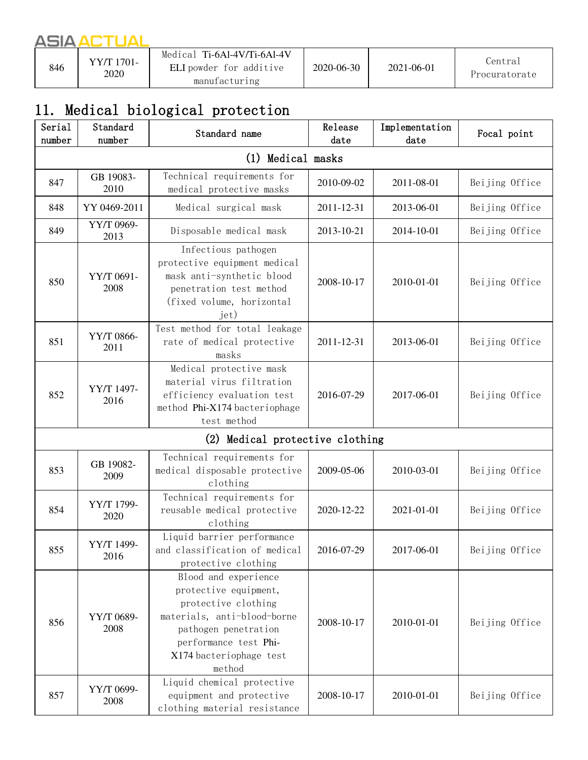# 11. Medical biological protection

| Serial<br>number | Standard<br>number | Standard name                                                                                                                                                                             | Release<br>date | Implementation<br>date | Focal point    |  |  |
|------------------|--------------------|-------------------------------------------------------------------------------------------------------------------------------------------------------------------------------------------|-----------------|------------------------|----------------|--|--|
|                  | (1) Medical masks  |                                                                                                                                                                                           |                 |                        |                |  |  |
| 847              | GB 19083-<br>2010  | Technical requirements for<br>medical protective masks                                                                                                                                    | 2010-09-02      | 2011-08-01             | Beijing Office |  |  |
| 848              | YY 0469-2011       | Medical surgical mask                                                                                                                                                                     | 2011-12-31      | 2013-06-01             | Beijing Office |  |  |
| 849              | YY/T 0969-<br>2013 | Disposable medical mask                                                                                                                                                                   | 2013-10-21      | 2014-10-01             | Beijing Office |  |  |
| 850              | YY/T 0691-<br>2008 | Infectious pathogen<br>protective equipment medical<br>mask anti-synthetic blood<br>penetration test method<br>(fixed volume, horizontal<br>jet)                                          | 2008-10-17      | 2010-01-01             | Beijing Office |  |  |
| 851              | YY/T 0866-<br>2011 | Test method for total leakage<br>rate of medical protective<br>masks                                                                                                                      | 2011-12-31      | 2013-06-01             | Beijing Office |  |  |
| 852              | YY/T 1497-<br>2016 | Medical protective mask<br>material virus filtration<br>efficiency evaluation test<br>method Phi-X174 bacteriophage<br>test method                                                        | 2016-07-29      | 2017-06-01             | Beijing Office |  |  |
|                  |                    | (2)<br>Medical protective clothing                                                                                                                                                        |                 |                        |                |  |  |
| 853              | GB 19082-<br>2009  | Technical requirements for<br>medical disposable protective<br>clothing                                                                                                                   | 2009-05-06      | 2010-03-01             | Beijing Office |  |  |
| 854              | YY/T 1799-<br>2020 | Technical requirements for<br>reusable medical protective<br>clothing                                                                                                                     | 2020-12-22      | 2021-01-01             | Beijing Office |  |  |
| 855              | YY/T 1499-<br>2016 | Liquid barrier performance<br>and classification of medical<br>protective clothing                                                                                                        | 2016-07-29      | 2017-06-01             | Beijing Office |  |  |
| 856              | YY/T 0689-<br>2008 | Blood and experience<br>protective equipment,<br>protective clothing<br>materials, anti-blood-borne<br>pathogen penetration<br>performance test Phi-<br>X174 bacteriophage test<br>method | 2008-10-17      | 2010-01-01             | Beijing Office |  |  |
| 857              | YY/T 0699-<br>2008 | Liquid chemical protective<br>equipment and protective<br>clothing material resistance                                                                                                    | 2008-10-17      | 2010-01-01             | Beijing Office |  |  |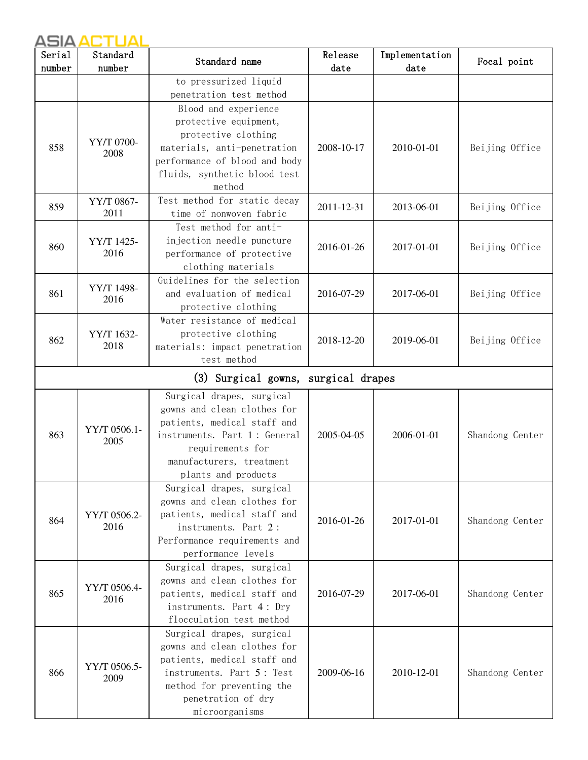| Serial | Standard                            | Standard name                                   | Release    | Implementation | Focal point     |  |  |
|--------|-------------------------------------|-------------------------------------------------|------------|----------------|-----------------|--|--|
| number | number                              |                                                 | date       | date           |                 |  |  |
|        |                                     | to pressurized liquid                           |            |                |                 |  |  |
|        |                                     | penetration test method                         |            |                |                 |  |  |
|        |                                     | Blood and experience                            |            |                |                 |  |  |
|        |                                     | protective equipment,                           |            |                |                 |  |  |
|        | YY/T 0700-                          | protective clothing                             |            |                |                 |  |  |
| 858    | 2008                                | materials, anti-penetration                     | 2008-10-17 | 2010-01-01     | Beijing Office  |  |  |
|        |                                     | performance of blood and body                   |            |                |                 |  |  |
|        |                                     | fluids, synthetic blood test<br>method          |            |                |                 |  |  |
|        |                                     | Test method for static decay                    |            |                |                 |  |  |
| 859    | YY/T 0867-<br>2011                  | time of nonwoven fabric                         | 2011-12-31 | 2013-06-01     | Beijing Office  |  |  |
|        |                                     | Test method for anti-                           |            |                |                 |  |  |
|        | YY/T 1425-                          | injection needle puncture                       |            |                |                 |  |  |
| 860    | 2016                                | performance of protective                       | 2016-01-26 | 2017-01-01     | Beijing Office  |  |  |
|        |                                     | clothing materials                              |            |                |                 |  |  |
|        |                                     | Guidelines for the selection                    |            |                |                 |  |  |
| 861    | YY/T 1498-                          | and evaluation of medical                       | 2016-07-29 | 2017-06-01     | Beijing Office  |  |  |
|        | 2016                                | protective clothing                             |            |                |                 |  |  |
|        |                                     | Water resistance of medical                     |            |                |                 |  |  |
|        | YY/T 1632-                          | protective clothing                             |            | 2019-06-01     | Beijing Office  |  |  |
| 862    | 2018                                | materials: impact penetration                   | 2018-12-20 |                |                 |  |  |
|        |                                     | test method                                     |            |                |                 |  |  |
|        | (3) Surgical gowns, surgical drapes |                                                 |            |                |                 |  |  |
|        |                                     | Surgical drapes, surgical                       |            |                |                 |  |  |
|        |                                     | gowns and clean clothes for                     |            |                |                 |  |  |
|        |                                     | patients, medical staff and                     |            |                | Shandong Center |  |  |
| 863    | YY/T 0506.1-                        | instruments. Part 1: General                    | 2005-04-05 | 2006-01-01     |                 |  |  |
|        | 2005                                | requirements for                                |            |                |                 |  |  |
|        |                                     | manufacturers, treatment                        |            |                |                 |  |  |
|        |                                     | plants and products                             |            |                |                 |  |  |
|        |                                     | Surgical drapes, surgical                       |            |                |                 |  |  |
|        |                                     | gowns and clean clothes for                     |            | 2017-01-01     |                 |  |  |
| 864    | YY/T 0506.2-                        | patients, medical staff and                     | 2016-01-26 |                | Shandong Center |  |  |
|        | 2016                                | instruments. Part 2:                            |            |                |                 |  |  |
|        |                                     | Performance requirements and                    |            |                |                 |  |  |
|        |                                     | performance levels                              |            |                |                 |  |  |
|        |                                     | Surgical drapes, surgical                       |            | 2017-06-01     |                 |  |  |
|        | YY/T 0506.4-                        | gowns and clean clothes for                     |            |                |                 |  |  |
| 865    | 2016                                | patients, medical staff and                     | 2016-07-29 |                | Shandong Center |  |  |
|        |                                     | instruments. Part 4: Dry                        |            |                |                 |  |  |
|        |                                     | flocculation test method                        |            |                |                 |  |  |
|        |                                     | Surgical drapes, surgical                       |            |                |                 |  |  |
|        |                                     | gowns and clean clothes for                     |            |                |                 |  |  |
|        | YY/T 0506.5-                        | patients, medical staff and                     |            |                |                 |  |  |
| 866    | 2009                                | instruments. Part 5: Test                       | 2009-06-16 | 2010-12-01     | Shandong Center |  |  |
|        |                                     | method for preventing the<br>penetration of dry |            |                |                 |  |  |
|        |                                     |                                                 |            |                |                 |  |  |
|        |                                     | microorganisms                                  |            |                |                 |  |  |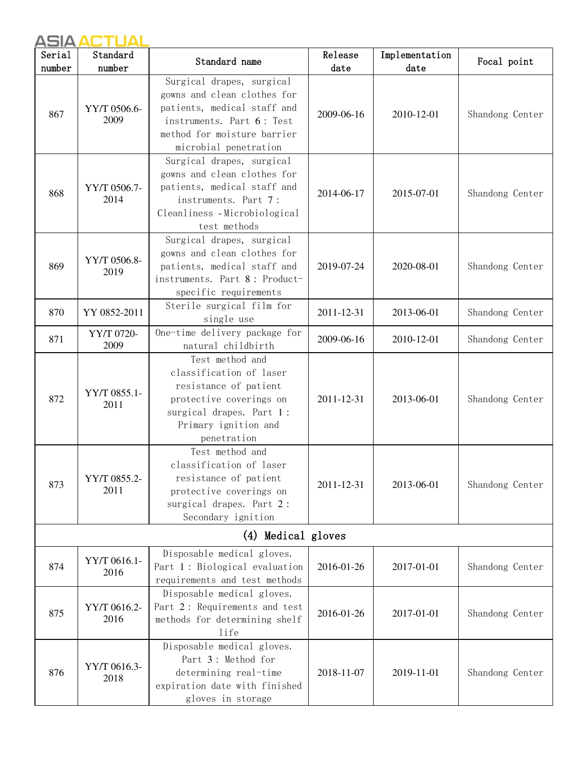| Serial | Standard             | Standard name                                                                                                                                                                | Release    | Implementation | Focal point     |
|--------|----------------------|------------------------------------------------------------------------------------------------------------------------------------------------------------------------------|------------|----------------|-----------------|
| number | number               |                                                                                                                                                                              | date       | date           |                 |
| 867    | YY/T 0506.6-<br>2009 | Surgical drapes, surgical<br>gowns and clean clothes for<br>patients, medical staff and<br>instruments. Part 6: Test<br>method for moisture barrier<br>microbial penetration | 2009-06-16 | 2010-12-01     | Shandong Center |
| 868    | YY/T 0506.7-<br>2014 | Surgical drapes, surgical<br>gowns and clean clothes for<br>patients, medical staff and<br>instruments. Part 7:<br>Cleanliness - Microbiological<br>test methods             | 2014-06-17 | 2015-07-01     | Shandong Center |
| 869    | YY/T 0506.8-<br>2019 | Surgical drapes, surgical<br>gowns and clean clothes for<br>patients, medical staff and<br>instruments. Part 8: Product-<br>specific requirements                            | 2019-07-24 | 2020-08-01     | Shandong Center |
| 870    | YY 0852-2011         | Sterile surgical film for<br>single use                                                                                                                                      | 2011-12-31 | 2013-06-01     | Shandong Center |
| 871    | YY/T 0720-<br>2009   | One-time delivery package for<br>natural childbirth                                                                                                                          | 2009-06-16 | 2010-12-01     | Shandong Center |
| 872    | YY/T 0855.1-<br>2011 | Test method and<br>classification of laser<br>resistance of patient<br>protective coverings on<br>surgical drapes. Part 1:<br>Primary ignition and<br>penetration            | 2011-12-31 | 2013-06-01     | Shandong Center |
| 873    | YY/T 0855.2-<br>2011 | Test method and<br>classification of laser<br>resistance of patient<br>protective coverings on<br>surgical drapes. Part 2:<br>Secondary ignition                             | 2011-12-31 | 2013-06-01     | Shandong Center |
|        |                      | (4) Medical gloves                                                                                                                                                           |            |                |                 |
| 874    | YY/T 0616.1-<br>2016 | Disposable medical gloves.<br>Part 1: Biological evaluation<br>requirements and test methods                                                                                 | 2016-01-26 | 2017-01-01     | Shandong Center |
| 875    | YY/T 0616.2-<br>2016 | Disposable medical gloves.<br>Part 2: Requirements and test<br>methods for determining shelf<br>life                                                                         | 2016-01-26 | 2017-01-01     | Shandong Center |
| 876    | YY/T 0616.3-<br>2018 | Disposable medical gloves.<br>Part 3: Method for<br>determining real-time<br>expiration date with finished<br>gloves in storage                                              | 2018-11-07 | 2019-11-01     | Shandong Center |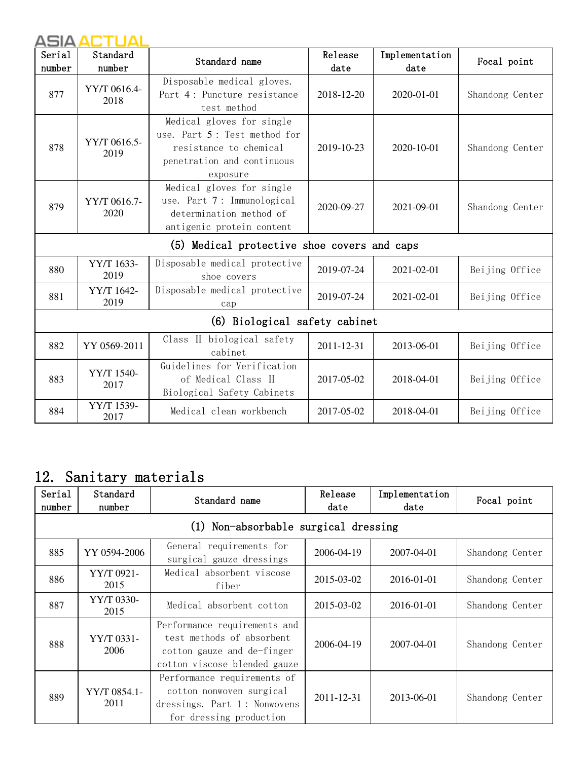| Serial<br>number | Standard<br>number   | Standard name                                                                                                                 | Release<br>date | Implementation<br>date | Focal point     |
|------------------|----------------------|-------------------------------------------------------------------------------------------------------------------------------|-----------------|------------------------|-----------------|
| 877              | YY/T 0616.4-<br>2018 | Disposable medical gloves.<br>Part 4: Puncture resistance<br>test method                                                      | 2018-12-20      | 2020-01-01             | Shandong Center |
| 878              | YY/T 0616.5-<br>2019 | Medical gloves for single<br>use. Part 5: Test method for<br>resistance to chemical<br>penetration and continuous<br>exposure | 2019-10-23      | 2020-10-01             | Shandong Center |
| 879              | YY/T 0616.7-<br>2020 | Medical gloves for single<br>use. Part 7: Immunological<br>determination method of<br>antigenic protein content               | 2020-09-27      | 2021-09-01             | Shandong Center |
|                  |                      | (5) Medical protective shoe covers and caps                                                                                   |                 |                        |                 |
| 880              | YY/T 1633-<br>2019   | Disposable medical protective<br>shoe covers                                                                                  | 2019-07-24      | 2021-02-01             | Beijing Office  |
| 881              | YY/T 1642-<br>2019   | Disposable medical protective<br>cap                                                                                          | 2019-07-24      | 2021-02-01             | Beijing Office  |
|                  |                      | (6) Biological safety cabinet                                                                                                 |                 |                        |                 |
| 882              | YY 0569-2011         | Class II biological safety<br>cabinet                                                                                         | 2011-12-31      | 2013-06-01             | Beijing Office  |
| 883              | YY/T 1540-<br>2017   | Guidelines for Verification<br>of Medical Class II<br>Biological Safety Cabinets                                              | 2017-05-02      | 2018-04-01             | Beijing Office  |
| 884              | YY/T 1539-<br>2017   | Medical clean workbench                                                                                                       | 2017-05-02      | 2018-04-01             | Beijing Office  |

# 12. Sanitary materials

| Serial<br>number | Standard<br>number   | Standard name                                                                                                           | Release<br>date | Implementation<br>date | Focal point     |
|------------------|----------------------|-------------------------------------------------------------------------------------------------------------------------|-----------------|------------------------|-----------------|
|                  |                      | (1) Non-absorbable surgical dressing                                                                                    |                 |                        |                 |
| 885              | YY 0594-2006         | General requirements for<br>surgical gauze dressings                                                                    | 2006-04-19      | 2007-04-01             | Shandong Center |
| 886              | YY/T 0921-<br>2015   | Medical absorbent viscose<br>fiber                                                                                      | 2015-03-02      | 2016-01-01             | Shandong Center |
| 887              | YY/T 0330-<br>2015   | Medical absorbent cotton                                                                                                | 2015-03-02      | 2016-01-01             | Shandong Center |
| 888              | YY/T 0331-<br>2006   | Performance requirements and<br>test methods of absorbent<br>cotton gauze and de-finger<br>cotton viscose blended gauze | 2006-04-19      | $2007 - 04 - 01$       | Shandong Center |
| 889              | YY/T 0854.1-<br>2011 | Performance requirements of<br>cotton nonwoven surgical<br>dressings. Part 1: Nonwovens<br>for dressing production      | 2011-12-31      | 2013-06-01             | Shandong Center |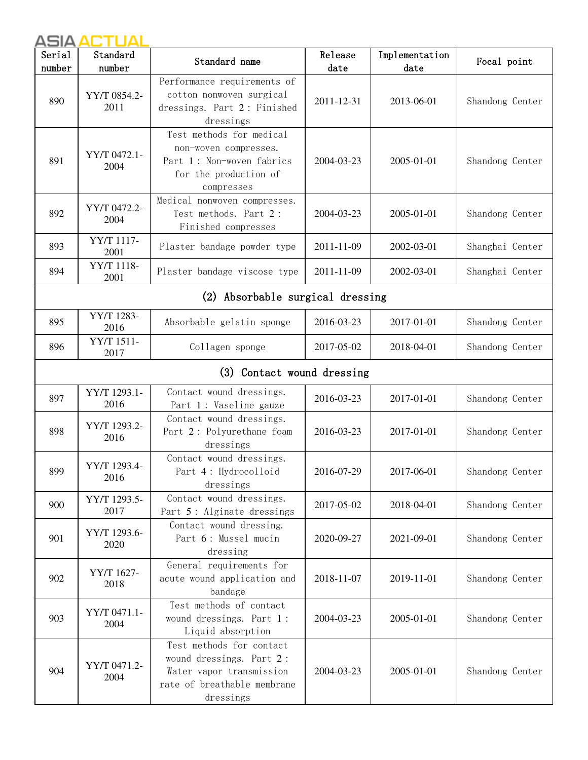| Serial | Standard             | Standard name                                                                                                                | Release    | Implementation | Focal point     |
|--------|----------------------|------------------------------------------------------------------------------------------------------------------------------|------------|----------------|-----------------|
| number | number               |                                                                                                                              | date       | date           |                 |
| 890    | YY/T 0854.2-<br>2011 | Performance requirements of<br>cotton nonwoven surgical<br>dressings. Part 2: Finished<br>dressings                          | 2011-12-31 | 2013-06-01     | Shandong Center |
| 891    | YY/T 0472.1-<br>2004 | Test methods for medical<br>non-woven compresses.<br>Part 1: Non-woven fabrics<br>for the production of<br>compresses        | 2004-03-23 | 2005-01-01     | Shandong Center |
| 892    | YY/T 0472.2-<br>2004 | Medical nonwoven compresses.<br>Test methods. Part 2:<br>Finished compresses                                                 | 2004-03-23 | 2005-01-01     | Shandong Center |
| 893    | YY/T 1117-<br>2001   | Plaster bandage powder type                                                                                                  | 2011-11-09 | 2002-03-01     | Shanghai Center |
| 894    | YY/T 1118-<br>2001   | Plaster bandage viscose type                                                                                                 | 2011-11-09 | 2002-03-01     | Shanghai Center |
|        |                      | (2) Absorbable surgical dressing                                                                                             |            |                |                 |
| 895    | YY/T 1283-<br>2016   | Absorbable gelatin sponge                                                                                                    | 2016-03-23 | 2017-01-01     | Shandong Center |
| 896    | YY/T 1511-<br>2017   | Collagen sponge                                                                                                              | 2017-05-02 | 2018-04-01     | Shandong Center |
|        |                      | (3) Contact wound dressing                                                                                                   |            |                |                 |
| 897    | YY/T 1293.1-<br>2016 | Contact wound dressings.<br>Part 1: Vaseline gauze                                                                           | 2016-03-23 | 2017-01-01     | Shandong Center |
| 898    | YY/T 1293.2-<br>2016 | Contact wound dressings.<br>Part 2: Polyurethane foam<br>dressings                                                           | 2016-03-23 | 2017-01-01     | Shandong Center |
| 899    | YY/T 1293.4-<br>2016 | Contact wound dressings.<br>Part 4: Hydrocolloid<br>dressings                                                                | 2016-07-29 | 2017-06-01     | Shandong Center |
| 900    | YY/T 1293.5-<br>2017 | Contact wound dressings.<br>Part 5: Alginate dressings                                                                       | 2017-05-02 | 2018-04-01     | Shandong Center |
| 901    | YY/T 1293.6-<br>2020 | Contact wound dressing.<br>Part 6: Mussel mucin<br>dressing                                                                  | 2020-09-27 | 2021-09-01     | Shandong Center |
| 902    | YY/T 1627-<br>2018   | General requirements for<br>acute wound application and<br>bandage                                                           | 2018-11-07 | 2019-11-01     | Shandong Center |
| 903    | YY/T 0471.1-<br>2004 | Test methods of contact<br>wound dressings. Part 1:<br>Liquid absorption                                                     | 2004-03-23 | 2005-01-01     | Shandong Center |
| 904    | YY/T 0471.2-<br>2004 | Test methods for contact<br>wound dressings. Part 2:<br>Water vapor transmission<br>rate of breathable membrane<br>dressings | 2004-03-23 | 2005-01-01     | Shandong Center |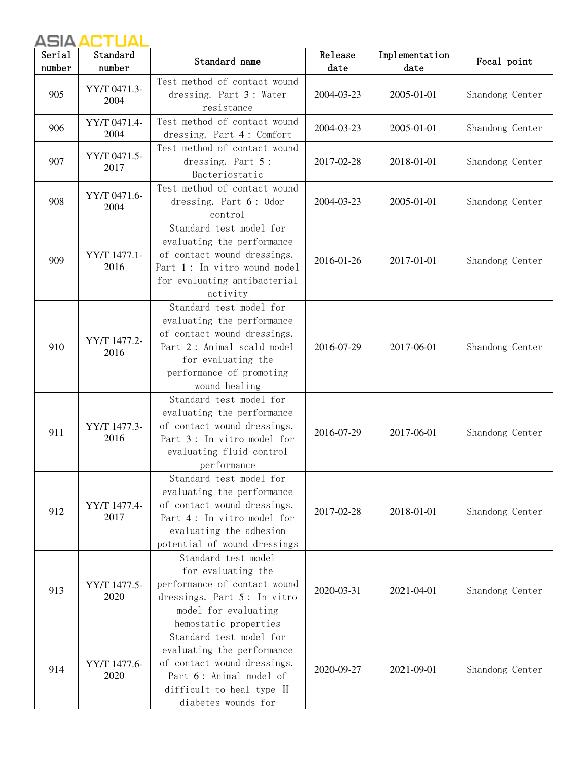| Serial<br>number | Standard<br>number   | Standard name                                                                                                                                                                         | Release<br>date | Implementation<br>date | Focal point     |
|------------------|----------------------|---------------------------------------------------------------------------------------------------------------------------------------------------------------------------------------|-----------------|------------------------|-----------------|
| 905              | YY/T 0471.3-<br>2004 | Test method of contact wound<br>dressing. Part 3: Water<br>resistance                                                                                                                 | 2004-03-23      | 2005-01-01             | Shandong Center |
| 906              | YY/T 0471.4-<br>2004 | Test method of contact wound<br>dressing. Part 4: Comfort                                                                                                                             | 2004-03-23      | 2005-01-01             | Shandong Center |
| 907              | YY/T 0471.5-<br>2017 | Test method of contact wound<br>dressing. Part 5:<br>Bacteriostatic                                                                                                                   | 2017-02-28      | 2018-01-01             | Shandong Center |
| 908              | YY/T 0471.6-<br>2004 | Test method of contact wound<br>dressing. Part 6: Odor<br>control                                                                                                                     | 2004-03-23      | 2005-01-01             | Shandong Center |
| 909              | YY/T 1477.1-<br>2016 | Standard test model for<br>evaluating the performance<br>of contact wound dressings.<br>Part 1: In vitro wound model<br>for evaluating antibacterial<br>activity                      | 2016-01-26      | 2017-01-01             | Shandong Center |
| 910              | YY/T 1477.2-<br>2016 | Standard test model for<br>evaluating the performance<br>of contact wound dressings.<br>Part 2: Animal scald model<br>for evaluating the<br>performance of promoting<br>wound healing | 2016-07-29      | 2017-06-01             | Shandong Center |
| 911              | YY/T 1477.3-<br>2016 | Standard test model for<br>evaluating the performance<br>of contact wound dressings.<br>Part 3: In vitro model for<br>evaluating fluid control<br>performance                         | 2016-07-29      | 2017-06-01             | Shandong Center |
| 912              | YY/T 1477.4-<br>2017 | Standard test model for<br>evaluating the performance<br>of contact wound dressings.<br>Part 4: In vitro model for<br>evaluating the adhesion<br>potential of wound dressings         | 2017-02-28      | 2018-01-01             | Shandong Center |
| 913              | YY/T 1477.5-<br>2020 | Standard test model<br>for evaluating the<br>performance of contact wound<br>dressings. Part 5: In vitro<br>model for evaluating<br>hemostatic properties                             | 2020-03-31      | 2021-04-01             | Shandong Center |
| 914              | YY/T 1477.6-<br>2020 | Standard test model for<br>evaluating the performance<br>of contact wound dressings.<br>Part 6: Animal model of<br>difficult-to-heal type II<br>diabetes wounds for                   | 2020-09-27      | 2021-09-01             | Shandong Center |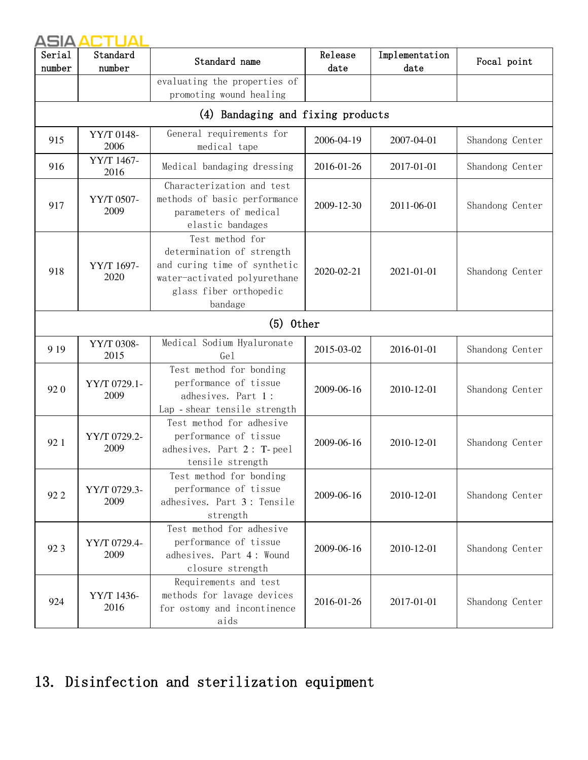| Serial<br>number | Standard<br>number   | Standard name                                                                                                                                     | Release<br>date | Implementation<br>date | Focal point     |
|------------------|----------------------|---------------------------------------------------------------------------------------------------------------------------------------------------|-----------------|------------------------|-----------------|
|                  |                      | evaluating the properties of<br>promoting wound healing                                                                                           |                 |                        |                 |
|                  |                      | (4) Bandaging and fixing products                                                                                                                 |                 |                        |                 |
| 915              | YY/T 0148-<br>2006   | General requirements for<br>medical tape                                                                                                          | 2006-04-19      | 2007-04-01             | Shandong Center |
| 916              | YY/T 1467-<br>2016   | Medical bandaging dressing                                                                                                                        | 2016-01-26      | 2017-01-01             | Shandong Center |
| 917              | YY/T 0507-<br>2009   | Characterization and test<br>methods of basic performance<br>parameters of medical<br>elastic bandages                                            | 2009-12-30      | 2011-06-01             | Shandong Center |
| 918              | YY/T 1697-<br>2020   | Test method for<br>determination of strength<br>and curing time of synthetic<br>water-activated polyurethane<br>glass fiber orthopedic<br>bandage | 2020-02-21      | 2021-01-01             | Shandong Center |
|                  |                      | $(5)$ 0ther                                                                                                                                       |                 |                        |                 |
| 9 1 9            | YY/T 0308-<br>2015   | Medical Sodium Hyaluronate<br>Ge1                                                                                                                 | 2015-03-02      | 2016-01-01             | Shandong Center |
| 920              | YY/T 0729.1-<br>2009 | Test method for bonding<br>performance of tissue<br>adhesives. Part 1:<br>Lap - shear tensile strength                                            | 2009-06-16      | 2010-12-01             | Shandong Center |
| 921              | YY/T 0729.2-<br>2009 | Test method for adhesive<br>performance of tissue<br>adhesives. Part 2: T-peel<br>tensile strength                                                | 2009-06-16      | 2010-12-01             | Shandong Center |
| 92 2             | YY/T 0729.3-<br>2009 | Test method for bonding<br>performance of tissue<br>adhesives. Part 3: Tensile<br>strength                                                        | 2009-06-16      | 2010-12-01             | Shandong Center |
| 923              | YY/T 0729.4-<br>2009 | Test method for adhesive<br>performance of tissue<br>adhesives. Part 4: Wound<br>closure strength                                                 | 2009-06-16      | 2010-12-01             | Shandong Center |
| 924              | YY/T 1436-<br>2016   | Requirements and test<br>methods for lavage devices<br>for ostomy and incontinence<br>aids                                                        | 2016-01-26      | 2017-01-01             | Shandong Center |

# 13. Disinfection and sterilization equipment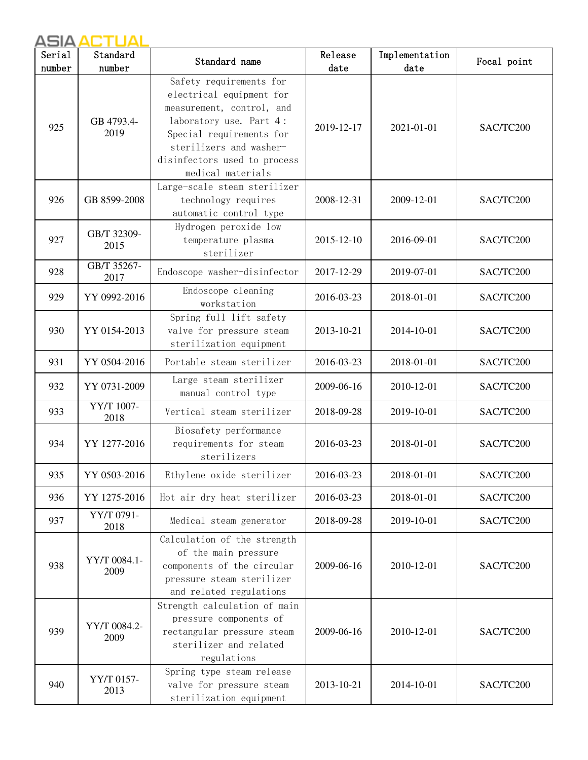| Serial | Standard             | Standard name                                                                                                                                                                                                           | Release    | Implementation | Focal point |
|--------|----------------------|-------------------------------------------------------------------------------------------------------------------------------------------------------------------------------------------------------------------------|------------|----------------|-------------|
| number | number               |                                                                                                                                                                                                                         | date       | date           |             |
| 925    | GB 4793.4-<br>2019   | Safety requirements for<br>electrical equipment for<br>measurement, control, and<br>laboratory use. Part 4:<br>Special requirements for<br>sterilizers and washer-<br>disinfectors used to process<br>medical materials | 2019-12-17 | 2021-01-01     | SAC/TC200   |
| 926    | GB 8599-2008         | Large-scale steam sterilizer<br>technology requires<br>automatic control type                                                                                                                                           | 2008-12-31 | 2009-12-01     | SAC/TC200   |
| 927    | GB/T 32309-<br>2015  | Hydrogen peroxide low<br>temperature plasma<br>sterilizer                                                                                                                                                               | 2015-12-10 | 2016-09-01     | SAC/TC200   |
| 928    | GB/T 35267-<br>2017  | Endoscope washer-disinfector                                                                                                                                                                                            | 2017-12-29 | 2019-07-01     | SAC/TC200   |
| 929    | YY 0992-2016         | Endoscope cleaning<br>workstation                                                                                                                                                                                       | 2016-03-23 | 2018-01-01     | SAC/TC200   |
| 930    | YY 0154-2013         | Spring full lift safety<br>valve for pressure steam<br>sterilization equipment                                                                                                                                          | 2013-10-21 | 2014-10-01     | SAC/TC200   |
| 931    | YY 0504-2016         | Portable steam sterilizer                                                                                                                                                                                               | 2016-03-23 | 2018-01-01     | SAC/TC200   |
| 932    | YY 0731-2009         | Large steam sterilizer<br>manual control type                                                                                                                                                                           | 2009-06-16 | 2010-12-01     | SAC/TC200   |
| 933    | YY/T 1007-<br>2018   | Vertical steam sterilizer                                                                                                                                                                                               | 2018-09-28 | 2019-10-01     | SAC/TC200   |
| 934    | YY 1277-2016         | Biosafety performance<br>requirements for steam<br>sterilizers                                                                                                                                                          | 2016-03-23 | 2018-01-01     | SAC/TC200   |
| 935    | YY 0503-2016         | Ethylene oxide sterilizer                                                                                                                                                                                               | 2016-03-23 | 2018-01-01     | SAC/TC200   |
| 936    | YY 1275-2016         | Hot air dry heat sterilizer                                                                                                                                                                                             | 2016-03-23 | 2018-01-01     | SAC/TC200   |
| 937    | YY/T 0791-<br>2018   | Medical steam generator                                                                                                                                                                                                 | 2018-09-28 | 2019-10-01     | SAC/TC200   |
| 938    | YY/T 0084.1-<br>2009 | Calculation of the strength<br>of the main pressure<br>components of the circular<br>pressure steam sterilizer<br>and related regulations                                                                               | 2009-06-16 | 2010-12-01     | SAC/TC200   |
| 939    | YY/T 0084.2-<br>2009 | Strength calculation of main<br>pressure components of<br>rectangular pressure steam<br>sterilizer and related<br>regulations                                                                                           | 2009-06-16 | 2010-12-01     | SAC/TC200   |
| 940    | YY/T 0157-<br>2013   | Spring type steam release<br>valve for pressure steam<br>sterilization equipment                                                                                                                                        | 2013-10-21 | 2014-10-01     | SAC/TC200   |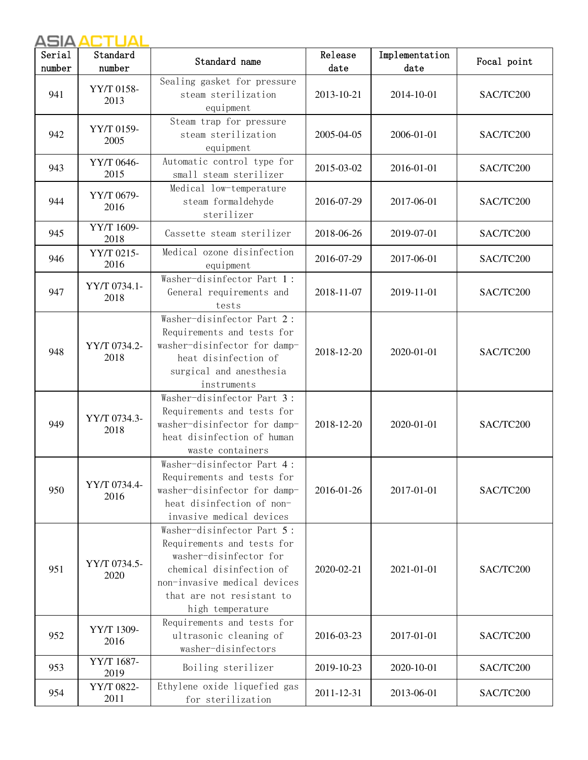| Serial | Standard             | Standard name                                                                                                                                                                                   | Release    | Implementation | Focal point |
|--------|----------------------|-------------------------------------------------------------------------------------------------------------------------------------------------------------------------------------------------|------------|----------------|-------------|
| number | number               |                                                                                                                                                                                                 | date       | date           |             |
| 941    | YY/T 0158-<br>2013   | Sealing gasket for pressure<br>steam sterilization<br>equipment                                                                                                                                 | 2013-10-21 | 2014-10-01     | SAC/TC200   |
| 942    | YY/T 0159-<br>2005   | Steam trap for pressure<br>steam sterilization<br>equipment                                                                                                                                     | 2005-04-05 | 2006-01-01     | SAC/TC200   |
| 943    | YY/T 0646-<br>2015   | Automatic control type for<br>small steam sterilizer                                                                                                                                            | 2015-03-02 | 2016-01-01     | SAC/TC200   |
| 944    | YY/T 0679-<br>2016   | Medical low-temperature<br>steam formaldehyde<br>sterilizer                                                                                                                                     | 2016-07-29 | 2017-06-01     | SAC/TC200   |
| 945    | YY/T 1609-<br>2018   | Cassette steam sterilizer                                                                                                                                                                       | 2018-06-26 | 2019-07-01     | SAC/TC200   |
| 946    | YY/T 0215-<br>2016   | Medical ozone disinfection<br>equipment                                                                                                                                                         | 2016-07-29 | 2017-06-01     | SAC/TC200   |
| 947    | YY/T 0734.1-<br>2018 | Washer-disinfector Part 1:<br>General requirements and<br>tests                                                                                                                                 | 2018-11-07 | 2019-11-01     | SAC/TC200   |
| 948    | YY/T 0734.2-<br>2018 | Washer-disinfector Part 2:<br>Requirements and tests for<br>washer-disinfector for damp-<br>heat disinfection of<br>surgical and anesthesia<br>instruments                                      | 2018-12-20 | 2020-01-01     | SAC/TC200   |
| 949    | YY/T 0734.3-<br>2018 | Washer-disinfector Part 3:<br>Requirements and tests for<br>washer-disinfector for damp-<br>heat disinfection of human<br>waste containers                                                      | 2018-12-20 | 2020-01-01     | SAC/TC200   |
| 950    | YY/T 0734.4-<br>2016 | Washer-disinfector Part 4:<br>Requirements and tests for<br>washer-disinfector for damp-<br>heat disinfection of non-<br>invasive medical devices                                               | 2016-01-26 | 2017-01-01     | SAC/TC200   |
| 951    | YY/T 0734.5-<br>2020 | Washer-disinfector Part 5:<br>Requirements and tests for<br>washer-disinfector for<br>chemical disinfection of<br>non-invasive medical devices<br>that are not resistant to<br>high temperature | 2020-02-21 | 2021-01-01     | SAC/TC200   |
| 952    | YY/T 1309-<br>2016   | Requirements and tests for<br>ultrasonic cleaning of<br>washer-disinfectors                                                                                                                     | 2016-03-23 | 2017-01-01     | SAC/TC200   |
| 953    | YY/T 1687-<br>2019   | Boiling sterilizer                                                                                                                                                                              | 2019-10-23 | 2020-10-01     | SAC/TC200   |
| 954    | YY/T 0822-<br>2011   | Ethylene oxide liquefied gas<br>for sterilization                                                                                                                                               | 2011-12-31 | 2013-06-01     | SAC/TC200   |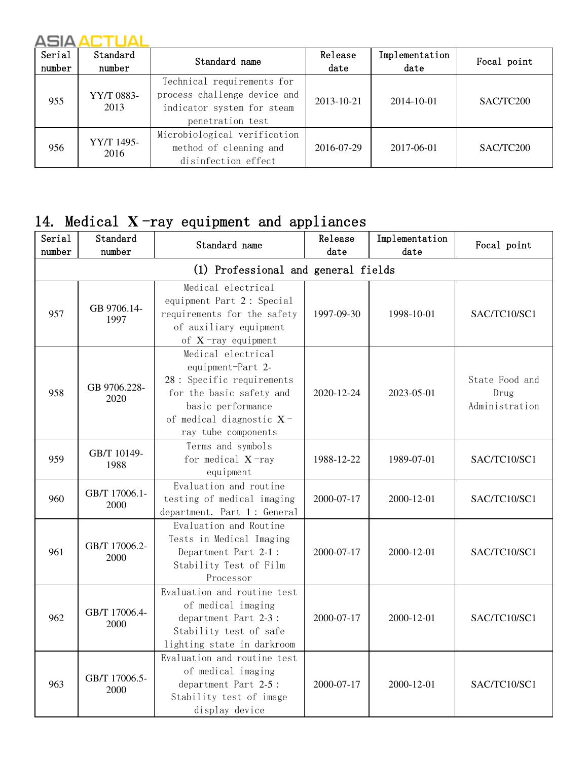| Serial<br>number | Standard<br>number | Standard name                                                                                                | Release<br>$_{\text{date}}$ | Implementation<br>date | Focal point |
|------------------|--------------------|--------------------------------------------------------------------------------------------------------------|-----------------------------|------------------------|-------------|
| 955              | YY/T 0883-<br>2013 | Technical requirements for<br>process challenge device and<br>indicator system for steam<br>penetration test | 2013-10-21                  | 2014-10-01             | SAC/TC200   |
| 956              | YY/T 1495-<br>2016 | Microbiological verification<br>method of cleaning and<br>disinfection effect                                | 2016-07-29                  | 2017-06-01             | SAC/TC200   |

# 14. Medical **X** -ray equipment and appliances

| Serial<br>number | Standard<br>number                  | Standard name                                                                                                                                                             | Release<br>date | Implementation<br>date | Focal point                              |  |  |  |
|------------------|-------------------------------------|---------------------------------------------------------------------------------------------------------------------------------------------------------------------------|-----------------|------------------------|------------------------------------------|--|--|--|
|                  | (1) Professional and general fields |                                                                                                                                                                           |                 |                        |                                          |  |  |  |
| 957              | GB 9706.14-<br>1997                 | Medical electrical<br>equipment Part 2: Special<br>requirements for the safety<br>of auxiliary equipment<br>of $X$ -ray equipment                                         | 1997-09-30      | 1998-10-01             | SAC/TC10/SC1                             |  |  |  |
| 958              | GB 9706.228-<br>2020                | Medical electrical<br>equipment-Part 2-<br>28 : Specific requirements<br>for the basic safety and<br>basic performance<br>of medical diagnostic X-<br>ray tube components | 2020-12-24      | 2023-05-01             | State Food and<br>Drug<br>Administration |  |  |  |
| 959              | GB/T 10149-<br>1988                 | Terms and symbols<br>for medical $X$ -ray<br>equipment                                                                                                                    | 1988-12-22      | 1989-07-01             | SAC/TC10/SC1                             |  |  |  |
| 960              | GB/T 17006.1-<br>2000               | Evaluation and routine<br>testing of medical imaging<br>department. Part 1: General                                                                                       | 2000-07-17      | 2000-12-01             | SAC/TC10/SC1                             |  |  |  |
| 961              | GB/T 17006.2-<br>2000               | Evaluation and Routine<br>Tests in Medical Imaging<br>Department Part 2-1:<br>Stability Test of Film<br>Processor                                                         | 2000-07-17      | 2000-12-01             | SAC/TC10/SC1                             |  |  |  |
| 962              | GB/T 17006.4-<br>2000               | Evaluation and routine test<br>of medical imaging<br>department Part 2-3 :<br>Stability test of safe<br>lighting state in darkroom                                        | 2000-07-17      | 2000-12-01             | SAC/TC10/SC1                             |  |  |  |
| 963              | GB/T 17006.5-<br>2000               | Evaluation and routine test<br>of medical imaging<br>department Part 2-5:<br>Stability test of image<br>display device                                                    | 2000-07-17      | 2000-12-01             | SAC/TC10/SC1                             |  |  |  |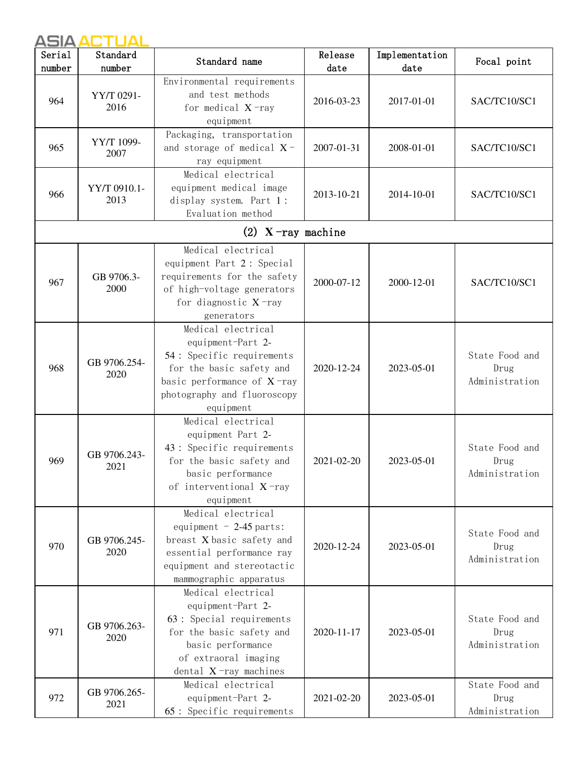| Serial<br>number | Standard<br>number   | Standard name                                                                                                                                                                  | Release<br>date | Implementation<br>date | Focal point                              |
|------------------|----------------------|--------------------------------------------------------------------------------------------------------------------------------------------------------------------------------|-----------------|------------------------|------------------------------------------|
| 964              | YY/T 0291-<br>2016   | Environmental requirements<br>and test methods<br>for medical $X$ -ray<br>equipment                                                                                            | 2016-03-23      | 2017-01-01             | SAC/TC10/SC1                             |
| 965              | YY/T 1099-<br>2007   | Packaging, transportation<br>and storage of medical $X$ -<br>ray equipment                                                                                                     | 2007-01-31      | 2008-01-01             | SAC/TC10/SC1                             |
| 966              | YY/T 0910.1-<br>2013 | Medical electrical<br>equipment medical image<br>display system. Part 1:<br>Evaluation method                                                                                  | 2013-10-21      | 2014-10-01             | SAC/TC10/SC1                             |
|                  |                      | (2) $X$ -ray machine                                                                                                                                                           |                 |                        |                                          |
| 967              | GB 9706.3-<br>2000   | Medical electrical<br>equipment Part 2: Special<br>requirements for the safety<br>of high-voltage generators<br>for diagnostic $X$ -ray<br>generators                          | 2000-07-12      | 2000-12-01             | SAC/TC10/SC1                             |
| 968              | GB 9706.254-<br>2020 | Medical electrical<br>equipment-Part 2-<br>54 : Specific requirements<br>for the basic safety and<br>basic performance of $X$ -ray<br>photography and fluoroscopy<br>equipment | 2020-12-24      | 2023-05-01             | State Food and<br>Drug<br>Administration |
| 969              | GB 9706.243-<br>2021 | Medical electrical<br>equipment Part 2-<br>43 : Specific requirements<br>for the basic safety and<br>basic performance<br>of interventional $X$ -ray<br>equipment              | 2021-02-20      | 2023-05-01             | State Food and<br>Drug<br>Administration |
| 970              | GB 9706.245-<br>2020 | Medical electrical<br>equipment $-2-45$ parts:<br>breast X basic safety and<br>essential performance ray<br>equipment and stereotactic<br>mammographic apparatus               | 2020-12-24      | 2023-05-01             | State Food and<br>Drug<br>Administration |
| 971              | GB 9706.263-<br>2020 | Medical electrical<br>equipment-Part 2-<br>63 : Special requirements<br>for the basic safety and<br>basic performance<br>of extraoral imaging<br>dental $X$ -ray machines      | 2020-11-17      | 2023-05-01             | State Food and<br>Drug<br>Administration |
| 972              | GB 9706.265-<br>2021 | Medical electrical<br>equipment-Part 2-<br>65: Specific requirements                                                                                                           | 2021-02-20      | 2023-05-01             | State Food and<br>Drug<br>Administration |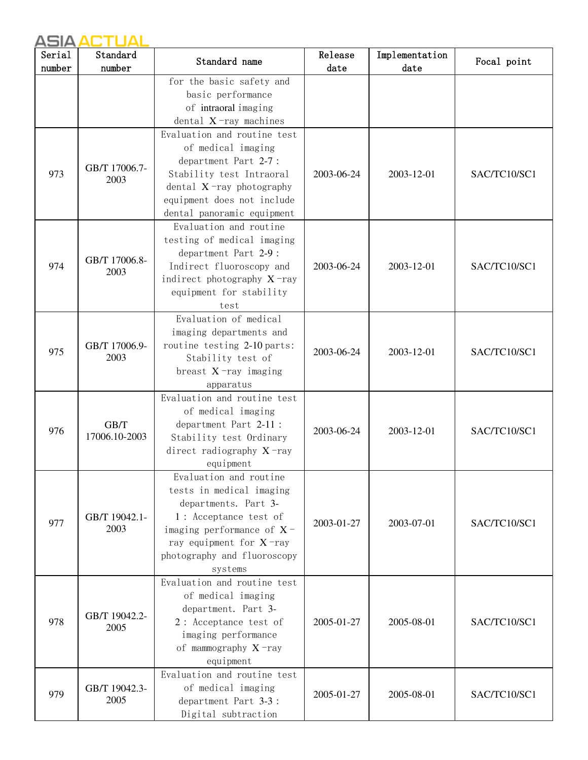| Serial | Standard              | Standard name                                          | Release    | Implementation | Focal point  |
|--------|-----------------------|--------------------------------------------------------|------------|----------------|--------------|
| number | number                |                                                        | date       | date           |              |
|        |                       | for the basic safety and<br>basic performance          |            |                |              |
|        |                       | of intraoral imaging                                   |            |                |              |
|        |                       | dental $X$ -ray machines                               |            |                |              |
|        |                       | Evaluation and routine test                            |            |                |              |
|        |                       | of medical imaging                                     |            |                |              |
|        |                       | department Part 2-7:                                   |            |                |              |
| 973    | GB/T 17006.7-         | Stability test Intraoral                               | 2003-06-24 | 2003-12-01     | SAC/TC10/SC1 |
|        | 2003                  | dental $X$ -ray photography                            |            |                |              |
|        |                       | equipment does not include                             |            |                |              |
|        |                       | dental panoramic equipment                             |            |                |              |
|        |                       | Evaluation and routine                                 |            |                |              |
|        |                       | testing of medical imaging                             |            |                |              |
|        | GB/T 17006.8-         | department Part 2-9 :                                  |            |                |              |
| 974    | 2003                  | Indirect fluoroscopy and                               | 2003-06-24 | 2003-12-01     | SAC/TC10/SC1 |
|        |                       | indirect photography $X$ -ray                          |            |                |              |
|        |                       | equipment for stability                                |            |                |              |
|        |                       | test                                                   |            |                |              |
|        |                       | Evaluation of medical                                  |            |                |              |
|        |                       | imaging departments and<br>routine testing 2-10 parts: |            |                |              |
| 975    | GB/T 17006.9-<br>2003 | Stability test of                                      | 2003-06-24 | 2003-12-01     | SAC/TC10/SC1 |
|        |                       | breast $X$ -ray imaging                                |            |                |              |
|        |                       | apparatus                                              |            |                |              |
|        |                       | Evaluation and routine test                            |            |                |              |
|        | GB/T<br>17006.10-2003 | of medical imaging                                     |            |                |              |
| 976    |                       | department Part 2-11 :                                 | 2003-06-24 | 2003-12-01     | SAC/TC10/SC1 |
|        |                       | Stability test Ordinary                                |            |                |              |
|        |                       | direct radiography $X$ -ray                            |            |                |              |
|        |                       | equipment                                              |            |                |              |
|        |                       | Evaluation and routine                                 |            |                |              |
|        |                       | tests in medical imaging<br>departments. Part 3-       |            |                |              |
|        |                       | 1: Acceptance test of                                  |            |                |              |
| 977    | GB/T 19042.1-<br>2003 | imaging performance of $X$ -                           | 2003-01-27 | 2003-07-01     | SAC/TC10/SC1 |
|        |                       | ray equipment for $X$ -ray                             |            |                |              |
|        |                       | photography and fluoroscopy                            |            |                |              |
|        |                       | systems                                                |            |                |              |
|        |                       | Evaluation and routine test                            |            |                |              |
|        |                       | of medical imaging                                     |            |                |              |
|        | GB/T 19042.2-         | department. Part 3-                                    |            |                |              |
| 978    | 2005                  | 2: Acceptance test of                                  | 2005-01-27 | 2005-08-01     | SAC/TC10/SC1 |
|        |                       | imaging performance                                    |            |                |              |
|        |                       | of mammography X-ray                                   |            |                |              |
|        |                       | equipment                                              |            |                |              |
|        |                       | Evaluation and routine test                            |            |                |              |
| 979    | GB/T 19042.3-<br>2005 | of medical imaging<br>department Part 3-3:             | 2005-01-27 | 2005-08-01     | SAC/TC10/SC1 |
|        |                       | Digital subtraction                                    |            |                |              |
|        |                       |                                                        |            |                |              |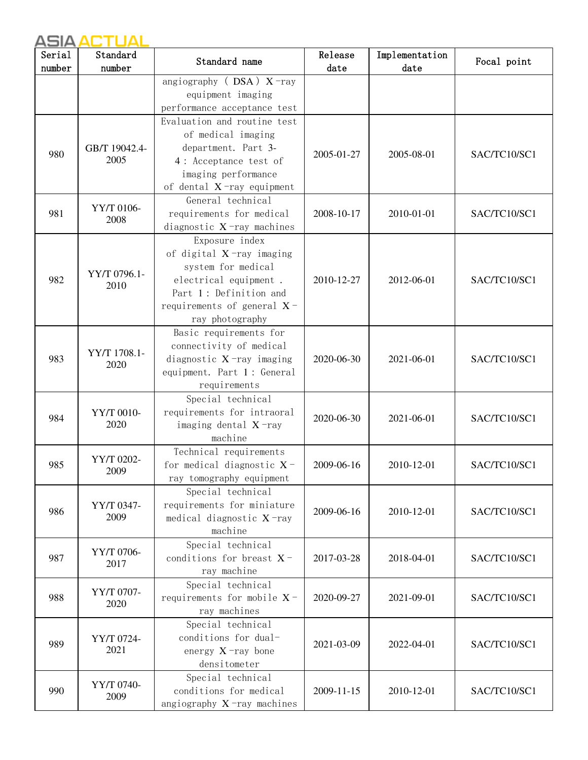| Serial | Standard              | Standard name                                                                                                                                                              | Release    | Implementation | Focal point  |
|--------|-----------------------|----------------------------------------------------------------------------------------------------------------------------------------------------------------------------|------------|----------------|--------------|
| number | number                |                                                                                                                                                                            | date       | date           |              |
|        |                       | angiography ( $DSA$ ) $X$ -ray<br>equipment imaging<br>performance acceptance test                                                                                         |            |                |              |
| 980    | GB/T 19042.4-<br>2005 | Evaluation and routine test<br>of medical imaging<br>department. Part 3-<br>4: Acceptance test of<br>imaging performance<br>of dental $X$ -ray equipment                   | 2005-01-27 | 2005-08-01     | SAC/TC10/SC1 |
| 981    | YY/T 0106-<br>2008    | General technical<br>requirements for medical<br>diagnostic $X$ -ray machines                                                                                              | 2008-10-17 | 2010-01-01     | SAC/TC10/SC1 |
| 982    | YY/T 0796.1-<br>2010  | Exposure index<br>of digital $X$ -ray imaging<br>system for medical<br>electrical equipment.<br>Part 1: Definition and<br>requirements of general $X$ -<br>ray photography | 2010-12-27 | 2012-06-01     | SAC/TC10/SC1 |
| 983    | YY/T 1708.1-<br>2020  | Basic requirements for<br>connectivity of medical<br>diagnostic $X$ -ray imaging<br>equipment. Part 1: General<br>requirements                                             | 2020-06-30 | 2021-06-01     | SAC/TC10/SC1 |
| 984    | YY/T 0010-<br>2020    | Special technical<br>requirements for intraoral<br>imaging dental $X$ -ray<br>machine                                                                                      | 2020-06-30 | 2021-06-01     | SAC/TC10/SC1 |
| 985    | YY/T 0202-<br>2009    | Technical requirements<br>for medical diagnostic $X$ -<br>ray tomography equipment                                                                                         | 2009-06-16 | 2010-12-01     | SAC/TC10/SC1 |
| 986    | YY/T 0347-<br>2009    | Special technical<br>requirements for miniature<br>medical diagnostic X-ray<br>machine                                                                                     | 2009-06-16 | 2010-12-01     | SAC/TC10/SC1 |
| 987    | YY/T 0706-<br>2017    | Special technical<br>conditions for breast $X$ -<br>ray machine                                                                                                            | 2017-03-28 | 2018-04-01     | SAC/TC10/SC1 |
| 988    | YY/T 0707-<br>2020    | Special technical<br>requirements for mobile $X$ -<br>ray machines                                                                                                         | 2020-09-27 | 2021-09-01     | SAC/TC10/SC1 |
| 989    | YY/T 0724-<br>2021    | Special technical<br>conditions for dual-<br>energy $X$ -ray bone<br>densitometer                                                                                          | 2021-03-09 | 2022-04-01     | SAC/TC10/SC1 |
| 990    | YY/T 0740-<br>2009    | Special technical<br>conditions for medical<br>angiography $X$ -ray machines                                                                                               | 2009-11-15 | 2010-12-01     | SAC/TC10/SC1 |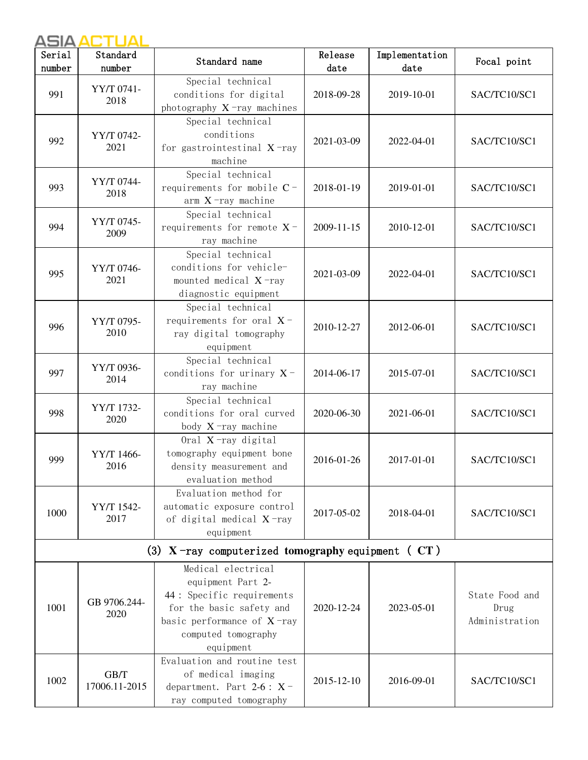| Serial<br>number | Standard<br>number    | Standard name                                                                                                                                                          | Release<br>date | Implementation<br>date | Focal point                              |
|------------------|-----------------------|------------------------------------------------------------------------------------------------------------------------------------------------------------------------|-----------------|------------------------|------------------------------------------|
| 991              | YY/T 0741-<br>2018    | Special technical<br>conditions for digital<br>photography $X$ -ray machines                                                                                           | 2018-09-28      | 2019-10-01             | SAC/TC10/SC1                             |
| 992              | YY/T 0742-<br>2021    | Special technical<br>conditions<br>for gastrointestinal $X$ -ray<br>machine                                                                                            | 2021-03-09      | 2022-04-01             | SAC/TC10/SC1                             |
| 993              | YY/T 0744-<br>2018    | Special technical<br>requirements for mobile C-<br>$arm X$ -ray machine                                                                                                | 2018-01-19      | 2019-01-01             | SAC/TC10/SC1                             |
| 994              | YY/T 0745-<br>2009    | Special technical<br>requirements for remote $X$ -<br>ray machine                                                                                                      | 2009-11-15      | 2010-12-01             | SAC/TC10/SC1                             |
| 995              | YY/T 0746-<br>2021    | Special technical<br>conditions for vehicle-<br>mounted medical $X$ -ray<br>diagnostic equipment                                                                       | 2021-03-09      | 2022-04-01             | SAC/TC10/SC1                             |
| 996              | YY/T 0795-<br>2010    | Special technical<br>requirements for oral $X$ -<br>ray digital tomography<br>equipment                                                                                | 2010-12-27      | 2012-06-01             | SAC/TC10/SC1                             |
| 997              | YY/T 0936-<br>2014    | Special technical<br>conditions for urinary $X$ -<br>ray machine                                                                                                       | 2014-06-17      | 2015-07-01             | SAC/TC10/SC1                             |
| 998              | YY/T 1732-<br>2020    | Special technical<br>conditions for oral curved<br>body $X$ -ray machine                                                                                               | 2020-06-30      | 2021-06-01             | SAC/TC10/SC1                             |
| 999              | YY/T 1466-<br>2016    | Oral X-ray digital<br>tomography equipment bone<br>density measurement and<br>evaluation method                                                                        | 2016-01-26      | 2017-01-01             | SAC/TC10/SC1                             |
| 1000             | YY/T 1542-<br>2017    | Evaluation method for<br>automatic exposure control<br>of digital medical X-ray<br>equipment                                                                           | 2017-05-02      | 2018-04-01             | SAC/TC10/SC1                             |
|                  |                       | (3) $X$ -ray computerized tomography equipment ( $CT$ )                                                                                                                |                 |                        |                                          |
| 1001             | GB 9706.244-<br>2020  | Medical electrical<br>equipment Part 2-<br>44 : Specific requirements<br>for the basic safety and<br>basic performance of $X$ -ray<br>computed tomography<br>equipment | 2020-12-24      | 2023-05-01             | State Food and<br>Drug<br>Administration |
| 1002             | GB/T<br>17006.11-2015 | Evaluation and routine test<br>of medical imaging<br>department. Part $2-6: X$ -<br>ray computed tomography                                                            | 2015-12-10      | 2016-09-01             | SAC/TC10/SC1                             |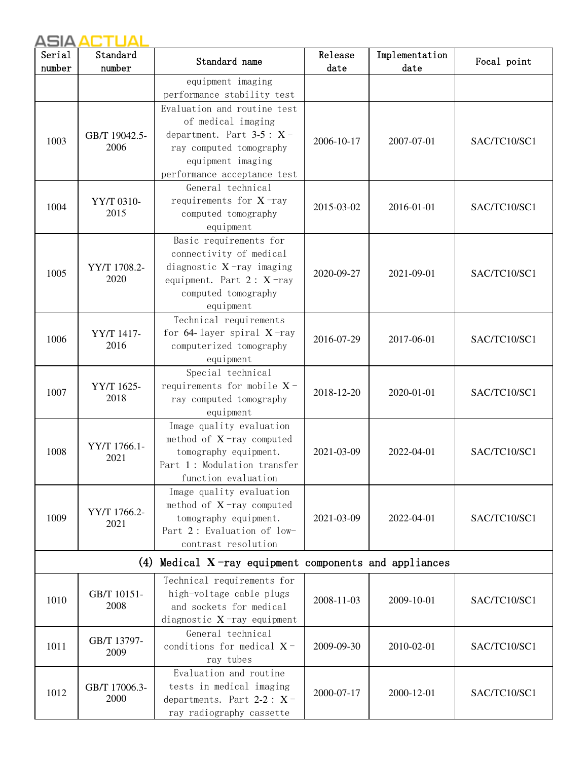| Serial<br>number | Standard<br>number | Standard name                                            | Release<br>date | Implementation<br>date | Focal point  |
|------------------|--------------------|----------------------------------------------------------|-----------------|------------------------|--------------|
|                  |                    | equipment imaging                                        |                 |                        |              |
|                  |                    | performance stability test                               |                 |                        |              |
|                  |                    | Evaluation and routine test                              |                 |                        |              |
|                  |                    | of medical imaging                                       |                 |                        |              |
|                  | GB/T 19042.5-      | department. Part $3-5: X$ -                              |                 |                        |              |
| 1003             | 2006               | ray computed tomography                                  | 2006-10-17      | 2007-07-01             | SAC/TC10/SC1 |
|                  |                    | equipment imaging                                        |                 |                        |              |
|                  |                    | performance acceptance test                              |                 |                        |              |
|                  |                    | General technical                                        |                 |                        |              |
| 1004             | YY/T 0310-         | requirements for $X$ -ray                                | 2015-03-02      | 2016-01-01             | SAC/TC10/SC1 |
|                  | 2015               | computed tomography                                      |                 |                        |              |
|                  |                    | equipment                                                |                 |                        |              |
|                  |                    | Basic requirements for                                   |                 |                        |              |
|                  |                    | connectivity of medical                                  |                 |                        |              |
| 1005             | YY/T 1708.2-       | diagnostic $X$ -ray imaging                              | 2020-09-27      | 2021-09-01             | SAC/TC10/SC1 |
|                  | 2020               | equipment. Part $2: X$ -ray                              |                 |                        |              |
|                  |                    | computed tomography                                      |                 |                        |              |
|                  |                    | equipment<br>Technical requirements                      |                 |                        |              |
|                  | YY/T 1417-         | for 64-layer spiral $X$ -ray                             |                 |                        |              |
| 1006             | 2016               | computerized tomography                                  | 2016-07-29      | 2017-06-01             | SAC/TC10/SC1 |
|                  |                    | equipment                                                |                 |                        |              |
|                  |                    | Special technical                                        |                 |                        |              |
|                  | YY/T 1625-         | requirements for mobile $X$ -                            |                 |                        |              |
| 1007             | 2018               | ray computed tomography                                  | 2018-12-20      | 2020-01-01             | SAC/TC10/SC1 |
|                  |                    | equipment                                                |                 |                        |              |
|                  |                    | Image quality evaluation                                 |                 |                        |              |
|                  | YY/T 1766.1-       | method of $X$ -ray computed                              |                 | 2022-04-01             | SAC/TC10/SC1 |
| 1008             | 2021               | tomography equipment.                                    | 2021-03-09      |                        |              |
|                  |                    | Part 1: Modulation transfer                              |                 |                        |              |
|                  |                    | function evaluation                                      |                 |                        |              |
|                  |                    | Image quality evaluation                                 |                 |                        |              |
| 1009             | YY/T 1766.2-       | method of $X$ -ray computed<br>tomography equipment.     | 2021-03-09      | 2022-04-01             | SAC/TC10/SC1 |
|                  | 2021               | Part 2: Evaluation of low-                               |                 |                        |              |
|                  |                    | contrast resolution                                      |                 |                        |              |
|                  |                    | (4) Medical $X$ -ray equipment components and appliances |                 |                        |              |
|                  |                    | Technical requirements for                               |                 |                        |              |
| 1010             | GB/T 10151-        | high-voltage cable plugs                                 | 2008-11-03      | 2009-10-01             | SAC/TC10/SC1 |
|                  | 2008               | and sockets for medical                                  |                 |                        |              |
|                  |                    | diagnostic $X$ -ray equipment                            |                 |                        |              |
|                  | GB/T 13797-        | General technical                                        |                 |                        |              |
| 1011             | 2009               | conditions for medical $X$ -                             | 2009-09-30      | 2010-02-01             | SAC/TC10/SC1 |
|                  |                    | ray tubes                                                |                 |                        |              |
|                  |                    | Evaluation and routine                                   |                 |                        |              |
| 1012             | GB/T 17006.3-      | tests in medical imaging                                 | 2000-07-17      | 2000-12-01             | SAC/TC10/SC1 |
|                  | 2000               | departments. Part 2-2 : $X$ -                            |                 |                        |              |
|                  |                    | ray radiography cassette                                 |                 |                        |              |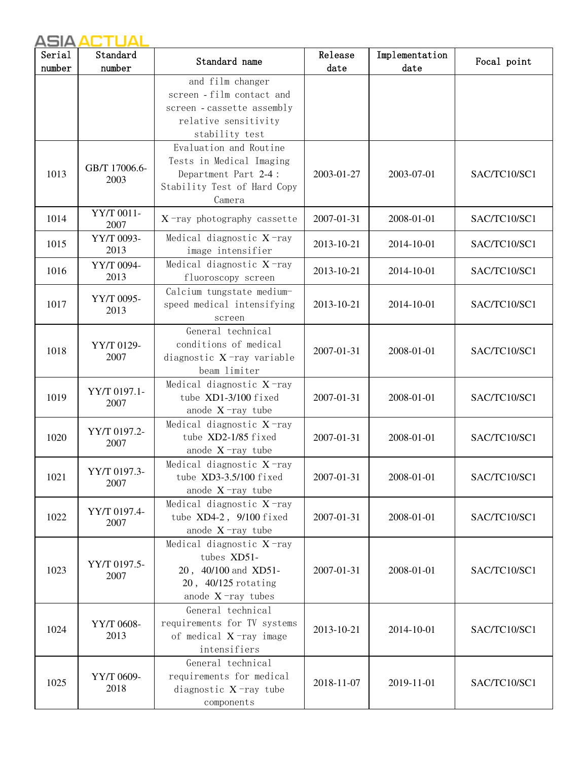| Serial | Standard              | Standard name                                                                                                         | Release    | Implementation | Focal point  |
|--------|-----------------------|-----------------------------------------------------------------------------------------------------------------------|------------|----------------|--------------|
| number | number                |                                                                                                                       | date       | date           |              |
|        |                       | and film changer<br>screen - film contact and<br>screen - cassette assembly<br>relative sensitivity<br>stability test |            |                |              |
| 1013   | GB/T 17006.6-<br>2003 | Evaluation and Routine<br>Tests in Medical Imaging<br>Department Part 2-4:<br>Stability Test of Hard Copy<br>Camera   | 2003-01-27 | 2003-07-01     | SAC/TC10/SC1 |
| 1014   | YY/T 0011-<br>2007    | $X$ -ray photography cassette                                                                                         | 2007-01-31 | 2008-01-01     | SAC/TC10/SC1 |
| 1015   | YY/T 0093-<br>2013    | Medical diagnostic $X$ -ray<br>image intensifier                                                                      | 2013-10-21 | 2014-10-01     | SAC/TC10/SC1 |
| 1016   | YY/T 0094-<br>2013    | Medical diagnostic $X$ -ray<br>fluoroscopy screen                                                                     | 2013-10-21 | 2014-10-01     | SAC/TC10/SC1 |
| 1017   | YY/T 0095-<br>2013    | Calcium tungstate medium-<br>speed medical intensifying<br>screen                                                     | 2013-10-21 | 2014-10-01     | SAC/TC10/SC1 |
| 1018   | YY/T 0129-<br>2007    | General technical<br>conditions of medical<br>diagnostic $X$ -ray variable<br>beam limiter                            | 2007-01-31 | 2008-01-01     | SAC/TC10/SC1 |
| 1019   | YY/T 0197.1-<br>2007  | Medical diagnostic X-ray<br>tube XD1-3/100 fixed<br>anode $X$ -ray tube                                               | 2007-01-31 | 2008-01-01     | SAC/TC10/SC1 |
| 1020   | YY/T 0197.2-<br>2007  | Medical diagnostic $X$ -ray<br>tube XD2-1/85 fixed<br>anode $X$ -ray tube                                             | 2007-01-31 | 2008-01-01     | SAC/TC10/SC1 |
| 1021   | YY/T 0197.3-<br>2007  | Medical diagnostic $X$ -ray<br>tube XD3-3.5/100 fixed<br>anode $X$ -ray tube                                          | 2007-01-31 | 2008-01-01     | SAC/TC10/SC1 |
| 1022   | YY/T 0197.4-<br>2007  | Medical diagnostic $X$ -ray<br>tube XD4-2, 9/100 fixed<br>anode $X$ -ray tube                                         | 2007-01-31 | 2008-01-01     | SAC/TC10/SC1 |
| 1023   | YY/T 0197.5-<br>2007  | Medical diagnostic $X$ -ray<br>tubes XD51-<br>20, 40/100 and XD51-<br>20, 40/125 rotating<br>anode $X$ -ray tubes     | 2007-01-31 | 2008-01-01     | SAC/TC10/SC1 |
| 1024   | YY/T 0608-<br>2013    | General technical<br>requirements for TV systems<br>of medical $X$ -ray image<br>intensifiers                         | 2013-10-21 | 2014-10-01     | SAC/TC10/SC1 |
| 1025   | YY/T 0609-<br>2018    | General technical<br>requirements for medical<br>diagnostic $X$ -ray tube<br>components                               | 2018-11-07 | 2019-11-01     | SAC/TC10/SC1 |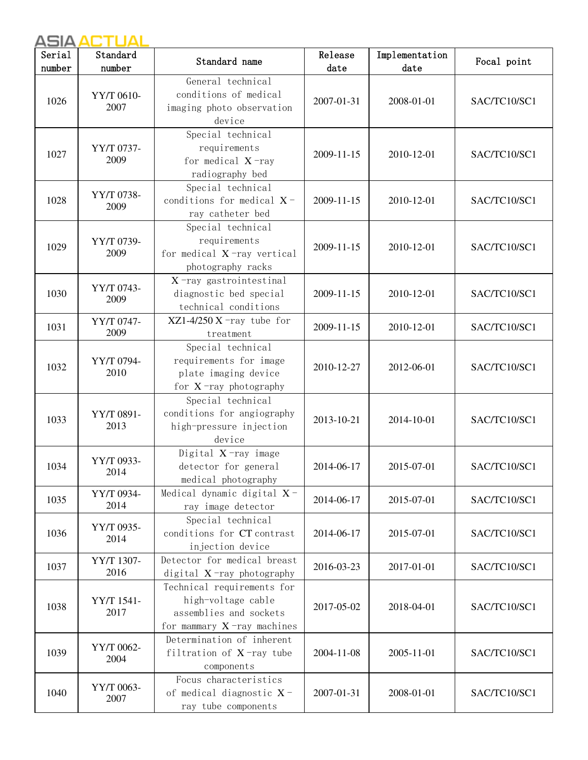| Serial<br>number | Standard<br>number | Standard name                                                                                               | Release<br>date | Implementation<br>date | Focal point  |
|------------------|--------------------|-------------------------------------------------------------------------------------------------------------|-----------------|------------------------|--------------|
| 1026             | YY/T 0610-<br>2007 | General technical<br>conditions of medical<br>imaging photo observation<br>device                           | 2007-01-31      | 2008-01-01             | SAC/TC10/SC1 |
| 1027             | YY/T 0737-<br>2009 | Special technical<br>requirements<br>for medical $X$ -ray<br>radiography bed                                | 2009-11-15      | 2010-12-01             | SAC/TC10/SC1 |
| 1028             | YY/T 0738-<br>2009 | Special technical<br>conditions for medical $X$ -<br>ray catheter bed                                       | 2009-11-15      | 2010-12-01             | SAC/TC10/SC1 |
| 1029             | YY/T 0739-<br>2009 | Special technical<br>requirements<br>for medical $X$ -ray vertical<br>photography racks                     | 2009-11-15      | 2010-12-01             | SAC/TC10/SC1 |
| 1030             | YY/T 0743-<br>2009 | $X$ -ray gastrointestinal<br>diagnostic bed special<br>technical conditions                                 | 2009-11-15      | 2010-12-01             | SAC/TC10/SC1 |
| 1031             | YY/T 0747-<br>2009 | $XZ1-4/250 X$ -ray tube for<br>treatment                                                                    | 2009-11-15      | 2010-12-01             | SAC/TC10/SC1 |
| 1032             | YY/T 0794-<br>2010 | Special technical<br>requirements for image<br>plate imaging device<br>for $X$ -ray photography             | 2010-12-27      | 2012-06-01             | SAC/TC10/SC1 |
| 1033             | YY/T 0891-<br>2013 | Special technical<br>conditions for angiography<br>high-pressure injection<br>device                        | 2013-10-21      | 2014-10-01             | SAC/TC10/SC1 |
| 1034             | YY/T 0933-<br>2014 | Digital $X$ -ray image<br>detector for general<br>medical photography                                       | 2014-06-17      | 2015-07-01             | SAC/TC10/SC1 |
| 1035             | YY/T 0934-<br>2014 | Medical dynamic digital $X$ -<br>ray image detector                                                         | 2014-06-17      | 2015-07-01             | SAC/TC10/SC1 |
| 1036             | YY/T 0935-<br>2014 | Special technical<br>conditions for CT contrast<br>injection device                                         | 2014-06-17      | 2015-07-01             | SAC/TC10/SC1 |
| 1037             | YY/T 1307-<br>2016 | Detector for medical breast<br>digital $X$ -ray photography                                                 | 2016-03-23      | 2017-01-01             | SAC/TC10/SC1 |
| 1038             | YY/T 1541-<br>2017 | Technical requirements for<br>high-voltage cable<br>assemblies and sockets<br>for mammary $X$ -ray machines | 2017-05-02      | 2018-04-01             | SAC/TC10/SC1 |
| 1039             | YY/T 0062-<br>2004 | Determination of inherent<br>filtration of $X$ -ray tube<br>components                                      | 2004-11-08      | 2005-11-01             | SAC/TC10/SC1 |
| 1040             | YY/T 0063-<br>2007 | Focus characteristics<br>of medical diagnostic $X$ -<br>ray tube components                                 | 2007-01-31      | 2008-01-01             | SAC/TC10/SC1 |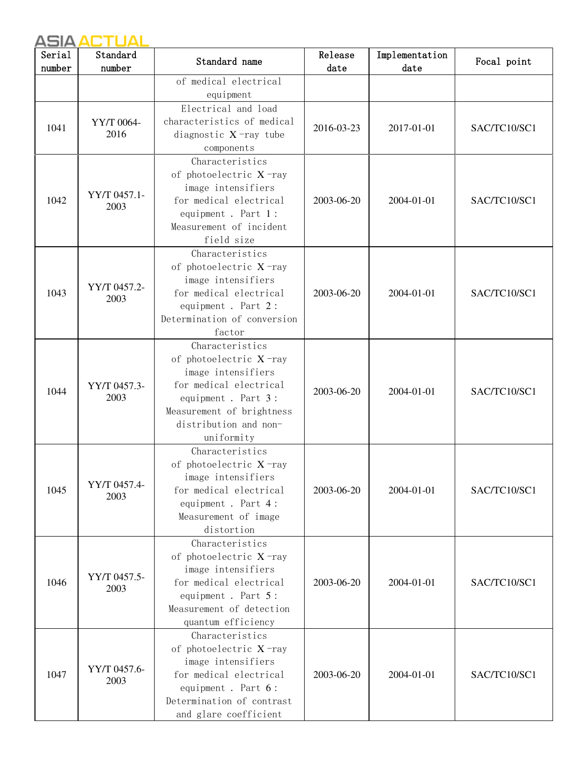| Serial<br>number | Standard<br>number   | Standard name                                | Release<br>date | Implementation<br>date | Focal point  |
|------------------|----------------------|----------------------------------------------|-----------------|------------------------|--------------|
|                  |                      | of medical electrical                        |                 |                        |              |
|                  |                      | equipment                                    |                 |                        |              |
|                  |                      | Electrical and load                          |                 |                        |              |
| 1041             | YY/T 0064-           | characteristics of medical                   | 2016-03-23      | 2017-01-01             | SAC/TC10/SC1 |
|                  | 2016                 | diagnostic $X$ -ray tube                     |                 |                        |              |
|                  |                      | components                                   |                 |                        |              |
|                  |                      | Characteristics                              |                 |                        |              |
|                  |                      | of photoelectric $X$ -ray                    |                 |                        |              |
|                  | YY/T 0457.1-         | image intensifiers                           |                 |                        |              |
| 1042             | 2003                 | for medical electrical                       | 2003-06-20      | 2004-01-01             | SAC/TC10/SC1 |
|                  |                      | equipment. Part 1:                           |                 |                        |              |
|                  |                      | Measurement of incident<br>field size        |                 |                        |              |
|                  |                      | Characteristics                              |                 |                        |              |
|                  |                      | of photoelectric X-ray                       |                 |                        |              |
|                  |                      | image intensifiers                           |                 |                        |              |
| 1043             | YY/T 0457.2-         | for medical electrical                       | 2003-06-20      | 2004-01-01             | SAC/TC10/SC1 |
|                  | 2003                 | equipment. Part 2:                           |                 |                        |              |
|                  |                      | Determination of conversion                  |                 |                        |              |
|                  |                      | factor                                       |                 |                        |              |
|                  |                      | Characteristics                              |                 |                        |              |
|                  | YY/T 0457.3-<br>2003 | of photoelectric X-ray                       |                 |                        |              |
|                  |                      | image intensifiers                           |                 |                        |              |
| 1044             |                      | for medical electrical                       | 2003-06-20      | 2004-01-01             | SAC/TC10/SC1 |
|                  |                      | equipment. Part 3:                           |                 |                        |              |
|                  |                      | Measurement of brightness                    |                 |                        |              |
|                  |                      | distribution and non-                        |                 |                        |              |
|                  |                      | uniformity                                   |                 |                        |              |
|                  |                      | Characteristics                              |                 |                        |              |
|                  |                      | of photoelectric X-ray                       |                 |                        |              |
|                  | YY/T 0457.4-         | image intensifiers                           |                 |                        |              |
| 1045             | 2003                 | for medical electrical<br>equipment. Part 4: | 2003-06-20      | 2004-01-01             | SAC/TC10/SC1 |
|                  |                      | Measurement of image                         |                 |                        |              |
|                  |                      | distortion                                   |                 |                        |              |
|                  |                      | Characteristics                              |                 |                        |              |
|                  |                      | of photoelectric $X$ -ray                    |                 |                        |              |
|                  |                      | image intensifiers                           |                 |                        |              |
| 1046             | YY/T 0457.5-         | for medical electrical                       | 2003-06-20      | 2004-01-01             | SAC/TC10/SC1 |
|                  | 2003                 | equipment. Part 5:                           |                 |                        |              |
|                  |                      | Measurement of detection                     |                 |                        |              |
|                  |                      | quantum efficiency                           |                 |                        |              |
|                  |                      | Characteristics                              |                 |                        |              |
|                  |                      | of photoelectric X-ray                       |                 |                        |              |
|                  | YY/T 0457.6-         | image intensifiers                           |                 |                        |              |
| 1047             | 2003                 | for medical electrical                       | 2003-06-20      | 2004-01-01             | SAC/TC10/SC1 |
|                  |                      | equipment. Part 6:                           |                 |                        |              |
|                  |                      | Determination of contrast                    |                 |                        |              |
|                  |                      | and glare coefficient                        |                 |                        |              |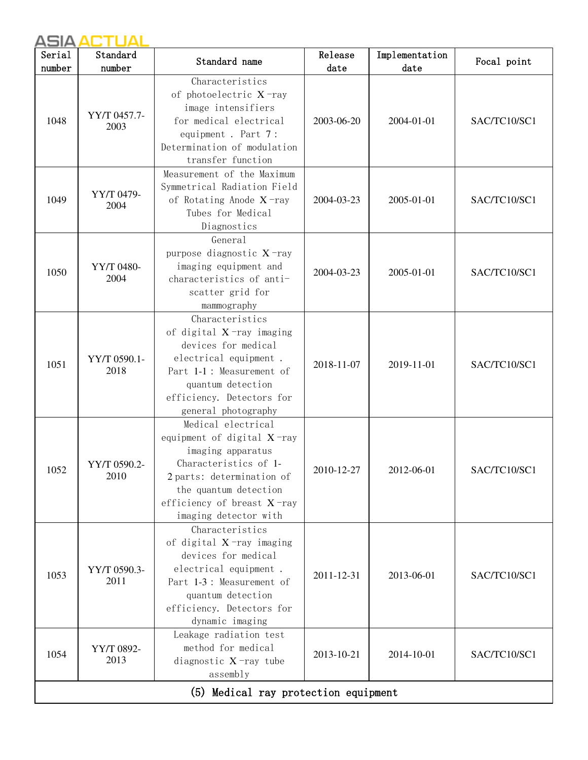| Serial | Standard             | Standard name                                                                                                                                                                                               | Release    | Implementation | Focal point  |
|--------|----------------------|-------------------------------------------------------------------------------------------------------------------------------------------------------------------------------------------------------------|------------|----------------|--------------|
| number | number               |                                                                                                                                                                                                             | date       | date           |              |
| 1048   | YY/T 0457.7-<br>2003 | Characteristics<br>of photoelectric X-ray<br>image intensifiers<br>for medical electrical<br>equipment. Part 7:<br>Determination of modulation<br>transfer function                                         | 2003-06-20 | 2004-01-01     | SAC/TC10/SC1 |
| 1049   | YY/T 0479-<br>2004   | Measurement of the Maximum<br>Symmetrical Radiation Field<br>of Rotating Anode $X$ -ray<br>Tubes for Medical<br>Diagnostics                                                                                 | 2004-03-23 | 2005-01-01     | SAC/TC10/SC1 |
| 1050   | YY/T 0480-<br>2004   | General<br>purpose diagnostic X-ray<br>imaging equipment and<br>characteristics of anti-<br>scatter grid for<br>mammography                                                                                 | 2004-03-23 | 2005-01-01     | SAC/TC10/SC1 |
| 1051   | YY/T 0590.1-<br>2018 | Characteristics<br>of digital $X$ -ray imaging<br>devices for medical<br>electrical equipment.<br>Part 1-1 : Measurement of<br>quantum detection<br>efficiency. Detectors for<br>general photography        | 2018-11-07 | 2019-11-01     | SAC/TC10/SC1 |
| 1052   | YY/T 0590.2-<br>2010 | Medical electrical<br>equipment of digital X-ray<br>imaging apparatus<br>Characteristics of 1-<br>2 parts: determination of<br>the quantum detection<br>efficiency of breast X-ray<br>imaging detector with | 2010-12-27 | 2012-06-01     | SAC/TC10/SC1 |
| 1053   | YY/T 0590.3-<br>2011 | Characteristics<br>of digital $X$ -ray imaging<br>devices for medical<br>electrical equipment.<br>Part 1-3 : Measurement of<br>quantum detection<br>efficiency. Detectors for<br>dynamic imaging            | 2011-12-31 | 2013-06-01     | SAC/TC10/SC1 |
| 1054   | YY/T 0892-<br>2013   | Leakage radiation test<br>method for medical<br>diagnostic $X$ -ray tube<br>assembly                                                                                                                        | 2013-10-21 | 2014-10-01     | SAC/TC10/SC1 |
|        |                      | (5) Medical ray protection equipment                                                                                                                                                                        |            |                |              |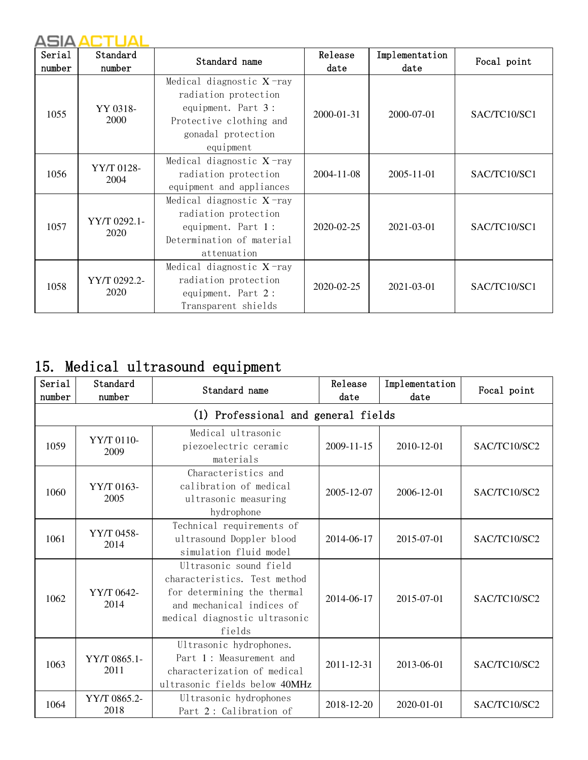| Serial<br>number | Standard<br>number   | Standard name                                                                                                                           | Release<br>date  | Implementation<br>date | Focal point  |
|------------------|----------------------|-----------------------------------------------------------------------------------------------------------------------------------------|------------------|------------------------|--------------|
| 1055             | YY 0318-<br>2000     | Medical diagnostic $X$ -ray<br>radiation protection<br>equipment. Part 3:<br>Protective clothing and<br>gonadal protection<br>equipment | $2000 - 01 - 31$ | 2000-07-01             | SAC/TC10/SC1 |
| 1056             | YY/T 0128-<br>2004   | Medical diagnostic $X$ -ray<br>radiation protection<br>equipment and appliances                                                         | 2004-11-08       | 2005-11-01             | SAC/TC10/SC1 |
| 1057             | YY/T 0292.1-<br>2020 | Medical diagnostic $X$ -ray<br>radiation protection<br>equipment. Part 1:<br>Determination of material<br>attenuation                   | 2020-02-25       | 2021-03-01             | SAC/TC10/SC1 |
| 1058             | YY/T 0292.2-<br>2020 | Medical diagnostic $X$ -ray<br>radiation protection<br>equipment. Part 2:<br>Transparent shields                                        | 2020-02-25       | 2021-03-01             | SAC/TC10/SC1 |

## 15. Medical ultrasound equipment

| Serial<br>number | Standard<br>number   | Standard name                                                                                                                                                 | Release<br>date | Implementation<br>date | Focal point  |
|------------------|----------------------|---------------------------------------------------------------------------------------------------------------------------------------------------------------|-----------------|------------------------|--------------|
|                  |                      | (1) Professional and general fields                                                                                                                           |                 |                        |              |
| 1059             | YY/T 0110-<br>2009   | Medical ultrasonic<br>piezoelectric ceramic<br>materials                                                                                                      | 2009-11-15      | 2010-12-01             | SAC/TC10/SC2 |
| 1060             | YY/T 0163-<br>2005   | Characteristics and<br>calibration of medical<br>ultrasonic measuring<br>hydrophone                                                                           | 2005-12-07      | 2006-12-01             | SAC/TC10/SC2 |
| 1061             | YY/T 0458-<br>2014   | Technical requirements of<br>ultrasound Doppler blood<br>simulation fluid model                                                                               | 2014-06-17      | 2015-07-01             | SAC/TC10/SC2 |
| 1062             | YY/T 0642-<br>2014   | Ultrasonic sound field<br>characteristics. Test method<br>for determining the thermal<br>and mechanical indices of<br>medical diagnostic ultrasonic<br>fields | 2014-06-17      | 2015-07-01             | SAC/TC10/SC2 |
| 1063             | YY/T 0865.1-<br>2011 | Ultrasonic hydrophones.<br>Part 1: Measurement and<br>characterization of medical<br>ultrasonic fields below 40MHz                                            | 2011-12-31      | 2013-06-01             | SAC/TC10/SC2 |
| 1064             | YY/T 0865.2-<br>2018 | Ultrasonic hydrophones<br>Part 2: Calibration of                                                                                                              | 2018-12-20      | 2020-01-01             | SAC/TC10/SC2 |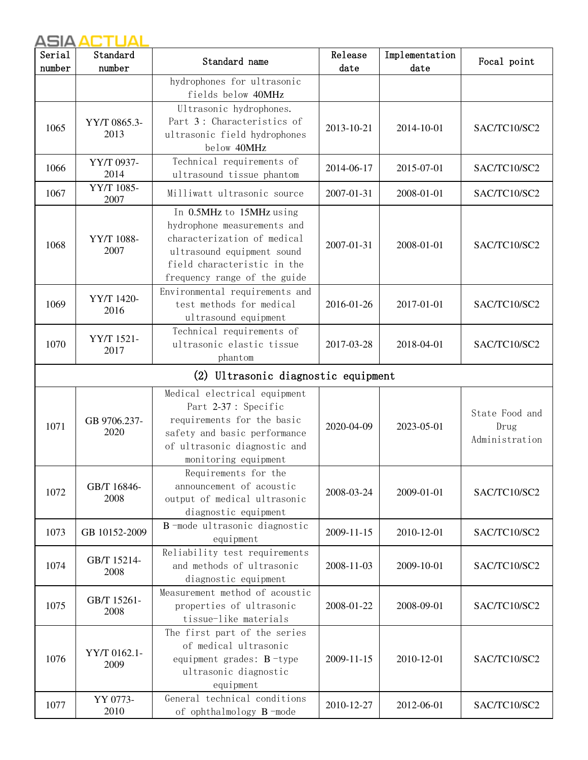| Serial<br>number | Standard<br>number   | Standard name                                                                                                                                                                       | Release<br>date | Implementation<br>date | Focal point                              |
|------------------|----------------------|-------------------------------------------------------------------------------------------------------------------------------------------------------------------------------------|-----------------|------------------------|------------------------------------------|
|                  |                      | hydrophones for ultrasonic<br>fields below 40MHz                                                                                                                                    |                 |                        |                                          |
| 1065             | YY/T 0865.3-<br>2013 | Ultrasonic hydrophones.<br>Part 3: Characteristics of<br>ultrasonic field hydrophones<br>below 40MHz                                                                                | 2013-10-21      | 2014-10-01             | SAC/TC10/SC2                             |
| 1066             | YY/T 0937-<br>2014   | Technical requirements of<br>ultrasound tissue phantom                                                                                                                              | 2014-06-17      | 2015-07-01             | SAC/TC10/SC2                             |
| 1067             | YY/T 1085-<br>2007   | Milliwatt ultrasonic source                                                                                                                                                         | 2007-01-31      | 2008-01-01             | SAC/TC10/SC2                             |
| 1068             | YY/T 1088-<br>2007   | In 0.5MHz to 15MHz using<br>hydrophone measurements and<br>characterization of medical<br>ultrasound equipment sound<br>field characteristic in the<br>frequency range of the guide | 2007-01-31      | 2008-01-01             | SAC/TC10/SC2                             |
| 1069             | YY/T 1420-<br>2016   | Environmental requirements and<br>test methods for medical<br>ultrasound equipment                                                                                                  | 2016-01-26      | 2017-01-01             | SAC/TC10/SC2                             |
| 1070             | YY/T 1521-<br>2017   | Technical requirements of<br>ultrasonic elastic tissue<br>phantom                                                                                                                   | 2017-03-28      | 2018-04-01             | SAC/TC10/SC2                             |
|                  |                      | (2) Ultrasonic diagnostic equipment                                                                                                                                                 |                 |                        |                                          |
| 1071             | GB 9706.237-<br>2020 | Medical electrical equipment<br>Part 2-37 : Specific<br>requirements for the basic<br>safety and basic performance<br>of ultrasonic diagnostic and<br>monitoring equipment          | 2020-04-09      | 2023-05-01             | State Food and<br>Drug<br>Administration |
| 1072             | GB/T 16846-<br>2008  | Requirements for the<br>announcement of acoustic<br>output of medical ultrasonic<br>diagnostic equipment                                                                            | 2008-03-24      | 2009-01-01             | SAC/TC10/SC2                             |
| 1073             | GB 10152-2009        | B-mode ultrasonic diagnostic<br>equipment                                                                                                                                           | 2009-11-15      | 2010-12-01             | SAC/TC10/SC2                             |
| 1074             | GB/T 15214-<br>2008  | Reliability test requirements<br>and methods of ultrasonic<br>diagnostic equipment                                                                                                  | 2008-11-03      | 2009-10-01             | SAC/TC10/SC2                             |
| 1075             | GB/T 15261-<br>2008  | Measurement method of acoustic<br>properties of ultrasonic<br>tissue-like materials                                                                                                 | 2008-01-22      | 2008-09-01             | SAC/TC10/SC2                             |
| 1076             | YY/T 0162.1-<br>2009 | The first part of the series<br>of medical ultrasonic<br>equipment grades: $B$ -type<br>ultrasonic diagnostic<br>equipment                                                          | 2009-11-15      | 2010-12-01             | SAC/TC10/SC2                             |
| 1077             | YY 0773-<br>2010     | General technical conditions<br>of ophthalmology $B$ -mode                                                                                                                          | 2010-12-27      | 2012-06-01             | SAC/TC10/SC2                             |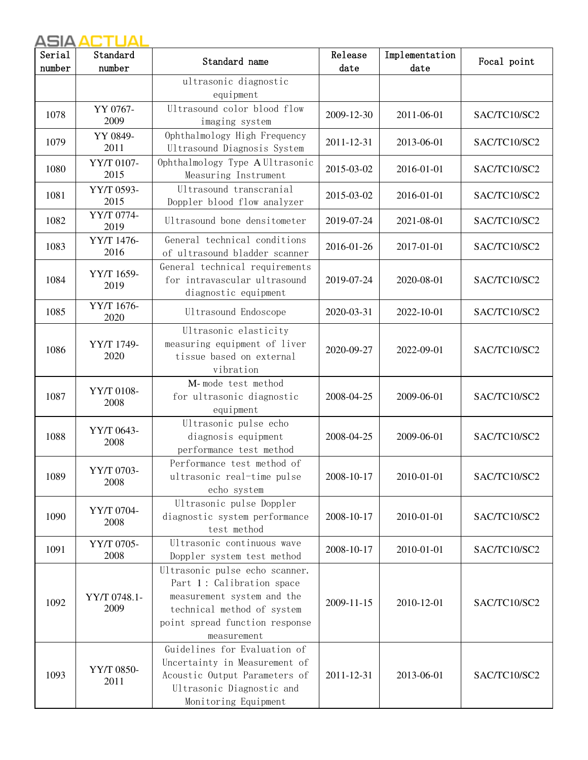| Serial<br>number | Standard<br>number   | Standard name                                                                                                                                                            | Release<br>date | Implementation<br>date | Focal point  |
|------------------|----------------------|--------------------------------------------------------------------------------------------------------------------------------------------------------------------------|-----------------|------------------------|--------------|
|                  |                      | ultrasonic diagnostic<br>equipment                                                                                                                                       |                 |                        |              |
| 1078             | YY 0767-<br>2009     | Ultrasound color blood flow<br>imaging system                                                                                                                            | 2009-12-30      | 2011-06-01             | SAC/TC10/SC2 |
| 1079             | YY 0849-<br>2011     | Ophthalmology High Frequency<br>Ultrasound Diagnosis System                                                                                                              | 2011-12-31      | 2013-06-01             | SAC/TC10/SC2 |
| 1080             | YY/T 0107-<br>2015   | Ophthalmology Type A Ultrasonic<br>Measuring Instrument                                                                                                                  | 2015-03-02      | 2016-01-01             | SAC/TC10/SC2 |
| 1081             | YY/T 0593-<br>2015   | Ultrasound transcranial<br>Doppler blood flow analyzer                                                                                                                   | 2015-03-02      | 2016-01-01             | SAC/TC10/SC2 |
| 1082             | YY/T 0774-<br>2019   | Ultrasound bone densitometer                                                                                                                                             | 2019-07-24      | 2021-08-01             | SAC/TC10/SC2 |
| 1083             | YY/T 1476-<br>2016   | General technical conditions<br>of ultrasound bladder scanner                                                                                                            | 2016-01-26      | 2017-01-01             | SAC/TC10/SC2 |
| 1084             | YY/T 1659-<br>2019   | General technical requirements<br>for intravascular ultrasound<br>diagnostic equipment                                                                                   | 2019-07-24      | 2020-08-01             | SAC/TC10/SC2 |
| 1085             | YY/T 1676-<br>2020   | Ultrasound Endoscope                                                                                                                                                     | 2020-03-31      | 2022-10-01             | SAC/TC10/SC2 |
| 1086             | YY/T 1749-<br>2020   | Ultrasonic elasticity<br>measuring equipment of liver<br>tissue based on external<br>vibration                                                                           | 2020-09-27      | 2022-09-01             | SAC/TC10/SC2 |
| 1087             | YY/T 0108-<br>2008   | M-mode test method<br>for ultrasonic diagnostic<br>equipment                                                                                                             | 2008-04-25      | 2009-06-01             | SAC/TC10/SC2 |
| 1088             | YY/T 0643-<br>2008   | Ultrasonic pulse echo<br>diagnosis equipment<br>performance test method                                                                                                  | 2008-04-25      | 2009-06-01             | SAC/TC10/SC2 |
| 1089             | YY/T 0703-<br>2008   | Performance test method of<br>ultrasonic real-time pulse<br>echo system                                                                                                  | 2008-10-17      | 2010-01-01             | SAC/TC10/SC2 |
| 1090             | YY/T 0704-<br>2008   | Ultrasonic pulse Doppler<br>diagnostic system performance<br>test method                                                                                                 | 2008-10-17      | 2010-01-01             | SAC/TC10/SC2 |
| 1091             | YY/T 0705-<br>2008   | Ultrasonic continuous wave<br>Doppler system test method                                                                                                                 | 2008-10-17      | 2010-01-01             | SAC/TC10/SC2 |
| 1092             | YY/T 0748.1-<br>2009 | Ultrasonic pulse echo scanner.<br>Part 1: Calibration space<br>measurement system and the<br>technical method of system<br>point spread function response<br>measurement | 2009-11-15      | 2010-12-01             | SAC/TC10/SC2 |
| 1093             | YY/T 0850-<br>2011   | Guidelines for Evaluation of<br>Uncertainty in Measurement of<br>Acoustic Output Parameters of<br>Ultrasonic Diagnostic and<br>Monitoring Equipment                      | 2011-12-31      | 2013-06-01             | SAC/TC10/SC2 |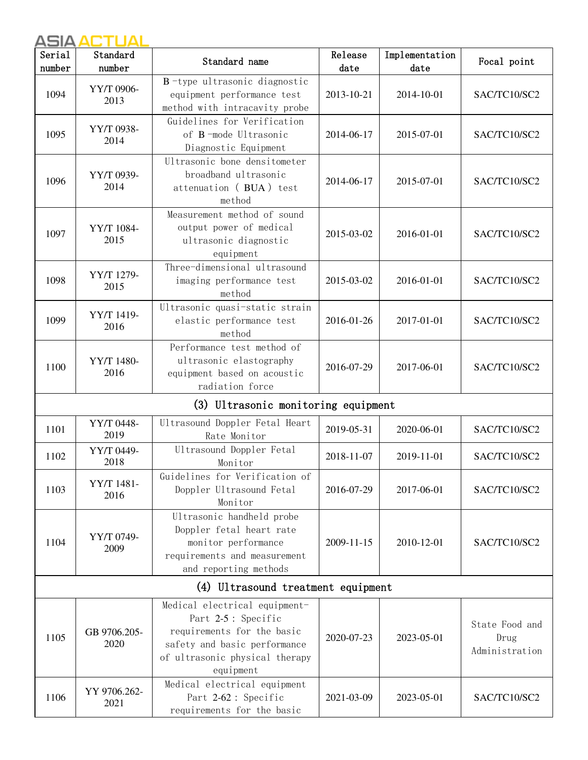| Serial<br>number | Standard<br>number   | Standard name                                                                                                                                                     | Release<br>date | Implementation<br>date | Focal point                              |
|------------------|----------------------|-------------------------------------------------------------------------------------------------------------------------------------------------------------------|-----------------|------------------------|------------------------------------------|
| 1094             | YY/T 0906-<br>2013   | B-type ultrasonic diagnostic<br>equipment performance test<br>method with intracavity probe                                                                       | 2013-10-21      | 2014-10-01             | SAC/TC10/SC2                             |
| 1095             | YY/T 0938-<br>2014   | Guidelines for Verification<br>of B-mode Ultrasonic<br>Diagnostic Equipment                                                                                       | 2014-06-17      | 2015-07-01             | SAC/TC10/SC2                             |
| 1096             | YY/T 0939-<br>2014   | Ultrasonic bone densitometer<br>broadband ultrasonic<br>attenuation (BUA) test<br>method                                                                          | 2014-06-17      | 2015-07-01             | SAC/TC10/SC2                             |
| 1097             | YY/T 1084-<br>2015   | Measurement method of sound<br>output power of medical<br>ultrasonic diagnostic<br>equipment                                                                      | 2015-03-02      | 2016-01-01             | SAC/TC10/SC2                             |
| 1098             | YY/T 1279-<br>2015   | Three-dimensional ultrasound<br>imaging performance test<br>method                                                                                                | 2015-03-02      | 2016-01-01             | SAC/TC10/SC2                             |
| 1099             | YY/T 1419-<br>2016   | Ultrasonic quasi-static strain<br>elastic performance test<br>method                                                                                              | 2016-01-26      | 2017-01-01             | SAC/TC10/SC2                             |
| 1100             | YY/T 1480-<br>2016   | Performance test method of<br>ultrasonic elastography<br>equipment based on acoustic<br>radiation force                                                           | 2016-07-29      | 2017-06-01             | SAC/TC10/SC2                             |
|                  |                      | (3) Ultrasonic monitoring equipment                                                                                                                               |                 |                        |                                          |
| 1101             | YY/T 0448-<br>2019   | Ultrasound Doppler Fetal Heart<br>Rate Monitor                                                                                                                    | 2019-05-31      | 2020-06-01             | SAC/TC10/SC2                             |
| 1102             | YY/T 0449-<br>2018   | Ultrasound Doppler Fetal<br>Monitor                                                                                                                               | 2018-11-07      | 2019-11-01             | SAC/TC10/SC2                             |
| 1103             | YY/T 1481-<br>2016   | Guidelines for Verification of<br>Doppler Ultrasound Fetal<br>Monitor                                                                                             | 2016-07-29      | 2017-06-01             | SAC/TC10/SC2                             |
| 1104             | YY/T 0749-<br>2009   | Ultrasonic handheld probe<br>Doppler fetal heart rate<br>monitor performance<br>requirements and measurement<br>and reporting methods                             | 2009-11-15      | 2010-12-01             | SAC/TC10/SC2                             |
|                  |                      | (4) Ultrasound treatment equipment                                                                                                                                |                 |                        |                                          |
| 1105             | GB 9706.205-<br>2020 | Medical electrical equipment-<br>Part 2-5 : Specific<br>requirements for the basic<br>safety and basic performance<br>of ultrasonic physical therapy<br>equipment | 2020-07-23      | 2023-05-01             | State Food and<br>Drug<br>Administration |
| 1106             | YY 9706.262-<br>2021 | Medical electrical equipment<br>Part 2-62 : Specific<br>requirements for the basic                                                                                | 2021-03-09      | 2023-05-01             | SAC/TC10/SC2                             |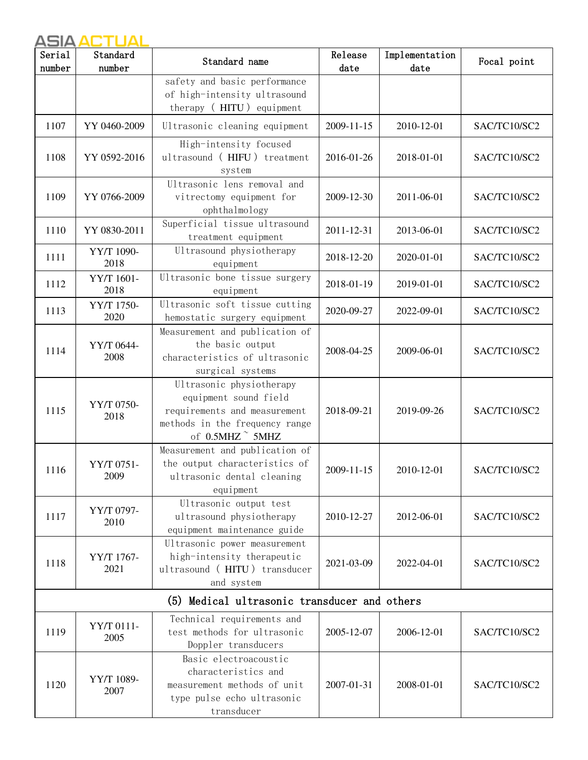| Serial<br>number | Standard<br>number | Standard name                                                                                                                                      | Release<br>date | Implementation<br>date | Focal point  |
|------------------|--------------------|----------------------------------------------------------------------------------------------------------------------------------------------------|-----------------|------------------------|--------------|
|                  |                    | safety and basic performance<br>of high-intensity ultrasound<br>therapy (HITU) equipment                                                           |                 |                        |              |
| 1107             | YY 0460-2009       | Ultrasonic cleaning equipment                                                                                                                      | 2009-11-15      | 2010-12-01             | SAC/TC10/SC2 |
| 1108             | YY 0592-2016       | High-intensity focused<br>ultrasound (HIFU) treatment<br>system                                                                                    | 2016-01-26      | 2018-01-01             | SAC/TC10/SC2 |
| 1109             | YY 0766-2009       | Ultrasonic lens removal and<br>vitrectomy equipment for<br>ophthalmology                                                                           | 2009-12-30      | 2011-06-01             | SAC/TC10/SC2 |
| 1110             | YY 0830-2011       | Superficial tissue ultrasound<br>treatment equipment                                                                                               | 2011-12-31      | 2013-06-01             | SAC/TC10/SC2 |
| 1111             | YY/T 1090-<br>2018 | Ultrasound physiotherapy<br>equipment                                                                                                              | 2018-12-20      | 2020-01-01             | SAC/TC10/SC2 |
| 1112             | YY/T 1601-<br>2018 | Ultrasonic bone tissue surgery<br>equipment                                                                                                        | 2018-01-19      | 2019-01-01             | SAC/TC10/SC2 |
| 1113             | YY/T 1750-<br>2020 | Ultrasonic soft tissue cutting<br>hemostatic surgery equipment                                                                                     | 2020-09-27      | 2022-09-01             | SAC/TC10/SC2 |
| 1114             | YY/T 0644-<br>2008 | Measurement and publication of<br>the basic output<br>characteristics of ultrasonic<br>surgical systems                                            | 2008-04-25      | 2009-06-01             | SAC/TC10/SC2 |
| 1115             | YY/T 0750-<br>2018 | Ultrasonic physiotherapy<br>equipment sound field<br>requirements and measurement<br>methods in the frequency range<br>of $0.5$ MHZ $\degree$ 5MHZ | 2018-09-21      | 2019-09-26             | SAC/TC10/SC2 |
| 1116             | YY/T 0751-<br>2009 | Measurement and publication of<br>the output characteristics of<br>ultrasonic dental cleaning<br>equipment                                         | 2009-11-15      | 2010-12-01             | SAC/TC10/SC2 |
| 1117             | YY/T 0797-<br>2010 | Ultrasonic output test<br>ultrasound physiotherapy<br>equipment maintenance guide                                                                  | 2010-12-27      | 2012-06-01             | SAC/TC10/SC2 |
| 1118             | YY/T 1767-<br>2021 | Ultrasonic power measurement<br>high-intensity therapeutic<br>ultrasound (HITU) transducer<br>and system                                           | 2021-03-09      | 2022-04-01             | SAC/TC10/SC2 |
|                  |                    | (5) Medical ultrasonic transducer and others                                                                                                       |                 |                        |              |
| 1119             | YY/T 0111-<br>2005 | Technical requirements and<br>test methods for ultrasonic<br>Doppler transducers                                                                   | 2005-12-07      | 2006-12-01             | SAC/TC10/SC2 |
| 1120             | YY/T 1089-<br>2007 | Basic electroacoustic<br>characteristics and<br>measurement methods of unit<br>type pulse echo ultrasonic<br>transducer                            | 2007-01-31      | 2008-01-01             | SAC/TC10/SC2 |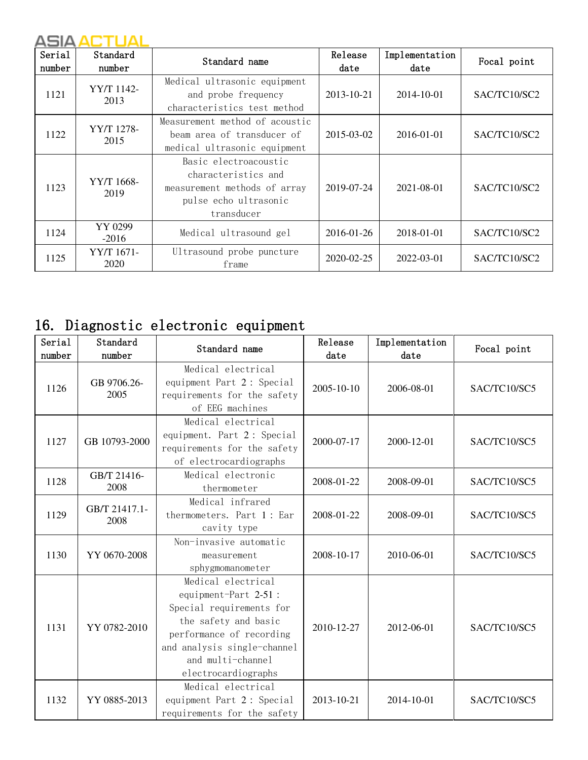| Serial<br>number | Standard<br>number | Standard name                                                                                                       | Release<br>date | Implementation<br>date | Focal point  |
|------------------|--------------------|---------------------------------------------------------------------------------------------------------------------|-----------------|------------------------|--------------|
| 1121             | YY/T 1142-<br>2013 | Medical ultrasonic equipment<br>and probe frequency<br>characteristics test method                                  | 2013-10-21      | 2014-10-01             | SAC/TC10/SC2 |
| 1122             | YY/T 1278-<br>2015 | Measurement method of acoustic<br>beam area of transducer of<br>medical ultrasonic equipment                        | 2015-03-02      | 2016-01-01             | SAC/TC10/SC2 |
| 1123             | YY/T 1668-<br>2019 | Basic electroacoustic<br>characteristics and<br>measurement methods of array<br>pulse echo ultrasonic<br>transducer | 2019-07-24      | 2021-08-01             | SAC/TC10/SC2 |
| 1124             | YY 0299<br>$-2016$ | Medical ultrasound gel                                                                                              | 2016-01-26      | 2018-01-01             | SAC/TC10/SC2 |
| 1125             | YY/T 1671-<br>2020 | Ultrasound probe puncture<br>frame                                                                                  | 2020-02-25      | 2022-03-01             | SAC/TC10/SC2 |

## 16. Diagnostic electronic equipment

| Serial<br>number | Standard<br>number    | Standard name                                                                                                                                                                                          | Release<br>date | Implementation<br>date | Focal point  |
|------------------|-----------------------|--------------------------------------------------------------------------------------------------------------------------------------------------------------------------------------------------------|-----------------|------------------------|--------------|
| 1126             | GB 9706.26-<br>2005   | Medical electrical<br>equipment Part 2: Special<br>requirements for the safety<br>of EEG machines                                                                                                      | 2005-10-10      | 2006-08-01             | SAC/TC10/SC5 |
| 1127             | GB 10793-2000         | Medical electrical<br>equipment. Part 2: Special<br>requirements for the safety<br>of electrocardiographs                                                                                              | 2000-07-17      | 2000-12-01             | SAC/TC10/SC5 |
| 1128             | GB/T 21416-<br>2008   | Medical electronic<br>thermometer                                                                                                                                                                      | 2008-01-22      | 2008-09-01             | SAC/TC10/SC5 |
| 1129             | GB/T 21417.1-<br>2008 | Medical infrared<br>thermometers. Part 1: Ear<br>cavity type                                                                                                                                           | 2008-01-22      | 2008-09-01             | SAC/TC10/SC5 |
| 1130             | YY 0670-2008          | Non-invasive automatic<br>measurement<br>sphygmomanometer                                                                                                                                              | 2008-10-17      | 2010-06-01             | SAC/TC10/SC5 |
| 1131             | YY 0782-2010          | Medical electrical<br>equipment-Part 2-51 :<br>Special requirements for<br>the safety and basic<br>performance of recording<br>and analysis single-channel<br>and multi-channel<br>electrocardiographs | 2010-12-27      | 2012-06-01             | SAC/TC10/SC5 |
| 1132             | YY 0885-2013          | Medical electrical<br>equipment Part 2: Special<br>requirements for the safety                                                                                                                         | 2013-10-21      | 2014-10-01             | SAC/TC10/SC5 |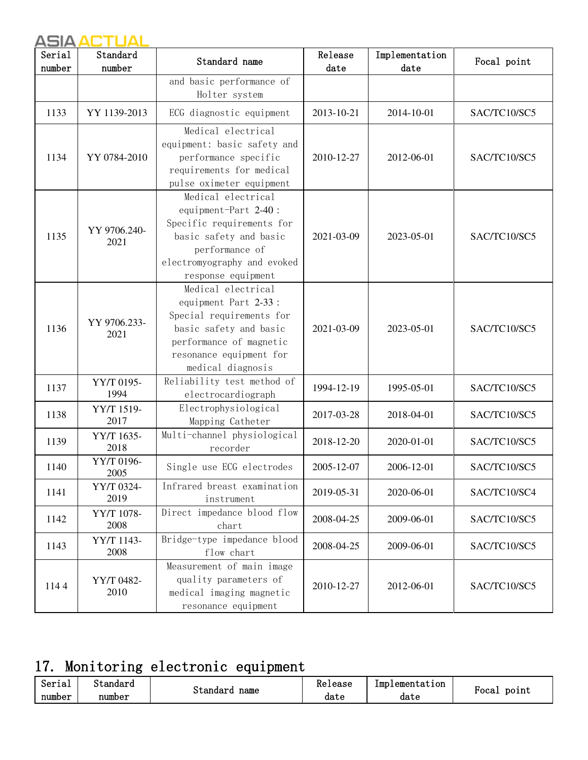| Serial<br>number | Standard<br>number   | Standard name                                                                                                                                                               | Release<br>date | Implementation<br>date | Focal point  |
|------------------|----------------------|-----------------------------------------------------------------------------------------------------------------------------------------------------------------------------|-----------------|------------------------|--------------|
|                  |                      | and basic performance of<br>Holter system                                                                                                                                   |                 |                        |              |
| 1133             | YY 1139-2013         | ECG diagnostic equipment                                                                                                                                                    | 2013-10-21      | 2014-10-01             | SAC/TC10/SC5 |
| 1134             | YY 0784-2010         | Medical electrical<br>equipment: basic safety and<br>performance specific<br>requirements for medical<br>pulse oximeter equipment                                           | 2010-12-27      | 2012-06-01             | SAC/TC10/SC5 |
| 1135             | YY 9706.240-<br>2021 | Medical electrical<br>equipment-Part 2-40:<br>Specific requirements for<br>basic safety and basic<br>performance of<br>electromyography and evoked<br>response equipment    | 2021-03-09      | 2023-05-01             | SAC/TC10/SC5 |
| 1136             | YY 9706.233-<br>2021 | Medical electrical<br>equipment Part 2-33:<br>Special requirements for<br>basic safety and basic<br>performance of magnetic<br>resonance equipment for<br>medical diagnosis | 2021-03-09      | 2023-05-01             | SAC/TC10/SC5 |
| 1137             | YY/T 0195-<br>1994   | Reliability test method of<br>electrocardiograph                                                                                                                            | 1994-12-19      | 1995-05-01             | SAC/TC10/SC5 |
| 1138             | YY/T 1519-<br>2017   | Electrophysiological<br>Mapping Catheter                                                                                                                                    | 2017-03-28      | 2018-04-01             | SAC/TC10/SC5 |
| 1139             | YY/T 1635-<br>2018   | Multi-channel physiological<br>recorder                                                                                                                                     | 2018-12-20      | 2020-01-01             | SAC/TC10/SC5 |
| 1140             | YY/T 0196-<br>2005   | Single use ECG electrodes                                                                                                                                                   | 2005-12-07      | 2006-12-01             | SAC/TC10/SC5 |
| 1141             | YY/T 0324-<br>2019   | Infrared breast examination<br>instrument                                                                                                                                   | 2019-05-31      | 2020-06-01             | SAC/TC10/SC4 |
| 1142             | YY/T 1078-<br>2008   | Direct impedance blood flow<br>chart                                                                                                                                        | 2008-04-25      | 2009-06-01             | SAC/TC10/SC5 |
| 1143             | YY/T 1143-<br>2008   | Bridge-type impedance blood<br>flow chart                                                                                                                                   | 2008-04-25      | 2009-06-01             | SAC/TC10/SC5 |
| 1144             | YY/T 0482-<br>2010   | Measurement of main image<br>quality parameters of<br>medical imaging magnetic<br>resonance equipment                                                                       | 2010-12-27      | 2012-06-01             | SAC/TC10/SC5 |

# 17. Monitoring electronic equipment

| Serial | $\sim$<br>standard |                  | Release | Implementation |               |
|--------|--------------------|------------------|---------|----------------|---------------|
| number | number             | name<br>'standar | date    | date           | point<br>"oca |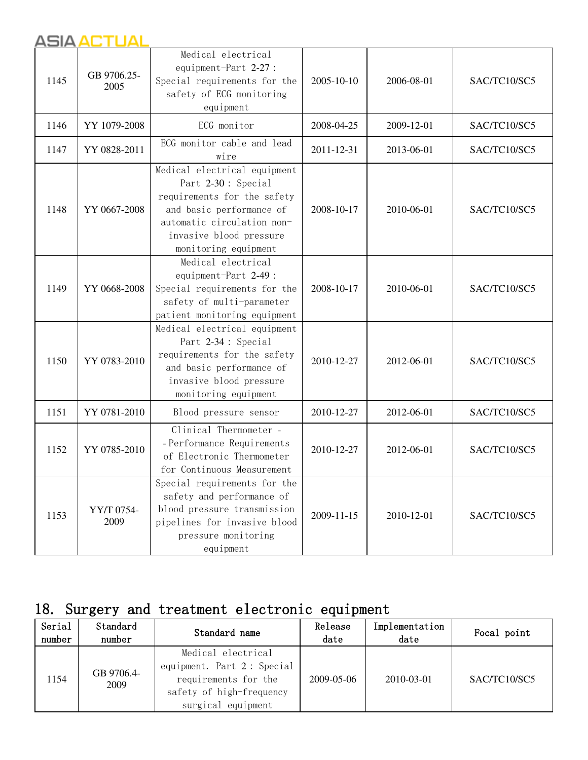| 1145 | GB 9706.25-<br>2005 | Medical electrical<br>equipment-Part 2-27:<br>Special requirements for the<br>safety of ECG monitoring<br>equipment                                                                            | 2005-10-10 | 2006-08-01 | SAC/TC10/SC5 |
|------|---------------------|------------------------------------------------------------------------------------------------------------------------------------------------------------------------------------------------|------------|------------|--------------|
| 1146 | YY 1079-2008        | ECG monitor                                                                                                                                                                                    | 2008-04-25 | 2009-12-01 | SAC/TC10/SC5 |
| 1147 | YY 0828-2011        | ECG monitor cable and lead<br>wire                                                                                                                                                             | 2011-12-31 | 2013-06-01 | SAC/TC10/SC5 |
| 1148 | YY 0667-2008        | Medical electrical equipment<br>Part 2-30: Special<br>requirements for the safety<br>and basic performance of<br>automatic circulation non-<br>invasive blood pressure<br>monitoring equipment | 2008-10-17 | 2010-06-01 | SAC/TC10/SC5 |
| 1149 | YY 0668-2008        | Medical electrical<br>equipment-Part 2-49:<br>Special requirements for the<br>safety of multi-parameter<br>patient monitoring equipment                                                        | 2008-10-17 | 2010-06-01 | SAC/TC10/SC5 |
| 1150 | YY 0783-2010        | Medical electrical equipment<br>Part 2-34 : Special<br>requirements for the safety<br>and basic performance of<br>invasive blood pressure<br>monitoring equipment                              | 2010-12-27 | 2012-06-01 | SAC/TC10/SC5 |
| 1151 | YY 0781-2010        | Blood pressure sensor                                                                                                                                                                          | 2010-12-27 | 2012-06-01 | SAC/TC10/SC5 |
| 1152 | YY 0785-2010        | Clinical Thermometer -<br>- Performance Requirements<br>of Electronic Thermometer<br>for Continuous Measurement                                                                                | 2010-12-27 | 2012-06-01 | SAC/TC10/SC5 |
| 1153 | YY/T 0754-<br>2009  | Special requirements for the<br>safety and performance of<br>blood pressure transmission<br>pipelines for invasive blood<br>pressure monitoring<br>equipment                                   | 2009-11-15 | 2010-12-01 | SAC/TC10/SC5 |

## 18. Surgery and treatment electronic equipment

| Serial<br>number | Standard<br>number | Standard name                                                                                                              | Release<br>date | Implementation<br>date | Focal point  |
|------------------|--------------------|----------------------------------------------------------------------------------------------------------------------------|-----------------|------------------------|--------------|
| 1154             | GB 9706.4-<br>2009 | Medical electrical<br>equipment. Part 2: Special<br>requirements for the<br>safety of high-frequency<br>surgical equipment | 2009-05-06      | 2010-03-01             | SAC/TC10/SC5 |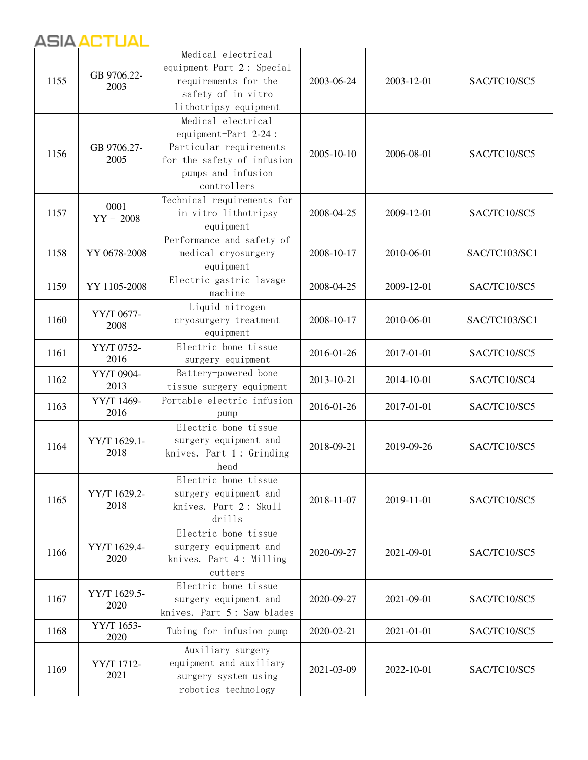| 1155 | GB 9706.22-<br>2003  | Medical electrical<br>equipment Part 2: Special<br>requirements for the<br>safety of in vitro<br>lithotripsy equipment                   | 2003-06-24 | 2003-12-01 | SAC/TC10/SC5  |
|------|----------------------|------------------------------------------------------------------------------------------------------------------------------------------|------------|------------|---------------|
| 1156 | GB 9706.27-<br>2005  | Medical electrical<br>equipment-Part 2-24:<br>Particular requirements<br>for the safety of infusion<br>pumps and infusion<br>controllers | 2005-10-10 | 2006-08-01 | SAC/TC10/SC5  |
| 1157 | 0001<br>$YY - 2008$  | Technical requirements for<br>in vitro lithotripsy<br>equipment                                                                          | 2008-04-25 | 2009-12-01 | SAC/TC10/SC5  |
| 1158 | YY 0678-2008         | Performance and safety of<br>medical cryosurgery<br>equipment                                                                            | 2008-10-17 | 2010-06-01 | SAC/TC103/SC1 |
| 1159 | YY 1105-2008         | Electric gastric lavage<br>machine                                                                                                       | 2008-04-25 | 2009-12-01 | SAC/TC10/SC5  |
| 1160 | YY/T 0677-<br>2008   | Liquid nitrogen<br>cryosurgery treatment<br>equipment                                                                                    | 2008-10-17 | 2010-06-01 | SAC/TC103/SC1 |
| 1161 | YY/T 0752-<br>2016   | Electric bone tissue<br>surgery equipment                                                                                                | 2016-01-26 | 2017-01-01 | SAC/TC10/SC5  |
| 1162 | YY/T 0904-<br>2013   | Battery-powered bone<br>tissue surgery equipment                                                                                         | 2013-10-21 | 2014-10-01 | SAC/TC10/SC4  |
| 1163 | YY/T 1469-<br>2016   | Portable electric infusion<br>pump                                                                                                       | 2016-01-26 | 2017-01-01 | SAC/TC10/SC5  |
| 1164 | YY/T 1629.1-<br>2018 | Electric bone tissue<br>surgery equipment and<br>knives. Part 1: Grinding<br>head                                                        | 2018-09-21 | 2019-09-26 | SAC/TC10/SC5  |
| 1165 | YY/T 1629.2-<br>2018 | Electric bone tissue<br>surgery equipment and<br>knives. Part 2: Skull<br>drills                                                         | 2018-11-07 | 2019-11-01 | SAC/TC10/SC5  |
| 1166 | YY/T 1629.4-<br>2020 | Electric bone tissue<br>surgery equipment and<br>knives. Part 4: Milling<br>cutters                                                      | 2020-09-27 | 2021-09-01 | SAC/TC10/SC5  |
| 1167 | YY/T 1629.5-<br>2020 | Electric bone tissue<br>surgery equipment and<br>knives. Part 5: Saw blades                                                              | 2020-09-27 | 2021-09-01 | SAC/TC10/SC5  |
| 1168 | YY/T 1653-<br>2020   | Tubing for infusion pump                                                                                                                 | 2020-02-21 | 2021-01-01 | SAC/TC10/SC5  |
| 1169 | YY/T 1712-<br>2021   | Auxiliary surgery<br>equipment and auxiliary<br>surgery system using<br>robotics technology                                              | 2021-03-09 | 2022-10-01 | SAC/TC10/SC5  |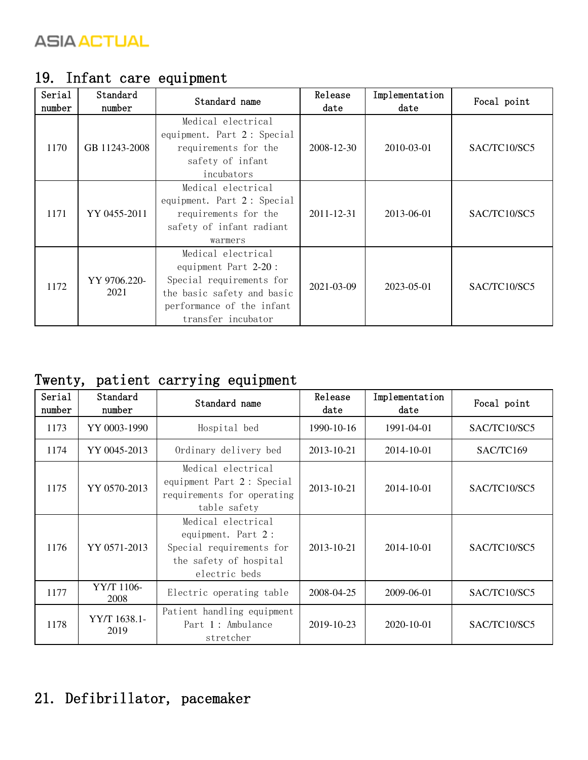| Serial<br>number | Standard<br>number   | Standard name                                                                                                                                           | Release<br>date  | Implementation<br>date | Focal point  |
|------------------|----------------------|---------------------------------------------------------------------------------------------------------------------------------------------------------|------------------|------------------------|--------------|
| 1170             | GB 11243-2008        | Medical electrical<br>equipment. Part 2: Special<br>requirements for the<br>safety of infant<br>incubators                                              | 2008-12-30       | 2010-03-01             | SAC/TC10/SC5 |
| 1171             | YY 0455-2011         | Medical electrical<br>equipment. Part 2: Special<br>requirements for the<br>safety of infant radiant<br>warmers                                         | 2011-12-31       | 2013-06-01             | SAC/TC10/SC5 |
| 1172             | YY 9706.220-<br>2021 | Medical electrical<br>equipment Part 2-20:<br>Special requirements for<br>the basic safety and basic<br>performance of the infant<br>transfer incubator | $2021 - 03 - 09$ | 2023-05-01             | SAC/TC10/SC5 |

## 19. Infant care equipment

#### Twenty, patient carrying equipment

| Serial<br>number | Standard<br>number   | Standard name                                                                                                   | Release<br>date  | Implementation<br>date | Focal point  |
|------------------|----------------------|-----------------------------------------------------------------------------------------------------------------|------------------|------------------------|--------------|
| 1173             | YY 0003-1990         | Hospital bed                                                                                                    | $1990 - 10 - 16$ | 1991-04-01             | SAC/TC10/SC5 |
| 1174             | YY 0045-2013         | Ordinary delivery bed                                                                                           | 2013-10-21       | 2014-10-01             | SAC/TC169    |
| 1175             | YY 0570-2013         | Medical electrical<br>equipment Part 2: Special<br>requirements for operating<br>table safety                   | 2013-10-21       | 2014-10-01             | SAC/TC10/SC5 |
| 1176             | YY 0571-2013         | Medical electrical<br>equipment. Part 2:<br>Special requirements for<br>the safety of hospital<br>electric beds | 2013-10-21       | 2014-10-01             | SAC/TC10/SC5 |
| 1177             | YY/T 1106-<br>2008   | Electric operating table                                                                                        | 2008-04-25       | 2009-06-01             | SAC/TC10/SC5 |
| 1178             | YY/T 1638.1-<br>2019 | Patient handling equipment<br>Part 1: Ambulance<br>stretcher                                                    | $2019 - 10 - 23$ | $2020 - 10 - 01$       | SAC/TC10/SC5 |

# 21. Defibrillator, pacemaker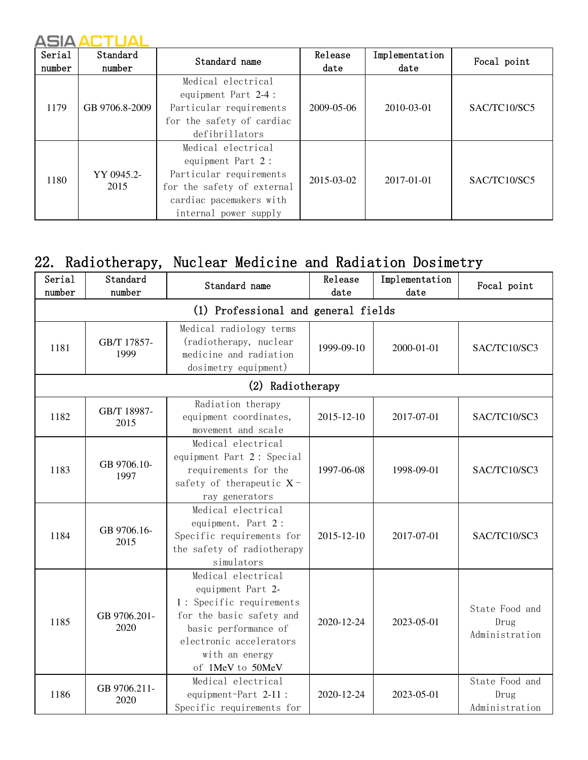| Serial<br>number | Standard<br>number | Standard name                                                                                                                                        | Release<br>date  | Implementation<br>date | Focal point  |
|------------------|--------------------|------------------------------------------------------------------------------------------------------------------------------------------------------|------------------|------------------------|--------------|
| 1179             | GB 9706.8-2009     | Medical electrical<br>equipment Part 2-4 :<br>Particular requirements<br>for the safety of cardiac<br>defibrillators                                 | $2009 - 05 - 06$ | 2010-03-01             | SAC/TC10/SC5 |
| 1180             | YY 0945.2-<br>2015 | Medical electrical<br>equipment Part 2:<br>Particular requirements<br>for the safety of external<br>cardiac pacemakers with<br>internal power supply | 2015-03-02       | 2017-01-01             | SAC/TC10/SC5 |

## 22. Radiotherapy, Nuclear Medicine and Radiation Dosimetry

| Serial<br>number | Standard<br>number   | Standard name                                                                                                                                                                            | Release<br>date | Implementation<br>date | Focal point                              |
|------------------|----------------------|------------------------------------------------------------------------------------------------------------------------------------------------------------------------------------------|-----------------|------------------------|------------------------------------------|
|                  |                      | (1) Professional and general fields                                                                                                                                                      |                 |                        |                                          |
| 1181             | GB/T 17857-<br>1999  | Medical radiology terms<br>(radiotherapy, nuclear<br>medicine and radiation<br>dosimetry equipment)                                                                                      | 1999-09-10      | 2000-01-01             | SAC/TC10/SC3                             |
|                  |                      | (2) Radiotherapy                                                                                                                                                                         |                 |                        |                                          |
| 1182             | GB/T 18987-<br>2015  | Radiation therapy<br>equipment coordinates,<br>movement and scale                                                                                                                        | 2015-12-10      | 2017-07-01             | SAC/TC10/SC3                             |
| 1183             | GB 9706.10-<br>1997  | Medical electrical<br>equipment Part 2: Special<br>requirements for the<br>safety of therapeutic $X$ -<br>ray generators                                                                 | 1997-06-08      | 1998-09-01             | SAC/TC10/SC3                             |
| 1184             | GB 9706.16-<br>2015  | Medical electrical<br>equipment. Part 2:<br>Specific requirements for<br>the safety of radiotherapy<br>simulators                                                                        | 2015-12-10      | 2017-07-01             | SAC/TC10/SC3                             |
| 1185             | GB 9706.201-<br>2020 | Medical electrical<br>equipment Part 2-<br>1: Specific requirements<br>for the basic safety and<br>basic performance of<br>electronic accelerators<br>with an energy<br>of 1MeV to 50MeV | 2020-12-24      | 2023-05-01             | State Food and<br>Drug<br>Administration |
| 1186             | GB 9706.211-<br>2020 | Medical electrical<br>equipment-Part 2-11 :<br>Specific requirements for                                                                                                                 | 2020-12-24      | 2023-05-01             | State Food and<br>Drug<br>Administration |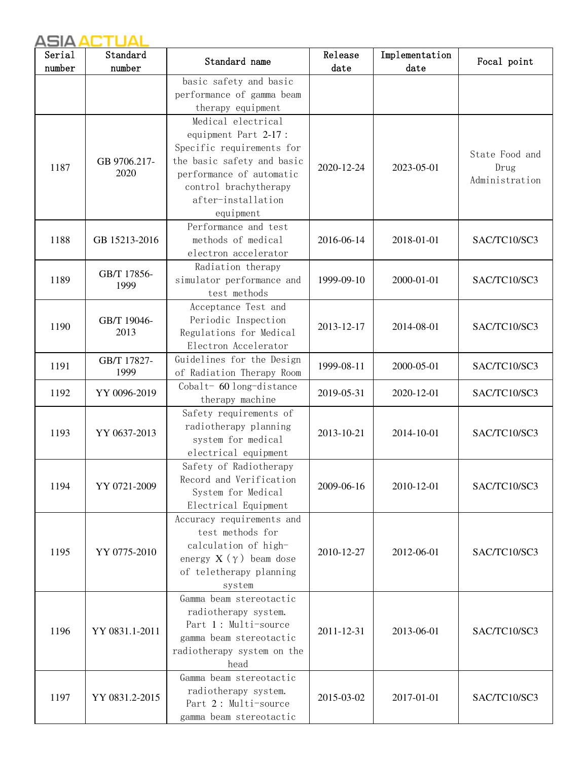| Serial | Standard             | Standard name                                                                                                                                                                                 | Release    | Implementation | Focal point                              |
|--------|----------------------|-----------------------------------------------------------------------------------------------------------------------------------------------------------------------------------------------|------------|----------------|------------------------------------------|
| number | number               |                                                                                                                                                                                               | date       | date           |                                          |
|        |                      | basic safety and basic<br>performance of gamma beam<br>therapy equipment                                                                                                                      |            |                |                                          |
| 1187   | GB 9706.217-<br>2020 | Medical electrical<br>equipment Part 2-17:<br>Specific requirements for<br>the basic safety and basic<br>performance of automatic<br>control brachytherapy<br>after-installation<br>equipment | 2020-12-24 | 2023-05-01     | State Food and<br>Drug<br>Administration |
| 1188   | GB 15213-2016        | Performance and test<br>methods of medical<br>electron accelerator                                                                                                                            | 2016-06-14 | 2018-01-01     | SAC/TC10/SC3                             |
| 1189   | GB/T 17856-<br>1999  | Radiation therapy<br>simulator performance and<br>test methods                                                                                                                                | 1999-09-10 | 2000-01-01     | SAC/TC10/SC3                             |
| 1190   | GB/T 19046-<br>2013  | Acceptance Test and<br>Periodic Inspection<br>Regulations for Medical<br>Electron Accelerator                                                                                                 | 2013-12-17 | 2014-08-01     | SAC/TC10/SC3                             |
| 1191   | GB/T 17827-<br>1999  | Guidelines for the Design<br>of Radiation Therapy Room                                                                                                                                        | 1999-08-11 | 2000-05-01     | SAC/TC10/SC3                             |
| 1192   | YY 0096-2019         | Cobalt- 60 long-distance<br>therapy machine                                                                                                                                                   | 2019-05-31 | 2020-12-01     | SAC/TC10/SC3                             |
| 1193   | YY 0637-2013         | Safety requirements of<br>radiotherapy planning<br>system for medical<br>electrical equipment                                                                                                 | 2013-10-21 | 2014-10-01     | SAC/TC10/SC3                             |
| 1194   | YY 0721-2009         | Safety of Radiotherapy<br>Record and Verification<br>System for Medical<br>Electrical Equipment                                                                                               | 2009-06-16 | 2010-12-01     | SAC/TC10/SC3                             |
| 1195   | YY 0775-2010         | Accuracy requirements and<br>test methods for<br>calculation of high-<br>energy $X(\gamma)$ beam dose<br>of teletherapy planning<br>system                                                    | 2010-12-27 | 2012-06-01     | SAC/TC10/SC3                             |
| 1196   | YY 0831.1-2011       | Gamma beam stereotactic<br>radiotherapy system.<br>Part 1: Multi-source<br>gamma beam stereotactic<br>radiotherapy system on the<br>head                                                      | 2011-12-31 | 2013-06-01     | SAC/TC10/SC3                             |
| 1197   | YY 0831.2-2015       | Gamma beam stereotactic<br>radiotherapy system.<br>Part 2: Multi-source<br>gamma beam stereotactic                                                                                            | 2015-03-02 | 2017-01-01     | SAC/TC10/SC3                             |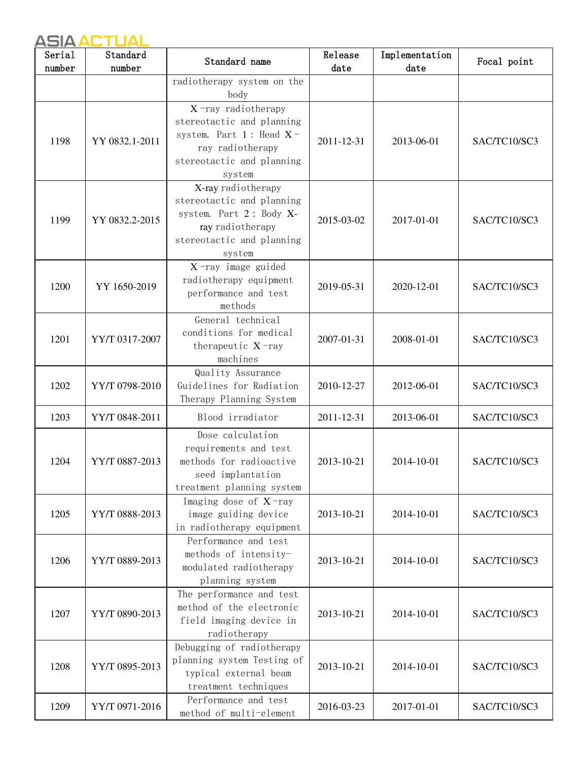| Serial | Standard       | Standard name                                                                                                                                  | Release    | Implementation | Focal point  |
|--------|----------------|------------------------------------------------------------------------------------------------------------------------------------------------|------------|----------------|--------------|
| number | number         |                                                                                                                                                | date       | date           |              |
|        |                | radiotherapy system on the<br>body                                                                                                             |            |                |              |
| 1198   | YY 0832.1-2011 | $X$ -ray radiotherapy<br>stereotactic and planning<br>system. Part $1$ : Head $X$ -<br>ray radiotherapy<br>stereotactic and planning<br>system | 2011-12-31 | 2013-06-01     | SAC/TC10/SC3 |
| 1199   | YY 0832.2-2015 | X-ray radiotherapy<br>stereotactic and planning<br>system. Part 2: Body X-<br>ray radiotherapy<br>stereotactic and planning<br>system          | 2015-03-02 | 2017-01-01     | SAC/TC10/SC3 |
| 1200   | YY 1650-2019   | $X$ -ray image guided<br>radiotherapy equipment<br>performance and test<br>methods                                                             | 2019-05-31 | 2020-12-01     | SAC/TC10/SC3 |
| 1201   | YY/T 0317-2007 | General technical<br>conditions for medical<br>therapeutic $X$ -ray<br>machines                                                                | 2007-01-31 | 2008-01-01     | SAC/TC10/SC3 |
| 1202   | YY/T 0798-2010 | Quality Assurance<br>Guidelines for Radiation<br>Therapy Planning System                                                                       | 2010-12-27 | 2012-06-01     | SAC/TC10/SC3 |
| 1203   | YY/T 0848-2011 | Blood irradiator                                                                                                                               | 2011-12-31 | 2013-06-01     | SAC/TC10/SC3 |
| 1204   | YY/T 0887-2013 | Dose calculation<br>requirements and test<br>methods for radioactive<br>seed implantation<br>treatment planning system                         | 2013-10-21 | 2014-10-01     | SAC/TC10/SC3 |
| 1205   | YY/T 0888-2013 | Imaging dose of $X$ -ray<br>image guiding device<br>in radiotherapy equipment                                                                  | 2013-10-21 | 2014-10-01     | SAC/TC10/SC3 |
| 1206   | YY/T 0889-2013 | Performance and test<br>methods of intensity-<br>modulated radiotherapy<br>planning system                                                     | 2013-10-21 | 2014-10-01     | SAC/TC10/SC3 |
| 1207   | YY/T 0890-2013 | The performance and test<br>method of the electronic<br>field imaging device in<br>radiotherapy                                                | 2013-10-21 | 2014-10-01     | SAC/TC10/SC3 |
| 1208   | YY/T 0895-2013 | Debugging of radiotherapy<br>planning system Testing of<br>typical external beam<br>treatment techniques                                       | 2013-10-21 | 2014-10-01     | SAC/TC10/SC3 |
| 1209   | YY/T 0971-2016 | Performance and test<br>method of multi-element                                                                                                | 2016-03-23 | 2017-01-01     | SAC/TC10/SC3 |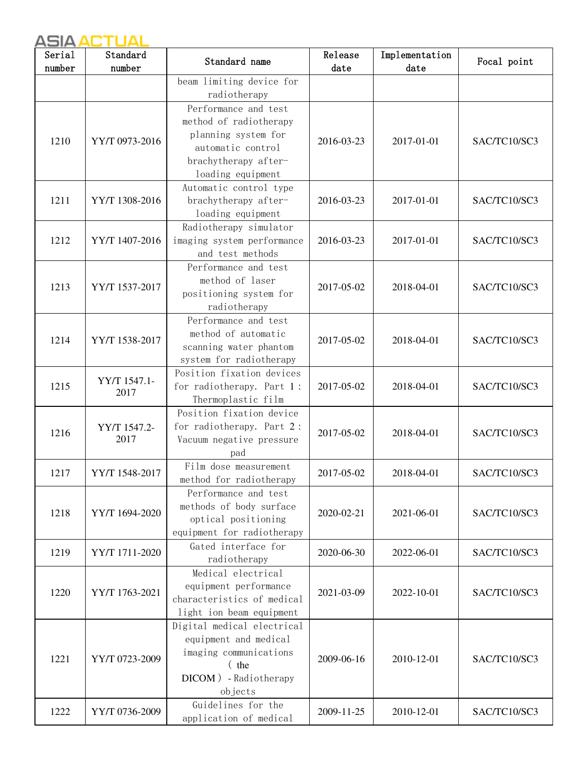| Serial | Standard       | Standard name                                       | Release    | Implementation | Focal point  |
|--------|----------------|-----------------------------------------------------|------------|----------------|--------------|
| number | number         |                                                     | date       | date           |              |
|        |                | beam limiting device for                            |            |                |              |
|        |                | radiotherapy                                        |            |                |              |
|        |                | Performance and test                                |            |                |              |
|        |                | method of radiotherapy                              |            |                |              |
| 1210   | YY/T 0973-2016 | planning system for                                 | 2016-03-23 | 2017-01-01     | SAC/TC10/SC3 |
|        |                | automatic control                                   |            |                |              |
|        |                | brachytherapy after-                                |            |                |              |
|        |                | loading equipment                                   |            |                |              |
| 1211   | YY/T 1308-2016 | Automatic control type<br>brachytherapy after-      | 2016-03-23 | 2017-01-01     | SAC/TC10/SC3 |
|        |                | loading equipment                                   |            |                |              |
|        |                | Radiotherapy simulator                              |            |                |              |
| 1212   | YY/T 1407-2016 | imaging system performance                          | 2016-03-23 | 2017-01-01     | SAC/TC10/SC3 |
|        |                | and test methods                                    |            |                |              |
|        |                | Performance and test                                |            |                |              |
|        |                | method of laser                                     |            |                |              |
| 1213   | YY/T 1537-2017 | positioning system for                              | 2017-05-02 | 2018-04-01     | SAC/TC10/SC3 |
|        |                | radiotherapy                                        |            |                |              |
|        |                | Performance and test                                |            |                |              |
|        | YY/T 1538-2017 | method of automatic                                 |            | 2018-04-01     |              |
| 1214   |                | scanning water phantom                              | 2017-05-02 |                | SAC/TC10/SC3 |
|        |                | system for radiotherapy                             |            |                |              |
|        |                | Position fixation devices                           |            |                |              |
| 1215   | YY/T 1547.1-   | for radiotherapy. Part 1:                           | 2017-05-02 | 2018-04-01     | SAC/TC10/SC3 |
|        | 2017           | Thermoplastic film                                  |            |                |              |
|        |                | Position fixation device                            |            |                |              |
|        | YY/T 1547.2-   | for radiotherapy. Part 2:                           |            | 2018-04-01     |              |
| 1216   | 2017           | Vacuum negative pressure                            | 2017-05-02 |                | SAC/TC10/SC3 |
|        |                | pad                                                 |            |                |              |
| 1217   | YY/T 1548-2017 | Film dose measurement                               | 2017-05-02 | 2018-04-01     | SAC/TC10/SC3 |
|        |                | method for radiotherapy                             |            |                |              |
|        |                | Performance and test                                |            |                |              |
| 1218   | YY/T 1694-2020 | methods of body surface                             | 2020-02-21 | 2021-06-01     | SAC/TC10/SC3 |
|        |                | optical positioning                                 |            |                |              |
|        |                | equipment for radiotherapy                          |            |                |              |
| 1219   | YY/T 1711-2020 | Gated interface for                                 | 2020-06-30 | 2022-06-01     | SAC/TC10/SC3 |
|        |                | radiotherapy                                        |            |                |              |
|        |                | Medical electrical                                  |            |                |              |
| 1220   | YY/T 1763-2021 | equipment performance                               | 2021-03-09 | 2022-10-01     | SAC/TC10/SC3 |
|        |                | characteristics of medical                          |            |                |              |
|        |                | light ion beam equipment                            |            |                |              |
|        |                | Digital medical electrical<br>equipment and medical |            |                |              |
|        |                | imaging communications                              |            |                |              |
| 1221   | YY/T 0723-2009 | $($ the                                             | 2009-06-16 | 2010-12-01     | SAC/TC10/SC3 |
|        |                | DICOM) - Radiotherapy                               |            |                |              |
|        |                | objects                                             |            |                |              |
|        |                | Guidelines for the                                  |            |                |              |
| 1222   | YY/T 0736-2009 | application of medical                              | 2009-11-25 | 2010-12-01     | SAC/TC10/SC3 |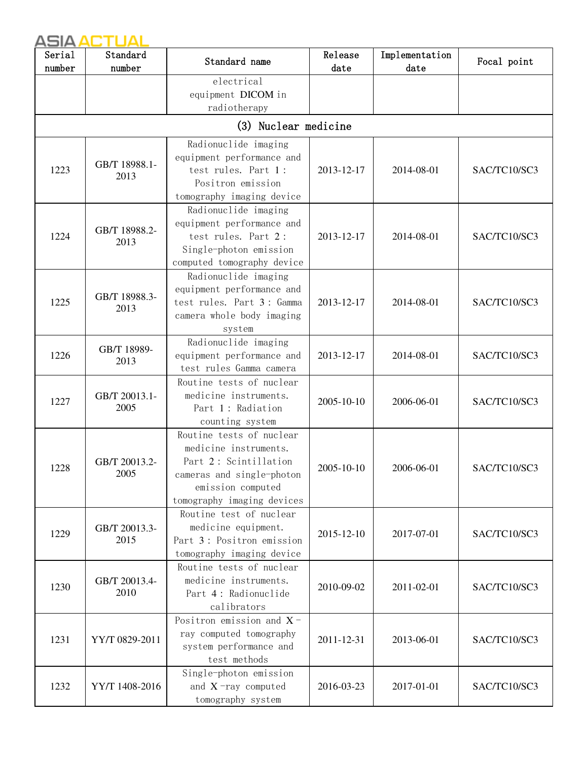| Serial | Standard              | Standard name                                         | Release    | Implementation | Focal point  |
|--------|-----------------------|-------------------------------------------------------|------------|----------------|--------------|
| number | number                |                                                       | date       | date           |              |
|        |                       | electrical                                            |            |                |              |
|        |                       | equipment DICOM in                                    |            |                |              |
|        |                       | radiotherapy                                          |            |                |              |
|        |                       | (3) Nuclear medicine                                  |            |                |              |
|        |                       | Radionuclide imaging                                  |            |                |              |
|        | GB/T 18988.1-         | equipment performance and                             |            |                |              |
| 1223   | 2013                  | test rules. Part 1:                                   | 2013-12-17 | 2014-08-01     | SAC/TC10/SC3 |
|        |                       | Positron emission                                     |            |                |              |
|        |                       | tomography imaging device                             |            |                |              |
|        |                       | Radionuclide imaging                                  |            |                |              |
|        | GB/T 18988.2-         | equipment performance and                             |            |                |              |
| 1224   | 2013                  | test rules. Part 2:                                   | 2013-12-17 | 2014-08-01     | SAC/TC10/SC3 |
|        |                       | Single-photon emission                                |            |                |              |
|        |                       | computed tomography device                            |            |                |              |
|        |                       | Radionuclide imaging                                  |            |                |              |
|        | GB/T 18988.3-         | equipment performance and                             |            |                |              |
| 1225   | 2013                  | test rules. Part 3: Gamma                             | 2013-12-17 | 2014-08-01     | SAC/TC10/SC3 |
|        |                       | camera whole body imaging                             |            |                |              |
|        |                       | system                                                |            |                |              |
|        | GB/T 18989-           | Radionuclide imaging                                  |            |                |              |
| 1226   | 2013                  | equipment performance and                             | 2013-12-17 | 2014-08-01     | SAC/TC10/SC3 |
|        |                       | test rules Gamma camera                               |            |                |              |
|        | GB/T 20013.1-<br>2005 | Routine tests of nuclear                              |            |                |              |
| 1227   |                       | medicine instruments.                                 | 2005-10-10 | 2006-06-01     | SAC/TC10/SC3 |
|        |                       | Part 1: Radiation                                     |            |                |              |
|        |                       | counting system                                       |            |                |              |
|        |                       | Routine tests of nuclear                              |            |                |              |
|        |                       | medicine instruments.                                 |            | 2006-06-01     |              |
| 1228   | GB/T 20013.2-         | Part 2: Scintillation                                 | 2005-10-10 |                | SAC/TC10/SC3 |
|        | 2005                  | cameras and single-photon                             |            |                |              |
|        |                       | emission computed                                     |            |                |              |
|        |                       | tomography imaging devices                            |            |                |              |
|        |                       | Routine test of nuclear                               |            |                |              |
| 1229   | GB/T 20013.3-<br>2015 | medicine equipment.<br>Part 3: Positron emission      | 2015-12-10 | 2017-07-01     | SAC/TC10/SC3 |
|        |                       |                                                       |            |                |              |
|        |                       | tomography imaging device<br>Routine tests of nuclear |            |                |              |
|        |                       | medicine instruments.                                 |            |                |              |
| 1230   | GB/T 20013.4-<br>2010 | Part 4: Radionuclide                                  | 2010-09-02 | 2011-02-01     | SAC/TC10/SC3 |
|        |                       | calibrators                                           |            |                |              |
|        |                       | Positron emission and $X$ -                           |            |                |              |
|        |                       | ray computed tomography                               |            |                |              |
| 1231   | YY/T 0829-2011        | system performance and                                | 2011-12-31 | 2013-06-01     | SAC/TC10/SC3 |
|        |                       | test methods                                          |            |                |              |
|        |                       | Single-photon emission                                |            |                |              |
| 1232   | YY/T 1408-2016        | and $X$ -ray computed                                 | 2016-03-23 | 2017-01-01     | SAC/TC10/SC3 |
|        |                       | tomography system                                     |            |                |              |
|        |                       |                                                       |            |                |              |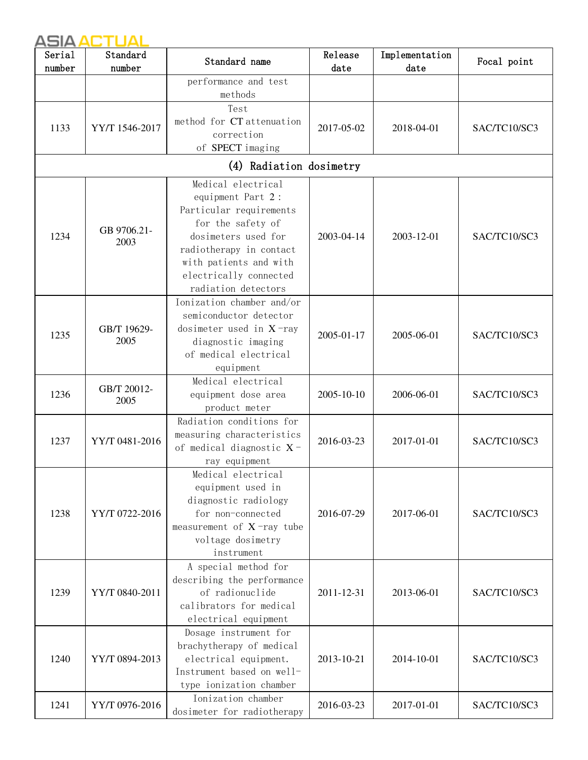| Serial | Standard            | Standard name                   | Release    | Implementation | Focal point  |
|--------|---------------------|---------------------------------|------------|----------------|--------------|
| number | number              |                                 | date       | date           |              |
|        |                     | performance and test<br>methods |            |                |              |
|        |                     | Test                            |            |                |              |
|        |                     | method for CT attenuation       |            |                |              |
| 1133   | YY/T 1546-2017      | correction                      | 2017-05-02 | 2018-04-01     | SAC/TC10/SC3 |
|        |                     | of SPECT imaging                |            |                |              |
|        |                     | (4) Radiation dosimetry         |            |                |              |
|        |                     | Medical electrical              |            |                |              |
|        |                     | equipment Part 2:               |            |                |              |
|        |                     | Particular requirements         |            |                |              |
|        |                     | for the safety of               |            |                |              |
| 1234   | GB 9706.21-         | dosimeters used for             | 2003-04-14 | 2003-12-01     | SAC/TC10/SC3 |
|        | 2003                | radiotherapy in contact         |            |                |              |
|        |                     | with patients and with          |            |                |              |
|        |                     | electrically connected          |            |                |              |
|        |                     | radiation detectors             |            |                |              |
|        |                     | Ionization chamber and/or       |            |                |              |
|        |                     | semiconductor detector          |            |                |              |
|        | GB/T 19629-<br>2005 | dosimeter used in $X$ -ray      |            | 2005-06-01     | SAC/TC10/SC3 |
| 1235   |                     | diagnostic imaging              | 2005-01-17 |                |              |
|        |                     | of medical electrical           |            |                |              |
|        |                     | equipment                       |            |                |              |
|        |                     | Medical electrical              |            |                |              |
| 1236   | GB/T 20012-         | equipment dose area             | 2005-10-10 | 2006-06-01     | SAC/TC10/SC3 |
|        | 2005                | product meter                   |            |                |              |
|        |                     | Radiation conditions for        |            |                |              |
|        |                     | measuring characteristics       |            | 2017-01-01     | SAC/TC10/SC3 |
| 1237   | YY/T 0481-2016      | of medical diagnostic $X$ -     | 2016-03-23 |                |              |
|        |                     | ray equipment                   |            |                |              |
|        |                     | Medical electrical              |            |                |              |
|        |                     | equipment used in               |            |                |              |
|        |                     | diagnostic radiology            |            |                |              |
| 1238   | YY/T 0722-2016      | for non-connected               | 2016-07-29 | 2017-06-01     | SAC/TC10/SC3 |
|        |                     | measurement of $X$ -ray tube    |            |                |              |
|        |                     | voltage dosimetry               |            |                |              |
|        |                     | instrument                      |            |                |              |
|        |                     | A special method for            |            |                |              |
|        |                     | describing the performance      |            |                |              |
| 1239   | YY/T 0840-2011      | of radionuclide                 | 2011-12-31 | 2013-06-01     | SAC/TC10/SC3 |
|        |                     | calibrators for medical         |            |                |              |
|        |                     | electrical equipment            |            |                |              |
|        |                     | Dosage instrument for           |            |                |              |
|        |                     | brachytherapy of medical        |            |                |              |
| 1240   | YY/T 0894-2013      | electrical equipment.           | 2013-10-21 | 2014-10-01     | SAC/TC10/SC3 |
|        |                     | Instrument based on well-       |            |                |              |
|        |                     | type ionization chamber         |            |                |              |
|        |                     | Ionization chamber              |            |                |              |
| 1241   | YY/T 0976-2016      | dosimeter for radiotherapy      | 2016-03-23 | 2017-01-01     | SAC/TC10/SC3 |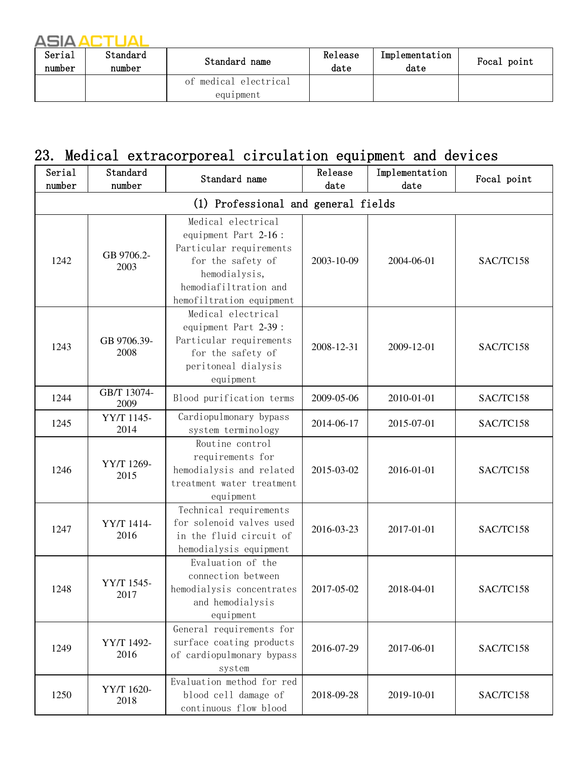| Serial<br>number | Standard<br>number | Standard name                      | Release<br>date | Implementation<br>date | Focal point |
|------------------|--------------------|------------------------------------|-----------------|------------------------|-------------|
|                  |                    | of medical electrical<br>equipment |                 |                        |             |

#### 23. Medical extracorporeal circulation equipment and devices

| Serial<br>number | Standard<br>number  | Standard name                                                                                                                                                    | Release<br>date | Implementation<br>date | Focal point |
|------------------|---------------------|------------------------------------------------------------------------------------------------------------------------------------------------------------------|-----------------|------------------------|-------------|
|                  |                     | (1) Professional and general fields                                                                                                                              |                 |                        |             |
| 1242             | GB 9706.2-<br>2003  | Medical electrical<br>equipment Part 2-16:<br>Particular requirements<br>for the safety of<br>hemodialysis,<br>hemodiafiltration and<br>hemofiltration equipment | 2003-10-09      | 2004-06-01             | SAC/TC158   |
| 1243             | GB 9706.39-<br>2008 | Medical electrical<br>equipment Part 2-39 :<br>Particular requirements<br>for the safety of<br>peritoneal dialysis<br>equipment                                  | 2008-12-31      | 2009-12-01             | SAC/TC158   |
| 1244             | GB/T 13074-<br>2009 | Blood purification terms                                                                                                                                         | 2009-05-06      | 2010-01-01             | SAC/TC158   |
| 1245             | YY/T 1145-<br>2014  | Cardiopulmonary bypass<br>system terminology                                                                                                                     | 2014-06-17      | 2015-07-01             | SAC/TC158   |
| 1246             | YY/T 1269-<br>2015  | Routine control<br>requirements for<br>hemodialysis and related<br>treatment water treatment<br>equipment                                                        | 2015-03-02      | 2016-01-01             | SAC/TC158   |
| 1247             | YY/T 1414-<br>2016  | Technical requirements<br>for solenoid valves used<br>in the fluid circuit of<br>hemodialysis equipment                                                          | 2016-03-23      | 2017-01-01             | SAC/TC158   |
| 1248             | YY/T 1545-<br>2017  | Evaluation of the<br>connection between<br>hemodialysis concentrates<br>and hemodialysis<br>equipment                                                            | 2017-05-02      | 2018-04-01             | SAC/TC158   |
| 1249             | YY/T 1492-<br>2016  | General requirements for<br>surface coating products<br>of cardiopulmonary bypass<br>system                                                                      | 2016-07-29      | 2017-06-01             | SAC/TC158   |
| 1250             | YY/T 1620-<br>2018  | Evaluation method for red<br>blood cell damage of<br>continuous flow blood                                                                                       | 2018-09-28      | 2019-10-01             | SAC/TC158   |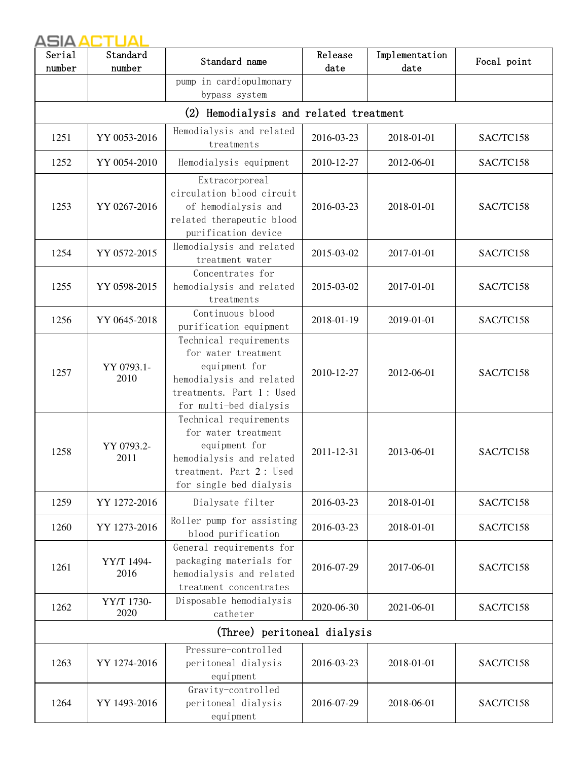| Serial<br>number | Standard<br>number | Standard name                                                                                                                                    | Release<br>date | Implementation<br>date | Focal point |
|------------------|--------------------|--------------------------------------------------------------------------------------------------------------------------------------------------|-----------------|------------------------|-------------|
|                  |                    | pump in cardiopulmonary<br>bypass system                                                                                                         |                 |                        |             |
|                  |                    | (2) Hemodialysis and related treatment                                                                                                           |                 |                        |             |
| 1251             | YY 0053-2016       | Hemodialysis and related<br>treatments                                                                                                           | 2016-03-23      | 2018-01-01             | SAC/TC158   |
| 1252             | YY 0054-2010       | Hemodialysis equipment                                                                                                                           | 2010-12-27      | 2012-06-01             | SAC/TC158   |
| 1253             | YY 0267-2016       | Extracorporeal<br>circulation blood circuit<br>of hemodialysis and<br>related therapeutic blood<br>purification device                           | 2016-03-23      | 2018-01-01             | SAC/TC158   |
| 1254             | YY 0572-2015       | Hemodialysis and related<br>treatment water                                                                                                      | 2015-03-02      | 2017-01-01             | SAC/TC158   |
| 1255             | YY 0598-2015       | Concentrates for<br>hemodialysis and related<br>treatments                                                                                       | 2015-03-02      | 2017-01-01             | SAC/TC158   |
| 1256             | YY 0645-2018       | Continuous blood<br>purification equipment                                                                                                       | 2018-01-19      | 2019-01-01             | SAC/TC158   |
| 1257             | YY 0793.1-<br>2010 | Technical requirements<br>for water treatment<br>equipment for<br>hemodialysis and related<br>treatments. Part 1: Used<br>for multi-bed dialysis | 2010-12-27      | 2012-06-01             | SAC/TC158   |
| 1258             | YY 0793.2-<br>2011 | Technical requirements<br>for water treatment<br>equipment for<br>hemodialysis and related<br>treatment. Part 2: Used<br>for single bed dialysis | 2011-12-31      | 2013-06-01             | SAC/TC158   |
| 1259             | YY 1272-2016       | Dialysate filter                                                                                                                                 | 2016-03-23      | 2018-01-01             | SAC/TC158   |
| 1260             | YY 1273-2016       | Roller pump for assisting<br>blood purification                                                                                                  | 2016-03-23      | 2018-01-01             | SAC/TC158   |
| 1261             | YY/T 1494-<br>2016 | General requirements for<br>packaging materials for<br>hemodialysis and related<br>treatment concentrates                                        | 2016-07-29      | 2017-06-01             | SAC/TC158   |
| 1262             | YY/T 1730-<br>2020 | Disposable hemodialysis<br>catheter                                                                                                              | 2020-06-30      | 2021-06-01             | SAC/TC158   |
|                  |                    | (Three) peritoneal dialysis                                                                                                                      |                 |                        |             |
| 1263             | YY 1274-2016       | Pressure-controlled<br>peritoneal dialysis<br>equipment                                                                                          | 2016-03-23      | 2018-01-01             | SAC/TC158   |
| 1264             | YY 1493-2016       | Gravity-controlled<br>peritoneal dialysis<br>equipment                                                                                           | 2016-07-29      | 2018-06-01             | SAC/TC158   |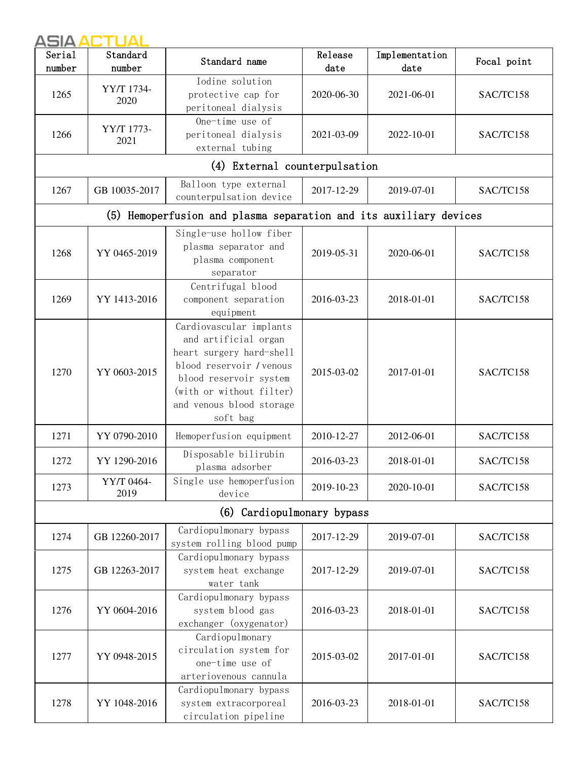| Serial<br>number | Standard<br>number | Standard name                                                                                                                                                                                         | Release<br>date | Implementation<br>date | Focal point |
|------------------|--------------------|-------------------------------------------------------------------------------------------------------------------------------------------------------------------------------------------------------|-----------------|------------------------|-------------|
| 1265             | YY/T 1734-<br>2020 | Iodine solution<br>protective cap for<br>peritoneal dialysis                                                                                                                                          | 2020-06-30      | 2021-06-01             | SAC/TC158   |
| 1266             | YY/T 1773-<br>2021 | One-time use of<br>peritoneal dialysis<br>external tubing                                                                                                                                             | 2021-03-09      | 2022-10-01             | SAC/TC158   |
|                  |                    | (4) External counterpulsation                                                                                                                                                                         |                 |                        |             |
| 1267             | GB 10035-2017      | Balloon type external<br>counterpulsation device                                                                                                                                                      | 2017-12-29      | 2019-07-01             | SAC/TC158   |
|                  |                    | (5) Hemoperfusion and plasma separation and its auxiliary devices                                                                                                                                     |                 |                        |             |
| 1268             | YY 0465-2019       | Single-use hollow fiber<br>plasma separator and<br>plasma component<br>separator                                                                                                                      | 2019-05-31      | 2020-06-01             | SAC/TC158   |
| 1269             | YY 1413-2016       | Centrifugal blood<br>component separation<br>equipment                                                                                                                                                | 2016-03-23      | 2018-01-01             | SAC/TC158   |
| 1270             | YY 0603-2015       | Cardiovascular implants<br>and artificial organ<br>heart surgery hard-shell<br>blood reservoir / venous<br>blood reservoir system<br>(with or without filter)<br>and venous blood storage<br>soft bag | 2015-03-02      | 2017-01-01             | SAC/TC158   |
| 1271             | YY 0790-2010       | Hemoperfusion equipment                                                                                                                                                                               | 2010-12-27      | 2012-06-01             | SAC/TC158   |
| 1272             | YY 1290-2016       | Disposable bilirubin<br>plasma adsorber                                                                                                                                                               | 2016-03-23      | 2018-01-01             | SAC/TC158   |
| 1273             | YY/T 0464-<br>2019 | Single use hemoperfusion<br>device                                                                                                                                                                    | 2019-10-23      | 2020-10-01             | SAC/TC158   |
|                  |                    | (6) Cardiopulmonary bypass                                                                                                                                                                            |                 |                        |             |
| 1274             | GB 12260-2017      | Cardiopulmonary bypass<br>system rolling blood pump                                                                                                                                                   | 2017-12-29      | 2019-07-01             | SAC/TC158   |
| 1275             | GB 12263-2017      | Cardiopulmonary bypass<br>system heat exchange<br>water tank                                                                                                                                          | 2017-12-29      | 2019-07-01             | SAC/TC158   |
| 1276             | YY 0604-2016       | Cardiopulmonary bypass<br>system blood gas<br>exchanger (oxygenator)                                                                                                                                  | 2016-03-23      | 2018-01-01             | SAC/TC158   |
| 1277             | YY 0948-2015       | Cardiopulmonary<br>circulation system for<br>one-time use of<br>arteriovenous cannula                                                                                                                 | 2015-03-02      | 2017-01-01             | SAC/TC158   |
| 1278             | YY 1048-2016       | Cardiopulmonary bypass<br>system extracorporeal<br>circulation pipeline                                                                                                                               | 2016-03-23      | 2018-01-01             | SAC/TC158   |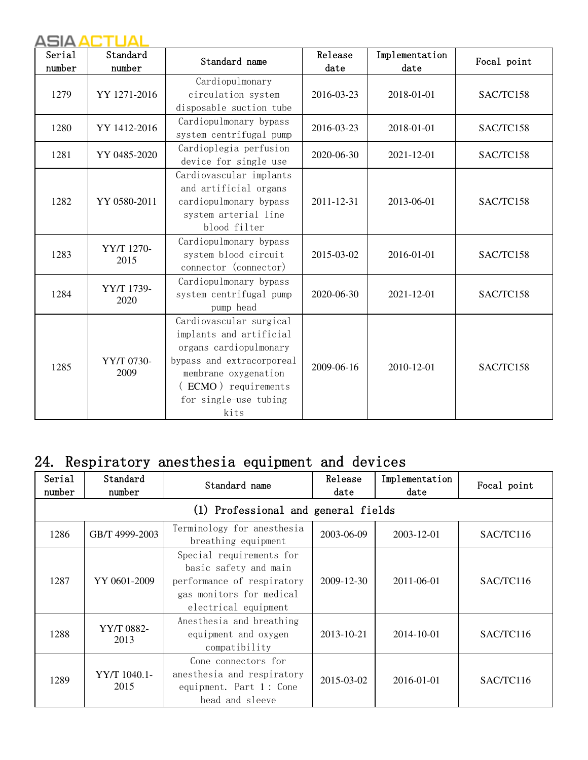| Serial<br>number | Standard<br>number | Standard name                                                                                                                                                                             | Release<br>date | Implementation<br>date | Focal point |
|------------------|--------------------|-------------------------------------------------------------------------------------------------------------------------------------------------------------------------------------------|-----------------|------------------------|-------------|
| 1279             | YY 1271-2016       | Cardiopulmonary<br>circulation system<br>disposable suction tube                                                                                                                          | 2016-03-23      | 2018-01-01             | SAC/TC158   |
| 1280             | YY 1412-2016       | Cardiopulmonary bypass<br>system centrifugal pump                                                                                                                                         | 2016-03-23      | 2018-01-01             | SAC/TC158   |
| 1281             | YY 0485-2020       | Cardioplegia perfusion<br>device for single use                                                                                                                                           | 2020-06-30      | 2021-12-01             | SAC/TC158   |
| 1282             | YY 0580-2011       | Cardiovascular implants<br>and artificial organs<br>cardiopulmonary bypass<br>system arterial line<br>blood filter                                                                        | 2011-12-31      | 2013-06-01             | SAC/TC158   |
| 1283             | YY/T 1270-<br>2015 | Cardiopulmonary bypass<br>system blood circuit<br>connector (connector)                                                                                                                   | 2015-03-02      | 2016-01-01             | SAC/TC158   |
| 1284             | YY/T 1739-<br>2020 | Cardiopulmonary bypass<br>system centrifugal pump<br>pump head                                                                                                                            | 2020-06-30      | 2021-12-01             | SAC/TC158   |
| 1285             | YY/T 0730-<br>2009 | Cardiovascular surgical<br>implants and artificial<br>organs cardiopulmonary<br>bypass and extracorporeal<br>membrane oxygenation<br>(ECMO) requirements<br>for single-use tubing<br>kits | 2009-06-16      | 2010-12-01             | SAC/TC158   |

# 24. Respiratory anesthesia equipment and devices

| Serial<br>number | Standard<br>number                  | Standard name                                                                                                                       | Release<br>date | Implementation<br>date | Focal point |  |  |  |
|------------------|-------------------------------------|-------------------------------------------------------------------------------------------------------------------------------------|-----------------|------------------------|-------------|--|--|--|
|                  | (1) Professional and general fields |                                                                                                                                     |                 |                        |             |  |  |  |
| 1286             | GB/T 4999-2003                      | Terminology for anesthesia<br>breathing equipment                                                                                   | 2003-06-09      | 2003-12-01             | SAC/TC116   |  |  |  |
| 1287             | YY 0601-2009                        | Special requirements for<br>basic safety and main<br>performance of respiratory<br>gas monitors for medical<br>electrical equipment | 2009-12-30      | 2011-06-01             | SAC/TC116   |  |  |  |
| 1288             | YY/T 0882-<br>2013                  | Anesthesia and breathing<br>equipment and oxygen<br>compatibility                                                                   | 2013-10-21      | 2014-10-01             | SAC/TC116   |  |  |  |
| 1289             | YY/T 1040.1-<br>2015                | Cone connectors for<br>anesthesia and respiratory<br>equipment. Part 1: Cone<br>head and sleeve                                     | 2015-03-02      | 2016-01-01             | SAC/TC116   |  |  |  |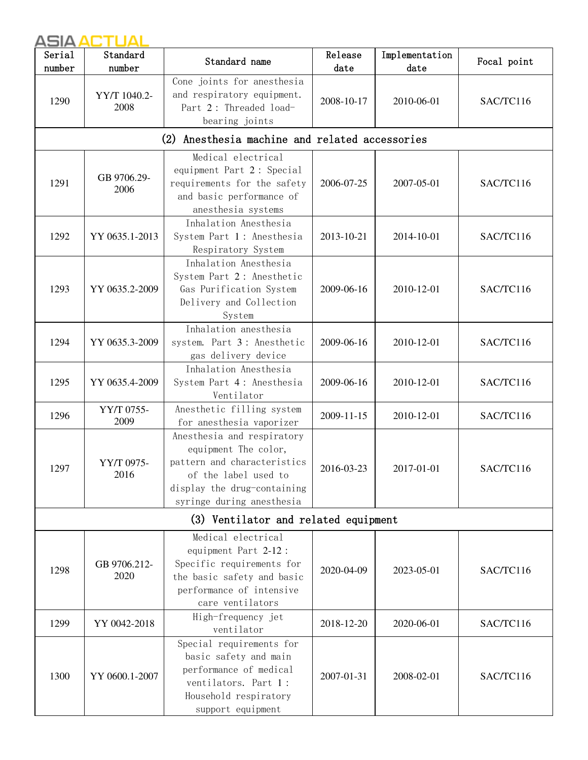| Serial<br>number | Standard<br>number   | Standard name                                                                                                                                                         | Release<br>date | Implementation<br>date | Focal point |
|------------------|----------------------|-----------------------------------------------------------------------------------------------------------------------------------------------------------------------|-----------------|------------------------|-------------|
| 1290             | YY/T 1040.2-<br>2008 | Cone joints for anesthesia<br>and respiratory equipment.<br>Part 2: Threaded load-<br>bearing joints                                                                  | 2008-10-17      | 2010-06-01             | SAC/TC116   |
|                  |                      | (2) Anesthesia machine and related accessories                                                                                                                        |                 |                        |             |
| 1291             | GB 9706.29-<br>2006  | Medical electrical<br>equipment Part 2: Special<br>requirements for the safety<br>and basic performance of<br>anesthesia systems                                      | 2006-07-25      | 2007-05-01             | SAC/TC116   |
| 1292             | YY 0635.1-2013       | Inhalation Anesthesia<br>System Part 1: Anesthesia<br>Respiratory System                                                                                              | 2013-10-21      | 2014-10-01             | SAC/TC116   |
| 1293             | YY 0635.2-2009       | Inhalation Anesthesia<br>System Part 2: Anesthetic<br>Gas Purification System<br>Delivery and Collection<br>System                                                    | 2009-06-16      | 2010-12-01             | SAC/TC116   |
| 1294             | YY 0635.3-2009       | Inhalation anesthesia<br>system. Part 3: Anesthetic<br>gas delivery device                                                                                            | 2009-06-16      | 2010-12-01             | SAC/TC116   |
| 1295             | YY 0635.4-2009       | Inhalation Anesthesia<br>System Part 4: Anesthesia<br>Ventilator                                                                                                      | 2009-06-16      | 2010-12-01             | SAC/TC116   |
| 1296             | YY/T 0755-<br>2009   | Anesthetic filling system<br>for anesthesia vaporizer                                                                                                                 | 2009-11-15      | 2010-12-01             | SAC/TC116   |
| 1297             | YY/T 0975-<br>2016   | Anesthesia and respiratory<br>equipment The color,<br>pattern and characteristics<br>of the label used to<br>display the drug-containing<br>syringe during anesthesia | 2016-03-23      | 2017-01-01             | SAC/TC116   |
|                  |                      | (3) Ventilator and related equipment                                                                                                                                  |                 |                        |             |
| 1298             | GB 9706.212-<br>2020 | Medical electrical<br>equipment Part 2-12:<br>Specific requirements for<br>the basic safety and basic<br>performance of intensive<br>care ventilators                 | 2020-04-09      | 2023-05-01             | SAC/TC116   |
| 1299             | YY 0042-2018         | High-frequency jet<br>ventilator                                                                                                                                      | 2018-12-20      | 2020-06-01             | SAC/TC116   |
| 1300             | YY 0600.1-2007       | Special requirements for<br>basic safety and main<br>performance of medical<br>ventilators. Part 1:<br>Household respiratory<br>support equipment                     | 2007-01-31      | 2008-02-01             | SAC/TC116   |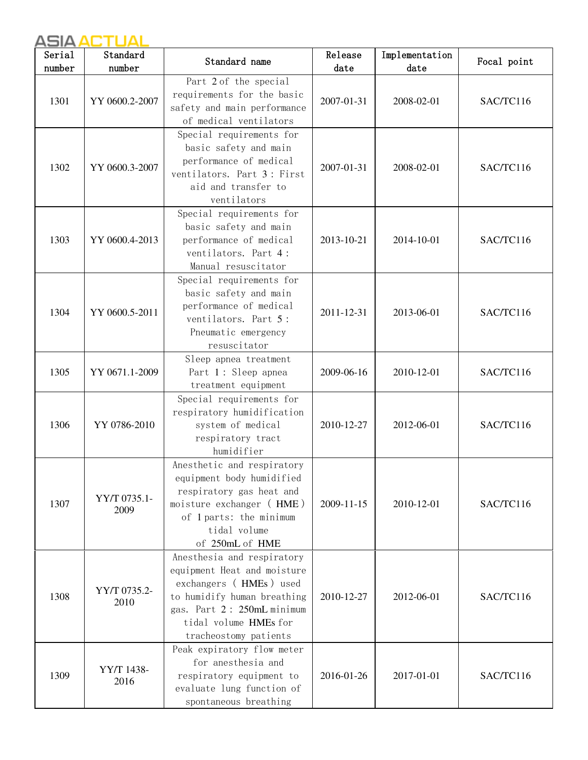| Serial<br>number | Standard<br>number   | Standard name                                                                                                                                                                                      | Release<br>date | Implementation<br>date | Focal point |
|------------------|----------------------|----------------------------------------------------------------------------------------------------------------------------------------------------------------------------------------------------|-----------------|------------------------|-------------|
| 1301             | YY 0600.2-2007       | Part 2 of the special<br>requirements for the basic<br>safety and main performance<br>of medical ventilators                                                                                       | 2007-01-31      | 2008-02-01             | SAC/TC116   |
| 1302             | YY 0600.3-2007       | Special requirements for<br>basic safety and main<br>performance of medical<br>ventilators. Part 3: First<br>aid and transfer to<br>ventilators                                                    | 2007-01-31      | 2008-02-01             | SAC/TC116   |
| 1303             | YY 0600.4-2013       | Special requirements for<br>basic safety and main<br>performance of medical<br>ventilators. Part 4:<br>Manual resuscitator                                                                         | 2013-10-21      | 2014-10-01             | SAC/TC116   |
| 1304             | YY 0600.5-2011       | Special requirements for<br>basic safety and main<br>performance of medical<br>ventilators. Part 5:<br>Pneumatic emergency<br>resuscitator                                                         | 2011-12-31      | 2013-06-01             | SAC/TC116   |
| 1305             | YY 0671.1-2009       | Sleep apnea treatment<br>Part 1: Sleep apnea<br>treatment equipment                                                                                                                                | 2009-06-16      | 2010-12-01             | SAC/TC116   |
| 1306             | YY 0786-2010         | Special requirements for<br>respiratory humidification<br>system of medical<br>respiratory tract<br>humidifier                                                                                     | 2010-12-27      | 2012-06-01             | SAC/TC116   |
| 1307             | YY/T 0735.1-<br>2009 | Anesthetic and respiratory<br>equipment body humidified<br>respiratory gas heat and<br>moisture exchanger (HME)<br>of 1 parts: the minimum<br>tidal volume<br>of 250mL of HME                      | 2009-11-15      | 2010-12-01             | SAC/TC116   |
| 1308             | YY/T 0735.2-<br>2010 | Anesthesia and respiratory<br>equipment Heat and moisture<br>exchangers (HMEs) used<br>to humidify human breathing<br>gas. Part 2: 250mL minimum<br>tidal volume HMEs for<br>tracheostomy patients | 2010-12-27      | 2012-06-01             | SAC/TC116   |
| 1309             | YY/T 1438-<br>2016   | Peak expiratory flow meter<br>for anesthesia and<br>respiratory equipment to<br>evaluate lung function of<br>spontaneous breathing                                                                 | 2016-01-26      | 2017-01-01             | SAC/TC116   |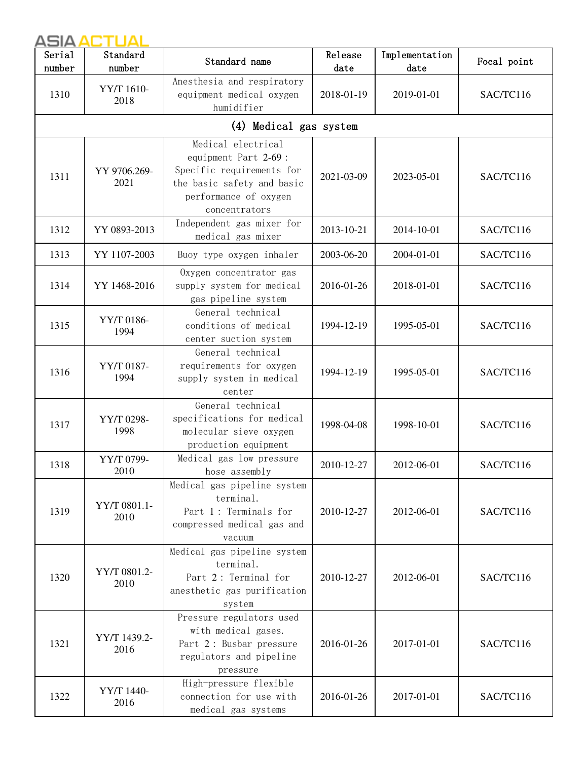| Serial<br>number | Standard<br>number   | Standard name                                                                                                                                    | Release<br>date | Implementation<br>date | Focal point |
|------------------|----------------------|--------------------------------------------------------------------------------------------------------------------------------------------------|-----------------|------------------------|-------------|
| 1310             | YY/T 1610-<br>2018   | Anesthesia and respiratory<br>equipment medical oxygen<br>humidifier                                                                             | 2018-01-19      | 2019-01-01             | SAC/TC116   |
|                  |                      | (4) Medical gas system                                                                                                                           |                 |                        |             |
| 1311             | YY 9706.269-<br>2021 | Medical electrical<br>equipment Part 2-69 :<br>Specific requirements for<br>the basic safety and basic<br>performance of oxygen<br>concentrators | 2021-03-09      | 2023-05-01             | SAC/TC116   |
| 1312             | YY 0893-2013         | Independent gas mixer for<br>medical gas mixer                                                                                                   | 2013-10-21      | 2014-10-01             | SAC/TC116   |
| 1313             | YY 1107-2003         | Buoy type oxygen inhaler                                                                                                                         | 2003-06-20      | 2004-01-01             | SAC/TC116   |
| 1314             | YY 1468-2016         | Oxygen concentrator gas<br>supply system for medical<br>gas pipeline system                                                                      | 2016-01-26      | 2018-01-01             | SAC/TC116   |
| 1315             | YY/T 0186-<br>1994   | General technical<br>conditions of medical<br>center suction system                                                                              | 1994-12-19      | 1995-05-01             | SAC/TC116   |
| 1316             | YY/T 0187-<br>1994   | General technical<br>requirements for oxygen<br>supply system in medical<br>center                                                               | 1994-12-19      | 1995-05-01             | SAC/TC116   |
| 1317             | YY/T 0298-<br>1998   | General technical<br>specifications for medical<br>molecular sieve oxygen<br>production equipment                                                | 1998-04-08      | 1998-10-01             | SAC/TC116   |
| 1318             | YY/T 0799-<br>2010   | Medical gas low pressure<br>hose assembly                                                                                                        | 2010-12-27      | 2012-06-01             | SAC/TC116   |
| 1319             | YY/T 0801.1-<br>2010 | Medical gas pipeline system<br>terminal.<br>Part 1: Terminals for<br>compressed medical gas and<br>vacuum                                        | 2010-12-27      | 2012-06-01             | SAC/TC116   |
| 1320             | YY/T 0801.2-<br>2010 | Medical gas pipeline system<br>terminal.<br>Part 2: Terminal for<br>anesthetic gas purification<br>system                                        | 2010-12-27      | 2012-06-01             | SAC/TC116   |
| 1321             | YY/T 1439.2-<br>2016 | Pressure regulators used<br>with medical gases.<br>Part 2: Busbar pressure<br>regulators and pipeline<br>pressure                                | 2016-01-26      | 2017-01-01             | SAC/TC116   |
| 1322             | YY/T 1440-<br>2016   | High-pressure flexible<br>connection for use with<br>medical gas systems                                                                         | 2016-01-26      | 2017-01-01             | SAC/TC116   |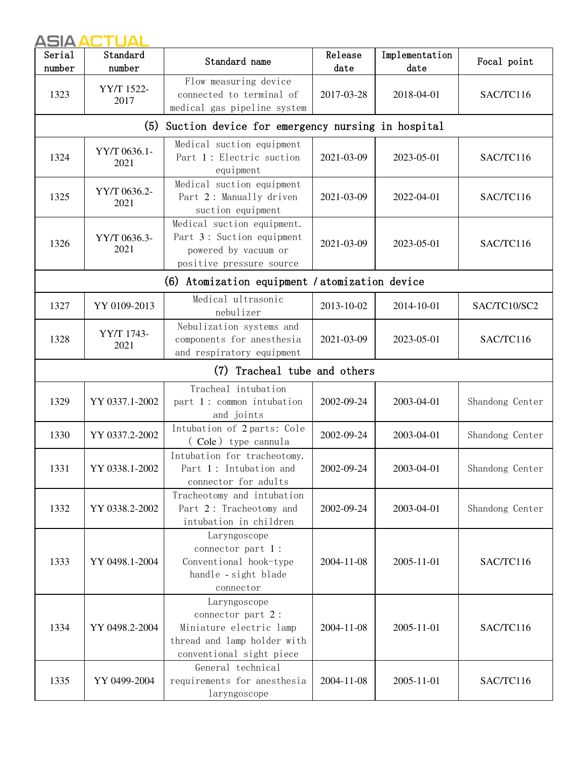| ASIA ACTUAL      |                      |                                                                                                                         |                 |                        |                 |  |
|------------------|----------------------|-------------------------------------------------------------------------------------------------------------------------|-----------------|------------------------|-----------------|--|
| Serial<br>number | Standard<br>number   | Standard name                                                                                                           | Release<br>date | Implementation<br>date | Focal point     |  |
| 1323             | YY/T 1522-<br>2017   | Flow measuring device<br>connected to terminal of<br>medical gas pipeline system                                        | 2017-03-28      | 2018-04-01             | SAC/TC116       |  |
|                  |                      | (5) Suction device for emergency nursing in hospital                                                                    |                 |                        |                 |  |
| 1324             | YY/T 0636.1-<br>2021 | Medical suction equipment<br>Part 1: Electric suction<br>equipment                                                      | 2021-03-09      | 2023-05-01             | SAC/TC116       |  |
| 1325             | YY/T 0636.2-<br>2021 | Medical suction equipment<br>Part 2: Manually driven<br>suction equipment                                               | 2021-03-09      | 2022-04-01             | SAC/TC116       |  |
| 1326             | YY/T 0636.3-<br>2021 | Medical suction equipment.<br>Part 3: Suction equipment<br>powered by vacuum or<br>positive pressure source             | 2021-03-09      | 2023-05-01             | SAC/TC116       |  |
|                  |                      | (6) Atomization equipment / atomization device                                                                          |                 |                        |                 |  |
| 1327             | YY 0109-2013         | Medical ultrasonic<br>nebulizer                                                                                         | 2013-10-02      | 2014-10-01             | SAC/TC10/SC2    |  |
| 1328             | YY/T 1743-<br>2021   | Nebulization systems and<br>components for anesthesia<br>and respiratory equipment                                      | 2021-03-09      | 2023-05-01             | SAC/TC116       |  |
|                  |                      | (7) Tracheal tube and others                                                                                            |                 |                        |                 |  |
| 1329             | YY 0337.1-2002       | Tracheal intubation<br>part 1: common intubation<br>and joints                                                          | 2002-09-24      | 2003-04-01             | Shandong Center |  |
| 1330             | YY 0337.2-2002       | Intubation of 2 parts: Cole<br>(Cole) type cannula                                                                      | 2002-09-24      | 2003-04-01             | Shandong Center |  |
| 1331             | YY 0338.1-2002       | Intubation for tracheotomy.<br>Part 1: Intubation and<br>connector for adults                                           | 2002-09-24      | 2003-04-01             | Shandong Center |  |
| 1332             | YY 0338.2-2002       | Tracheotomy and intubation<br>Part 2: Tracheotomy and<br>intubation in children                                         | 2002-09-24      | 2003-04-01             | Shandong Center |  |
| 1333             | YY 0498.1-2004       | Laryngoscope<br>connector part 1:<br>Conventional hook-type<br>handle - sight blade<br>connector                        | 2004-11-08      | 2005-11-01             | SAC/TC116       |  |
| 1334             | YY 0498.2-2004       | Laryngoscope<br>connector part 2:<br>Miniature electric lamp<br>thread and lamp holder with<br>conventional sight piece | 2004-11-08      | 2005-11-01             | SAC/TC116       |  |
| 1335             | YY 0499-2004         | General technical<br>requirements for anesthesia<br>laryngoscope                                                        | 2004-11-08      | 2005-11-01             | SAC/TC116       |  |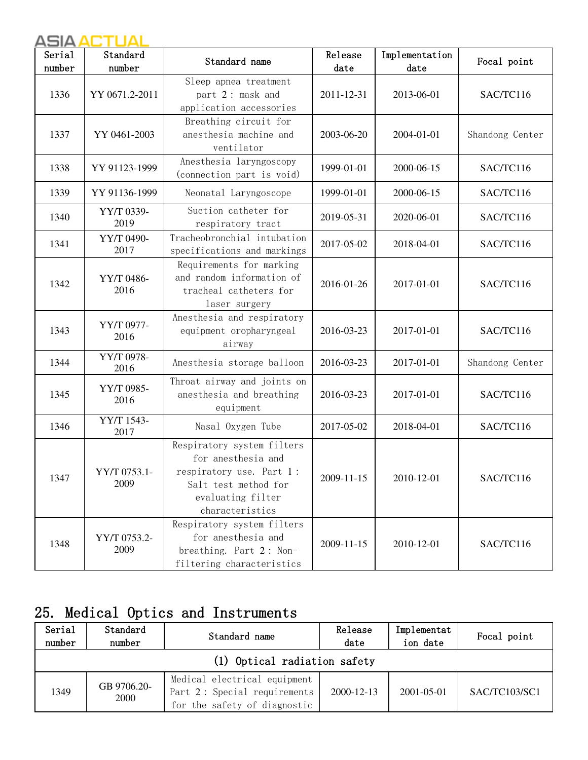| Serial<br>number | Standard<br>number   | Standard name                                                                                                                                | Release<br>date | Implementation<br>date | Focal point     |
|------------------|----------------------|----------------------------------------------------------------------------------------------------------------------------------------------|-----------------|------------------------|-----------------|
| 1336             | YY 0671.2-2011       | Sleep apnea treatment<br>part 2: mask and<br>application accessories                                                                         | 2011-12-31      | 2013-06-01             | SAC/TC116       |
| 1337             | YY 0461-2003         | Breathing circuit for<br>anesthesia machine and<br>ventilator                                                                                | 2003-06-20      | 2004-01-01             | Shandong Center |
| 1338             | YY 91123-1999        | Anesthesia laryngoscopy<br>(connection part is void)                                                                                         | 1999-01-01      | 2000-06-15             | SAC/TC116       |
| 1339             | YY 91136-1999        | Neonatal Laryngoscope                                                                                                                        | 1999-01-01      | 2000-06-15             | SAC/TC116       |
| 1340             | YY/T 0339-<br>2019   | Suction catheter for<br>respiratory tract                                                                                                    | 2019-05-31      | 2020-06-01             | SAC/TC116       |
| 1341             | YY/T 0490-<br>2017   | Tracheobronchial intubation<br>specifications and markings                                                                                   | 2017-05-02      | 2018-04-01             | SAC/TC116       |
| 1342             | YY/T 0486-<br>2016   | Requirements for marking<br>and random information of<br>tracheal catheters for<br>laser surgery                                             | 2016-01-26      | 2017-01-01             | SAC/TC116       |
| 1343             | YY/T 0977-<br>2016   | Anesthesia and respiratory<br>equipment oropharyngeal<br>airway                                                                              | 2016-03-23      | 2017-01-01             | SAC/TC116       |
| 1344             | YY/T 0978-<br>2016   | Anesthesia storage balloon                                                                                                                   | 2016-03-23      | 2017-01-01             | Shandong Center |
| 1345             | YY/T 0985-<br>2016   | Throat airway and joints on<br>anesthesia and breathing<br>equipment                                                                         | 2016-03-23      | 2017-01-01             | SAC/TC116       |
| 1346             | YY/T 1543-<br>2017   | Nasal Oxygen Tube                                                                                                                            | 2017-05-02      | 2018-04-01             | SAC/TC116       |
| 1347             | YY/T 0753.1-<br>2009 | Respiratory system filters<br>for anesthesia and<br>respiratory use. Part 1:<br>Salt test method for<br>evaluating filter<br>characteristics | 2009-11-15      | 2010-12-01             | SAC/TC116       |
| 1348             | YY/T 0753.2-<br>2009 | Respiratory system filters<br>for anesthesia and<br>breathing. Part 2: Non-<br>filtering characteristics                                     | 2009-11-15      | 2010-12-01             | SAC/TC116       |

# 25. Medical Optics and Instruments

| Serial<br>number | Standard<br>number           | Standard name                                                                                | Release<br>date  | Implementat<br>ion date | Focal point   |  |  |  |
|------------------|------------------------------|----------------------------------------------------------------------------------------------|------------------|-------------------------|---------------|--|--|--|
|                  | (1) Optical radiation safety |                                                                                              |                  |                         |               |  |  |  |
| 1349             | GB 9706.20-<br>2000          | Medical electrical equipment<br>Part 2: Special requirements<br>for the safety of diagnostic | $2000 - 12 - 13$ | $2001 - 05 - 01$        | SAC/TC103/SC1 |  |  |  |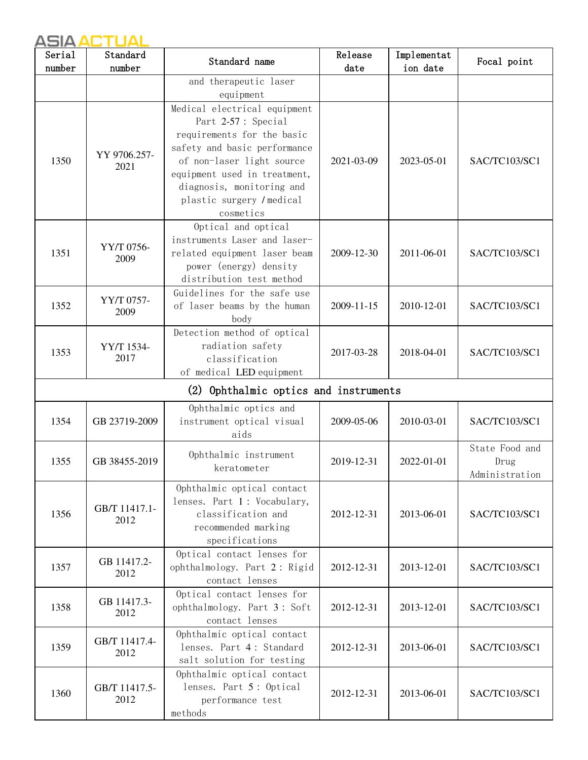| Serial | Standard              | Standard name                                                                                                                             | Release    | Implementat | Focal point                              |
|--------|-----------------------|-------------------------------------------------------------------------------------------------------------------------------------------|------------|-------------|------------------------------------------|
| number | number                |                                                                                                                                           | date       | ion date    |                                          |
|        |                       | and therapeutic laser                                                                                                                     |            |             |                                          |
|        |                       | equipment                                                                                                                                 |            |             |                                          |
|        |                       | Medical electrical equipment<br>Part 2-57 : Special<br>requirements for the basic<br>safety and basic performance                         |            |             |                                          |
| 1350   | YY 9706.257-<br>2021  | of non-laser light source<br>equipment used in treatment,<br>diagnosis, monitoring and<br>plastic surgery / medical<br>cosmetics          | 2021-03-09 | 2023-05-01  | SAC/TC103/SC1                            |
| 1351   | YY/T 0756-<br>2009    | Optical and optical<br>instruments Laser and laser-<br>related equipment laser beam<br>power (energy) density<br>distribution test method | 2009-12-30 | 2011-06-01  | SAC/TC103/SC1                            |
| 1352   | YY/T 0757-<br>2009    | Guidelines for the safe use<br>of laser beams by the human<br>body                                                                        | 2009-11-15 | 2010-12-01  | SAC/TC103/SC1                            |
| 1353   | YY/T 1534-<br>2017    | Detection method of optical<br>radiation safety<br>classification<br>of medical LED equipment                                             | 2017-03-28 | 2018-04-01  | SAC/TC103/SC1                            |
|        |                       | (2) Ophthalmic optics and instruments                                                                                                     |            |             |                                          |
| 1354   | GB 23719-2009         | Ophthalmic optics and<br>instrument optical visual<br>aids                                                                                | 2009-05-06 | 2010-03-01  | SAC/TC103/SC1                            |
| 1355   | GB 38455-2019         | Ophthalmic instrument<br>keratometer                                                                                                      | 2019-12-31 | 2022-01-01  | State Food and<br>Drug<br>Administration |
| 1356   | GB/T 11417.1-<br>2012 | Ophthalmic optical contact<br>lenses. Part 1: Vocabulary,<br>classification and<br>recommended marking<br>specifications                  | 2012-12-31 | 2013-06-01  | SAC/TC103/SC1                            |
| 1357   | GB 11417.2-<br>2012   | Optical contact lenses for<br>ophthalmology. Part 2: Rigid<br>contact lenses                                                              | 2012-12-31 | 2013-12-01  | SAC/TC103/SC1                            |
| 1358   | GB 11417.3-<br>2012   | Optical contact lenses for<br>ophthalmology. Part 3: Soft<br>contact lenses                                                               | 2012-12-31 | 2013-12-01  | SAC/TC103/SC1                            |
| 1359   | GB/T 11417.4-<br>2012 | Ophthalmic optical contact<br>lenses. Part 4: Standard<br>salt solution for testing                                                       | 2012-12-31 | 2013-06-01  | SAC/TC103/SC1                            |
| 1360   | GB/T 11417.5-<br>2012 | Ophthalmic optical contact<br>lenses. Part 5: Optical<br>performance test<br>methods                                                      | 2012-12-31 | 2013-06-01  | SAC/TC103/SC1                            |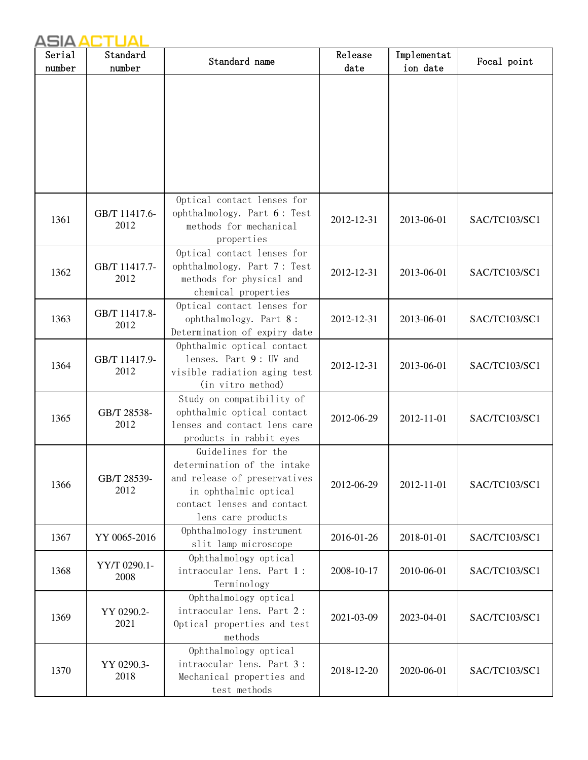| Serial<br>number | Standard<br>number    | Standard name                                              | Release<br>date | Implementat<br>ion date | Focal point   |
|------------------|-----------------------|------------------------------------------------------------|-----------------|-------------------------|---------------|
|                  |                       |                                                            |                 |                         |               |
|                  |                       |                                                            |                 |                         |               |
|                  |                       |                                                            |                 |                         |               |
|                  |                       |                                                            |                 |                         |               |
|                  |                       |                                                            |                 |                         |               |
|                  |                       |                                                            |                 |                         |               |
|                  |                       |                                                            |                 |                         |               |
|                  |                       | Optical contact lenses for                                 |                 |                         |               |
| 1361             | GB/T 11417.6-<br>2012 | ophthalmology. Part 6: Test<br>methods for mechanical      | 2012-12-31      | 2013-06-01              | SAC/TC103/SC1 |
|                  |                       | properties                                                 |                 |                         |               |
|                  |                       | Optical contact lenses for                                 |                 |                         |               |
| 1362             | GB/T 11417.7-         | ophthalmology. Part 7: Test                                | 2012-12-31      | 2013-06-01              | SAC/TC103/SC1 |
|                  | 2012                  | methods for physical and<br>chemical properties            |                 |                         |               |
|                  |                       | Optical contact lenses for                                 |                 |                         |               |
| 1363             | GB/T 11417.8-<br>2012 | ophthalmology. Part 8:                                     | 2012-12-31      | 2013-06-01              | SAC/TC103/SC1 |
|                  |                       | Determination of expiry date                               |                 |                         |               |
|                  |                       | Ophthalmic optical contact<br>lenses. Part 9: UV and       |                 |                         |               |
| 1364             | GB/T 11417.9-<br>2012 | visible radiation aging test                               | 2012-12-31      | 2013-06-01              | SAC/TC103/SC1 |
|                  |                       | (in vitro method)                                          |                 |                         |               |
|                  |                       | Study on compatibility of                                  |                 |                         |               |
| 1365             | GB/T 28538-<br>2012   | ophthalmic optical contact<br>lenses and contact lens care | 2012-06-29      | 2012-11-01              | SAC/TC103/SC1 |
|                  |                       | products in rabbit eyes                                    |                 |                         |               |
|                  |                       | Guidelines for the                                         |                 |                         |               |
|                  |                       | determination of the intake                                |                 |                         |               |
| 1366             | GB/T 28539-<br>2012   | and release of preservatives                               | 2012-06-29      | 2012-11-01              | SAC/TC103/SC1 |
|                  |                       | in ophthalmic optical<br>contact lenses and contact        |                 |                         |               |
|                  |                       | lens care products                                         |                 |                         |               |
| 1367             | YY 0065-2016          | Ophthalmology instrument                                   | 2016-01-26      | 2018-01-01              | SAC/TC103/SC1 |
|                  |                       | slit lamp microscope                                       |                 |                         |               |
| 1368             | YY/T 0290.1-          | Ophthalmology optical<br>intraocular lens. Part 1:         | 2008-10-17      | 2010-06-01              | SAC/TC103/SC1 |
|                  | 2008                  | Terminology                                                |                 |                         |               |
|                  |                       | Ophthalmology optical                                      |                 |                         |               |
| 1369             | YY 0290.2-<br>2021    | intraocular lens. Part 2:<br>Optical properties and test   | 2021-03-09      | 2023-04-01              | SAC/TC103/SC1 |
|                  |                       | methods                                                    |                 |                         |               |
|                  |                       | Ophthalmology optical                                      |                 |                         |               |
| 1370             | YY 0290.3-            | intraocular lens. Part 3:                                  | 2018-12-20      | 2020-06-01              | SAC/TC103/SC1 |
|                  | 2018                  | Mechanical properties and<br>test methods                  |                 |                         |               |
|                  |                       |                                                            |                 |                         |               |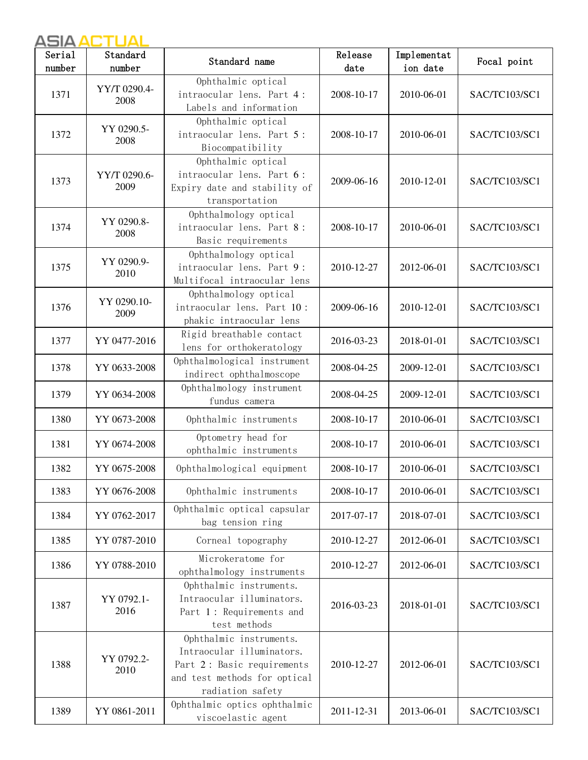| Serial | Standard             | Standard name                                                                                                                          | Release    | Implementat | Focal point   |
|--------|----------------------|----------------------------------------------------------------------------------------------------------------------------------------|------------|-------------|---------------|
| number | number               |                                                                                                                                        | date       | ion date    |               |
| 1371   | YY/T 0290.4-<br>2008 | Ophthalmic optical<br>intraocular lens. Part 4:<br>Labels and information                                                              | 2008-10-17 | 2010-06-01  | SAC/TC103/SC1 |
| 1372   | YY 0290.5-<br>2008   | Ophthalmic optical<br>intraocular lens. Part 5:<br>Biocompatibility                                                                    | 2008-10-17 | 2010-06-01  | SAC/TC103/SC1 |
| 1373   | YY/T 0290.6-<br>2009 | Ophthalmic optical<br>intraocular lens. Part 6:<br>Expiry date and stability of<br>transportation                                      | 2009-06-16 | 2010-12-01  | SAC/TC103/SC1 |
| 1374   | YY 0290.8-<br>2008   | Ophthalmology optical<br>intraocular lens. Part 8:<br>Basic requirements                                                               | 2008-10-17 | 2010-06-01  | SAC/TC103/SC1 |
| 1375   | YY 0290.9-<br>2010   | Ophthalmology optical<br>intraocular lens. Part 9:<br>Multifocal intraocular lens                                                      | 2010-12-27 | 2012-06-01  | SAC/TC103/SC1 |
| 1376   | YY 0290.10-<br>2009  | Ophthalmology optical<br>intraocular lens. Part 10:<br>phakic intraocular lens                                                         | 2009-06-16 | 2010-12-01  | SAC/TC103/SC1 |
| 1377   | YY 0477-2016         | Rigid breathable contact<br>lens for orthokeratology                                                                                   | 2016-03-23 | 2018-01-01  | SAC/TC103/SC1 |
| 1378   | YY 0633-2008         | Ophthalmological instrument<br>indirect ophthalmoscope                                                                                 | 2008-04-25 | 2009-12-01  | SAC/TC103/SC1 |
| 1379   | YY 0634-2008         | Ophthalmology instrument<br>fundus camera                                                                                              | 2008-04-25 | 2009-12-01  | SAC/TC103/SC1 |
| 1380   | YY 0673-2008         | Ophthalmic instruments                                                                                                                 | 2008-10-17 | 2010-06-01  | SAC/TC103/SC1 |
| 1381   | YY 0674-2008         | Optometry head for<br>ophthalmic instruments                                                                                           | 2008-10-17 | 2010-06-01  | SAC/TC103/SC1 |
| 1382   | YY 0675-2008         | Ophthalmological equipment                                                                                                             | 2008-10-17 | 2010-06-01  | SAC/TC103/SC1 |
| 1383   | YY 0676-2008         | Ophthalmic instruments                                                                                                                 | 2008-10-17 | 2010-06-01  | SAC/TC103/SC1 |
| 1384   | YY 0762-2017         | Ophthalmic optical capsular<br>bag tension ring                                                                                        | 2017-07-17 | 2018-07-01  | SAC/TC103/SC1 |
| 1385   | YY 0787-2010         | Corneal topography                                                                                                                     | 2010-12-27 | 2012-06-01  | SAC/TC103/SC1 |
| 1386   | YY 0788-2010         | Microkeratome for<br>ophthalmology instruments                                                                                         | 2010-12-27 | 2012-06-01  | SAC/TC103/SC1 |
| 1387   | YY 0792.1-<br>2016   | Ophthalmic instruments.<br>Intraocular illuminators.<br>Part 1: Requirements and<br>test methods                                       | 2016-03-23 | 2018-01-01  | SAC/TC103/SC1 |
| 1388   | YY 0792.2-<br>2010   | Ophthalmic instruments.<br>Intraocular illuminators.<br>Part 2: Basic requirements<br>and test methods for optical<br>radiation safety | 2010-12-27 | 2012-06-01  | SAC/TC103/SC1 |
| 1389   | YY 0861-2011         | Ophthalmic optics ophthalmic<br>viscoelastic agent                                                                                     | 2011-12-31 | 2013-06-01  | SAC/TC103/SC1 |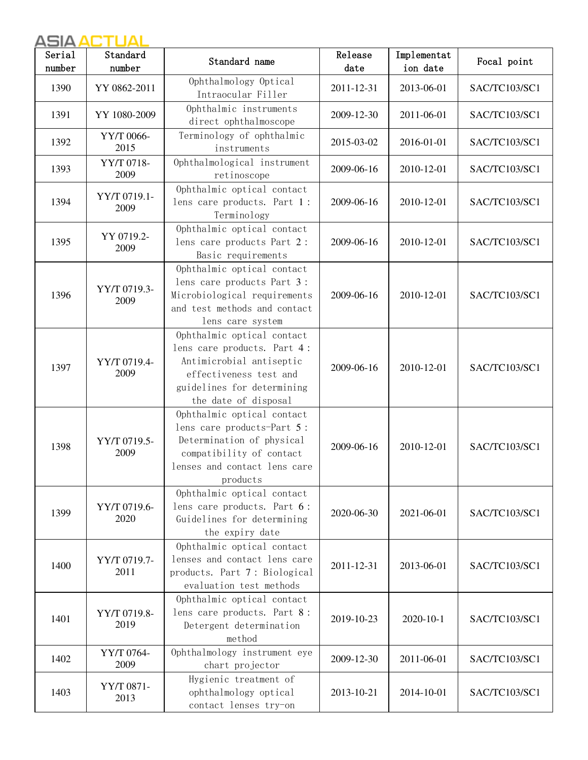| Serial | Standard             | Standard name                                                                                                                                                         | Release    | Implementat     | Focal point   |
|--------|----------------------|-----------------------------------------------------------------------------------------------------------------------------------------------------------------------|------------|-----------------|---------------|
| number | number               |                                                                                                                                                                       | date       | ion date        |               |
| 1390   | YY 0862-2011         | Ophthalmology Optical<br>Intraocular Filler                                                                                                                           | 2011-12-31 | 2013-06-01      | SAC/TC103/SC1 |
| 1391   | YY 1080-2009         | Ophthalmic instruments<br>direct ophthalmoscope                                                                                                                       | 2009-12-30 | 2011-06-01      | SAC/TC103/SC1 |
| 1392   | YY/T 0066-<br>2015   | Terminology of ophthalmic<br>instruments                                                                                                                              | 2015-03-02 | 2016-01-01      | SAC/TC103/SC1 |
| 1393   | YY/T 0718-<br>2009   | Ophthalmological instrument<br>retinoscope                                                                                                                            | 2009-06-16 | 2010-12-01      | SAC/TC103/SC1 |
| 1394   | YY/T 0719.1-<br>2009 | Ophthalmic optical contact<br>lens care products. Part 1:<br>Terminology                                                                                              | 2009-06-16 | 2010-12-01      | SAC/TC103/SC1 |
| 1395   | YY 0719.2-<br>2009   | Ophthalmic optical contact<br>lens care products Part 2:<br>Basic requirements                                                                                        | 2009-06-16 | 2010-12-01      | SAC/TC103/SC1 |
| 1396   | YY/T 0719.3-<br>2009 | Ophthalmic optical contact<br>lens care products Part 3:<br>Microbiological requirements<br>and test methods and contact<br>lens care system                          | 2009-06-16 | 2010-12-01      | SAC/TC103/SC1 |
| 1397   | YY/T 0719.4-<br>2009 | Ophthalmic optical contact<br>lens care products. Part 4:<br>Antimicrobial antiseptic<br>effectiveness test and<br>guidelines for determining<br>the date of disposal | 2009-06-16 | 2010-12-01      | SAC/TC103/SC1 |
| 1398   | YY/T 0719.5-<br>2009 | Ophthalmic optical contact<br>lens care products-Part 5:<br>Determination of physical<br>compatibility of contact<br>lenses and contact lens care<br>products         | 2009-06-16 | 2010-12-01      | SAC/TC103/SC1 |
| 1399   | YY/T 0719.6-<br>2020 | Ophthalmic optical contact<br>lens care products. Part 6:<br>Guidelines for determining<br>the expiry date                                                            | 2020-06-30 | 2021-06-01      | SAC/TC103/SC1 |
| 1400   | YY/T 0719.7-<br>2011 | Ophthalmic optical contact<br>lenses and contact lens care<br>products. Part 7: Biological<br>evaluation test methods                                                 | 2011-12-31 | 2013-06-01      | SAC/TC103/SC1 |
| 1401   | YY/T 0719.8-<br>2019 | Ophthalmic optical contact<br>lens care products. Part 8:<br>Detergent determination<br>method                                                                        | 2019-10-23 | $2020 - 10 - 1$ | SAC/TC103/SC1 |
| 1402   | YY/T 0764-<br>2009   | Ophthalmology instrument eye<br>chart projector                                                                                                                       | 2009-12-30 | 2011-06-01      | SAC/TC103/SC1 |
| 1403   | YY/T 0871-<br>2013   | Hygienic treatment of<br>ophthalmology optical<br>contact lenses try-on                                                                                               | 2013-10-21 | 2014-10-01      | SAC/TC103/SC1 |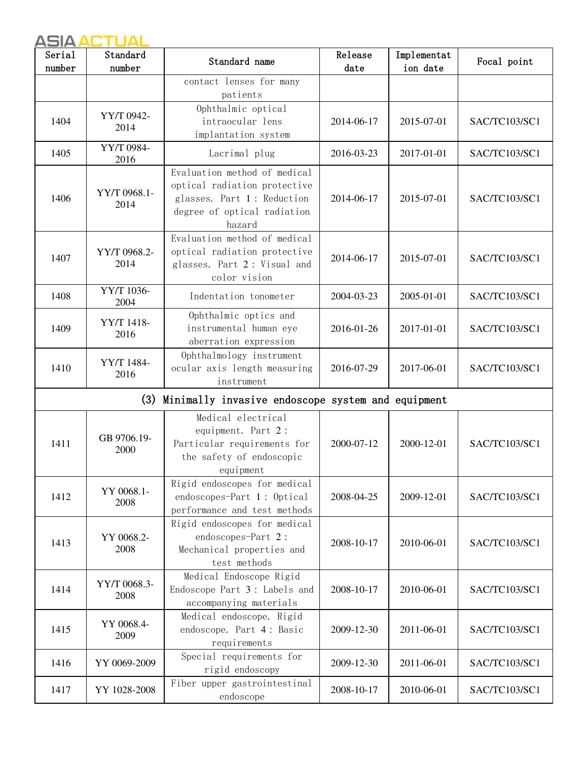| Serial<br>number | Standard<br>number   | Standard name                                                                                                                       | Release<br>date | Implementat<br>ion date | Focal point   |
|------------------|----------------------|-------------------------------------------------------------------------------------------------------------------------------------|-----------------|-------------------------|---------------|
|                  |                      | contact lenses for many<br>patients                                                                                                 |                 |                         |               |
| 1404             | YY/T 0942-<br>2014   | Ophthalmic optical<br>intraocular lens<br>implantation system                                                                       | 2014-06-17      | 2015-07-01              | SAC/TC103/SC1 |
| 1405             | YY/T 0984-<br>2016   | Lacrimal plug                                                                                                                       | 2016-03-23      | 2017-01-01              | SAC/TC103/SC1 |
| 1406             | YY/T 0968.1-<br>2014 | Evaluation method of medical<br>optical radiation protective<br>glasses. Part 1: Reduction<br>degree of optical radiation<br>hazard | 2014-06-17      | 2015-07-01              | SAC/TC103/SC1 |
| 1407             | YY/T 0968.2-<br>2014 | Evaluation method of medical<br>optical radiation protective<br>glasses. Part 2: Visual and<br>color vision                         | 2014-06-17      | 2015-07-01              | SAC/TC103/SC1 |
| 1408             | YY/T 1036-<br>2004   | Indentation tonometer                                                                                                               | 2004-03-23      | 2005-01-01              | SAC/TC103/SC1 |
| 1409             | YY/T 1418-<br>2016   | Ophthalmic optics and<br>instrumental human eye<br>aberration expression                                                            | 2016-01-26      | 2017-01-01              | SAC/TC103/SC1 |
| 1410             | YY/T 1484-<br>2016   | Ophthalmology instrument<br>ocular axis length measuring<br>instrument                                                              | 2016-07-29      | 2017-06-01              | SAC/TC103/SC1 |
|                  | (3)                  | Minimally invasive endoscope system and equipment                                                                                   |                 |                         |               |
| 1411             | GB 9706.19-<br>2000  | Medical electrical<br>equipment. Part 2:<br>Particular requirements for<br>the safety of endoscopic<br>equipment                    | 2000-07-12      | 2000-12-01              | SAC/TC103/SC1 |
| 1412             | YY 0068.1-<br>2008   | Rigid endoscopes for medical<br>endoscopes-Part 1: Optical<br>performance and test methods                                          | 2008-04-25      | 2009-12-01              | SAC/TC103/SC1 |
| 1413             | YY 0068.2-<br>2008   | Rigid endoscopes for medical<br>endoscopes-Part 2:<br>Mechanical properties and<br>test methods                                     | 2008-10-17      | 2010-06-01              | SAC/TC103/SC1 |
| 1414             | YY/T 0068.3-<br>2008 | Medical Endoscope Rigid<br>Endoscope Part 3: Labels and<br>accompanying materials                                                   | 2008-10-17      | 2010-06-01              | SAC/TC103/SC1 |
| 1415             | YY 0068.4-<br>2009   | Medical endoscope. Rigid<br>endoscope. Part 4: Basic<br>requirements                                                                | 2009-12-30      | 2011-06-01              | SAC/TC103/SC1 |
| 1416             | YY 0069-2009         | Special requirements for<br>rigid endoscopy                                                                                         | 2009-12-30      | 2011-06-01              | SAC/TC103/SC1 |
| 1417             | YY 1028-2008         | Fiber upper gastrointestinal<br>endoscope                                                                                           | 2008-10-17      | 2010-06-01              | SAC/TC103/SC1 |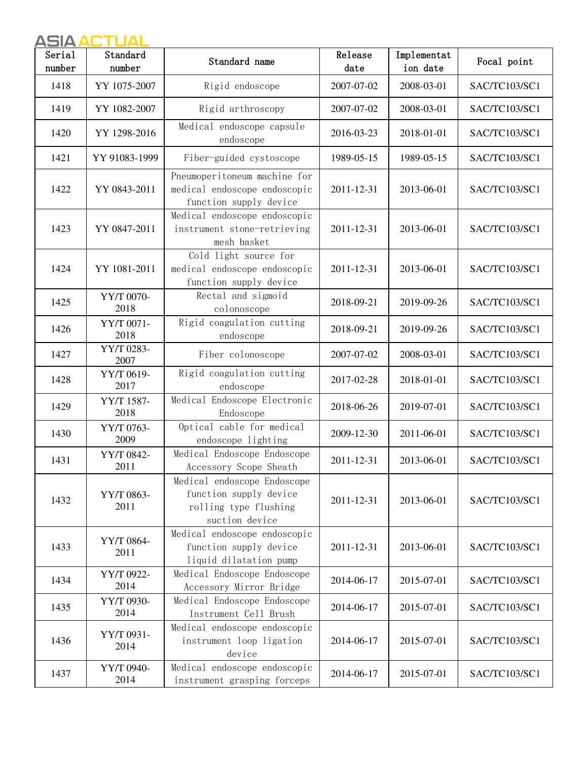| Serial<br>number | Standard<br>number | Standard name                                                                                    | Release<br>date | Implementat<br>ion date | Focal point   |
|------------------|--------------------|--------------------------------------------------------------------------------------------------|-----------------|-------------------------|---------------|
| 1418             | YY 1075-2007       | Rigid endoscope                                                                                  | 2007-07-02      | 2008-03-01              | SAC/TC103/SC1 |
| 1419             | YY 1082-2007       | Rigid arthroscopy                                                                                | 2007-07-02      | 2008-03-01              | SAC/TC103/SC1 |
| 1420             | YY 1298-2016       | Medical endoscope capsule<br>endoscope                                                           | 2016-03-23      | 2018-01-01              | SAC/TC103/SC1 |
| 1421             | YY 91083-1999      | Fiber-guided cystoscope                                                                          | 1989-05-15      | 1989-05-15              | SAC/TC103/SC1 |
| 1422             | YY 0843-2011       | Pneumoperitoneum machine for<br>medical endoscope endoscopic<br>function supply device           | 2011-12-31      | 2013-06-01              | SAC/TC103/SC1 |
| 1423             | YY 0847-2011       | Medical endoscope endoscopic<br>instrument stone-retrieving<br>mesh basket                       | 2011-12-31      | 2013-06-01              | SAC/TC103/SC1 |
| 1424             | YY 1081-2011       | Cold light source for<br>medical endoscope endoscopic<br>function supply device                  | 2011-12-31      | 2013-06-01              | SAC/TC103/SC1 |
| 1425             | YY/T 0070-<br>2018 | Rectal and sigmoid<br>colonoscope                                                                | 2018-09-21      | 2019-09-26              | SAC/TC103/SC1 |
| 1426             | YY/T 0071-<br>2018 | Rigid coagulation cutting<br>endoscope                                                           | 2018-09-21      | 2019-09-26              | SAC/TC103/SC1 |
| 1427             | YY/T 0283-<br>2007 | Fiber colonoscope                                                                                | 2007-07-02      | 2008-03-01              | SAC/TC103/SC1 |
| 1428             | YY/T 0619-<br>2017 | Rigid coagulation cutting<br>endoscope                                                           | 2017-02-28      | 2018-01-01              | SAC/TC103/SC1 |
| 1429             | YY/T 1587-<br>2018 | Medical Endoscope Electronic<br>Endoscope                                                        | 2018-06-26      | 2019-07-01              | SAC/TC103/SC1 |
| 1430             | YY/T 0763-<br>2009 | Optical cable for medical<br>endoscope lighting                                                  | 2009-12-30      | 2011-06-01              | SAC/TC103/SC1 |
| 1431             | YY/T 0842-<br>2011 | Medical Endoscope Endoscope<br>Accessory Scope Sheath                                            | 2011-12-31      | 2013-06-01              | SAC/TC103/SC1 |
| 1432             | YY/T 0863-<br>2011 | Medical endoscope Endoscope<br>function supply device<br>rolling type flushing<br>suction device | 2011-12-31      | 2013-06-01              | SAC/TC103/SC1 |
| 1433             | YY/T 0864-<br>2011 | Medical endoscope endoscopic<br>function supply device<br>liquid dilatation pump                 | 2011-12-31      | 2013-06-01              | SAC/TC103/SC1 |
| 1434             | YY/T 0922-<br>2014 | Medical Endoscope Endoscope<br>Accessory Mirror Bridge                                           | 2014-06-17      | 2015-07-01              | SAC/TC103/SC1 |
| 1435             | YY/T 0930-<br>2014 | Medical Endoscope Endoscope<br>Instrument Cell Brush                                             | 2014-06-17      | 2015-07-01              | SAC/TC103/SC1 |
| 1436             | YY/T 0931-<br>2014 | Medical endoscope endoscopic<br>instrument loop ligation<br>device                               | 2014-06-17      | 2015-07-01              | SAC/TC103/SC1 |
| 1437             | YY/T 0940-<br>2014 | Medical endoscope endoscopic<br>instrument grasping forceps                                      | 2014-06-17      | 2015-07-01              | SAC/TC103/SC1 |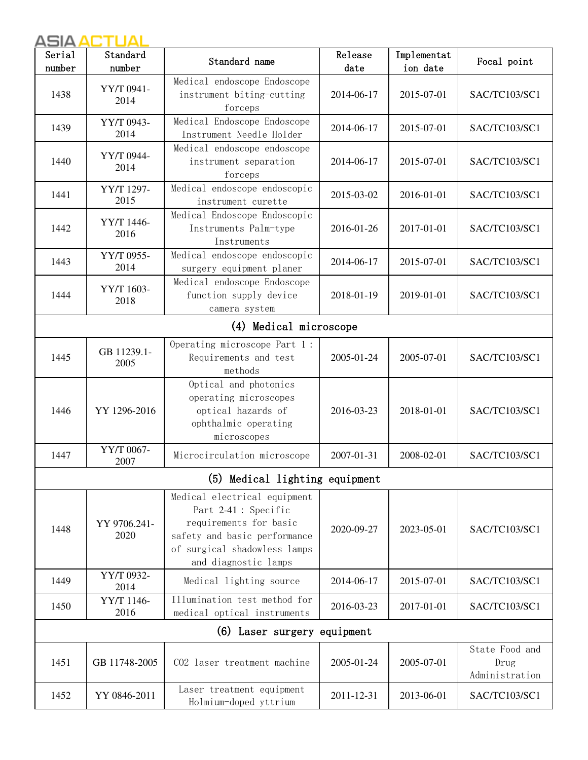| Serial<br>number | Standard<br>number   | Standard name                                                                                                                                                          | Release<br>date | Implementat<br>ion date | Focal point                              |
|------------------|----------------------|------------------------------------------------------------------------------------------------------------------------------------------------------------------------|-----------------|-------------------------|------------------------------------------|
| 1438             | YY/T 0941-<br>2014   | Medical endoscope Endoscope<br>instrument biting-cutting<br>forceps                                                                                                    | 2014-06-17      | 2015-07-01              | SAC/TC103/SC1                            |
| 1439             | YY/T 0943-<br>2014   | Medical Endoscope Endoscope<br>Instrument Needle Holder                                                                                                                | 2014-06-17      | 2015-07-01              | SAC/TC103/SC1                            |
| 1440             | YY/T 0944-<br>2014   | Medical endoscope endoscope<br>instrument separation<br>forceps                                                                                                        | 2014-06-17      | 2015-07-01              | SAC/TC103/SC1                            |
| 1441             | YY/T 1297-<br>2015   | Medical endoscope endoscopic<br>instrument curette                                                                                                                     | 2015-03-02      | 2016-01-01              | SAC/TC103/SC1                            |
| 1442             | YY/T 1446-<br>2016   | Medical Endoscope Endoscopic<br>Instruments Palm-type<br>Instruments                                                                                                   | 2016-01-26      | 2017-01-01              | SAC/TC103/SC1                            |
| 1443             | YY/T 0955-<br>2014   | Medical endoscope endoscopic<br>surgery equipment planer                                                                                                               | 2014-06-17      | 2015-07-01              | SAC/TC103/SC1                            |
| 1444             | YY/T 1603-<br>2018   | Medical endoscope Endoscope<br>function supply device<br>camera system                                                                                                 | 2018-01-19      | 2019-01-01              | SAC/TC103/SC1                            |
|                  |                      | (4) Medical microscope                                                                                                                                                 |                 |                         |                                          |
| 1445             | GB 11239.1-<br>2005  | Operating microscope Part 1:<br>Requirements and test<br>methods                                                                                                       | 2005-01-24      | 2005-07-01              | SAC/TC103/SC1                            |
| 1446             | YY 1296-2016         | Optical and photonics<br>operating microscopes<br>optical hazards of<br>ophthalmic operating<br>microscopes                                                            | 2016-03-23      | 2018-01-01              | SAC/TC103/SC1                            |
| 1447             | YY/T 0067-<br>2007   | Microcirculation microscope                                                                                                                                            | 2007-01-31      | 2008-02-01              | SAC/TC103/SC1                            |
|                  |                      | (5) Medical lighting equipment                                                                                                                                         |                 |                         |                                          |
| 1448             | YY 9706.241-<br>2020 | Medical electrical equipment<br>Part 2-41 : Specific<br>requirements for basic<br>safety and basic performance<br>of surgical shadowless lamps<br>and diagnostic lamps | 2020-09-27      | 2023-05-01              | SAC/TC103/SC1                            |
| 1449             | YY/T 0932-<br>2014   | Medical lighting source                                                                                                                                                | 2014-06-17      | 2015-07-01              | SAC/TC103/SC1                            |
| 1450             | YY/T 1146-<br>2016   | Illumination test method for<br>medical optical instruments                                                                                                            | 2016-03-23      | 2017-01-01              | SAC/TC103/SC1                            |
|                  |                      | (6) Laser surgery equipment                                                                                                                                            |                 |                         |                                          |
| 1451             | GB 11748-2005        | CO2 laser treatment machine                                                                                                                                            | 2005-01-24      | 2005-07-01              | State Food and<br>Drug<br>Administration |
| 1452             | YY 0846-2011         | Laser treatment equipment<br>Holmium-doped yttrium                                                                                                                     | 2011-12-31      | 2013-06-01              | SAC/TC103/SC1                            |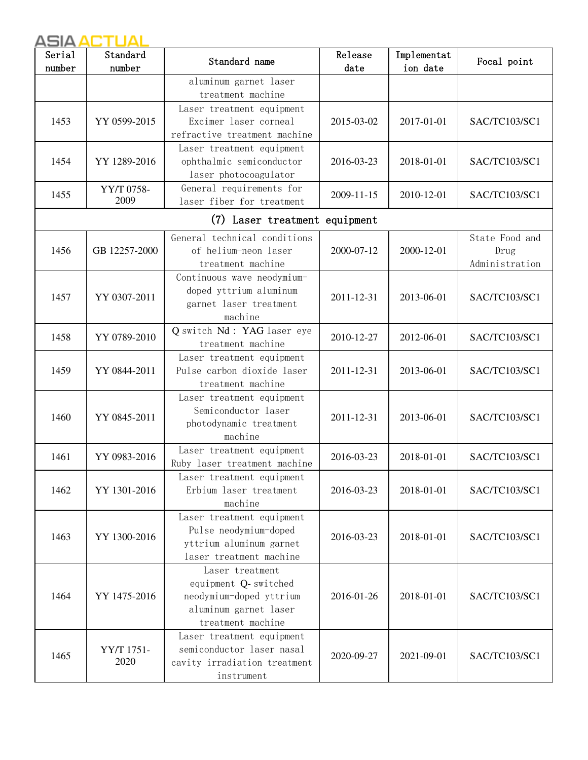| Serial<br>number | Standard<br>number | Standard name                                                                                                    | Release<br>date | Implementat<br>ion date | Focal point                              |
|------------------|--------------------|------------------------------------------------------------------------------------------------------------------|-----------------|-------------------------|------------------------------------------|
|                  |                    | aluminum garnet laser<br>treatment machine                                                                       |                 |                         |                                          |
| 1453             | YY 0599-2015       | Laser treatment equipment<br>Excimer laser corneal<br>refractive treatment machine                               | 2015-03-02      | 2017-01-01              | SAC/TC103/SC1                            |
| 1454             | YY 1289-2016       | Laser treatment equipment<br>ophthalmic semiconductor<br>laser photocoagulator                                   | 2016-03-23      | 2018-01-01              | SAC/TC103/SC1                            |
| 1455             | YY/T 0758-<br>2009 | General requirements for<br>laser fiber for treatment                                                            | 2009-11-15      | 2010-12-01              | SAC/TC103/SC1                            |
|                  |                    | (7) Laser treatment equipment                                                                                    |                 |                         |                                          |
| 1456             | GB 12257-2000      | General technical conditions<br>of helium-neon laser<br>treatment machine                                        | 2000-07-12      | 2000-12-01              | State Food and<br>Drug<br>Administration |
| 1457             | YY 0307-2011       | Continuous wave neodymium-<br>doped yttrium aluminum<br>garnet laser treatment<br>machine                        | 2011-12-31      | 2013-06-01              | SAC/TC103/SC1                            |
| 1458             | YY 0789-2010       | Q switch Nd: YAG laser eye<br>treatment machine                                                                  | 2010-12-27      | 2012-06-01              | SAC/TC103/SC1                            |
| 1459             | YY 0844-2011       | Laser treatment equipment<br>Pulse carbon dioxide laser<br>treatment machine                                     | 2011-12-31      | 2013-06-01              | SAC/TC103/SC1                            |
| 1460             | YY 0845-2011       | Laser treatment equipment<br>Semiconductor laser<br>photodynamic treatment<br>machine                            | 2011-12-31      | 2013-06-01              | SAC/TC103/SC1                            |
| 1461             | YY 0983-2016       | Laser treatment equipment<br>Ruby laser treatment machine                                                        | 2016-03-23      | 2018-01-01              | SAC/TC103/SC1                            |
| 1462             | YY 1301-2016       | Laser treatment equipment<br>Erbium laser treatment<br>machine                                                   | 2016-03-23      | 2018-01-01              | SAC/TC103/SC1                            |
| 1463             | YY 1300-2016       | Laser treatment equipment<br>Pulse neodymium-doped<br>yttrium aluminum garnet<br>laser treatment machine         | 2016-03-23      | 2018-01-01              | SAC/TC103/SC1                            |
| 1464             | YY 1475-2016       | Laser treatment<br>equipment Q-switched<br>neodymium-doped yttrium<br>aluminum garnet laser<br>treatment machine | 2016-01-26      | 2018-01-01              | SAC/TC103/SC1                            |
| 1465             | YY/T 1751-<br>2020 | Laser treatment equipment<br>semiconductor laser nasal<br>cavity irradiation treatment<br>instrument             | 2020-09-27      | 2021-09-01              | SAC/TC103/SC1                            |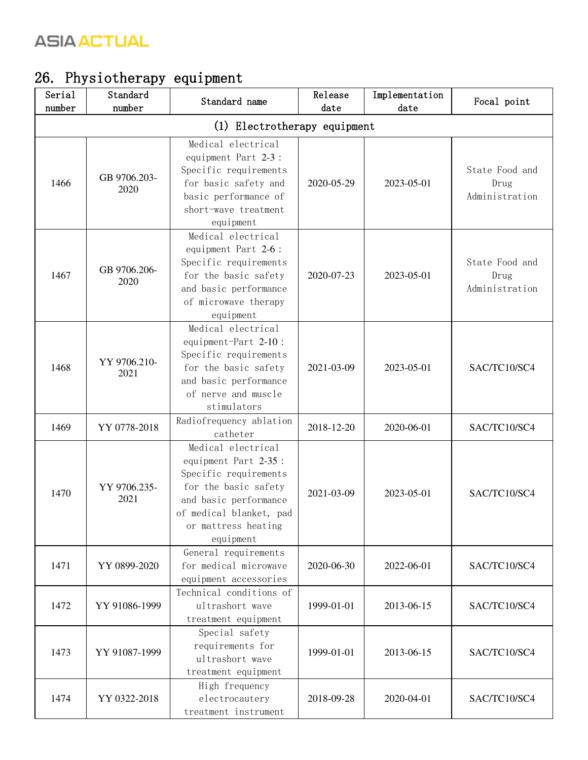# 26. Physiotherapy equipment

| Serial<br>number | Standard<br>number           | Standard name                                                                                                                                                                        | Release<br>date | Implementation<br>date | Focal point                              |  |  |  |
|------------------|------------------------------|--------------------------------------------------------------------------------------------------------------------------------------------------------------------------------------|-----------------|------------------------|------------------------------------------|--|--|--|
|                  | (1) Electrotherapy equipment |                                                                                                                                                                                      |                 |                        |                                          |  |  |  |
| 1466             | GB 9706.203-<br>2020         | Medical electrical<br>equipment Part 2-3 :<br>Specific requirements<br>for basic safety and<br>basic performance of<br>short-wave treatment<br>equipment                             | 2020-05-29      | 2023-05-01             | State Food and<br>Drug<br>Administration |  |  |  |
| 1467             | GB 9706.206-<br>2020         | Medical electrical<br>equipment Part 2-6 :<br>Specific requirements<br>for the basic safety<br>and basic performance<br>of microwave therapy<br>equipment                            | 2020-07-23      | 2023-05-01             | State Food and<br>Drug<br>Administration |  |  |  |
| 1468             | YY 9706.210-<br>2021         | Medical electrical<br>equipment-Part 2-10:<br>Specific requirements<br>for the basic safety<br>and basic performance<br>of nerve and muscle<br>stimulators                           | 2021-03-09      | 2023-05-01             | SAC/TC10/SC4                             |  |  |  |
| 1469             | YY 0778-2018                 | Radiofrequency ablation<br>catheter                                                                                                                                                  | 2018-12-20      | 2020-06-01             | SAC/TC10/SC4                             |  |  |  |
| 1470             | YY 9706.235-<br>2021         | Medical electrical<br>equipment Part 2-35 :<br>Specific requirements<br>for the basic safety<br>and basic performance<br>of medical blanket, pad<br>or mattress heating<br>equipment | 2021-03-09      | 2023-05-01             | SAC/TC10/SC4                             |  |  |  |
| 1471             | YY 0899-2020                 | General requirements<br>for medical microwave<br>equipment accessories                                                                                                               | 2020-06-30      | 2022-06-01             | SAC/TC10/SC4                             |  |  |  |
| 1472             | YY 91086-1999                | Technical conditions of<br>ultrashort wave<br>treatment equipment                                                                                                                    | 1999-01-01      | 2013-06-15             | SAC/TC10/SC4                             |  |  |  |
| 1473             | YY 91087-1999                | Special safety<br>requirements for<br>ultrashort wave<br>treatment equipment                                                                                                         | 1999-01-01      | 2013-06-15             | SAC/TC10/SC4                             |  |  |  |
| 1474             | YY 0322-2018                 | High frequency<br>electrocautery<br>treatment instrument                                                                                                                             | 2018-09-28      | 2020-04-01             | SAC/TC10/SC4                             |  |  |  |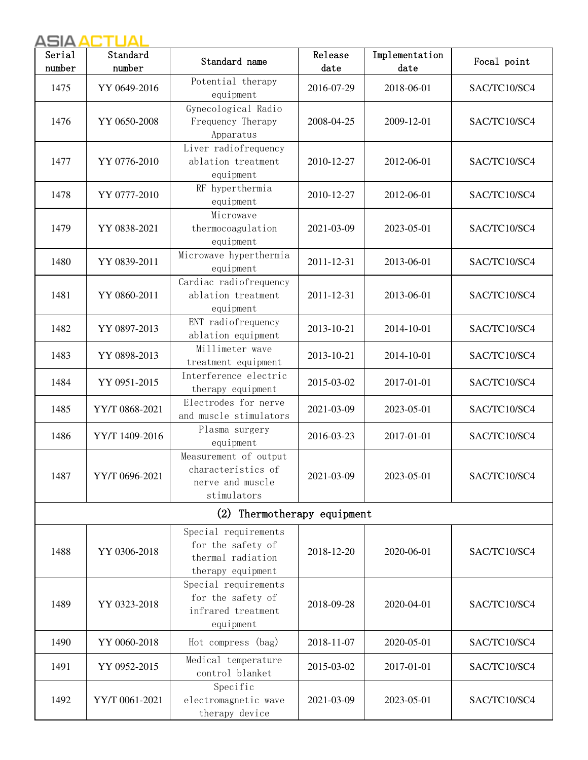| Serial<br>number | Standard<br>number | Standard name                                                                       | Release<br>date | Implementation<br>date | Focal point  |
|------------------|--------------------|-------------------------------------------------------------------------------------|-----------------|------------------------|--------------|
| 1475             | YY 0649-2016       | Potential therapy<br>equipment                                                      | 2016-07-29      | 2018-06-01             | SAC/TC10/SC4 |
| 1476             | YY 0650-2008       | Gynecological Radio<br>Frequency Therapy<br>Apparatus                               | 2008-04-25      | 2009-12-01             | SAC/TC10/SC4 |
| 1477             | YY 0776-2010       | Liver radiofrequency<br>ablation treatment<br>equipment                             | 2010-12-27      | 2012-06-01             | SAC/TC10/SC4 |
| 1478             | YY 0777-2010       | RF hyperthermia<br>equipment                                                        | 2010-12-27      | 2012-06-01             | SAC/TC10/SC4 |
| 1479             | YY 0838-2021       | Microwave<br>thermocoagulation<br>equipment                                         | 2021-03-09      | 2023-05-01             | SAC/TC10/SC4 |
| 1480             | YY 0839-2011       | Microwave hyperthermia<br>equipment                                                 | 2011-12-31      | 2013-06-01             | SAC/TC10/SC4 |
| 1481             | YY 0860-2011       | Cardiac radiofrequency<br>ablation treatment<br>equipment                           | 2011-12-31      | 2013-06-01             | SAC/TC10/SC4 |
| 1482             | YY 0897-2013       | ENT radiofrequency<br>ablation equipment                                            | 2013-10-21      | 2014-10-01             | SAC/TC10/SC4 |
| 1483             | YY 0898-2013       | Millimeter wave<br>treatment equipment                                              | 2013-10-21      | 2014-10-01             | SAC/TC10/SC4 |
| 1484             | YY 0951-2015       | Interference electric<br>therapy equipment                                          | 2015-03-02      | 2017-01-01             | SAC/TC10/SC4 |
| 1485             | YY/T 0868-2021     | Electrodes for nerve<br>and muscle stimulators                                      | 2021-03-09      | 2023-05-01             | SAC/TC10/SC4 |
| 1486             | YY/T 1409-2016     | Plasma surgery<br>equipment                                                         | 2016-03-23      | 2017-01-01             | SAC/TC10/SC4 |
| 1487             | YY/T 0696-2021     | Measurement of output<br>characteristics of<br>nerve and muscle<br>stimulators      | 2021-03-09      | 2023-05-01             | SAC/TC10/SC4 |
|                  |                    | (2) Thermotherapy equipment                                                         |                 |                        |              |
| 1488             | YY 0306-2018       | Special requirements<br>for the safety of<br>thermal radiation<br>therapy equipment | 2018-12-20      | 2020-06-01             | SAC/TC10/SC4 |
| 1489             | YY 0323-2018       | Special requirements<br>for the safety of<br>infrared treatment<br>equipment        | 2018-09-28      | 2020-04-01             | SAC/TC10/SC4 |
| 1490             | YY 0060-2018       | Hot compress (bag)                                                                  | 2018-11-07      | 2020-05-01             | SAC/TC10/SC4 |
| 1491             | YY 0952-2015       | Medical temperature<br>control blanket                                              | 2015-03-02      | 2017-01-01             | SAC/TC10/SC4 |
| 1492             | YY/T 0061-2021     | Specific<br>electromagnetic wave<br>therapy device                                  | 2021-03-09      | 2023-05-01             | SAC/TC10/SC4 |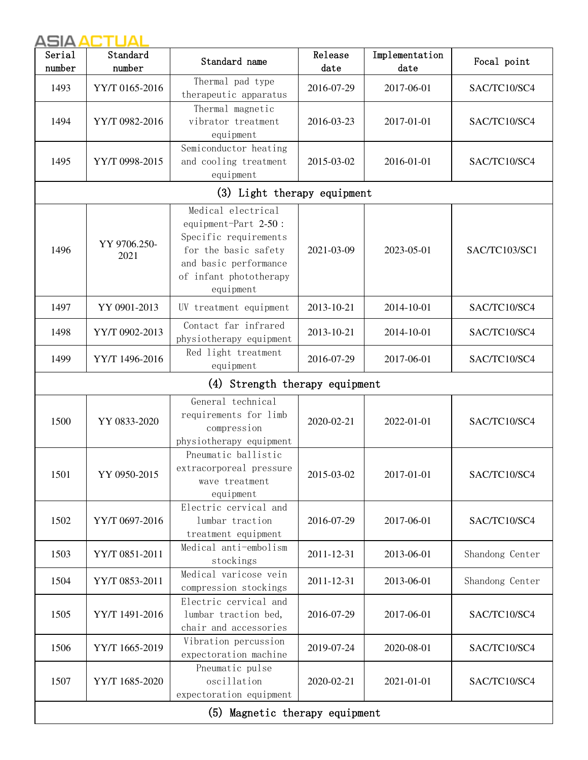| Serial<br>number | Standard<br>number             | Standard name                                                                                                                                               | Release<br>date | Implementation<br>date | Focal point     |  |  |  |
|------------------|--------------------------------|-------------------------------------------------------------------------------------------------------------------------------------------------------------|-----------------|------------------------|-----------------|--|--|--|
| 1493             | YY/T 0165-2016                 | Thermal pad type<br>therapeutic apparatus                                                                                                                   | 2016-07-29      | 2017-06-01             | SAC/TC10/SC4    |  |  |  |
| 1494             | YY/T 0982-2016                 | Thermal magnetic<br>vibrator treatment<br>equipment                                                                                                         | 2016-03-23      | 2017-01-01             | SAC/TC10/SC4    |  |  |  |
| 1495             | YY/T 0998-2015                 | Semiconductor heating<br>and cooling treatment<br>equipment                                                                                                 | 2015-03-02      | 2016-01-01             | SAC/TC10/SC4    |  |  |  |
|                  | (3) Light therapy equipment    |                                                                                                                                                             |                 |                        |                 |  |  |  |
| 1496             | YY 9706.250-<br>2021           | Medical electrical<br>equipment-Part 2-50:<br>Specific requirements<br>for the basic safety<br>and basic performance<br>of infant phototherapy<br>equipment | 2021-03-09      | 2023-05-01             | SAC/TC103/SC1   |  |  |  |
| 1497             | YY 0901-2013                   | UV treatment equipment                                                                                                                                      | 2013-10-21      | 2014-10-01             | SAC/TC10/SC4    |  |  |  |
| 1498             | YY/T 0902-2013                 | Contact far infrared<br>physiotherapy equipment                                                                                                             | 2013-10-21      | 2014-10-01             | SAC/TC10/SC4    |  |  |  |
| 1499             | YY/T 1496-2016                 | Red light treatment<br>equipment                                                                                                                            | 2016-07-29      | 2017-06-01             | SAC/TC10/SC4    |  |  |  |
|                  | (4) Strength therapy equipment |                                                                                                                                                             |                 |                        |                 |  |  |  |
| 1500             | YY 0833-2020                   | General technical<br>requirements for limb<br>compression<br>physiotherapy equipment                                                                        | 2020-02-21      | 2022-01-01             | SAC/TC10/SC4    |  |  |  |
| 1501             | YY 0950-2015                   | Pneumatic ballistic<br>extracorporeal pressure<br>wave treatment<br>equipment                                                                               | 2015-03-02      | 2017-01-01             | SAC/TC10/SC4    |  |  |  |
| 1502             | YY/T 0697-2016                 | Electric cervical and<br>lumbar traction<br>treatment equipment                                                                                             | 2016-07-29      | 2017-06-01             | SAC/TC10/SC4    |  |  |  |
| 1503             | YY/T 0851-2011                 | Medical anti-embolism<br>stockings                                                                                                                          | 2011-12-31      | 2013-06-01             | Shandong Center |  |  |  |
| 1504             | YY/T 0853-2011                 | Medical varicose vein<br>compression stockings                                                                                                              | 2011-12-31      | 2013-06-01             | Shandong Center |  |  |  |
| 1505             | YY/T 1491-2016                 | Electric cervical and<br>lumbar traction bed,<br>chair and accessories                                                                                      | 2016-07-29      | 2017-06-01             | SAC/TC10/SC4    |  |  |  |
| 1506             | YY/T 1665-2019                 | Vibration percussion<br>expectoration machine                                                                                                               | 2019-07-24      | 2020-08-01             | SAC/TC10/SC4    |  |  |  |
| 1507             | YY/T 1685-2020                 | Pneumatic pulse<br>oscillation<br>expectoration equipment                                                                                                   | 2020-02-21      | 2021-01-01             | SAC/TC10/SC4    |  |  |  |
|                  |                                | (5) Magnetic therapy equipment                                                                                                                              |                 |                        |                 |  |  |  |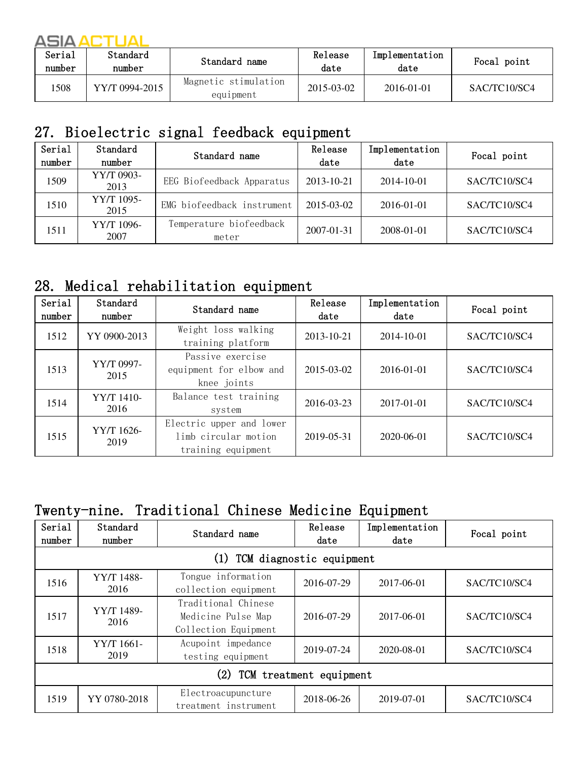| Serial<br>number | Standard<br>number | Standard name                     | Release<br>date | Implementation<br>date | Focal point  |
|------------------|--------------------|-----------------------------------|-----------------|------------------------|--------------|
| 508              | YY/T 0994-2015     | Magnetic stimulation<br>equipment | 2015-03-02      | $2016 - 01 - 01$       | SAC/TC10/SC4 |

# 27. Bioelectric signal feedback equipment

| Serial<br>number | Standard<br>number | Standard name                    | Release<br>date | Implementation<br>date | Focal point  |
|------------------|--------------------|----------------------------------|-----------------|------------------------|--------------|
| 1509             | YY/T 0903-<br>2013 | EEG Biofeedback Apparatus        | 2013-10-21      | 2014-10-01             | SAC/TC10/SC4 |
| 1510             | YY/T 1095-<br>2015 | EMG biofeedback instrument       | 2015-03-02      | 2016-01-01             | SAC/TC10/SC4 |
| 1511             | YY/T 1096-<br>2007 | Temperature biofeedback<br>meter | 2007-01-31      | 2008-01-01             | SAC/TC10/SC4 |

#### 28. Medical rehabilitation equipment

| Serial<br>number | Standard<br>number | Standard name                                                          | Release<br>date | Implementation<br>date | Focal point  |
|------------------|--------------------|------------------------------------------------------------------------|-----------------|------------------------|--------------|
| 1512             | YY 0900-2013       | Weight loss walking<br>training platform                               | 2013-10-21      | 2014-10-01             | SAC/TC10/SC4 |
| 1513             | YY/T 0997-<br>2015 | Passive exercise<br>equipment for elbow and<br>knee joints             | 2015-03-02      | 2016-01-01             | SAC/TC10/SC4 |
| 1514             | YY/T 1410-<br>2016 | Balance test training<br>system                                        | 2016-03-23      | 2017-01-01             | SAC/TC10/SC4 |
| 1515             | YY/T 1626-<br>2019 | Electric upper and lower<br>limb circular motion<br>training equipment | 2019-05-31      | 2020-06-01             | SAC/TC10/SC4 |

#### Twenty-nine. Traditional Chinese Medicine Equipment

| Serial<br>number                             | Standard<br>number              | Standard name                                                     | Release<br>date | Implementation<br>date | Focal point  |  |  |  |
|----------------------------------------------|---------------------------------|-------------------------------------------------------------------|-----------------|------------------------|--------------|--|--|--|
|                                              | TCM diagnostic equipment<br>(1) |                                                                   |                 |                        |              |  |  |  |
| 1516                                         | YY/T 1488-<br>2016              | Tongue information<br>collection equipment                        | 2016-07-29      | 2017-06-01             | SAC/TC10/SC4 |  |  |  |
| 1517                                         | YY/T 1489-<br>2016              | Traditional Chinese<br>Medicine Pulse Map<br>Collection Equipment | 2016-07-29      | 2017-06-01             | SAC/TC10/SC4 |  |  |  |
| 1518                                         | YY/T 1661-<br>2019              | Acupoint impedance<br>testing equipment                           | 2019-07-24      | 2020-08-01             | SAC/TC10/SC4 |  |  |  |
| $\left( 2\right)$<br>TCM treatment equipment |                                 |                                                                   |                 |                        |              |  |  |  |
| 1519                                         | YY 0780-2018                    | Electroacupuncture<br>treatment instrument                        | 2018-06-26      | 2019-07-01             | SAC/TC10/SC4 |  |  |  |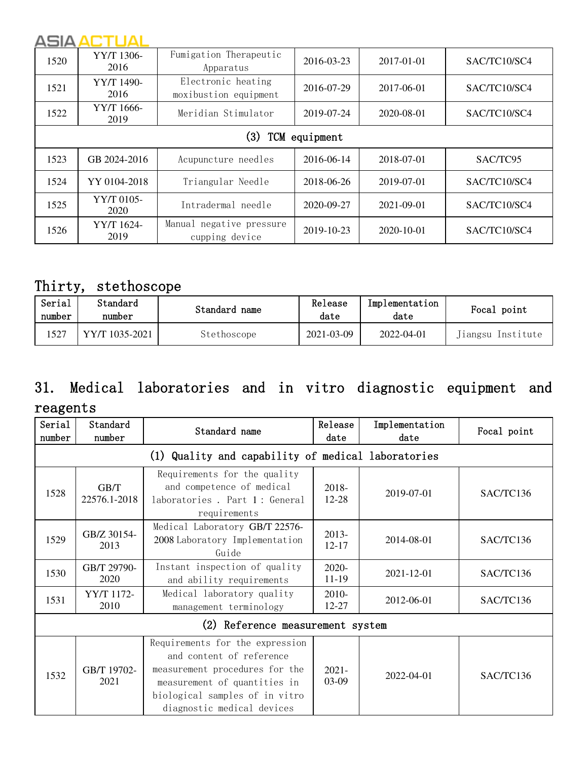| 1520                 | YY/T 1306-<br>2016 | Fumigation Therapeutic<br>Apparatus         | 2016-03-23 | 2017-01-01       | SAC/TC10/SC4 |  |  |
|----------------------|--------------------|---------------------------------------------|------------|------------------|--------------|--|--|
| 1521                 | YY/T 1490-<br>2016 | Electronic heating<br>moxibustion equipment | 2016-07-29 | 2017-06-01       | SAC/TC10/SC4 |  |  |
| 1522                 | YY/T 1666-<br>2019 | Meridian Stimulator                         | 2019-07-24 | 2020-08-01       | SAC/TC10/SC4 |  |  |
| (3)<br>TCM equipment |                    |                                             |            |                  |              |  |  |
| 1523                 | GB 2024-2016       | Acupuncture needles                         | 2016-06-14 | 2018-07-01       | SAC/TC95     |  |  |
| 1524                 | YY 0104-2018       | Triangular Needle                           | 2018-06-26 | 2019-07-01       | SAC/TC10/SC4 |  |  |
| 1525                 | YY/T 0105-<br>2020 | Intradermal needle                          | 2020-09-27 | $2021 - 09 - 01$ | SAC/TC10/SC4 |  |  |
| 1526                 | YY/T 1624-<br>2019 | Manual negative pressure<br>cupping device  | 2019-10-23 | 2020-10-01       | SAC/TC10/SC4 |  |  |

#### Thirty, stethoscope

| Serial<br>number | Standard<br>number | Standard name | Release<br>date | Implementation<br>date | Focal point       |
|------------------|--------------------|---------------|-----------------|------------------------|-------------------|
| 1527             | YY/T 1035-2021     | Stethoscope   | 2021-03-09      | 2022-04-01             | Jiangsu Institute |

# 31. Medical laboratories and in vitro diagnostic equipment and reagents

| Serial<br>number | Standard<br>number                                 | Standard name                                                                                                                                                                                 | Release<br>date    | Implementation<br>date | Focal point |  |  |  |  |
|------------------|----------------------------------------------------|-----------------------------------------------------------------------------------------------------------------------------------------------------------------------------------------------|--------------------|------------------------|-------------|--|--|--|--|
|                  | (1) Quality and capability of medical laboratories |                                                                                                                                                                                               |                    |                        |             |  |  |  |  |
| 1528             | GB/T<br>22576.1-2018                               | Requirements for the quality<br>and competence of medical<br>laboratories. Part 1: General<br>requirements                                                                                    | 2018-<br>$12 - 28$ | 2019-07-01             | SAC/TC136   |  |  |  |  |
| 1529             | GB/Z 30154-<br>2013                                | Medical Laboratory GB/T 22576-<br>2008 Laboratory Implementation<br>Guide                                                                                                                     | 2013-<br>$12 - 17$ | 2014-08-01             | SAC/TC136   |  |  |  |  |
| 1530             | GB/T 29790-<br>2020                                | Instant inspection of quality<br>and ability requirements                                                                                                                                     | 2020-<br>11-19     | 2021-12-01             | SAC/TC136   |  |  |  |  |
| 1531             | YY/T 1172-<br>2010                                 | Medical laboratory quality<br>management terminology                                                                                                                                          | 2010-<br>12-27     | 2012-06-01             | SAC/TC136   |  |  |  |  |
|                  | (2) Reference measurement system                   |                                                                                                                                                                                               |                    |                        |             |  |  |  |  |
| 1532             | GB/T 19702-<br>2021                                | Requirements for the expression<br>and content of reference<br>measurement procedures for the<br>measurement of quantities in<br>biological samples of in vitro<br>diagnostic medical devices | $2021 -$<br>03-09  | 2022-04-01             | SAC/TC136   |  |  |  |  |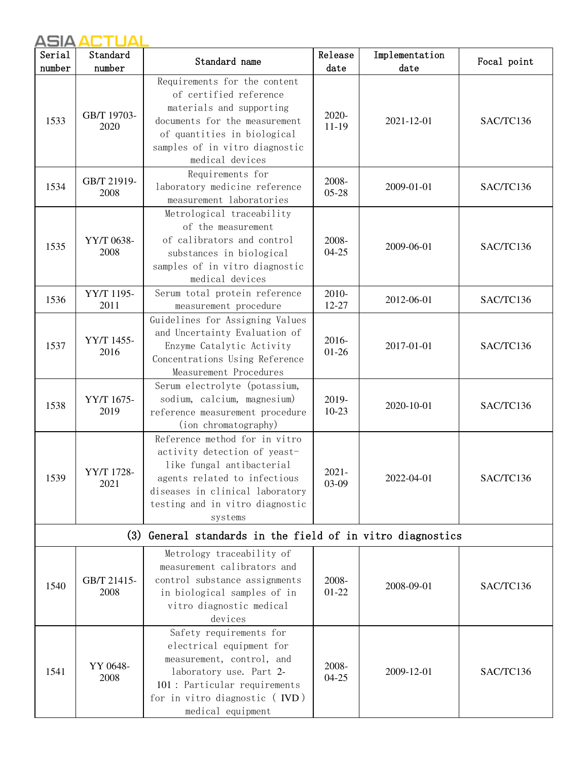| Serial | Standard            | Standard name                                                                                                                                                                                               | Release            | Implementation | Focal point |
|--------|---------------------|-------------------------------------------------------------------------------------------------------------------------------------------------------------------------------------------------------------|--------------------|----------------|-------------|
| number | number              |                                                                                                                                                                                                             | date               | date           |             |
| 1533   | GB/T 19703-<br>2020 | Requirements for the content<br>of certified reference<br>materials and supporting<br>documents for the measurement<br>of quantities in biological<br>samples of in vitro diagnostic<br>medical devices     | 2020-<br>$11-19$   | 2021-12-01     | SAC/TC136   |
| 1534   | GB/T 21919-<br>2008 | Requirements for<br>laboratory medicine reference<br>measurement laboratories                                                                                                                               | 2008-<br>$05 - 28$ | 2009-01-01     | SAC/TC136   |
| 1535   | YY/T 0638-<br>2008  | Metrological traceability<br>of the measurement<br>of calibrators and control<br>substances in biological<br>samples of in vitro diagnostic<br>medical devices                                              | 2008-<br>$04 - 25$ | 2009-06-01     | SAC/TC136   |
| 1536   | YY/T 1195-<br>2011  | Serum total protein reference<br>measurement procedure                                                                                                                                                      | 2010-<br>12-27     | 2012-06-01     | SAC/TC136   |
| 1537   | YY/T 1455-<br>2016  | Guidelines for Assigning Values<br>and Uncertainty Evaluation of<br>Enzyme Catalytic Activity<br>Concentrations Using Reference<br>Measurement Procedures                                                   | 2016-<br>$01 - 26$ | 2017-01-01     | SAC/TC136   |
| 1538   | YY/T 1675-<br>2019  | Serum electrolyte (potassium,<br>sodium, calcium, magnesium)<br>reference measurement procedure<br>(ion chromatography)                                                                                     | 2019-<br>$10-23$   | 2020-10-01     | SAC/TC136   |
| 1539   | YY/T 1728-<br>2021  | Reference method for in vitro<br>activity detection of yeast-<br>like fungal antibacterial<br>agents related to infectious<br>diseases in clinical laboratory<br>testing and in vitro diagnostic<br>systems | $2021 -$<br>03-09  | 2022-04-01     | SAC/TC136   |
|        | (3)                 | General standards in the field of in vitro diagnostics                                                                                                                                                      |                    |                |             |
| 1540   | GB/T 21415-<br>2008 | Metrology traceability of<br>measurement calibrators and<br>control substance assignments<br>in biological samples of in<br>vitro diagnostic medical<br>devices                                             | 2008-<br>$01-22$   | 2008-09-01     | SAC/TC136   |
| 1541   | YY 0648-<br>2008    | Safety requirements for<br>electrical equipment for<br>measurement, control, and<br>laboratory use. Part 2-<br>101 : Particular requirements<br>for in vitro diagnostic (IVD)<br>medical equipment          | 2008-<br>$04 - 25$ | 2009-12-01     | SAC/TC136   |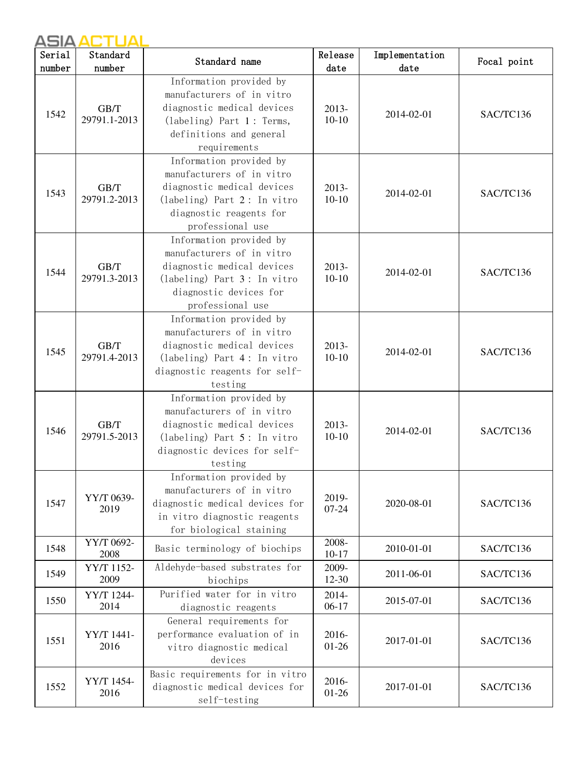| Serial | Standard             | Standard name                                                                                                                                                     | Release            | Implementation | Focal point |
|--------|----------------------|-------------------------------------------------------------------------------------------------------------------------------------------------------------------|--------------------|----------------|-------------|
| number | number               |                                                                                                                                                                   | date               | date           |             |
| 1542   | GB/T<br>29791.1-2013 | Information provided by<br>manufacturers of in vitro<br>diagnostic medical devices<br>$(labeling)$ Part 1: Terms,<br>definitions and general<br>requirements      | 2013-<br>$10-10$   | 2014-02-01     | SAC/TC136   |
| 1543   | GB/T<br>29791.2-2013 | Information provided by<br>manufacturers of in vitro<br>diagnostic medical devices<br>(labeling) Part 2: In vitro<br>diagnostic reagents for<br>professional use  | $2013-$<br>$10-10$ | 2014-02-01     | SAC/TC136   |
| 1544   | GB/T<br>29791.3-2013 | Information provided by<br>manufacturers of in vitro<br>diagnostic medical devices<br>$(labeling)$ Part 3: In vitro<br>diagnostic devices for<br>professional use | 2013-<br>$10-10$   | 2014-02-01     | SAC/TC136   |
| 1545   | GB/T<br>29791.4-2013 | Information provided by<br>manufacturers of in vitro<br>diagnostic medical devices<br>$(labeling)$ Part 4: In vitro<br>diagnostic reagents for self-<br>testing   | 2013-<br>$10-10$   | 2014-02-01     | SAC/TC136   |
| 1546   | GB/T<br>29791.5-2013 | Information provided by<br>manufacturers of in vitro<br>diagnostic medical devices<br>(labeling) Part 5: In vitro<br>diagnostic devices for self-<br>testing      | 2013-<br>$10 - 10$ | 2014-02-01     | SAC/TC136   |
| 1547   | YY/T 0639-<br>2019   | Information provided by<br>manufacturers of in vitro<br>diagnostic medical devices for<br>in vitro diagnostic reagents<br>for biological staining                 | 2019-<br>07-24     | 2020-08-01     | SAC/TC136   |
| 1548   | YY/T 0692-<br>2008   | Basic terminology of biochips                                                                                                                                     | 2008-<br>$10 - 17$ | 2010-01-01     | SAC/TC136   |
| 1549   | YY/T 1152-<br>2009   | Aldehyde-based substrates for<br>biochips                                                                                                                         | 2009-<br>12-30     | 2011-06-01     | SAC/TC136   |
| 1550   | YY/T 1244-<br>2014   | Purified water for in vitro<br>diagnostic reagents                                                                                                                | 2014-<br>$06-17$   | 2015-07-01     | SAC/TC136   |
| 1551   | YY/T 1441-<br>2016   | General requirements for<br>performance evaluation of in<br>vitro diagnostic medical<br>devices                                                                   | 2016-<br>$01 - 26$ | 2017-01-01     | SAC/TC136   |
| 1552   | YY/T 1454-<br>2016   | Basic requirements for in vitro<br>diagnostic medical devices for<br>self-testing                                                                                 | 2016-<br>$01 - 26$ | 2017-01-01     | SAC/TC136   |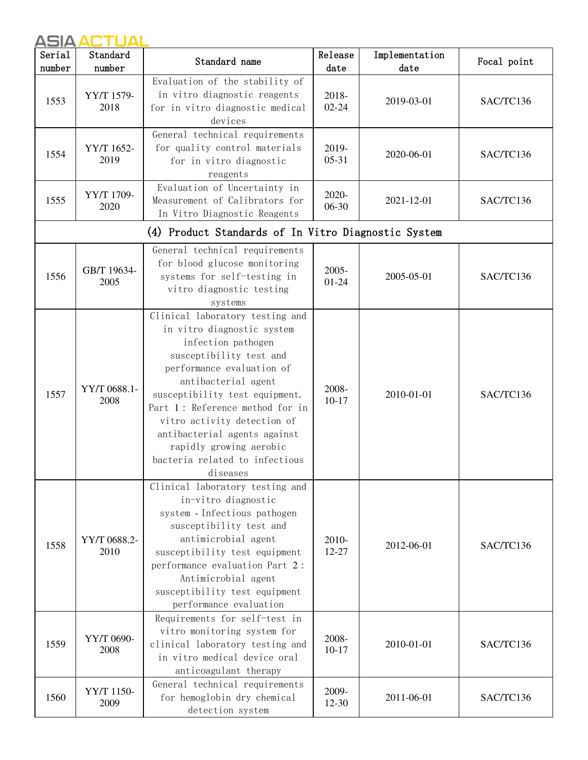| Serial | Standard             | Standard name                                                                                                                                                                                                                                                                                                                                                                   | Release            | Implementation | Focal point |
|--------|----------------------|---------------------------------------------------------------------------------------------------------------------------------------------------------------------------------------------------------------------------------------------------------------------------------------------------------------------------------------------------------------------------------|--------------------|----------------|-------------|
| number | number               |                                                                                                                                                                                                                                                                                                                                                                                 | date               | date           |             |
| 1553   | YY/T 1579-<br>2018   | Evaluation of the stability of<br>in vitro diagnostic reagents<br>for in vitro diagnostic medical<br>devices                                                                                                                                                                                                                                                                    | 2018-<br>$02 - 24$ | 2019-03-01     | SAC/TC136   |
| 1554   | YY/T 1652-<br>2019   | General technical requirements<br>for quality control materials<br>for in vitro diagnostic<br>reagents                                                                                                                                                                                                                                                                          | 2019-<br>$05 - 31$ | 2020-06-01     | SAC/TC136   |
| 1555   | YY/T 1709-<br>2020   | Evaluation of Uncertainty in<br>Measurement of Calibrators for<br>In Vitro Diagnostic Reagents                                                                                                                                                                                                                                                                                  | 2020-<br>06-30     | 2021-12-01     | SAC/TC136   |
|        |                      | (4) Product Standards of In Vitro Diagnostic System                                                                                                                                                                                                                                                                                                                             |                    |                |             |
| 1556   | GB/T 19634-<br>2005  | General technical requirements<br>for blood glucose monitoring<br>systems for self-testing in<br>vitro diagnostic testing<br>systems                                                                                                                                                                                                                                            | 2005-<br>$01 - 24$ | 2005-05-01     | SAC/TC136   |
| 1557   | YY/T 0688.1-<br>2008 | Clinical laboratory testing and<br>in vitro diagnostic system<br>infection pathogen<br>susceptibility test and<br>performance evaluation of<br>antibacterial agent<br>susceptibility test equipment.<br>Part 1: Reference method for in<br>vitro activity detection of<br>antibacterial agents against<br>rapidly growing aerobic<br>bacteria related to infectious<br>diseases | 2008-<br>$10-17$   | 2010-01-01     | SAC/TC136   |
| 1558   | YY/T 0688.2-<br>2010 | Clinical laboratory testing and<br>in-vitro diagnostic<br>system - Infectious pathogen<br>susceptibility test and<br>antimicrobial agent<br>susceptibility test equipment<br>performance evaluation Part 2:<br>Antimicrobial agent<br>susceptibility test equipment<br>performance evaluation                                                                                   | 2010-<br>12-27     | 2012-06-01     | SAC/TC136   |
| 1559   | YY/T 0690-<br>2008   | Requirements for self-test in<br>vitro monitoring system for<br>clinical laboratory testing and<br>in vitro medical device oral<br>anticoagulant therapy                                                                                                                                                                                                                        | 2008-<br>$10 - 17$ | 2010-01-01     | SAC/TC136   |
| 1560   | YY/T 1150-<br>2009   | General technical requirements<br>for hemoglobin dry chemical<br>detection system                                                                                                                                                                                                                                                                                               | 2009-<br>12-30     | 2011-06-01     | SAC/TC136   |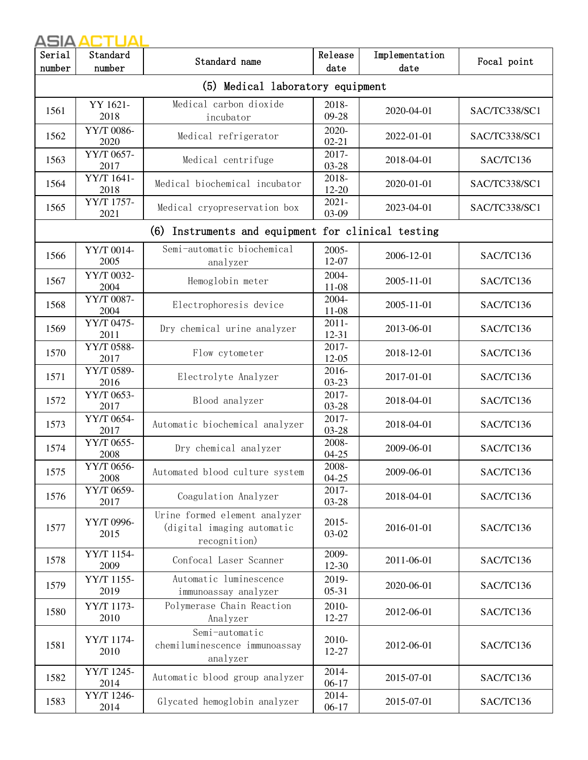| Serial                                                               | Standard           | Standard name                                                               | Release               | Implementation | Focal point   |  |  |
|----------------------------------------------------------------------|--------------------|-----------------------------------------------------------------------------|-----------------------|----------------|---------------|--|--|
| number<br>number<br>date<br>date<br>(5) Medical laboratory equipment |                    |                                                                             |                       |                |               |  |  |
|                                                                      |                    |                                                                             |                       |                |               |  |  |
| 1561                                                                 | YY 1621-<br>2018   | Medical carbon dioxide<br>incubator                                         | 2018-<br>09-28        | 2020-04-01     | SAC/TC338/SC1 |  |  |
| 1562                                                                 | YY/T 0086-<br>2020 | Medical refrigerator                                                        | 2020-<br>$02 - 21$    | 2022-01-01     | SAC/TC338/SC1 |  |  |
| 1563                                                                 | YY/T 0657-<br>2017 | Medical centrifuge                                                          | 2017-<br>$03 - 28$    | 2018-04-01     | SAC/TC136     |  |  |
| 1564                                                                 | YY/T 1641-<br>2018 | Medical biochemical incubator                                               | 2018-<br>$12 - 20$    | 2020-01-01     | SAC/TC338/SC1 |  |  |
| 1565                                                                 | YY/T 1757-<br>2021 | Medical cryopreservation box                                                | $2021 -$<br>03-09     | 2023-04-01     | SAC/TC338/SC1 |  |  |
|                                                                      |                    | (6)<br>Instruments and equipment for clinical testing                       |                       |                |               |  |  |
| 1566                                                                 | YY/T 0014-<br>2005 | Semi-automatic biochemical<br>analyzer                                      | 2005-<br>12-07        | 2006-12-01     | SAC/TC136     |  |  |
| 1567                                                                 | YY/T 0032-<br>2004 | Hemoglobin meter                                                            | 2004-<br>11-08        | 2005-11-01     | SAC/TC136     |  |  |
| 1568                                                                 | YY/T 0087-<br>2004 | Electrophoresis device                                                      | 2004-<br>$11 - 08$    | 2005-11-01     | SAC/TC136     |  |  |
| 1569                                                                 | YY/T 0475-<br>2011 | Dry chemical urine analyzer                                                 | $2011 -$<br>$12 - 31$ | 2013-06-01     | SAC/TC136     |  |  |
| 1570                                                                 | YY/T 0588-<br>2017 | Flow cytometer                                                              | 2017-<br>12-05        | 2018-12-01     | SAC/TC136     |  |  |
| 1571                                                                 | YY/T 0589-<br>2016 | Electrolyte Analyzer                                                        | 2016-<br>$03 - 23$    | 2017-01-01     | SAC/TC136     |  |  |
| 1572                                                                 | YY/T 0653-<br>2017 | Blood analyzer                                                              | 2017-<br>03-28        | 2018-04-01     | SAC/TC136     |  |  |
| 1573                                                                 | YY/T 0654-<br>2017 | Automatic biochemical analyzer                                              | 2017-<br>03-28        | 2018-04-01     | SAC/TC136     |  |  |
| 1574                                                                 | YY/T 0655-<br>2008 | Dry chemical analyzer                                                       | 2008-<br>$04 - 25$    | 2009-06-01     | SAC/TC136     |  |  |
| 1575                                                                 | YY/T 0656-<br>2008 | Automated blood culture system                                              | 2008-<br>$04 - 25$    | 2009-06-01     | SAC/TC136     |  |  |
| 1576                                                                 | YY/T 0659-<br>2017 | Coagulation Analyzer                                                        | 2017-<br>03-28        | 2018-04-01     | SAC/TC136     |  |  |
| 1577                                                                 | YY/T 0996-<br>2015 | Urine formed element analyzer<br>(digital imaging automatic<br>recognition) | $2015 -$<br>03-02     | 2016-01-01     | SAC/TC136     |  |  |
| 1578                                                                 | YY/T 1154-<br>2009 | Confocal Laser Scanner                                                      | 2009-<br>12-30        | 2011-06-01     | SAC/TC136     |  |  |
| 1579                                                                 | YY/T 1155-<br>2019 | Automatic luminescence<br>immunoassay analyzer                              | 2019-<br>$05-31$      | 2020-06-01     | SAC/TC136     |  |  |
| 1580                                                                 | YY/T 1173-<br>2010 | Polymerase Chain Reaction<br>Analyzer                                       | 2010-<br>12-27        | 2012-06-01     | SAC/TC136     |  |  |
| 1581                                                                 | YY/T 1174-<br>2010 | Semi-automatic<br>chemiluminescence immunoassay<br>analyzer                 | 2010-<br>12-27        | 2012-06-01     | SAC/TC136     |  |  |
| 1582                                                                 | YY/T 1245-<br>2014 | Automatic blood group analyzer                                              | 2014-<br>$06-17$      | 2015-07-01     | SAC/TC136     |  |  |
| 1583                                                                 | YY/T 1246-<br>2014 | Glycated hemoglobin analyzer                                                | 2014-<br>$06-17$      | 2015-07-01     | SAC/TC136     |  |  |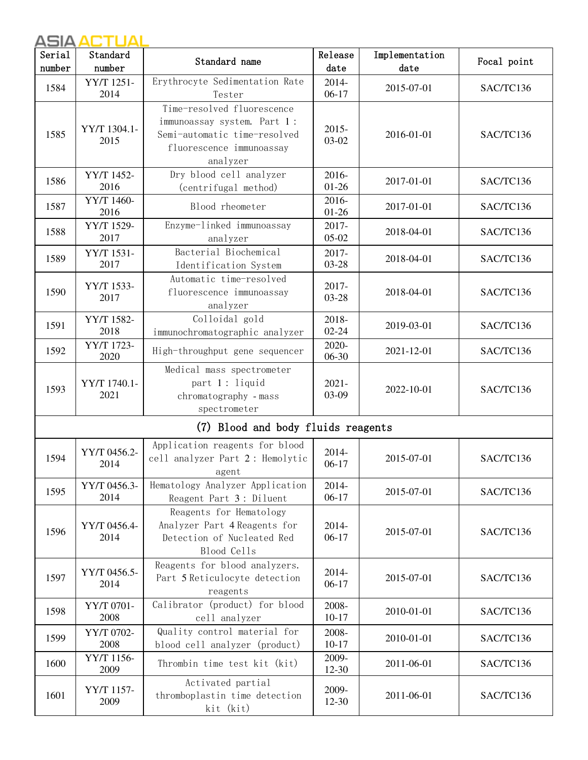| Serial | Standard             | Standard name                                                                                                                     | Release            | Implementation | Focal point |
|--------|----------------------|-----------------------------------------------------------------------------------------------------------------------------------|--------------------|----------------|-------------|
| number | number               |                                                                                                                                   | date               | date           |             |
| 1584   | YY/T 1251-<br>2014   | Erythrocyte Sedimentation Rate<br>Tester                                                                                          | 2014-<br>$06-17$   | 2015-07-01     | SAC/TC136   |
| 1585   | YY/T 1304.1-<br>2015 | Time-resolved fluorescence<br>immunoassay system. Part 1:<br>Semi-automatic time-resolved<br>fluorescence immunoassay<br>analyzer | 2015-<br>03-02     | 2016-01-01     | SAC/TC136   |
| 1586   | YY/T 1452-<br>2016   | Dry blood cell analyzer<br>(centrifugal method)                                                                                   | 2016-<br>$01 - 26$ | 2017-01-01     | SAC/TC136   |
| 1587   | YY/T 1460-<br>2016   | Blood rheometer                                                                                                                   | 2016-<br>$01 - 26$ | 2017-01-01     | SAC/TC136   |
| 1588   | YY/T 1529-<br>2017   | Enzyme-linked immunoassay<br>analyzer                                                                                             | 2017-<br>$05-02$   | 2018-04-01     | SAC/TC136   |
| 1589   | YY/T 1531-<br>2017   | Bacterial Biochemical<br>Identification System                                                                                    | 2017-<br>03-28     | 2018-04-01     | SAC/TC136   |
| 1590   | YY/T 1533-<br>2017   | Automatic time-resolved<br>fluorescence immunoassay<br>analyzer                                                                   | 2017-<br>03-28     | 2018-04-01     | SAC/TC136   |
| 1591   | YY/T 1582-<br>2018   | Colloidal gold<br>immunochromatographic analyzer                                                                                  | 2018-<br>$02 - 24$ | 2019-03-01     | SAC/TC136   |
| 1592   | YY/T 1723-<br>2020   | High-throughput gene sequencer                                                                                                    | 2020-<br>06-30     | 2021-12-01     | SAC/TC136   |
| 1593   | YY/T 1740.1-<br>2021 | Medical mass spectrometer<br>part 1: liquid<br>chromatography - mass<br>spectrometer                                              | $2021 -$<br>03-09  | 2022-10-01     | SAC/TC136   |
|        |                      | (7) Blood and body fluids reagents                                                                                                |                    |                |             |
| 1594   | YY/T 0456.2-<br>2014 | Application reagents for blood<br>cell analyzer Part 2 : Hemolytic<br>agent                                                       | 2014-<br>$06-17$   | 2015-07-01     | SAC/TC136   |
| 1595   | YY/T 0456.3-<br>2014 | Hematology Analyzer Application<br>Reagent Part 3: Diluent                                                                        | 2014-<br>$06-17$   | 2015-07-01     | SAC/TC136   |
| 1596   | YY/T 0456.4-<br>2014 | Reagents for Hematology<br>Analyzer Part 4 Reagents for<br>Detection of Nucleated Red<br>Blood Cells                              | 2014-<br>$06-17$   | 2015-07-01     | SAC/TC136   |
| 1597   | YY/T 0456.5-<br>2014 | Reagents for blood analyzers.<br>Part 5 Reticulocyte detection<br>reagents                                                        | 2014-<br>$06-17$   | 2015-07-01     | SAC/TC136   |
| 1598   | YY/T 0701-<br>2008   | Calibrator (product) for blood<br>cell analyzer                                                                                   | 2008-<br>$10 - 17$ | 2010-01-01     | SAC/TC136   |
| 1599   | YY/T 0702-<br>2008   | Quality control material for<br>blood cell analyzer (product)                                                                     | 2008-<br>$10 - 17$ | 2010-01-01     | SAC/TC136   |
| 1600   | YY/T 1156-<br>2009   | Thrombin time test kit (kit)                                                                                                      | 2009-<br>12-30     | 2011-06-01     | SAC/TC136   |
| 1601   | YY/T 1157-<br>2009   | Activated partial<br>thromboplastin time detection<br>kit (kit)                                                                   | 2009-<br>$12 - 30$ | 2011-06-01     | SAC/TC136   |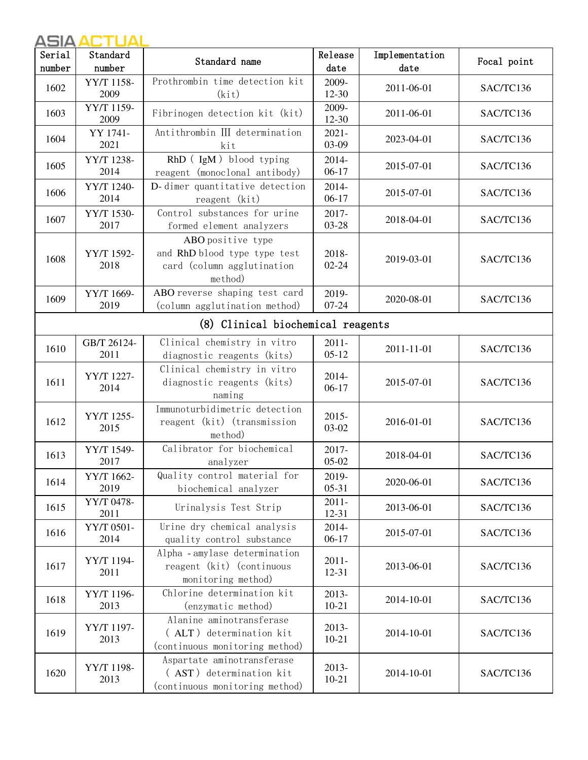| Serial | Standard            | Standard name                                                                              | Release             | Implementation | Focal point |
|--------|---------------------|--------------------------------------------------------------------------------------------|---------------------|----------------|-------------|
| number | number              |                                                                                            | date                | date           |             |
| 1602   | YY/T 1158-<br>2009  | Prothrombin time detection kit<br>(kit)                                                    | 2009-<br>12-30      | 2011-06-01     | SAC/TC136   |
| 1603   | YY/T 1159-<br>2009  | Fibrinogen detection kit (kit)                                                             | 2009-<br>$12 - 30$  | 2011-06-01     | SAC/TC136   |
| 1604   | YY 1741-<br>2021    | Antithrombin III determination<br>kit                                                      | $2021 -$<br>03-09   | 2023-04-01     | SAC/TC136   |
| 1605   | YY/T 1238-<br>2014  | RhD (IgM) blood typing<br>reagent (monoclonal antibody)                                    | 2014-<br>$06-17$    | 2015-07-01     | SAC/TC136   |
| 1606   | YY/T 1240-<br>2014  | D-dimer quantitative detection<br>reagent (kit)                                            | 2014-<br>$06-17$    | 2015-07-01     | SAC/TC136   |
| 1607   | YY/T 1530-<br>2017  | Control substances for urine<br>formed element analyzers                                   | 2017-<br>03-28      | 2018-04-01     | SAC/TC136   |
| 1608   | YY/T 1592-<br>2018  | ABO positive type<br>and RhD blood type type test<br>card (column agglutination<br>method) | 2018-<br>$02 - 24$  | 2019-03-01     | SAC/TC136   |
| 1609   | YY/T 1669-<br>2019  | ABO reverse shaping test card<br>(column agglutination method)                             | 2019-<br>$07 - 24$  | 2020-08-01     | SAC/TC136   |
|        |                     | (8) Clinical biochemical reagents                                                          |                     |                |             |
| 1610   | GB/T 26124-<br>2011 | Clinical chemistry in vitro<br>diagnostic reagents (kits)                                  | $2011 -$<br>$05-12$ | 2011-11-01     | SAC/TC136   |
| 1611   | YY/T 1227-<br>2014  | Clinical chemistry in vitro<br>diagnostic reagents (kits)<br>naming                        | 2014-<br>$06-17$    | 2015-07-01     | SAC/TC136   |
| 1612   | YY/T 1255-<br>2015  | Immunoturbidimetric detection<br>reagent (kit) (transmission<br>method)                    | 2015-<br>03-02      | 2016-01-01     | SAC/TC136   |
| 1613   | YY/T 1549-<br>2017  | Calibrator for biochemical<br>analyzer                                                     | 2017-<br>$05-02$    | 2018-04-01     | SAC/TC136   |
| 1614   | YY/T 1662-<br>2019  | Quality control material for<br>biochemical analyzer                                       | 2019-<br>$05 - 31$  | 2020-06-01     | SAC/TC136   |
| 1615   | YY/T 0478-<br>2011  | Urinalysis Test Strip                                                                      | $2011 -$<br>12-31   | 2013-06-01     | SAC/TC136   |
| 1616   | YY/T 0501-<br>2014  | Urine dry chemical analysis<br>quality control substance                                   | 2014-<br>$06-17$    | 2015-07-01     | SAC/TC136   |
| 1617   | YY/T 1194-<br>2011  | Alpha - amylase determination<br>reagent (kit) (continuous<br>monitoring method)           | $2011 -$<br>12-31   | 2013-06-01     | SAC/TC136   |
| 1618   | YY/T 1196-<br>2013  | Chlorine determination kit<br>(enzymatic method)                                           | 2013-<br>$10 - 21$  | 2014-10-01     | SAC/TC136   |
| 1619   | YY/T 1197-<br>2013  | Alanine aminotransferase<br>(ALT) determination kit<br>(continuous monitoring method)      | 2013-<br>$10 - 21$  | 2014-10-01     | SAC/TC136   |
| 1620   | YY/T 1198-<br>2013  | Aspartate aminotransferase<br>(AST) determination kit<br>(continuous monitoring method)    | 2013-<br>$10 - 21$  | 2014-10-01     | SAC/TC136   |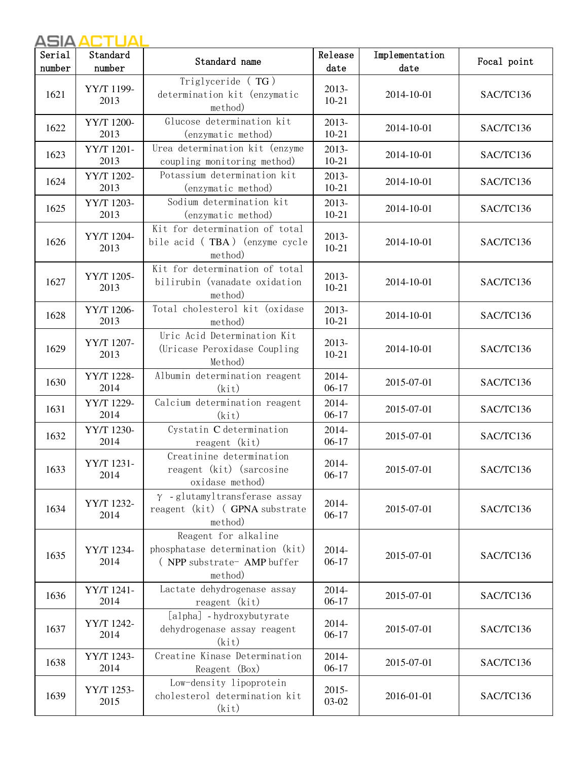| Serial | Standard           | Standard name                                                                                     | Release            | Implementation | Focal point |
|--------|--------------------|---------------------------------------------------------------------------------------------------|--------------------|----------------|-------------|
| number | number             |                                                                                                   | date               | date           |             |
| 1621   | YY/T 1199-<br>2013 | Triglyceride (TG)<br>determination kit (enzymatic<br>method)                                      | 2013-<br>$10 - 21$ | 2014-10-01     | SAC/TC136   |
| 1622   | YY/T 1200-<br>2013 | Glucose determination kit<br>(enzymatic method)                                                   | 2013-<br>$10 - 21$ | 2014-10-01     | SAC/TC136   |
| 1623   | YY/T 1201-<br>2013 | Urea determination kit (enzyme<br>coupling monitoring method)                                     | 2013-<br>$10 - 21$ | 2014-10-01     | SAC/TC136   |
| 1624   | YY/T 1202-<br>2013 | Potassium determination kit<br>(enzymatic method)                                                 | 2013-<br>$10 - 21$ | 2014-10-01     | SAC/TC136   |
| 1625   | YY/T 1203-<br>2013 | Sodium determination kit<br>(enzymatic method)                                                    | 2013-<br>$10 - 21$ | 2014-10-01     | SAC/TC136   |
| 1626   | YY/T 1204-<br>2013 | Kit for determination of total<br>bile acid (TBA) (enzyme cycle<br>method)                        | 2013-<br>$10 - 21$ | 2014-10-01     | SAC/TC136   |
| 1627   | YY/T 1205-<br>2013 | Kit for determination of total<br>bilirubin (vanadate oxidation<br>method)                        | 2013-<br>$10 - 21$ | 2014-10-01     | SAC/TC136   |
| 1628   | YY/T 1206-<br>2013 | Total cholesterol kit (oxidase<br>method)                                                         | 2013-<br>$10 - 21$ | 2014-10-01     | SAC/TC136   |
| 1629   | YY/T 1207-<br>2013 | Uric Acid Determination Kit<br>(Uricase Peroxidase Coupling)<br>Method)                           | 2013-<br>$10 - 21$ | 2014-10-01     | SAC/TC136   |
| 1630   | YY/T 1228-<br>2014 | Albumin determination reagent<br>(kit)                                                            | 2014-<br>$06-17$   | 2015-07-01     | SAC/TC136   |
| 1631   | YY/T 1229-<br>2014 | Calcium determination reagent<br>(kit)                                                            | 2014-<br>$06-17$   | 2015-07-01     | SAC/TC136   |
| 1632   | YY/T 1230-<br>2014 | Cystatin C determination<br>reagent (kit)                                                         | 2014-<br>$06-17$   | 2015-07-01     | SAC/TC136   |
| 1633   | YY/T 1231-<br>2014 | Creatinine determination<br>reagent (kit) (sarcosine<br>oxidase method)                           | 2014-<br>$06-17$   | 2015-07-01     | SAC/TC136   |
| 1634   | YY/T 1232-<br>2014 | $\gamma$ -glutamyltransferase assay<br>reagent (kit) (GPNA substrate<br>method)                   | 2014-<br>$06-17$   | 2015-07-01     | SAC/TC136   |
| 1635   | YY/T 1234-<br>2014 | Reagent for alkaline<br>phosphatase determination (kit)<br>(NPP substrate - AMP buffer<br>method) | 2014-<br>$06-17$   | 2015-07-01     | SAC/TC136   |
| 1636   | YY/T 1241-<br>2014 | Lactate dehydrogenase assay<br>reagent (kit)                                                      | 2014-<br>$06-17$   | 2015-07-01     | SAC/TC136   |
| 1637   | YY/T 1242-<br>2014 | [alpha] - hydroxybutyrate<br>dehydrogenase assay reagent<br>(kit)                                 | 2014-<br>$06-17$   | 2015-07-01     | SAC/TC136   |
| 1638   | YY/T 1243-<br>2014 | Creatine Kinase Determination<br>Reagent (Box)                                                    | 2014-<br>$06-17$   | 2015-07-01     | SAC/TC136   |
| 1639   | YY/T 1253-<br>2015 | Low-density lipoprotein<br>cholesterol determination kit<br>(kit)                                 | $2015 -$<br>03-02  | 2016-01-01     | SAC/TC136   |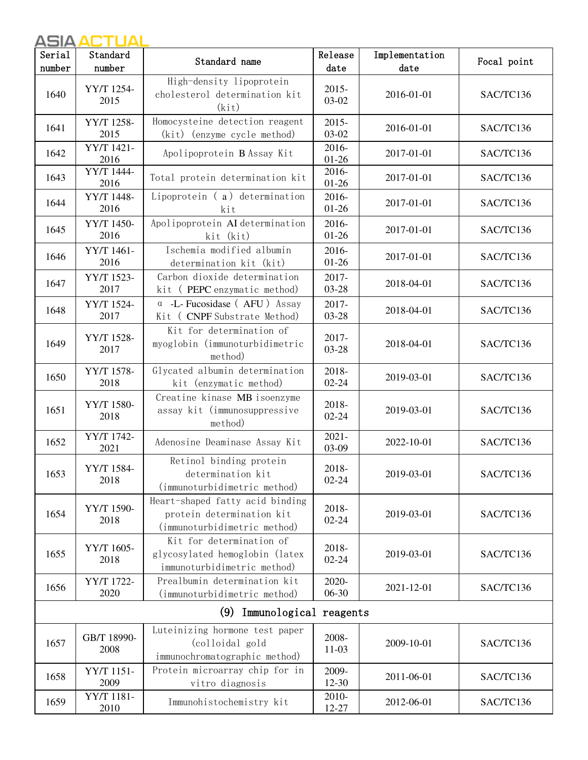| Serial | Standard                  | Standard name                                                                                | Release            | Implementation | Focal point |
|--------|---------------------------|----------------------------------------------------------------------------------------------|--------------------|----------------|-------------|
| number | number                    |                                                                                              | date               | date           |             |
| 1640   | YY/T 1254-<br>2015        | High-density lipoprotein<br>cholesterol determination kit<br>(kit)                           | 2015-<br>03-02     | 2016-01-01     | SAC/TC136   |
| 1641   | YY/T 1258-<br>2015        | Homocysteine detection reagent<br>(kit) (enzyme cycle method)                                | 2015-<br>03-02     | 2016-01-01     | SAC/TC136   |
| 1642   | <b>YY/T</b> 1421-<br>2016 | Apolipoprotein B Assay Kit                                                                   | 2016-<br>$01 - 26$ | 2017-01-01     | SAC/TC136   |
| 1643   | YY/T 1444-<br>2016        | Total protein determination kit                                                              | 2016-<br>$01 - 26$ | 2017-01-01     | SAC/TC136   |
| 1644   | YY/T 1448-<br>2016        | Lipoprotein $(a)$ determination<br>kit                                                       | 2016-<br>$01 - 26$ | 2017-01-01     | SAC/TC136   |
| 1645   | YY/T 1450-<br>2016        | Apolipoprotein AI determination<br>kit (kit)                                                 | 2016-<br>$01 - 26$ | 2017-01-01     | SAC/TC136   |
| 1646   | YY/T 1461-<br>2016        | Ischemia modified albumin<br>determination kit (kit)                                         | 2016-<br>$01 - 26$ | 2017-01-01     | SAC/TC136   |
| 1647   | YY/T 1523-<br>2017        | Carbon dioxide determination<br>kit (PEPC enzymatic method)                                  | 2017-<br>03-28     | 2018-04-01     | SAC/TC136   |
| 1648   | YY/T 1524-<br>2017        | $\alpha$ -L- Fucosidase (AFU) Assay<br>Kit ( CNPF Substrate Method)                          | 2017-<br>03-28     | 2018-04-01     | SAC/TC136   |
| 1649   | YY/T 1528-<br>2017        | Kit for determination of<br>myoglobin (immunoturbidimetric<br>method)                        | 2017-<br>$03 - 28$ | 2018-04-01     | SAC/TC136   |
| 1650   | YY/T 1578-<br>2018        | Glycated albumin determination<br>kit (enzymatic method)                                     | 2018-<br>$02 - 24$ | 2019-03-01     | SAC/TC136   |
| 1651   | YY/T 1580-<br>2018        | Creatine kinase MB isoenzyme<br>assay kit (immunosuppressive<br>method)                      | 2018-<br>$02 - 24$ | 2019-03-01     | SAC/TC136   |
| 1652   | YY/T 1742-<br>2021        | Adenosine Deaminase Assay Kit                                                                | $2021 -$<br>03-09  | 2022-10-01     | SAC/TC136   |
| 1653   | YY/T 1584-<br>2018        | Retinol binding protein<br>determination kit<br>(immunoturbidimetric method)                 | 2018-<br>$02 - 24$ | 2019-03-01     | SAC/TC136   |
| 1654   | YY/T 1590-<br>2018        | Heart-shaped fatty acid binding<br>protein determination kit<br>(immunoturbidimetric method) | 2018-<br>$02 - 24$ | 2019-03-01     | SAC/TC136   |
| 1655   | YY/T 1605-<br>2018        | Kit for determination of<br>glycosylated hemoglobin (latex<br>immunoturbidimetric method)    | 2018-<br>$02 - 24$ | 2019-03-01     | SAC/TC136   |
| 1656   | YY/T 1722-<br>2020        | Prealbumin determination kit<br>(immunoturbidimetric method)                                 | 2020-<br>$06 - 30$ | 2021-12-01     | SAC/TC136   |
|        |                           | (9)<br>Immunological reagents                                                                |                    |                |             |
| 1657   | GB/T 18990-<br>2008       | Luteinizing hormone test paper<br>(colloidal gold<br>immunochromatographic method)           | 2008-<br>$11-03$   | 2009-10-01     | SAC/TC136   |
| 1658   | YY/T 1151-<br>2009        | Protein microarray chip for in<br>vitro diagnosis                                            | 2009-<br>12-30     | 2011-06-01     | SAC/TC136   |
| 1659   | YY/T 1181-<br>2010        | Immunohistochemistry kit                                                                     | 2010-<br>12-27     | 2012-06-01     | SAC/TC136   |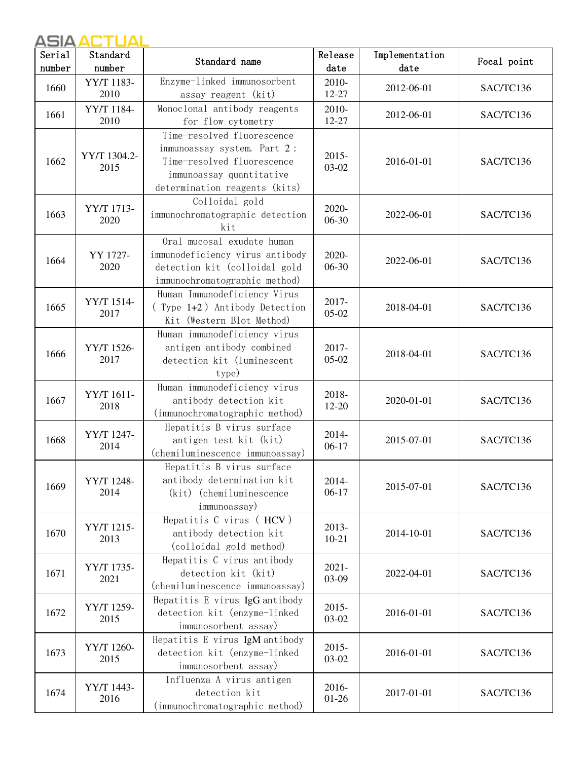| Serial | Standard             | Standard name                                                                                                                                        | Release            | Implementation | Focal point |
|--------|----------------------|------------------------------------------------------------------------------------------------------------------------------------------------------|--------------------|----------------|-------------|
| number | number               |                                                                                                                                                      | date               | date           |             |
| 1660   | YY/T 1183-<br>2010   | Enzyme-linked immunosorbent<br>assay reagent (kit)                                                                                                   | 2010-<br>12-27     | 2012-06-01     | SAC/TC136   |
| 1661   | YY/T 1184-<br>2010   | Monoclonal antibody reagents<br>for flow cytometry                                                                                                   | 2010-<br>12-27     | 2012-06-01     | SAC/TC136   |
| 1662   | YY/T 1304.2-<br>2015 | Time-resolved fluorescence<br>immunoassay system. Part 2:<br>Time-resolved fluorescence<br>immunoassay quantitative<br>determination reagents (kits) | 2015-<br>$03-02$   | 2016-01-01     | SAC/TC136   |
| 1663   | YY/T 1713-<br>2020   | Colloidal gold<br>immunochromatographic detection<br>kit                                                                                             | 2020-<br>$06 - 30$ | 2022-06-01     | SAC/TC136   |
| 1664   | YY 1727-<br>2020     | Oral mucosal exudate human<br>immunodeficiency virus antibody<br>detection kit (colloidal gold<br>immunochromatographic method)                      | 2020-<br>06-30     | 2022-06-01     | SAC/TC136   |
| 1665   | YY/T 1514-<br>2017   | Human Immunodeficiency Virus<br>(Type 1+2) Antibody Detection<br>Kit (Western Blot Method)                                                           | 2017-<br>$05-02$   | 2018-04-01     | SAC/TC136   |
| 1666   | YY/T 1526-<br>2017   | Human immunodeficiency virus<br>antigen antibody combined<br>detection kit (luminescent<br>type)                                                     | 2017-<br>$05-02$   | 2018-04-01     | SAC/TC136   |
| 1667   | YY/T 1611-<br>2018   | Human immunodeficiency virus<br>antibody detection kit<br>(immunochromatographic method)                                                             | 2018-<br>12-20     | 2020-01-01     | SAC/TC136   |
| 1668   | YY/T 1247-<br>2014   | Hepatitis B virus surface<br>antigen test kit (kit)<br>(chemiluminescence immunoassay)                                                               | 2014-<br>$06-17$   | 2015-07-01     | SAC/TC136   |
| 1669   | YY/T 1248-<br>2014   | Hepatitis B virus surface<br>antibody determination kit<br>(kit) (chemiluminescence<br>immunoassay)                                                  | 2014-<br>$06-17$   | 2015-07-01     | SAC/TC136   |
| 1670   | YY/T 1215-<br>2013   | Hepatitis C virus (HCV)<br>antibody detection kit<br>(colloidal gold method)                                                                         | 2013-<br>$10 - 21$ | 2014-10-01     | SAC/TC136   |
| 1671   | YY/T 1735-<br>2021   | Hepatitis C virus antibody<br>detection kit (kit)<br>(chemiluminescence immunoassay)                                                                 | $2021 -$<br>03-09  | 2022-04-01     | SAC/TC136   |
| 1672   | YY/T 1259-<br>2015   | Hepatitis E virus IgG antibody<br>detection kit (enzyme-linked<br>immunosorbent assay)                                                               | $2015 -$<br>03-02  | 2016-01-01     | SAC/TC136   |
| 1673   | YY/T 1260-<br>2015   | Hepatitis E virus IgM antibody<br>detection kit (enzyme-linked<br>immunosorbent assay)                                                               | $2015 -$<br>03-02  | 2016-01-01     | SAC/TC136   |
| 1674   | YY/T 1443-<br>2016   | Influenza A virus antigen<br>detection kit<br>(immunochromatographic method)                                                                         | 2016-<br>$01 - 26$ | 2017-01-01     | SAC/TC136   |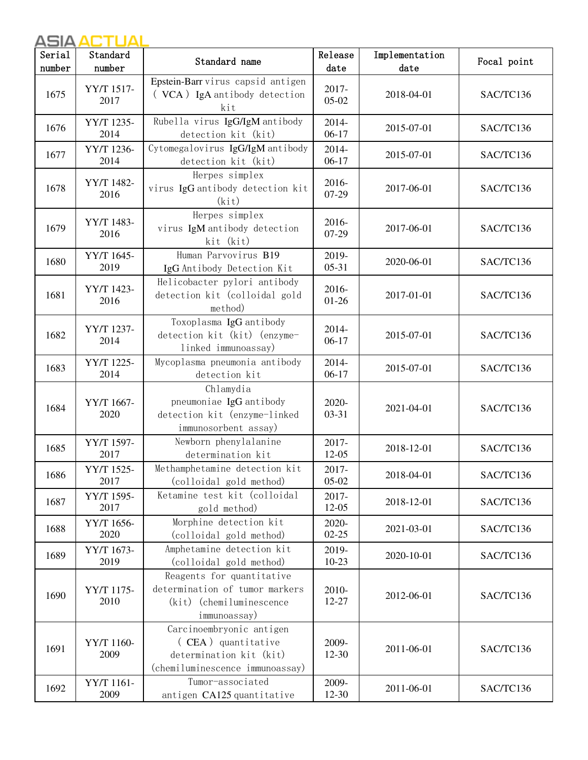| Serial | Standard           | Standard name                                                                                                | Release            | Implementation | Focal point |
|--------|--------------------|--------------------------------------------------------------------------------------------------------------|--------------------|----------------|-------------|
| number | number             |                                                                                                              | date               | date           |             |
| 1675   | YY/T 1517-<br>2017 | Epstein-Barr virus capsid antigen<br>(VCA) IgA antibody detection<br>kit                                     | 2017-<br>$05-02$   | 2018-04-01     | SAC/TC136   |
| 1676   | YY/T 1235-<br>2014 | Rubella virus IgG/IgM antibody<br>detection kit (kit)                                                        | 2014-<br>$06-17$   | 2015-07-01     | SAC/TC136   |
| 1677   | YY/T 1236-<br>2014 | Cytomegalovirus IgG/IgM antibody<br>detection kit (kit)                                                      | 2014-<br>$06-17$   | 2015-07-01     | SAC/TC136   |
| 1678   | YY/T 1482-<br>2016 | Herpes simplex<br>virus IgG antibody detection kit<br>(kit)                                                  | 2016-<br>07-29     | 2017-06-01     | SAC/TC136   |
| 1679   | YY/T 1483-<br>2016 | Herpes simplex<br>virus IgM antibody detection<br>kit (kit)                                                  | 2016-<br>$07-29$   | 2017-06-01     | SAC/TC136   |
| 1680   | YY/T 1645-<br>2019 | Human Parvovirus B19<br>IgG Antibody Detection Kit                                                           | 2019-<br>$05-31$   | 2020-06-01     | SAC/TC136   |
| 1681   | YY/T 1423-<br>2016 | Helicobacter pylori antibody<br>detection kit (colloidal gold<br>method)                                     | 2016-<br>$01 - 26$ | 2017-01-01     | SAC/TC136   |
| 1682   | YY/T 1237-<br>2014 | Toxoplasma IgG antibody<br>detection kit (kit) (enzyme-<br>linked immunoassay)                               | 2014-<br>$06-17$   | 2015-07-01     | SAC/TC136   |
| 1683   | YY/T 1225-<br>2014 | Mycoplasma pneumonia antibody<br>detection kit                                                               | 2014-<br>$06-17$   | 2015-07-01     | SAC/TC136   |
| 1684   | YY/T 1667-<br>2020 | Chlamydia<br>pneumoniae IgG antibody<br>detection kit (enzyme-linked<br>immunosorbent assay)                 | 2020-<br>$03 - 31$ | 2021-04-01     | SAC/TC136   |
| 1685   | YY/T 1597-<br>2017 | Newborn phenylalanine<br>determination kit                                                                   | 2017-<br>12-05     | 2018-12-01     | SAC/TC136   |
| 1686   | YY/T 1525-<br>2017 | Methamphetamine detection kit<br>(colloidal gold method)                                                     | 2017-<br>$05-02$   | 2018-04-01     | SAC/TC136   |
| 1687   | YY/T 1595-<br>2017 | Ketamine test kit (colloidal<br>gold method)                                                                 | 2017-<br>12-05     | 2018-12-01     | SAC/TC136   |
| 1688   | YY/T 1656-<br>2020 | Morphine detection kit<br>(colloidal gold method)                                                            | 2020-<br>$02 - 25$ | 2021-03-01     | SAC/TC136   |
| 1689   | YY/T 1673-<br>2019 | Amphetamine detection kit<br>(colloidal gold method)                                                         | 2019-<br>$10-23$   | 2020-10-01     | SAC/TC136   |
| 1690   | YY/T 1175-<br>2010 | Reagents for quantitative<br>determination of tumor markers<br>(kit) (chemiluminescence<br>immunoassay)      | 2010-<br>12-27     | 2012-06-01     | SAC/TC136   |
| 1691   | YY/T 1160-<br>2009 | Carcinoembryonic antigen<br>(CEA) quantitative<br>determination kit (kit)<br>(chemiluminescence immunoassay) | 2009-<br>$12 - 30$ | 2011-06-01     | SAC/TC136   |
| 1692   | YY/T 1161-<br>2009 | Tumor-associated<br>antigen CA125 quantitative                                                               | 2009-<br>12-30     | 2011-06-01     | SAC/TC136   |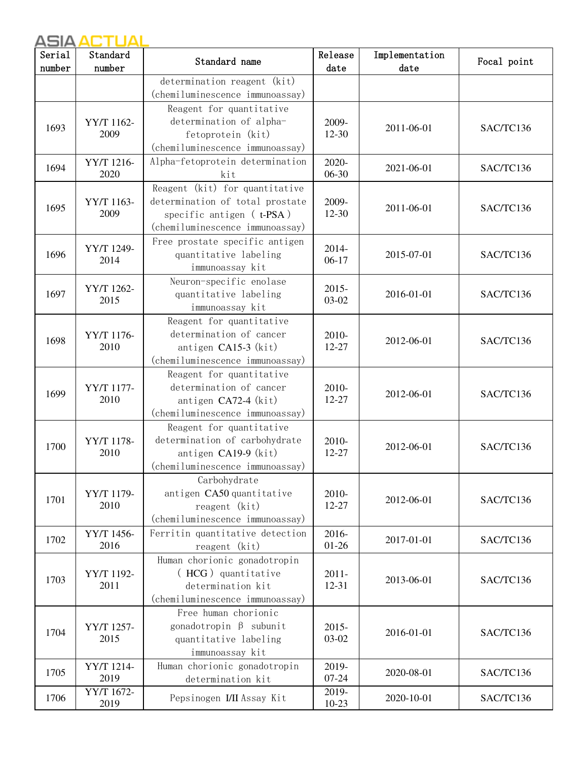| Serial | Standard           | Standard name                   | Release          | Implementation | Focal point |
|--------|--------------------|---------------------------------|------------------|----------------|-------------|
| number | number             |                                 | date             | date           |             |
|        |                    | determination reagent (kit)     |                  |                |             |
|        |                    | (chemiluminescence immunoassay) |                  |                |             |
|        |                    | Reagent for quantitative        |                  |                |             |
| 1693   | YY/T 1162-         | determination of alpha-         | 2009-            | 2011-06-01     | SAC/TC136   |
|        | 2009               | fetoprotein (kit)               | $12 - 30$        |                |             |
|        |                    | (chemiluminescence immunoassay) |                  |                |             |
| 1694   | YY/T 1216-         | Alpha-fetoprotein determination | 2020-            | 2021-06-01     | SAC/TC136   |
|        | 2020               | kit                             | $06 - 30$        |                |             |
|        |                    | Reagent (kit) for quantitative  |                  |                |             |
| 1695   | YY/T 1163-         | determination of total prostate | 2009-            | 2011-06-01     | SAC/TC136   |
|        | 2009               | specific antigen (t-PSA)        | $12-30$          |                |             |
|        |                    | (chemiluminescence immunoassay) |                  |                |             |
|        | YY/T 1249-         | Free prostate specific antigen  | 2014-            |                |             |
| 1696   | 2014               | quantitative labeling           | $06-17$          | 2015-07-01     | SAC/TC136   |
|        |                    | immunoassay kit                 |                  |                |             |
|        | YY/T 1262-         | Neuron-specific enolase         | $2015 -$         |                |             |
| 1697   | 2015               | quantitative labeling           | 03-02            | 2016-01-01     | SAC/TC136   |
|        |                    | immunoassay kit                 |                  |                |             |
|        |                    | Reagent for quantitative        |                  |                |             |
| 1698   | YY/T 1176-         | determination of cancer         | 2010-            | 2012-06-01     | SAC/TC136   |
|        | 2010               | antigen CA15-3 (kit)            | 12-27            |                |             |
|        |                    | (chemiluminescence immunoassay) |                  |                |             |
|        |                    | Reagent for quantitative        |                  |                |             |
| 1699   | YY/T 1177-<br>2010 | determination of cancer         | 2010-<br>12-27   | 2012-06-01     | SAC/TC136   |
|        |                    | antigen CA72-4 (kit)            |                  |                |             |
|        |                    | (chemiluminescence immunoassay) |                  |                |             |
|        |                    | Reagent for quantitative        |                  |                |             |
| 1700   | YY/T 1178-         | determination of carbohydrate   | 2010-            | 2012-06-01     | SAC/TC136   |
|        | 2010               | antigen CA19-9 (kit)            | 12-27            |                |             |
|        |                    | (chemiluminescence immunoassay) |                  |                |             |
|        |                    | Carbohydrate                    |                  |                |             |
| 1701   | YY/T 1179-         | antigen CA50 quantitative       | 2010-            | 2012-06-01     | SAC/TC136   |
|        | 2010               | reagent (kit)                   | 12-27            |                |             |
|        |                    | (chemiluminescence immunoassay) |                  |                |             |
| 1702   | YY/T 1456-         | Ferritin quantitative detection | 2016-            | 2017-01-01     | SAC/TC136   |
|        | 2016               | reagent (kit)                   | $01-26$          |                |             |
|        |                    | Human chorionic gonadotropin    |                  |                |             |
| 1703   | YY/T 1192-         | (HCG) quantitative              | $2011 -$         | 2013-06-01     | SAC/TC136   |
|        | 2011               | determination kit               | 12-31            |                |             |
|        |                    | (chemiluminescence immunoassay) |                  |                |             |
|        |                    | Free human chorionic            |                  |                |             |
| 1704   | YY/T 1257-         | gonadotropin $\beta$ subunit    | $2015 -$         | 2016-01-01     | SAC/TC136   |
|        | 2015               | quantitative labeling           | 03-02            |                |             |
|        |                    | immunoassay kit                 |                  |                |             |
| 1705   | YY/T 1214-         | Human chorionic gonadotropin    | 2019-            | 2020-08-01     | SAC/TC136   |
|        | 2019<br>YY/T 1672- | determination kit               | $07 - 24$        |                |             |
| 1706   | 2019               | Pepsinogen I/II Assay Kit       | 2019-<br>$10-23$ | 2020-10-01     | SAC/TC136   |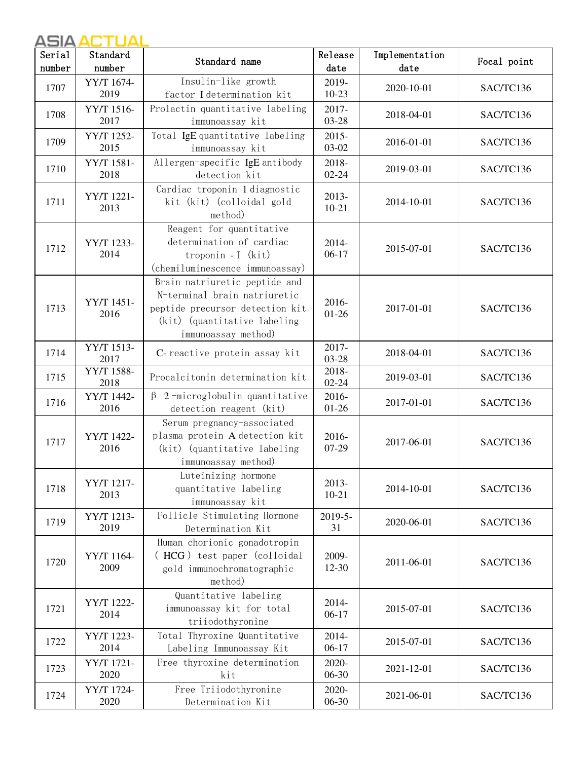# ASIA ACTUAL ASIA ACTUAL

| Serial<br>number | Standard<br>number | Standard name                                                                                                                                            | Release<br>date    | Implementation<br>date | Focal point |
|------------------|--------------------|----------------------------------------------------------------------------------------------------------------------------------------------------------|--------------------|------------------------|-------------|
| 1707             | YY/T 1674-<br>2019 | Insulin-like growth<br>factor I determination kit                                                                                                        | 2019-<br>$10-23$   | 2020-10-01             | SAC/TC136   |
| 1708             | YY/T 1516-<br>2017 | Prolactin quantitative labeling<br>immunoassay kit                                                                                                       | 2017-<br>03-28     | 2018-04-01             | SAC/TC136   |
| 1709             | YY/T 1252-<br>2015 | Total IgE quantitative labeling<br>immunoassay kit                                                                                                       | 2015-<br>$03 - 02$ | 2016-01-01             | SAC/TC136   |
| 1710             | YY/T 1581-<br>2018 | Allergen-specific IgE antibody<br>detection kit                                                                                                          | 2018-<br>$02 - 24$ | 2019-03-01             | SAC/TC136   |
| 1711             | YY/T 1221-<br>2013 | Cardiac troponin 1 diagnostic<br>kit (kit) (colloidal gold<br>method)                                                                                    | 2013-<br>$10 - 21$ | 2014-10-01             | SAC/TC136   |
| 1712             | YY/T 1233-<br>2014 | Reagent for quantitative<br>determination of cardiac<br>troponin - I $(kit)$<br>(chemiluminescence immunoassay)                                          | 2014-<br>$06-17$   | 2015-07-01             | SAC/TC136   |
| 1713             | YY/T 1451-<br>2016 | Brain natriuretic peptide and<br>N-terminal brain natriuretic<br>peptide precursor detection kit<br>(kit) (quantitative labeling)<br>immunoassay method) | 2016-<br>$01 - 26$ | 2017-01-01             | SAC/TC136   |
| 1714             | YY/T 1513-<br>2017 | C-reactive protein assay kit                                                                                                                             | 2017-<br>$03 - 28$ | 2018-04-01             | SAC/TC136   |
| 1715             | YY/T 1588-<br>2018 | Procalcitonin determination kit                                                                                                                          | 2018-<br>$02 - 24$ | 2019-03-01             | SAC/TC136   |
| 1716             | YY/T 1442-<br>2016 | $\beta$ 2-microglobulin quantitative<br>detection reagent (kit)                                                                                          | 2016-<br>$01 - 26$ | 2017-01-01             | SAC/TC136   |
| 1717             | YY/T 1422-<br>2016 | Serum pregnancy-associated<br>plasma protein A detection kit<br>(kit) (quantitative labeling)<br>immunoassay method)                                     | 2016-<br>$07-29$   | 2017-06-01             | SAC/TC136   |
| 1718             | YY/T 1217-<br>2013 | Luteinizing hormone<br>quantitative labeling<br>immunoassay kit                                                                                          | 2013-<br>$10 - 21$ | 2014-10-01             | SAC/TC136   |
| 1719             | YY/T 1213-<br>2019 | Follicle Stimulating Hormone<br>Determination Kit                                                                                                        | 2019-5-<br>31      | 2020-06-01             | SAC/TC136   |
| 1720             | YY/T 1164-<br>2009 | Human chorionic gonadotropin<br>(HCG) test paper (colloidal<br>gold immunochromatographic<br>method)                                                     | 2009-<br>$12 - 30$ | 2011-06-01             | SAC/TC136   |
| 1721             | YY/T 1222-<br>2014 | Quantitative labeling<br>immunoassay kit for total<br>triiodothyronine                                                                                   | 2014-<br>$06-17$   | 2015-07-01             | SAC/TC136   |
| 1722             | YY/T 1223-<br>2014 | Total Thyroxine Quantitative<br>Labeling Immunoassay Kit                                                                                                 | 2014-<br>$06-17$   | 2015-07-01             | SAC/TC136   |
| 1723             | YY/T 1721-<br>2020 | Free thyroxine determination<br>kit                                                                                                                      | 2020-<br>$06 - 30$ | 2021-12-01             | SAC/TC136   |
| 1724             | YY/T 1724-<br>2020 | Free Triiodothyronine<br>Determination Kit                                                                                                               | 2020-<br>06-30     | 2021-06-01             | SAC/TC136   |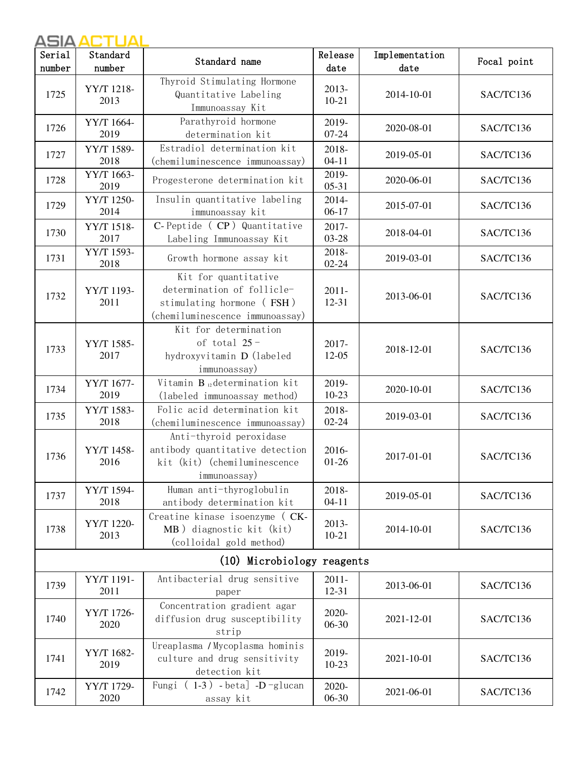| Serial<br>number           | Standard<br>number | Standard name                                                                                                      | Release<br>date    | Implementation<br>date | Focal point |  |
|----------------------------|--------------------|--------------------------------------------------------------------------------------------------------------------|--------------------|------------------------|-------------|--|
| 1725                       | YY/T 1218-<br>2013 | Thyroid Stimulating Hormone<br>Quantitative Labeling<br>Immunoassay Kit                                            | 2013-<br>$10 - 21$ | 2014-10-01             | SAC/TC136   |  |
| 1726                       | YY/T 1664-<br>2019 | Parathyroid hormone<br>determination kit                                                                           | 2019-<br>$07 - 24$ | 2020-08-01             | SAC/TC136   |  |
| 1727                       | YY/T 1589-<br>2018 | Estradiol determination kit<br>(chemiluminescence immunoassay)                                                     | 2018-<br>$04 - 11$ | 2019-05-01             | SAC/TC136   |  |
| 1728                       | YY/T 1663-<br>2019 | Progesterone determination kit                                                                                     | 2019-<br>$05 - 31$ | 2020-06-01             | SAC/TC136   |  |
| 1729                       | YY/T 1250-<br>2014 | Insulin quantitative labeling<br>immunoassay kit                                                                   | 2014-<br>$06-17$   | 2015-07-01             | SAC/TC136   |  |
| 1730                       | YY/T 1518-<br>2017 | C-Peptide (CP) Quantitative<br>Labeling Immunoassay Kit                                                            | 2017-<br>03-28     | 2018-04-01             | SAC/TC136   |  |
| 1731                       | YY/T 1593-<br>2018 | Growth hormone assay kit                                                                                           | 2018-<br>$02 - 24$ | 2019-03-01             | SAC/TC136   |  |
| 1732                       | YY/T 1193-<br>2011 | Kit for quantitative<br>determination of follicle-<br>stimulating hormone (FSH)<br>(chemiluminescence immunoassay) | $2011 -$<br>12-31  | 2013-06-01             | SAC/TC136   |  |
| 1733                       | YY/T 1585-<br>2017 | Kit for determination<br>of total $25 -$<br>hydroxyvitamin D (labeled<br>immunoassay)                              | 2017-<br>12-05     | 2018-12-01             | SAC/TC136   |  |
| 1734                       | YY/T 1677-<br>2019 | Vitamin B <sub>12</sub> determination kit<br>(labeled immunoassay method)                                          | 2019-<br>$10-23$   | 2020-10-01             | SAC/TC136   |  |
| 1735                       | YY/T 1583-<br>2018 | Folic acid determination kit<br>(chemiluminescence immunoassay)                                                    | 2018-<br>$02 - 24$ | 2019-03-01             | SAC/TC136   |  |
| 1736                       | YY/T 1458-<br>2016 | Anti-thyroid peroxidase<br>antibody quantitative detection<br>kit (kit) (chemiluminescence<br>immunoassay)         | 2016-<br>$01 - 26$ | 2017-01-01             | SAC/TC136   |  |
| 1737                       | YY/T 1594-<br>2018 | Human anti-thyroglobulin<br>antibody determination kit                                                             | 2018-<br>$04 - 11$ | 2019-05-01             | SAC/TC136   |  |
| 1738                       | YY/T 1220-<br>2013 | Creatine kinase isoenzyme ( CK-<br>MB) diagnostic kit (kit)<br>(colloidal gold method)                             | 2013-<br>$10 - 21$ | 2014-10-01             | SAC/TC136   |  |
| (10) Microbiology reagents |                    |                                                                                                                    |                    |                        |             |  |
| 1739                       | YY/T 1191-<br>2011 | Antibacterial drug sensitive<br>paper                                                                              | $2011 -$<br>12-31  | 2013-06-01             | SAC/TC136   |  |
| 1740                       | YY/T 1726-<br>2020 | Concentration gradient agar<br>diffusion drug susceptibility<br>strip                                              | 2020-<br>06-30     | 2021-12-01             | SAC/TC136   |  |
| 1741                       | YY/T 1682-<br>2019 | Ureaplasma / Mycoplasma hominis<br>culture and drug sensitivity<br>detection kit                                   | 2019-<br>$10-23$   | 2021-10-01             | SAC/TC136   |  |
| 1742                       | YY/T 1729-<br>2020 | Fungi $(1-3)$ - beta] -D-glucan<br>assay kit                                                                       | 2020-<br>06-30     | 2021-06-01             | SAC/TC136   |  |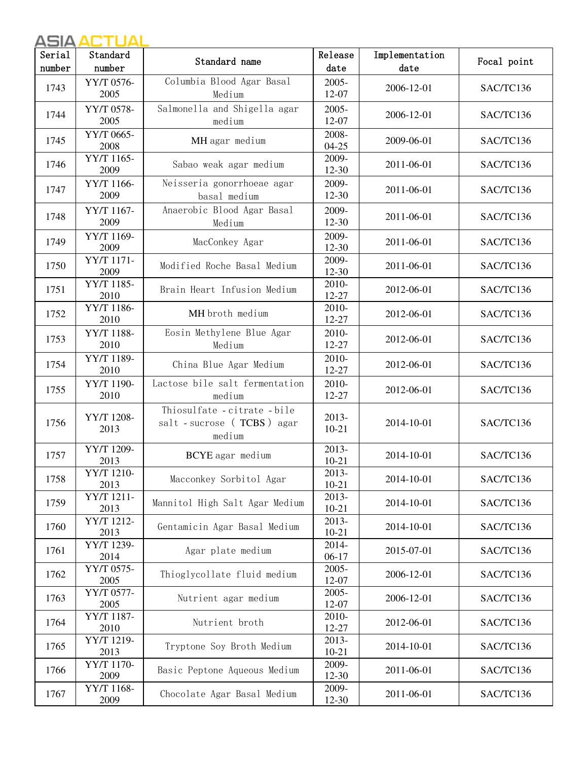# ASIA ACTUAL ASIA ACTUAL

| Serial | Standard           | Standard name                                                        | Release            | Implementation | Focal point |
|--------|--------------------|----------------------------------------------------------------------|--------------------|----------------|-------------|
| number | number             |                                                                      | date               | date           |             |
| 1743   | YY/T 0576-<br>2005 | Columbia Blood Agar Basal<br>Medium                                  | 2005-<br>12-07     | 2006-12-01     | SAC/TC136   |
| 1744   | YY/T 0578-<br>2005 | Salmonella and Shigella agar<br>medium                               | $2005 -$<br>12-07  | 2006-12-01     | SAC/TC136   |
| 1745   | YY/T 0665-<br>2008 | MH agar medium                                                       | 2008-<br>$04 - 25$ | 2009-06-01     | SAC/TC136   |
| 1746   | YY/T 1165-<br>2009 | Sabao weak agar medium                                               | 2009-<br>12-30     | 2011-06-01     | SAC/TC136   |
| 1747   | YY/T 1166-<br>2009 | Neisseria gonorrhoeae agar<br>basal medium                           | 2009-<br>12-30     | 2011-06-01     | SAC/TC136   |
| 1748   | YY/T 1167-<br>2009 | Anaerobic Blood Agar Basal<br>Medium                                 | 2009-<br>12-30     | 2011-06-01     | SAC/TC136   |
| 1749   | YY/T 1169-<br>2009 | MacConkey Agar                                                       | 2009-<br>12-30     | 2011-06-01     | SAC/TC136   |
| 1750   | YY/T 1171-<br>2009 | Modified Roche Basal Medium                                          | 2009-<br>12-30     | 2011-06-01     | SAC/TC136   |
| 1751   | YY/T 1185-<br>2010 | Brain Heart Infusion Medium                                          | 2010-<br>12-27     | 2012-06-01     | SAC/TC136   |
| 1752   | YY/T 1186-<br>2010 | MH broth medium                                                      | 2010-<br>12-27     | 2012-06-01     | SAC/TC136   |
| 1753   | YY/T 1188-<br>2010 | Eosin Methylene Blue Agar<br>Medium                                  | 2010-<br>12-27     | 2012-06-01     | SAC/TC136   |
| 1754   | YY/T 1189-<br>2010 | China Blue Agar Medium                                               | 2010-<br>12-27     | 2012-06-01     | SAC/TC136   |
| 1755   | YY/T 1190-<br>2010 | Lactose bile salt fermentation<br>medium                             | 2010-<br>12-27     | 2012-06-01     | SAC/TC136   |
| 1756   | YY/T 1208-<br>2013 | Thiosulfate - citrate - bile<br>salt - sucrose (TCBS) agar<br>medium | 2013-<br>$10 - 21$ | 2014-10-01     | SAC/TC136   |
| 1757   | YY/T 1209-<br>2013 | <b>BCYE</b> agar medium                                              | 2013-<br>$10 - 21$ | 2014-10-01     | SAC/TC136   |
| 1758   | YY/T 1210-<br>2013 | Macconkey Sorbitol Agar                                              | 2013-<br>$10 - 21$ | 2014-10-01     | SAC/TC136   |
| 1759   | YY/T 1211-<br>2013 | Mannitol High Salt Agar Medium                                       | 2013-<br>$10 - 21$ | 2014-10-01     | SAC/TC136   |
| 1760   | YY/T 1212-<br>2013 | Gentamicin Agar Basal Medium                                         | 2013-<br>$10 - 21$ | 2014-10-01     | SAC/TC136   |
| 1761   | YY/T 1239-<br>2014 | Agar plate medium                                                    | 2014-<br>$06-17$   | 2015-07-01     | SAC/TC136   |
| 1762   | YY/T 0575-<br>2005 | Thioglycollate fluid medium                                          | 2005-<br>12-07     | 2006-12-01     | SAC/TC136   |
| 1763   | YY/T 0577-<br>2005 | Nutrient agar medium                                                 | $2005 -$<br>12-07  | 2006-12-01     | SAC/TC136   |
| 1764   | YY/T 1187-<br>2010 | Nutrient broth                                                       | 2010-<br>12-27     | 2012-06-01     | SAC/TC136   |
| 1765   | YY/T 1219-<br>2013 | Tryptone Soy Broth Medium                                            | 2013-<br>$10 - 21$ | 2014-10-01     | SAC/TC136   |
| 1766   | YY/T 1170-<br>2009 | Basic Peptone Aqueous Medium                                         | 2009-<br>12-30     | 2011-06-01     | SAC/TC136   |
| 1767   | YY/T 1168-<br>2009 | Chocolate Agar Basal Medium                                          | 2009-<br>12-30     | 2011-06-01     | SAC/TC136   |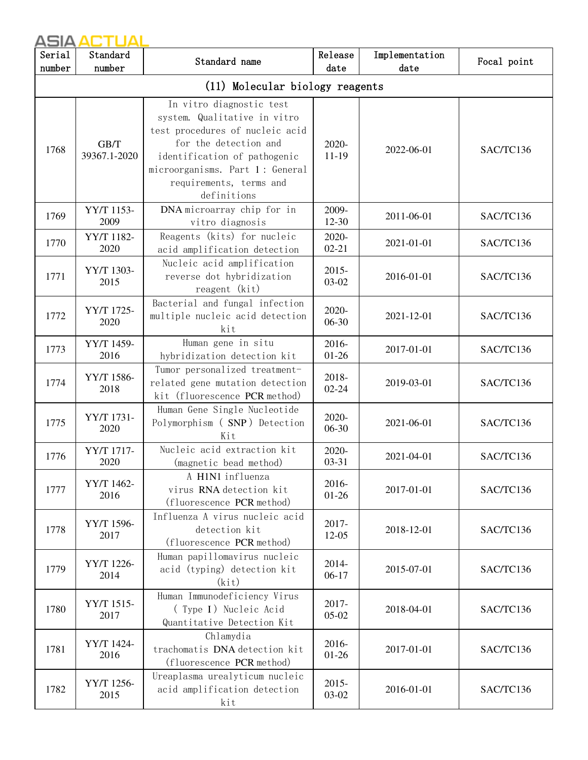| Serial<br>number                | Standard<br>number   | Standard name                                                                                                                                                                                                                     | Release<br>date    | Implementation<br>date | Focal point |  |
|---------------------------------|----------------------|-----------------------------------------------------------------------------------------------------------------------------------------------------------------------------------------------------------------------------------|--------------------|------------------------|-------------|--|
| (11) Molecular biology reagents |                      |                                                                                                                                                                                                                                   |                    |                        |             |  |
| 1768                            | GB/T<br>39367.1-2020 | In vitro diagnostic test<br>system. Qualitative in vitro<br>test procedures of nucleic acid<br>for the detection and<br>identification of pathogenic<br>microorganisms. Part 1: General<br>requirements, terms and<br>definitions | 2020-<br>$11-19$   | 2022-06-01             | SAC/TC136   |  |
| 1769                            | YY/T 1153-<br>2009   | DNA microarray chip for in<br>vitro diagnosis                                                                                                                                                                                     | 2009-<br>12-30     | 2011-06-01             | SAC/TC136   |  |
| 1770                            | YY/T 1182-<br>2020   | Reagents (kits) for nucleic<br>acid amplification detection                                                                                                                                                                       | 2020-<br>$02 - 21$ | 2021-01-01             | SAC/TC136   |  |
| 1771                            | YY/T 1303-<br>2015   | Nucleic acid amplification<br>reverse dot hybridization<br>reagent (kit)                                                                                                                                                          | $2015 -$<br>03-02  | 2016-01-01             | SAC/TC136   |  |
| 1772                            | YY/T 1725-<br>2020   | Bacterial and fungal infection<br>multiple nucleic acid detection<br>kit                                                                                                                                                          | 2020-<br>06-30     | 2021-12-01             | SAC/TC136   |  |
| 1773                            | YY/T 1459-<br>2016   | Human gene in situ<br>hybridization detection kit                                                                                                                                                                                 | 2016-<br>$01 - 26$ | 2017-01-01             | SAC/TC136   |  |
| 1774                            | YY/T 1586-<br>2018   | Tumor personalized treatment-<br>related gene mutation detection<br>kit (fluorescence PCR method)                                                                                                                                 | 2018-<br>$02 - 24$ | 2019-03-01             | SAC/TC136   |  |
| 1775                            | YY/T 1731-<br>2020   | Human Gene Single Nucleotide<br>Polymorphism (SNP) Detection<br>Kit                                                                                                                                                               | 2020-<br>06-30     | 2021-06-01             | SAC/TC136   |  |
| 1776                            | YY/T 1717-<br>2020   | Nucleic acid extraction kit<br>(magnetic bead method)                                                                                                                                                                             | 2020-<br>$03 - 31$ | 2021-04-01             | SAC/TC136   |  |
| 1777                            | YY/T 1462-<br>2016   | A H1N1 influenza<br>virus RNA detection kit<br>(fluorescence PCR method)                                                                                                                                                          | 2016-<br>$01 - 26$ | 2017-01-01             | SAC/TC136   |  |
| 1778                            | YY/T 1596-<br>2017   | Influenza A virus nucleic acid<br>detection kit<br>(fluorescence PCR method)                                                                                                                                                      | 2017-<br>12-05     | 2018-12-01             | SAC/TC136   |  |
| 1779                            | YY/T 1226-<br>2014   | Human papillomavirus nucleic<br>acid (typing) detection kit<br>(kit)                                                                                                                                                              | 2014-<br>$06-17$   | 2015-07-01             | SAC/TC136   |  |
| 1780                            | YY/T 1515-<br>2017   | Human Immunodeficiency Virus<br>(Type I) Nucleic Acid<br>Quantitative Detection Kit                                                                                                                                               | 2017-<br>$05-02$   | 2018-04-01             | SAC/TC136   |  |
| 1781                            | YY/T 1424-<br>2016   | Chlamydia<br>trachomatis DNA detection kit<br>(fluorescence PCR method)                                                                                                                                                           | 2016-<br>$01 - 26$ | 2017-01-01             | SAC/TC136   |  |
| 1782                            | YY/T 1256-<br>2015   | Ureaplasma urealyticum nucleic<br>acid amplification detection<br>kit                                                                                                                                                             | $2015 -$<br>03-02  | 2016-01-01             | SAC/TC136   |  |